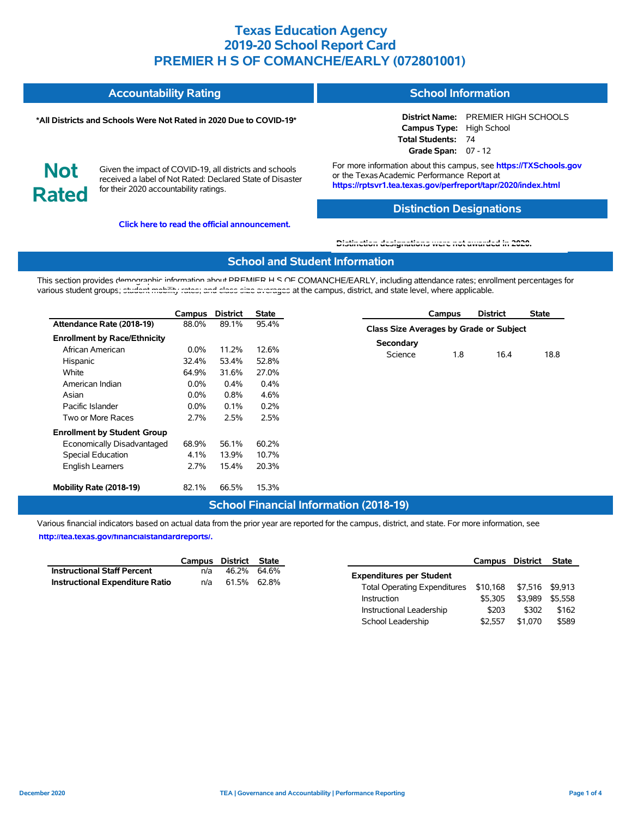| Accountability Rating | <b>School Information</b> |
|-----------------------|---------------------------|
|                       |                           |

#### **\*All Districts and Schools Were Not Rated in 2020 Due to COVID-19\***

**District Name:** PREMIER HIGH SCHOOLS **Campus Type:** High School **Total Students:** 74 **Grade Span:** 07 - 12

**Campus District State**

Science 1.8 16.4 18.8

**Not Rated**

Given the impact of COVID-19, all districts and schools received a label of Not Rated: Declared State of Disaster for their 2020 accountability ratings.

For more information about this campus, see **https://TXSchools.gov** or the Texas Academic Performance Report at **https://rptsvr1.tea.texas.gov/perfreport/tapr/2020/index.html**

### **Distinction Designations**

# **Click here to read the official announcement.**

#### **[Distinction designations were not awarded in 2020.](https://rptsvr1.tea.texas.gov/perfreport/tapr/2020/index.html)**

**Class Size Averages by Grade or Subject**

**Secondary**

### **School and Student Information**

This section provides demographic information about PREMIER H S OF COMANCHE/EARLY, including attendance rates; enrollment percentages for various student group[s; student mobility rates; and class size averages](https://tea.texas.gov/about-tea/news-and-multimedia/correspondence/taa-letters/every-student-succeeds-act-essa-waiver-approval-2020-state-academic-accountability) at the campus, district, and state level, where applicable.

|                                     | Campus  | <b>District</b> | State   |
|-------------------------------------|---------|-----------------|---------|
| Attendance Rate (2018-19)           | 88.0%   | 89.1%           | 95.4%   |
| <b>Enrollment by Race/Ethnicity</b> |         |                 |         |
| African American                    | $0.0\%$ | 11.2%           | 12.6%   |
| Hispanic                            | 32.4%   | 53.4%           | 52.8%   |
| White                               | 64.9%   | 31.6%           | 27.0%   |
| American Indian                     | $0.0\%$ | $0.4\%$         | 0.4%    |
| Asian                               | $0.0\%$ | $0.8\%$         | 4.6%    |
| Pacific Islander                    | $0.0\%$ | $0.1\%$         | $0.2\%$ |
| Two or More Races                   | 2.7%    | 2.5%            | 2.5%    |
| <b>Enrollment by Student Group</b>  |         |                 |         |
| Economically Disadvantaged          | 68.9%   | 56.1%           | 60.2%   |
| Special Education                   | 4.1%    | 13.9%           | 10.7%   |
| <b>English Learners</b>             | 2.7%    | 15.4%           | 20.3%   |
| Mobility Rate (2018-19)             | 82.1%   | 66.5%           | 15.3%   |

### **School Financial Information (2018-19)**

Various financial indicators based on actual data from the prior year are reported for the campus, district, and state. For more information, see **[http://tea.texas.gov/financialstandardreports/.](http://tea.texas.gov/financialstandardreports/)**

|                                        | Campus District State |             |  |
|----------------------------------------|-----------------------|-------------|--|
| <b>Instructional Staff Percent</b>     | n/a                   | 46.2% 64.6% |  |
| <b>Instructional Expenditure Ratio</b> | n/a                   | 61.5% 62.8% |  |

|                                     | Campus District |         | <b>State</b> |
|-------------------------------------|-----------------|---------|--------------|
| <b>Expenditures per Student</b>     |                 |         |              |
| <b>Total Operating Expenditures</b> | \$10,168        | \$7.516 | \$9.913      |
| <b>Instruction</b>                  | \$5.305         | \$3.989 | \$5.558      |
| Instructional Leadership            | \$203           | \$302   | \$162        |
| School Leadership                   | \$2.557         | \$1.070 | \$589        |

l,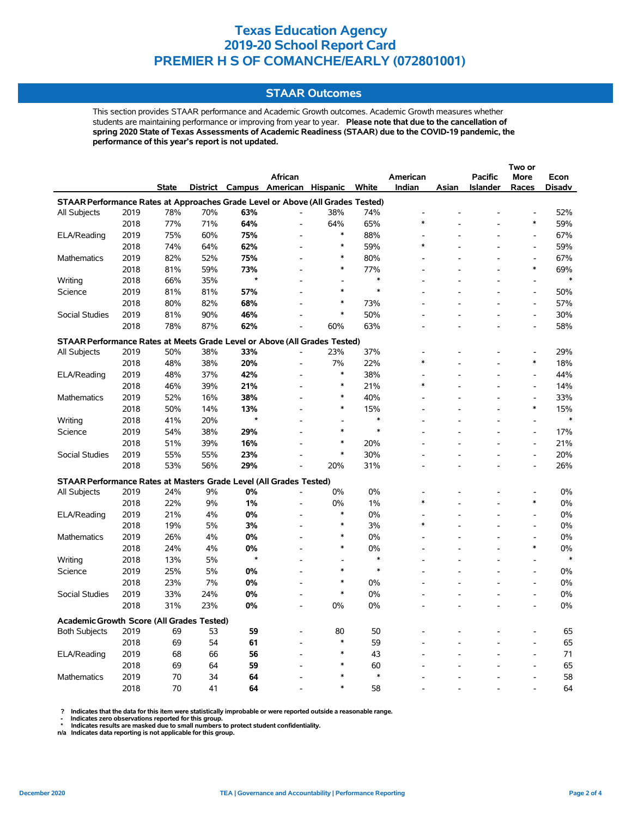### **STAAR Outcomes**

This section provides STAAR performance and Academic Growth outcomes. Academic Growth measures whether students are maintaining performance or improving from year to year. **Please note that due to the cancellation of spring 2020 State of Texas Assessments of Academic Readiness (STAAR) due to the COVID-19 pandemic, the performance of this year's report is not updated.**

|                                                                                |              |              |          |          | African                           |        |          | American |       | <b>Pacific</b>  | More                     | Econ          |
|--------------------------------------------------------------------------------|--------------|--------------|----------|----------|-----------------------------------|--------|----------|----------|-------|-----------------|--------------------------|---------------|
|                                                                                |              | <b>State</b> |          |          | District Campus American Hispanic |        | White    | Indian   | Asian | <b>Islander</b> | Races                    | <b>Disadv</b> |
| STAAR Performance Rates at Approaches Grade Level or Above (All Grades Tested) |              |              |          |          |                                   |        |          |          |       |                 |                          |               |
| All Subjects                                                                   | 2019         | 78%          | 70%      | 63%      |                                   | 38%    | 74%      |          |       |                 |                          | 52%           |
|                                                                                | 2018         | 77%          | 71%      | 64%      | $\overline{\phantom{a}}$          | 64%    | 65%      | $\ast$   |       |                 | $\ast$                   | 59%           |
| ELA/Reading                                                                    | 2019         | 75%          | 60%      | 75%      | $\overline{a}$                    | $\ast$ | 88%      |          |       |                 | $\overline{\phantom{a}}$ | 67%           |
|                                                                                | 2018         | 74%          | 64%      | 62%      |                                   | $\ast$ | 59%      | $\ast$   |       |                 | $\overline{\phantom{a}}$ | 59%           |
| <b>Mathematics</b>                                                             | 2019         | 82%          | 52%      | 75%      |                                   | $\ast$ | 80%      |          |       |                 | $\overline{\phantom{a}}$ | 67%           |
|                                                                                | 2018         | 81%          | 59%      | 73%      |                                   | $\ast$ | 77%      |          |       |                 | $\ast$                   | 69%           |
| Writing                                                                        | 2018         | 66%          | 35%      | $\star$  |                                   |        | $\ast$   |          |       |                 | ÷,                       | $\ast$        |
| Science                                                                        | 2019         | 81%          | 81%      | 57%      |                                   | $\ast$ | $\ast$   |          |       |                 | $\overline{\phantom{a}}$ | 50%           |
|                                                                                | 2018         | 80%          | 82%      | 68%      |                                   | $\ast$ | 73%      |          |       |                 | $\overline{\phantom{a}}$ | 57%           |
| Social Studies                                                                 | 2019         | 81%          | 90%      | 46%      |                                   | $\ast$ | 50%      |          |       |                 | Ĭ.                       | 30%           |
|                                                                                | 2018         | 78%          | 87%      | 62%      |                                   | 60%    | 63%      |          |       |                 | L.                       | 58%           |
| STAAR Performance Rates at Meets Grade Level or Above (All Grades Tested)      |              |              |          |          |                                   |        |          |          |       |                 |                          |               |
| All Subjects                                                                   | 2019         | 50%          | 38%      | 33%      |                                   | 23%    | 37%      |          |       |                 |                          | 29%           |
|                                                                                | 2018         | 48%          | 38%      | 20%      | $\overline{\phantom{a}}$          | 7%     | 22%      | $\ast$   |       |                 | $\ast$                   | 18%           |
| ELA/Reading                                                                    | 2019         | 48%          | 37%      | 42%      |                                   | $\ast$ | 38%      |          |       |                 | Ĭ.                       | 44%           |
|                                                                                | 2018         | 46%          | 39%      | 21%      |                                   | $\ast$ | 21%      | $\ast$   |       |                 | $\overline{a}$           | 14%           |
| Mathematics                                                                    | 2019         | 52%          | 16%      | 38%      |                                   | $\ast$ | 40%      |          |       |                 | $\overline{\phantom{a}}$ | 33%           |
|                                                                                | 2018         | 50%          | 14%      | 13%      |                                   | $\ast$ | 15%      |          |       |                 | $\ast$                   | 15%           |
| Writing                                                                        | 2018         | 41%          | 20%      | $\star$  |                                   | ٠      | $\ast$   |          |       |                 | ÷.                       | $\ast$        |
| Science                                                                        | 2019         | 54%          | 38%      | 29%      |                                   | $\ast$ | $\ast$   |          |       |                 | Ĭ.                       | 17%           |
|                                                                                | 2018         | 51%          | 39%      | 16%      |                                   | $\ast$ | 20%      |          |       |                 | $\overline{\phantom{a}}$ | 21%           |
| Social Studies                                                                 | 2019         | 55%          | 55%      | 23%      |                                   | $\ast$ | 30%      |          |       |                 | $\overline{\phantom{a}}$ | 20%           |
|                                                                                | 2018         | 53%          | 56%      | 29%      |                                   | 20%    | 31%      |          |       |                 |                          | 26%           |
| STAAR Performance Rates at Masters Grade Level (All Grades Tested)             |              |              |          |          |                                   |        |          |          |       |                 |                          |               |
| All Subjects                                                                   | 2019         | 24%          | 9%       | 0%       | L,                                | 0%     | 0%       |          |       |                 | Ĭ.                       | 0%            |
|                                                                                | 2018         | 22%          | 9%       | 1%       | L                                 | 0%     | 1%       | $\ast$   |       |                 | $\ast$                   | 0%            |
| ELA/Reading                                                                    | 2019         | 21%          | 4%       | 0%       | L,                                | $\ast$ | 0%       |          |       |                 | $\overline{a}$           | 0%            |
|                                                                                | 2018         | 19%          | 5%       | 3%       |                                   | $\ast$ | 3%       | $\ast$   |       |                 | $\blacksquare$           | 0%            |
| <b>Mathematics</b>                                                             | 2019         | 26%          | 4%       | 0%       |                                   | $\ast$ | 0%       |          |       |                 | ÷,                       | 0%            |
|                                                                                | 2018         | 24%          | 4%       | 0%       |                                   | $\ast$ | 0%       |          |       |                 | $\ast$                   | 0%            |
| Writing                                                                        | 2018         | 13%          | 5%       | $\star$  |                                   |        | $\ast$   |          |       |                 |                          | $\ast$        |
| Science                                                                        | 2019         | 25%          | 5%       | 0%       |                                   | $\ast$ | $\ast$   |          |       |                 | L,                       | 0%            |
|                                                                                | 2018         | 23%          | 7%       | 0%       |                                   | $\ast$ | 0%       |          |       |                 | $\overline{\phantom{a}}$ | 0%            |
| Social Studies                                                                 | 2019         | 33%          | 24%      | 0%       | $\overline{a}$                    | $\ast$ | 0%       |          |       |                 | $\overline{\phantom{a}}$ | 0%            |
|                                                                                | 2018         | 31%          | 23%      | 0%       | L,                                | 0%     | 0%       |          |       |                 | L,                       | 0%            |
|                                                                                |              |              |          |          |                                   |        |          |          |       |                 |                          |               |
| <b>Academic Growth Score (All Grades Tested)</b>                               |              |              |          | 59       | L,                                | 80     |          |          |       |                 | L,                       |               |
| <b>Both Subjects</b>                                                           | 2019<br>2018 | 69<br>69     | 53<br>54 | 61       |                                   | $\ast$ | 50<br>59 |          |       |                 | L,                       | 65<br>65      |
|                                                                                |              |              |          |          | ÷.                                | $\ast$ |          |          |       |                 | $\overline{a}$           |               |
| ELA/Reading                                                                    | 2019         | 68<br>69     | 66<br>64 | 56<br>59 |                                   | $\ast$ | 43<br>60 |          |       |                 |                          | 71            |
| <b>Mathematics</b>                                                             | 2018<br>2019 | 70           | 34       | 64       |                                   | $\ast$ | $\ast$   |          |       |                 |                          | 65<br>58      |
|                                                                                | 2018         | 70           | 41       | 64       |                                   | $\ast$ | 58       |          |       |                 |                          | 64            |
|                                                                                |              |              |          |          |                                   |        |          |          |       |                 |                          |               |

 **? Indicates that the data for this item were statistically improbable or were reported outside a reasonable range.**

- Indicates zero observations reported for this group.<br>\* Indicates results are masked due to small numbers to protect student confidentiality.<br>n/a Indicates data reporting is not applicable for this group.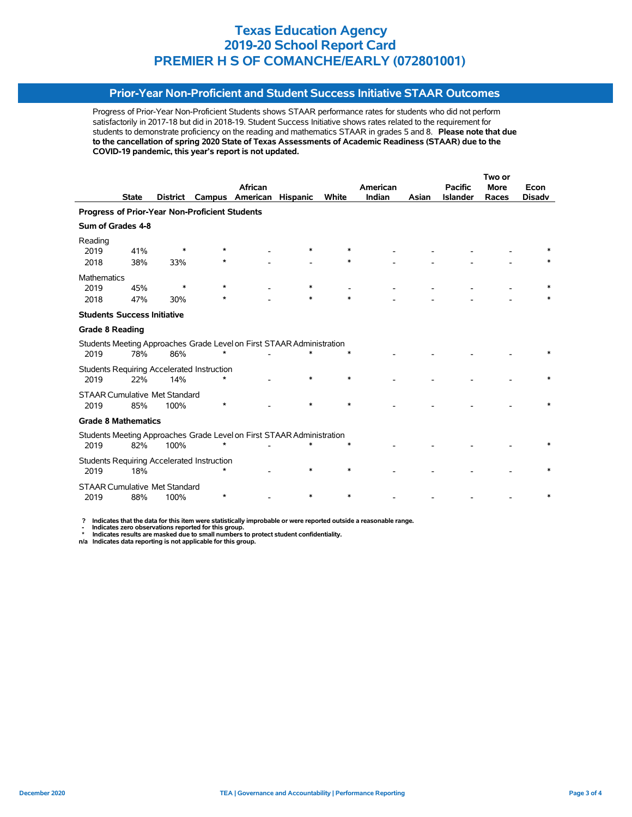### **Prior-Year Non-Proficient and Student Success Initiative STAAR Outcomes**

Progress of Prior-Year Non-Proficient Students shows STAAR performance rates for students who did not perform satisfactorily in 2017-18 but did in 2018-19. Student Success Initiative shows rates related to the requirement for students to demonstrate proficiency on the reading and mathematics STAAR in grades 5 and 8. **Please note that due to the cancellation of spring 2020 State of Texas Assessments of Academic Readiness (STAAR) due to the COVID-19 pandemic, this year's report is not updated.**

|                                                |              |                 |                                            | African                                                               |                 |        | American |       | <b>Pacific</b>  | <b>More</b> | Econ          |
|------------------------------------------------|--------------|-----------------|--------------------------------------------|-----------------------------------------------------------------------|-----------------|--------|----------|-------|-----------------|-------------|---------------|
|                                                | <b>State</b> | <b>District</b> | Campus                                     | American                                                              | <b>Hispanic</b> | White  | Indian   | Asian | <b>Islander</b> | Races       | <b>Disadv</b> |
| Progress of Prior-Year Non-Proficient Students |              |                 |                                            |                                                                       |                 |        |          |       |                 |             |               |
| Sum of Grades 4-8                              |              |                 |                                            |                                                                       |                 |        |          |       |                 |             |               |
| Reading<br>2019                                | 41%          | $\ast$          | $\star$                                    |                                                                       |                 | $\ast$ |          |       |                 |             |               |
| 2018                                           | 38%          | 33%             |                                            |                                                                       |                 |        |          |       |                 |             |               |
| <b>Mathematics</b>                             |              |                 |                                            |                                                                       |                 |        |          |       |                 |             |               |
| 2019                                           | 45%          | $\ast$          | $\star$                                    |                                                                       |                 |        |          |       |                 |             |               |
| 2018                                           | 47%          | 30%             | $\star$                                    |                                                                       | *               | $\ast$ |          |       |                 |             |               |
| <b>Students Success Initiative</b>             |              |                 |                                            |                                                                       |                 |        |          |       |                 |             |               |
| <b>Grade 8 Reading</b>                         |              |                 |                                            |                                                                       |                 |        |          |       |                 |             |               |
|                                                |              |                 |                                            | Students Meeting Approaches Grade Level on First STAAR Administration |                 |        |          |       |                 |             |               |
| 2019                                           | 78%          | 86%             |                                            |                                                                       | $\ast$          | $\ast$ |          |       |                 |             |               |
|                                                |              |                 | Students Requiring Accelerated Instruction |                                                                       |                 |        |          |       |                 |             |               |
| 2019                                           | 22%          | 14%             | ÷                                          |                                                                       | $\ast$          | $\ast$ |          |       |                 |             |               |
| <b>STAAR Cumulative Met Standard</b>           |              |                 |                                            |                                                                       |                 |        |          |       |                 |             |               |
| 2019                                           | 85%          | 100%            | ÷                                          |                                                                       | $\ast$          |        |          |       |                 |             |               |
| <b>Grade 8 Mathematics</b>                     |              |                 |                                            |                                                                       |                 |        |          |       |                 |             |               |
|                                                |              |                 |                                            | Students Meeting Approaches Grade Level on First STAAR Administration |                 |        |          |       |                 |             |               |
| 2019                                           | 82%          | 100%            |                                            |                                                                       |                 |        |          |       |                 |             |               |
| 2019                                           | 18%          |                 | Students Requiring Accelerated Instruction |                                                                       | *               | $\ast$ |          |       |                 |             |               |
| <b>STAAR Cumulative Met Standard</b><br>2019   | 88%          | 100%            | $\star$                                    |                                                                       | *               | $\ast$ |          |       |                 |             |               |

 **? Indicates that the data for this item were statistically improbable or were reported outside a reasonable range.**

 **- Indicates zero observations reported for this group. \* Indicates results are masked due to small numbers to protect student confidentiality.**

**n/a Indicates data reporting is not applicable for this group.**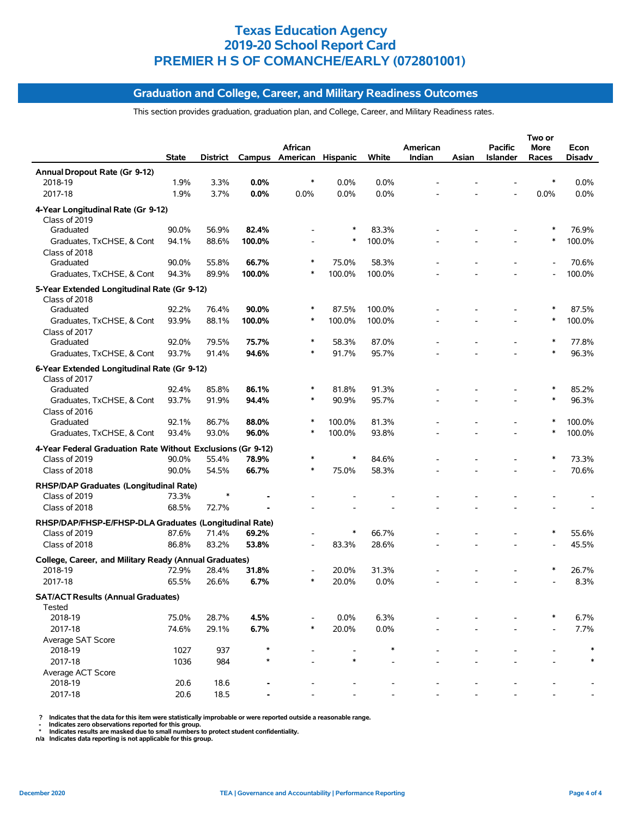### **Graduation and College, Career, and Military Readiness Outcomes**

This section provides graduation, graduation plan, and College, Career, and Military Readiness rates.

|                                                              | State | District       | Campus  | African<br>American Hispanic |        | White          | American<br>Indian | Asian | <b>Pacific</b><br>Islander | Two or<br>More<br>Races | Econ<br>Disadv |
|--------------------------------------------------------------|-------|----------------|---------|------------------------------|--------|----------------|--------------------|-------|----------------------------|-------------------------|----------------|
| Annual Dropout Rate (Gr 9-12)                                |       |                |         |                              |        |                |                    |       |                            |                         |                |
| 2018-19                                                      | 1.9%  | 3.3%           | 0.0%    | $\ast$                       | 0.0%   | $0.0\%$        |                    |       |                            |                         | $0.0\%$        |
| 2017-18                                                      | 1.9%  | 3.7%           | 0.0%    | 0.0%                         | 0.0%   | 0.0%           |                    |       |                            | $0.0\%$                 | 0.0%           |
| 4-Year Longitudinal Rate (Gr 9-12)<br>Class of 2019          |       |                |         |                              |        |                |                    |       |                            |                         |                |
| Graduated                                                    | 90.0% | 56.9%          | 82.4%   |                              | $\ast$ | 83.3%          |                    |       |                            |                         | 76.9%          |
| Graduates, TxCHSE, & Cont                                    | 94.1% | 88.6%          | 100.0%  |                              | $\ast$ | 100.0%         |                    |       |                            | $\ast$                  | 100.0%         |
| Class of 2018<br>Graduated                                   | 90.0% | 55.8%          | 66.7%   | *                            | 75.0%  | 58.3%          |                    |       |                            |                         | 70.6%          |
| Graduates, TxCHSE, & Cont                                    | 94.3% | 89.9%          | 100.0%  | $\ast$                       | 100.0% | 100.0%         |                    |       |                            |                         | 100.0%         |
| 5-Year Extended Longitudinal Rate (Gr 9-12)<br>Class of 2018 |       |                |         |                              |        |                |                    |       |                            |                         |                |
| Graduated                                                    | 92.2% | 76.4%          | 90.0%   |                              | 87.5%  | 100.0%         |                    |       |                            |                         | 87.5%          |
| Graduates, TxCHSE, & Cont                                    | 93.9% | 88.1%          | 100.0%  | *                            | 100.0% | 100.0%         |                    |       |                            | $\ast$                  | 100.0%         |
| Class of 2017                                                |       |                |         | $\ast$                       |        |                |                    |       |                            |                         |                |
| Graduated                                                    | 92.0% | 79.5%          | 75.7%   | *                            | 58.3%  | 87.0%          |                    |       |                            | $\ast$                  | 77.8%          |
| Graduates, TxCHSE, & Cont                                    | 93.7% | 91.4%          | 94.6%   |                              | 91.7%  | 95.7%          |                    |       |                            |                         | 96.3%          |
| 6-Year Extended Longitudinal Rate (Gr 9-12)<br>Class of 2017 |       |                |         |                              |        |                |                    |       |                            |                         |                |
| Graduated                                                    | 92.4% | 85.8%          | 86.1%   |                              | 81.8%  | 91.3%          |                    |       |                            |                         | 85.2%          |
| Graduates, TxCHSE, & Cont<br>Class of 2016                   | 93.7% | 91.9%          | 94.4%   | $\ast$                       | 90.9%  | 95.7%          |                    |       |                            | $\ast$                  | 96.3%          |
| Graduated                                                    | 92.1% | 86.7%          | 88.0%   | $\ast$                       | 100.0% | 81.3%          |                    |       |                            |                         | 100.0%         |
| Graduates, TxCHSE, & Cont                                    | 93.4% | 93.0%          | 96.0%   |                              | 100.0% | 93.8%          |                    |       |                            |                         | 100.0%         |
| 4-Year Federal Graduation Rate Without Exclusions (Gr 9-12)  |       |                |         |                              |        |                |                    |       |                            |                         |                |
| Class of 2019                                                | 90.0% | 55.4%          | 78.9%   |                              | $\ast$ | 84.6%          |                    |       |                            | ∗                       | 73.3%          |
| Class of 2018                                                | 90.0% | 54.5%          | 66.7%   |                              | 75.0%  | 58.3%          |                    |       |                            |                         | 70.6%          |
| RHSP/DAP Graduates (Longitudinal Rate)<br>Class of 2019      | 73.3% |                |         |                              |        |                |                    |       |                            |                         |                |
| Class of 2018                                                | 68.5% | 72.7%          |         |                              |        |                |                    |       |                            |                         |                |
|                                                              |       |                |         |                              |        |                |                    |       |                            |                         |                |
| RHSP/DAP/FHSP-E/FHSP-DLA Graduates (Longitudinal Rate)       |       |                |         |                              | $\ast$ |                |                    |       |                            | $\ast$                  |                |
| Class of 2019<br>Class of 2018                               | 87.6% | 71.4%<br>83.2% | 69.2%   |                              |        | 66.7%<br>28.6% |                    |       |                            |                         | 55.6%<br>45.5% |
|                                                              | 86.8% |                | 53.8%   |                              | 83.3%  |                |                    |       |                            |                         |                |
| College, Career, and Military Ready (Annual Graduates)       |       |                |         |                              |        |                |                    |       |                            |                         |                |
| 2018-19                                                      | 72.9% | 28.4%          | 31.8%   |                              | 20.0%  | 31.3%          |                    |       |                            | ∗                       | 26.7%          |
| 2017-18                                                      | 65.5% | 26.6%          | 6.7%    |                              | 20.0%  | 0.0%           |                    |       |                            |                         | 8.3%           |
| <b>SAT/ACT Results (Annual Graduates)</b><br>Tested          |       |                |         |                              |        |                |                    |       |                            |                         |                |
| 2018-19                                                      | 75.0% | 28.7%          | 4.5%    |                              | 0.0%   | 6.3%           |                    |       |                            |                         | 6.7%           |
| 2017-18                                                      | 74.6% | 29.1%          | 6.7%    | $\ast$                       | 20.0%  | 0.0%           |                    |       |                            |                         | 7.7%           |
| Average SAT Score<br>2018-19                                 | 1027  | 937            | $\ast$  |                              |        | ∗              |                    |       |                            |                         | $\ast$         |
| 2017-18                                                      | 1036  | 984            | $\star$ |                              | $\ast$ |                |                    |       |                            |                         | $\ast$         |
| Average ACT Score                                            |       |                |         |                              |        |                |                    |       |                            |                         |                |
| 2018-19                                                      | 20.6  | 18.6           |         |                              |        |                |                    |       |                            |                         |                |
| 2017-18                                                      | 20.6  | 18.5           |         |                              |        |                |                    |       |                            |                         |                |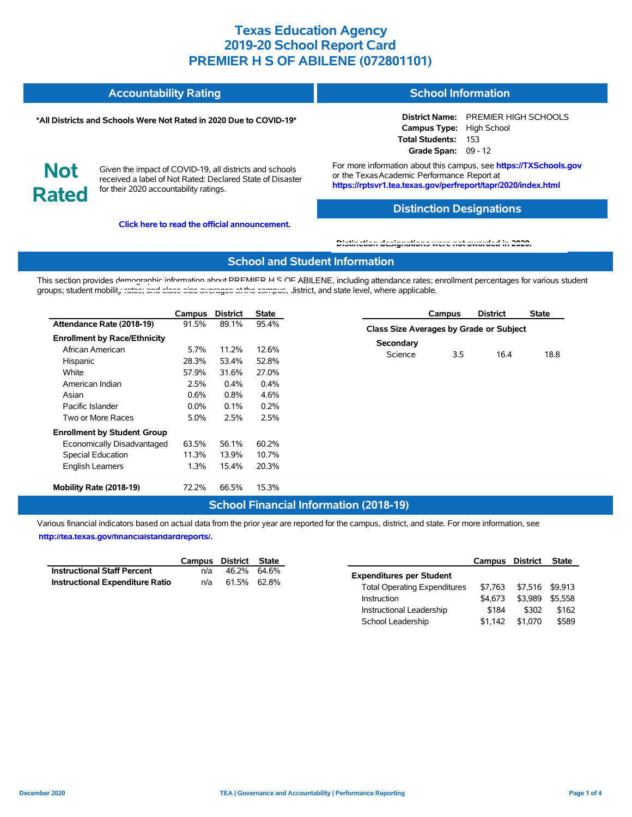| <b>Accountability Rating</b> | <b>School Information</b> |
|------------------------------|---------------------------|
|                              |                           |

#### **\*All Districts and Schools Were Not Rated in 2020 Due to COVID-19\***

**District Name:** PREMIER HIGH SCHOOLS **Campus Type:** High School **Total Students:** 153 **Grade Span:** 09 - 12



Given the impact of COVID-19, all districts and schools received a label of Not Rated: Declared State of Disaster for their 2020 accountability ratings.

**Click here to read the official announcement.**

For more information about this campus, see **https://TXSchools.gov** or the Texas Academic Performance Report at **https://rptsvr1.tea.texas.gov/perfreport/tapr/2020/index.html**

### **Distinction Designations**

### **[Distinction designations were not awarded in 2020.](https://rptsvr1.tea.texas.gov/perfreport/tapr/2020/index.html)**

### **School and Student Information**

This section provides demographic information about PREMIER H S OF ABILENE, including attendance rates; enrollment percentages for various student groups; student mobilit[y rates; and class size averages at the campus, d](https://tea.texas.gov/about-tea/news-and-multimedia/correspondence/taa-letters/every-student-succeeds-act-essa-waiver-approval-2020-state-academic-accountability)istrict, and state level, where applicable.

|                                     | Campus  | <b>District</b> | <b>State</b> |                                         | Campus | <b>District</b> | <b>State</b> |
|-------------------------------------|---------|-----------------|--------------|-----------------------------------------|--------|-----------------|--------------|
| Attendance Rate (2018-19)           | 91.5%   | 89.1%           | 95.4%        | Class Size Averages by Grade or Subject |        |                 |              |
| <b>Enrollment by Race/Ethnicity</b> |         |                 |              | Secondary                               |        |                 |              |
| African American                    | 5.7%    | 11.2%           | 12.6%        | Science                                 | 3.5    | 16.4            |              |
| Hispanic                            | 28.3%   | 53.4%           | 52.8%        |                                         |        |                 |              |
| White                               | 57.9%   | 31.6%           | 27.0%        |                                         |        |                 |              |
| American Indian                     | 2.5%    | $0.4\%$         | 0.4%         |                                         |        |                 |              |
| Asian                               | 0.6%    | 0.8%            | 4.6%         |                                         |        |                 |              |
| Pacific Islander                    | $0.0\%$ | 0.1%            | 0.2%         |                                         |        |                 |              |
| Two or More Races                   | 5.0%    | 2.5%            | 2.5%         |                                         |        |                 |              |
| <b>Enrollment by Student Group</b>  |         |                 |              |                                         |        |                 |              |
| Economically Disadvantaged          | 63.5%   | 56.1%           | 60.2%        |                                         |        |                 |              |
| Special Education                   | 11.3%   | 13.9%           | 10.7%        |                                         |        |                 |              |
| <b>English Learners</b>             | 1.3%    | 15.4%           | 20.3%        |                                         |        |                 |              |
| Mobility Rate (2018-19)             | 72.2%   | 66.5%           | 15.3%        |                                         |        |                 |              |

### **School Financial Information (2018-19)**

Various financial indicators based on actual data from the prior year are reported for the campus, district, and state. For more information, see **[http://tea.texas.gov/financialstandardreports/.](http://tea.texas.gov/financialstandardreports/)**

|                                        | Campus District State |             |  |
|----------------------------------------|-----------------------|-------------|--|
| <b>Instructional Staff Percent</b>     | n/a                   | 46.2% 64.6% |  |
| <b>Instructional Expenditure Ratio</b> | n/a                   | 61.5% 62.8% |  |

|                                     | Campus District |         | <b>State</b> |
|-------------------------------------|-----------------|---------|--------------|
| <b>Expenditures per Student</b>     |                 |         |              |
| <b>Total Operating Expenditures</b> | \$7.763         | \$7.516 | \$9.913      |
| <b>Instruction</b>                  | \$4.673         | \$3.989 | \$5.558      |
| Instructional Leadership            | \$184           | \$302   | \$162        |
| School Leadership                   | \$1.142         | \$1.070 | \$589        |

l,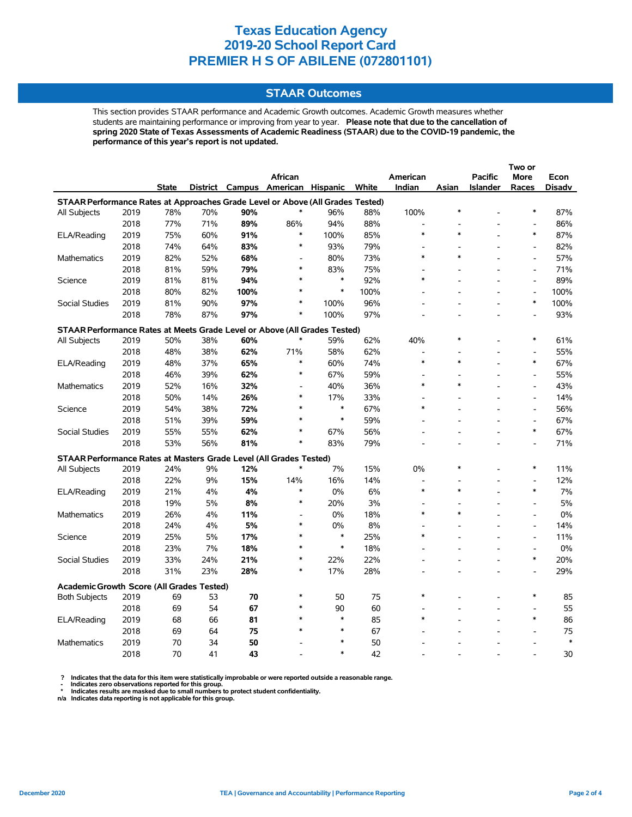### **STAAR Outcomes**

This section provides STAAR performance and Academic Growth outcomes. Academic Growth measures whether students are maintaining performance or improving from year to year. **Please note that due to the cancellation of spring 2020 State of Texas Assessments of Academic Readiness (STAAR) due to the COVID-19 pandemic, the performance of this year's report is not updated.**

|                                                                                |      |              |     |      |                                   |        |       |                |        |                 | Two or                   |        |
|--------------------------------------------------------------------------------|------|--------------|-----|------|-----------------------------------|--------|-------|----------------|--------|-----------------|--------------------------|--------|
|                                                                                |      |              |     |      | African                           |        |       | American       |        | <b>Pacific</b>  | More                     | Econ   |
|                                                                                |      | <b>State</b> |     |      | District Campus American Hispanic |        | White | Indian         | Asian  | <b>Islander</b> | Races                    | Disadv |
| STAAR Performance Rates at Approaches Grade Level or Above (All Grades Tested) |      |              |     |      |                                   |        |       |                |        |                 |                          |        |
| All Subjects                                                                   | 2019 | 78%          | 70% | 90%  | ∗                                 | 96%    | 88%   | 100%           | $\ast$ |                 | $\ast$                   | 87%    |
|                                                                                | 2018 | 77%          | 71% | 89%  | 86%                               | 94%    | 88%   |                |        |                 | ÷,                       | 86%    |
| ELA/Reading                                                                    | 2019 | 75%          | 60% | 91%  | $\ast$                            | 100%   | 85%   | $\ast$         | $\ast$ |                 | $\ast$                   | 87%    |
|                                                                                | 2018 | 74%          | 64% | 83%  | $\ast$                            | 93%    | 79%   |                |        |                 | $\overline{a}$           | 82%    |
| <b>Mathematics</b>                                                             | 2019 | 82%          | 52% | 68%  |                                   | 80%    | 73%   | $\ast$         | $\ast$ |                 | $\overline{a}$           | 57%    |
|                                                                                | 2018 | 81%          | 59% | 79%  | $\ast$                            | 83%    | 75%   |                |        |                 | $\overline{a}$           | 71%    |
| Science                                                                        | 2019 | 81%          | 81% | 94%  | $\ast$                            | $\ast$ | 92%   | $\ast$         |        |                 | $\overline{\phantom{a}}$ | 89%    |
|                                                                                | 2018 | 80%          | 82% | 100% | $\ast$                            | $\ast$ | 100%  |                |        |                 | $\overline{\phantom{a}}$ | 100%   |
| Social Studies                                                                 | 2019 | 81%          | 90% | 97%  | $\ast$                            | 100%   | 96%   |                |        |                 | $\ast$                   | 100%   |
|                                                                                | 2018 | 78%          | 87% | 97%  | $\ast$                            | 100%   | 97%   |                |        |                 | $\overline{\phantom{a}}$ | 93%    |
| STAAR Performance Rates at Meets Grade Level or Above (All Grades Tested)      |      |              |     |      |                                   |        |       |                |        |                 |                          |        |
| All Subjects                                                                   | 2019 | 50%          | 38% | 60%  | $\ast$                            | 59%    | 62%   | 40%            | $\ast$ |                 | $\ast$                   | 61%    |
|                                                                                | 2018 | 48%          | 38% | 62%  | 71%                               | 58%    | 62%   | $\blacksquare$ | ۰      |                 | $\overline{\phantom{a}}$ | 55%    |
| ELA/Reading                                                                    | 2019 | 48%          | 37% | 65%  | $\ast$                            | 60%    | 74%   | $\ast$         | $\ast$ |                 | $\ast$                   | 67%    |
|                                                                                | 2018 | 46%          | 39% | 62%  | $\ast$                            | 67%    | 59%   |                |        |                 | $\overline{\phantom{a}}$ | 55%    |
| <b>Mathematics</b>                                                             | 2019 | 52%          | 16% | 32%  | $\overline{a}$                    | 40%    | 36%   | $\ast$         | $\ast$ |                 | $\overline{\phantom{a}}$ | 43%    |
|                                                                                | 2018 | 50%          | 14% | 26%  | $\ast$                            | 17%    | 33%   |                |        |                 | $\overline{\phantom{a}}$ | 14%    |
| Science                                                                        | 2019 | 54%          | 38% | 72%  | $\ast$                            | $\ast$ | 67%   | $\ast$         |        |                 | $\overline{a}$           | 56%    |
|                                                                                | 2018 | 51%          | 39% | 59%  | $\ast$                            | $\ast$ | 59%   |                |        |                 | $\overline{a}$           | 67%    |
| Social Studies                                                                 | 2019 | 55%          | 55% | 62%  | $\ast$                            | 67%    | 56%   | ٠              |        |                 | $\ast$                   | 67%    |
|                                                                                | 2018 | 53%          | 56% | 81%  | $\ast$                            | 83%    | 79%   |                |        |                 | L,                       | 71%    |
| STAAR Performance Rates at Masters Grade Level (All Grades Tested)             |      |              |     |      |                                   |        |       |                |        |                 |                          |        |
| All Subjects                                                                   | 2019 | 24%          | 9%  | 12%  | $\ast$                            | 7%     | 15%   | $0\%$          | $\ast$ |                 | $\ast$                   | 11%    |
|                                                                                | 2018 | 22%          | 9%  | 15%  | 14%                               | 16%    | 14%   |                |        |                 | $\blacksquare$           | 12%    |
| ELA/Reading                                                                    | 2019 | 21%          | 4%  | 4%   | $\ast$                            | 0%     | 6%    | $\ast$         | *      |                 | $\ast$                   | 7%     |
|                                                                                | 2018 | 19%          | 5%  | 8%   | ∗                                 | 20%    | 3%    |                |        |                 | $\overline{\phantom{a}}$ | 5%     |
| Mathematics                                                                    | 2019 | 26%          | 4%  | 11%  |                                   | 0%     | 18%   | $\ast$         | *      |                 | $\blacksquare$           | 0%     |
|                                                                                | 2018 | 24%          | 4%  | 5%   | $\ast$                            | 0%     | 8%    |                |        |                 | $\sim$                   | 14%    |
| Science                                                                        | 2019 | 25%          | 5%  | 17%  | $\ast$                            | $\ast$ | 25%   | $\ast$         |        |                 | $\overline{\phantom{a}}$ | 11%    |
|                                                                                | 2018 | 23%          | 7%  | 18%  | $\ast$                            | $\ast$ | 18%   |                |        |                 | $\overline{a}$           | 0%     |
| Social Studies                                                                 | 2019 | 33%          | 24% | 21%  | $\ast$                            | 22%    | 22%   |                |        |                 | $\ast$                   | 20%    |
|                                                                                | 2018 | 31%          | 23% | 28%  | $\ast$                            | 17%    | 28%   |                |        |                 | $\overline{a}$           | 29%    |
| <b>Academic Growth Score (All Grades Tested)</b>                               |      |              |     |      |                                   |        |       |                |        |                 |                          |        |
| <b>Both Subjects</b>                                                           | 2019 | 69           | 53  | 70   | $\ast$                            | 50     | 75    | $\ast$         |        |                 | $\ast$                   | 85     |
|                                                                                | 2018 | 69           | 54  | 67   | $\ast$                            | 90     | 60    |                |        |                 | Ĭ.                       | 55     |
| ELA/Reading                                                                    | 2019 | 68           | 66  | 81   | $\ast$                            | $\ast$ | 85    | $\ast$         |        |                 | $\ast$                   | 86     |
|                                                                                | 2018 | 69           | 64  | 75   | $\ast$                            | $\ast$ | 67    |                |        |                 |                          | 75     |
| Mathematics                                                                    | 2019 | 70           | 34  | 50   |                                   | $\ast$ | 50    |                |        |                 |                          | $\ast$ |
|                                                                                | 2018 | 70           | 41  | 43   |                                   | $\ast$ | 42    |                |        |                 |                          | 30     |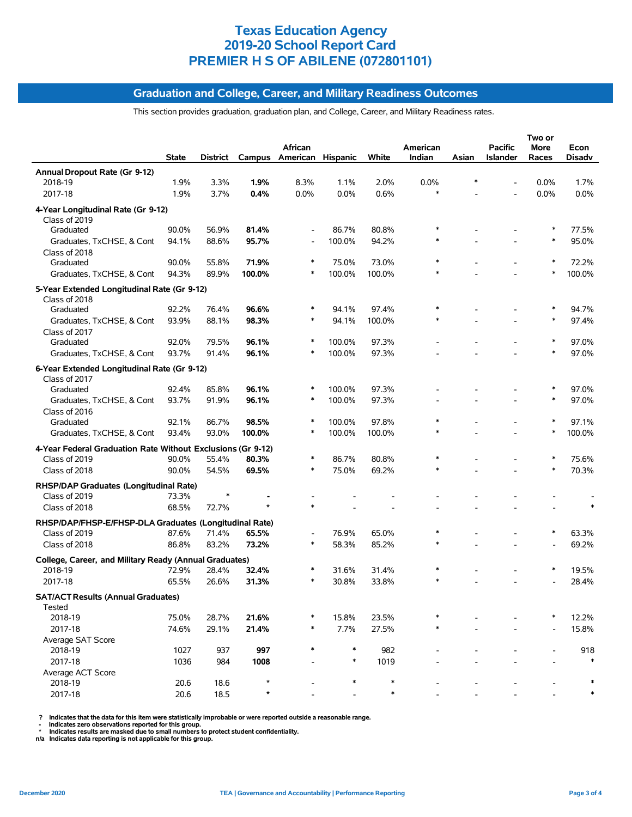### **Graduation and College, Career, and Military Readiness Outcomes**

This section provides graduation, graduation plan, and College, Career, and Military Readiness rates.

|                                                                   | <b>State</b> | District |         | African<br>Campus American Hispanic |        | White  | American<br>Indian | Asian  | <b>Pacific</b><br>Islander | Two or<br>More<br>Races | Econ<br>Disadv |
|-------------------------------------------------------------------|--------------|----------|---------|-------------------------------------|--------|--------|--------------------|--------|----------------------------|-------------------------|----------------|
| Annual Dropout Rate (Gr 9-12)                                     |              |          |         |                                     |        |        |                    |        |                            |                         |                |
| 2018-19                                                           | 1.9%         | 3.3%     | 1.9%    | 8.3%                                | 1.1%   | 2.0%   | 0.0%               | $\ast$ |                            | $0.0\%$                 | 1.7%           |
| 2017-18                                                           | 1.9%         | 3.7%     | 0.4%    | 0.0%                                | 0.0%   | 0.6%   |                    |        |                            | 0.0%                    | 0.0%           |
| 4-Year Longitudinal Rate (Gr 9-12)<br>Class of 2019               |              |          |         |                                     |        |        |                    |        |                            |                         |                |
| Graduated                                                         | 90.0%        | 56.9%    | 81.4%   |                                     | 86.7%  | 80.8%  |                    |        |                            |                         | 77.5%          |
| Graduates, TxCHSE, & Cont                                         | 94.1%        | 88.6%    | 95.7%   | $\overline{a}$                      | 100.0% | 94.2%  |                    |        |                            | $\ast$                  | 95.0%          |
| Class of 2018<br>Graduated                                        | 90.0%        | 55.8%    | 71.9%   | $\ast$                              | 75.0%  | 73.0%  |                    |        |                            | $\ast$                  | 72.2%          |
| Graduates, TxCHSE, & Cont                                         | 94.3%        | 89.9%    | 100.0%  |                                     | 100.0% | 100.0% |                    |        |                            | $\ast$                  | 100.0%         |
|                                                                   |              |          |         |                                     |        |        |                    |        |                            |                         |                |
| 5-Year Extended Longitudinal Rate (Gr 9-12)<br>Class of 2018      |              |          |         |                                     |        |        |                    |        |                            |                         |                |
| Graduated                                                         | 92.2%        | 76.4%    | 96.6%   |                                     | 94.1%  | 97.4%  |                    |        |                            |                         | 94.7%          |
| Graduates, TxCHSE, & Cont<br>Class of 2017                        | 93.9%        | 88.1%    | 98.3%   |                                     | 94.1%  | 100.0% |                    |        |                            | $\ast$                  | 97.4%          |
| Graduated                                                         | 92.0%        | 79.5%    | 96.1%   | $\ast$                              | 100.0% | 97.3%  |                    |        |                            | ∗                       | 97.0%          |
| Graduates, TxCHSE, & Cont                                         | 93.7%        | 91.4%    | 96.1%   |                                     | 100.0% | 97.3%  |                    |        |                            | $\ast$                  | 97.0%          |
| 6-Year Extended Longitudinal Rate (Gr 9-12)<br>Class of 2017      |              |          |         |                                     |        |        |                    |        |                            |                         |                |
| Graduated                                                         | 92.4%        | 85.8%    | 96.1%   |                                     | 100.0% | 97.3%  |                    |        |                            |                         | 97.0%          |
| Graduates, TxCHSE, & Cont<br>Class of 2016                        | 93.7%        | 91.9%    | 96.1%   | $\ast$                              | 100.0% | 97.3%  |                    |        |                            | $\ast$                  | 97.0%          |
| Graduated                                                         | 92.1%        | 86.7%    | 98.5%   |                                     | 100.0% | 97.8%  |                    |        |                            |                         | 97.1%          |
| Graduates, TxCHSE, & Cont                                         | 93.4%        | 93.0%    | 100.0%  |                                     | 100.0% | 100.0% |                    |        |                            |                         | 100.0%         |
| 4-Year Federal Graduation Rate Without Exclusions (Gr 9-12)       |              |          |         |                                     |        |        |                    |        |                            |                         |                |
| Class of 2019                                                     | 90.0%        | 55.4%    | 80.3%   |                                     | 86.7%  | 80.8%  |                    |        |                            |                         | 75.6%          |
| Class of 2018                                                     | 90.0%        | 54.5%    | 69.5%   | $\ast$                              | 75.0%  | 69.2%  |                    |        |                            | $\ast$                  | 70.3%          |
| RHSP/DAP Graduates (Longitudinal Rate)                            |              |          |         |                                     |        |        |                    |        |                            |                         |                |
| Class of 2019                                                     | 73.3%        |          |         |                                     |        |        |                    |        |                            |                         |                |
| Class of 2018                                                     | 68.5%        | 72.7%    |         |                                     |        |        |                    |        |                            |                         |                |
| RHSP/DAP/FHSP-E/FHSP-DLA Graduates (Longitudinal Rate)            |              |          |         |                                     |        |        |                    |        |                            |                         |                |
| Class of 2019                                                     | 87.6%        | 71.4%    | 65.5%   |                                     | 76.9%  | 65.0%  |                    |        |                            | $\ast$                  | 63.3%          |
| Class of 2018                                                     | 86.8%        | 83.2%    | 73.2%   | $\ast$                              | 58.3%  | 85.2%  |                    |        |                            |                         | 69.2%          |
| College, Career, and Military Ready (Annual Graduates)<br>2018-19 | 72.9%        | 28.4%    | 32.4%   |                                     | 31.6%  | 31.4%  |                    |        |                            | ∗                       | 19.5%          |
| 2017-18                                                           | 65.5%        | 26.6%    | 31.3%   |                                     | 30.8%  | 33.8%  |                    |        |                            |                         | 28.4%          |
|                                                                   |              |          |         |                                     |        |        |                    |        |                            |                         |                |
| <b>SAT/ACT Results (Annual Graduates)</b><br>Tested               |              |          |         |                                     |        |        |                    |        |                            |                         |                |
| 2018-19                                                           | 75.0%        | 28.7%    | 21.6%   |                                     | 15.8%  | 23.5%  |                    |        |                            |                         | 12.2%          |
| 2017-18                                                           | 74.6%        | 29.1%    | 21.4%   | $\ast$                              | 7.7%   | 27.5%  |                    |        |                            |                         | 15.8%          |
| Average SAT Score<br>2018-19                                      | 1027         | 937      | 997     | $\ast$                              | $\ast$ | 982    |                    |        |                            |                         | 918            |
| 2017-18                                                           | 1036         | 984      | 1008    |                                     | $\ast$ | 1019   |                    |        |                            |                         | $\ast$         |
| Average ACT Score<br>2018-19                                      | 20.6         | 18.6     |         |                                     |        | $\ast$ |                    |        |                            |                         |                |
| 2017-18                                                           | 20.6         | 18.5     | $\star$ |                                     |        | $\ast$ |                    |        |                            |                         |                |
|                                                                   |              |          |         |                                     |        |        |                    |        |                            |                         |                |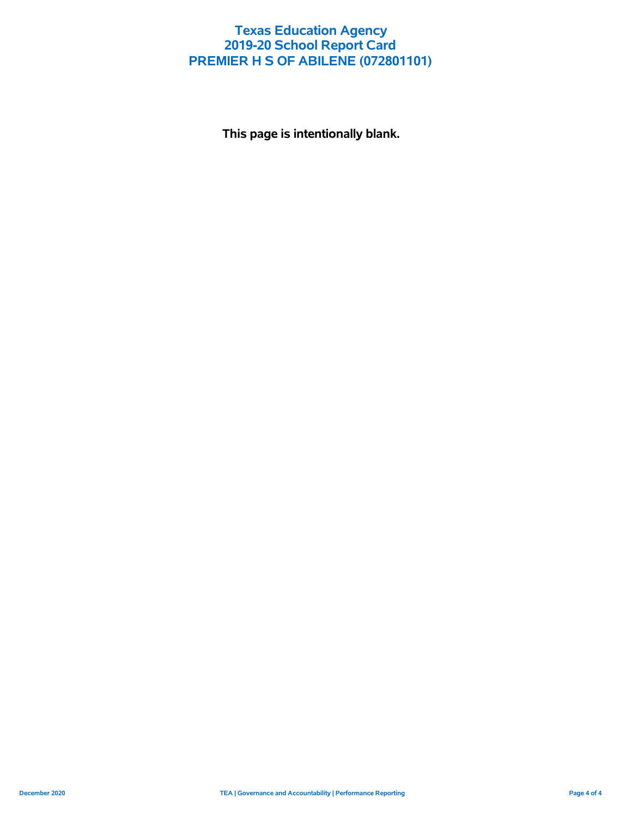**This page is intentionally blank.**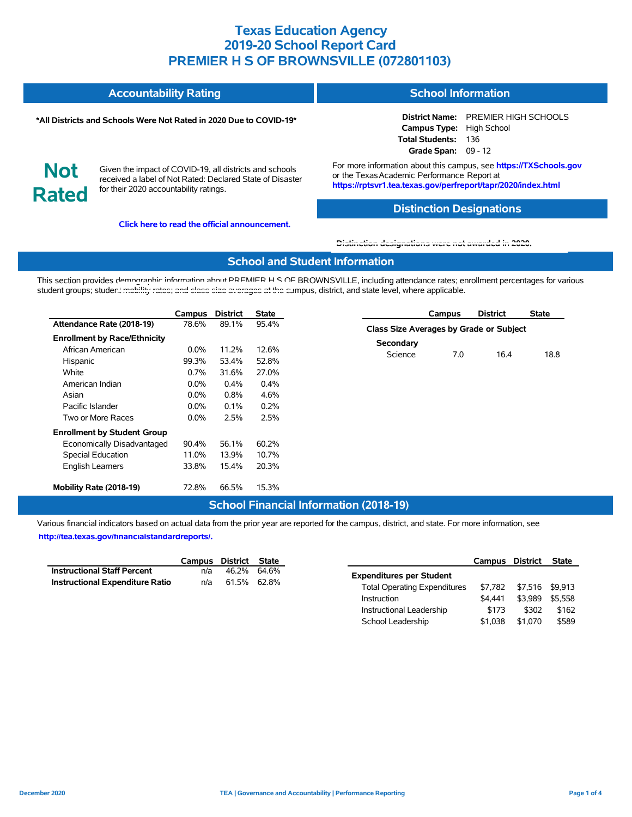| <b>Accountability Rating</b> | <b>School Information</b> |
|------------------------------|---------------------------|
|                              |                           |

#### **\*All Districts and Schools Were Not Rated in 2020 Due to COVID-19\***

**District Name:** PREMIER HIGH SCHOOLS **Campus Type:** High School **Total Students:** 136 **Grade Span:** 09 - 12

**Not Rated**

Given the impact of COVID-19, all districts and schools received a label of Not Rated: Declared State of Disaster for their 2020 accountability ratings.

**Click here to read the official announcement.**

For more information about this campus, see **https://TXSchools.gov** or the Texas Academic Performance Report at **https://rptsvr1.tea.texas.gov/perfreport/tapr/2020/index.html**

### **Distinction Designations**

#### **[Distinction designations were not awarded in 2020.](https://rptsvr1.tea.texas.gov/perfreport/tapr/2020/index.html)**

### **School and Student Information**

This section provides demographic information about PREMIER H S OF BROWNSVILLE, including attendance rates; enrollment percentages for various student groups; stude[nt mobility rates; and class size averages at the ca](https://tea.texas.gov/about-tea/news-and-multimedia/correspondence/taa-letters/every-student-succeeds-act-essa-waiver-approval-2020-state-academic-accountability)mpus, district, and state level, where applicable.

|                                                                                                                                                   | Campus                                                               | <b>District</b>                                         | <b>State</b>                                            |                                         | Campus | <b>District</b> | <b>State</b> |
|---------------------------------------------------------------------------------------------------------------------------------------------------|----------------------------------------------------------------------|---------------------------------------------------------|---------------------------------------------------------|-----------------------------------------|--------|-----------------|--------------|
| Attendance Rate (2018-19)                                                                                                                         | 78.6%                                                                | 89.1%                                                   | 95.4%                                                   | Class Size Averages by Grade or Subject |        |                 |              |
| <b>Enrollment by Race/Ethnicity</b><br>African American<br>Hispanic<br>White<br>American Indian<br>Asian<br>Pacific Islander<br>Two or More Races | $0.0\%$<br>99.3%<br>0.7%<br>$0.0\%$<br>$0.0\%$<br>$0.0\%$<br>$0.0\%$ | 11.2%<br>53.4%<br>31.6%<br>0.4%<br>0.8%<br>0.1%<br>2.5% | 12.6%<br>52.8%<br>27.0%<br>0.4%<br>4.6%<br>0.2%<br>2.5% | Secondary<br>Science                    | 7.0    | 16.4            | 18.8         |
| <b>Enrollment by Student Group</b><br>Economically Disadvantaged<br>Special Education<br><b>English Learners</b>                                  | 90.4%<br>11.0%<br>33.8%                                              | 56.1%<br>13.9%<br>15.4%                                 | 60.2%<br>10.7%<br>20.3%                                 |                                         |        |                 |              |
| Mobility Rate (2018-19)                                                                                                                           | 72.8%                                                                | 66.5%                                                   | 15.3%                                                   |                                         |        |                 |              |

### **School Financial Information (2018-19)**

Various financial indicators based on actual data from the prior year are reported for the campus, district, and state. For more information, see **[http://tea.texas.gov/financialstandardreports/.](http://tea.texas.gov/financialstandardreports/)**

|                                        | Campus District State |             |  |
|----------------------------------------|-----------------------|-------------|--|
| <b>Instructional Staff Percent</b>     | n/a                   | 46.2% 64.6% |  |
| <b>Instructional Expenditure Ratio</b> | n/a                   | 61.5% 62.8% |  |

|                                     | Campus District |         | <b>State</b> |
|-------------------------------------|-----------------|---------|--------------|
| <b>Expenditures per Student</b>     |                 |         |              |
| <b>Total Operating Expenditures</b> | \$7.782         | \$7.516 | \$9.913      |
| <b>Instruction</b>                  | \$4.441         | \$3.989 | \$5.558      |
| Instructional Leadership            | \$173           | \$302   | \$162        |
| School Leadership                   | \$1.038         | \$1.070 | \$589        |

l.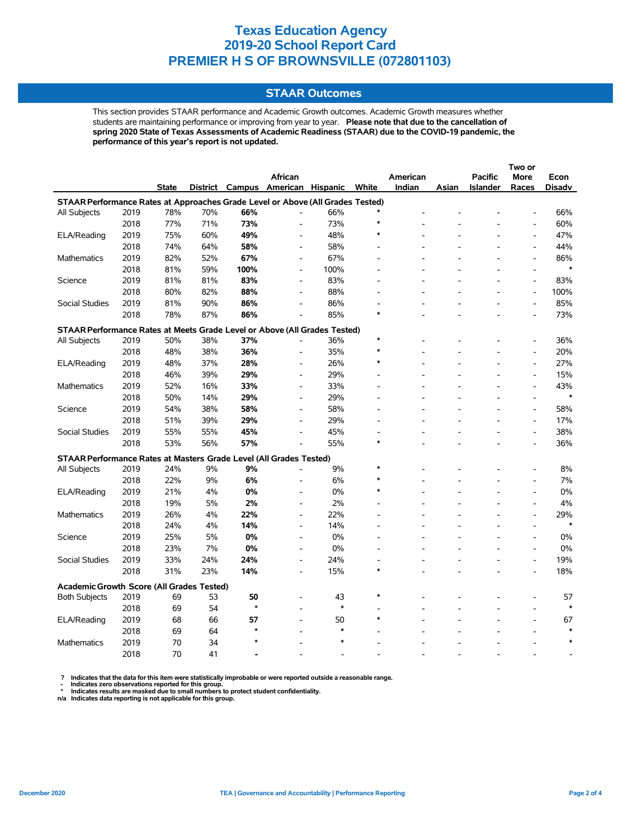### **STAAR Outcomes**

This section provides STAAR performance and Academic Growth outcomes. Academic Growth measures whether students are maintaining performance or improving from year to year. **Please note that due to the cancellation of spring 2020 State of Texas Assessments of Academic Readiness (STAAR) due to the COVID-19 pandemic, the performance of this year's report is not updated.**

|                                                                                |              |            |          |            |                                            |            |        |          |       |                 | Two or                           |               |
|--------------------------------------------------------------------------------|--------------|------------|----------|------------|--------------------------------------------|------------|--------|----------|-------|-----------------|----------------------------------|---------------|
|                                                                                |              |            |          |            | African                                    |            |        | American |       | <b>Pacific</b>  | <b>More</b>                      | Econ          |
|                                                                                |              | State      |          |            | District Campus American Hispanic          |            | White  | Indian   | Asian | <b>Islander</b> | Races                            | <b>Disadv</b> |
| STAAR Performance Rates at Approaches Grade Level or Above (All Grades Tested) |              |            |          |            |                                            |            |        |          |       |                 |                                  |               |
| All Subjects                                                                   | 2019         | 78%        | 70%      | 66%        | $\overline{a}$                             | 66%        | $\ast$ |          |       |                 |                                  | 66%           |
|                                                                                | 2018         | 77%        | 71%      | 73%        | $\qquad \qquad \blacksquare$               | 73%        | $\ast$ |          |       |                 | $\overline{a}$                   | 60%           |
| ELA/Reading                                                                    | 2019         | 75%        | 60%      | 49%        |                                            | 48%        |        |          |       |                 |                                  | 47%           |
|                                                                                | 2018         | 74%        | 64%      | 58%        | L,                                         | 58%        |        |          |       |                 | $\overline{a}$                   | 44%           |
| <b>Mathematics</b>                                                             | 2019         | 82%        | 52%      | 67%        | $\blacksquare$                             | 67%        |        |          |       |                 | $\overline{a}$                   | 86%           |
|                                                                                | 2018         | 81%        | 59%      | 100%       | $\overline{\phantom{0}}$                   | 100%       |        |          |       |                 | $\overline{\phantom{a}}$         | $\ast$        |
| Science                                                                        | 2019         | 81%        | 81%      | 83%        | $\overline{\phantom{0}}$                   | 83%        |        |          |       |                 | $\overline{a}$                   | 83%           |
|                                                                                | 2018         | 80%        | 82%      | 88%        | $\overline{a}$                             | 88%        |        |          |       |                 | $\overline{a}$                   | 100%          |
| Social Studies                                                                 | 2019         | 81%        | 90%      | 86%        | L,                                         | 86%        |        |          |       |                 | $\overline{a}$                   | 85%           |
|                                                                                | 2018         | 78%        | 87%      | 86%        |                                            | 85%        |        |          |       |                 |                                  | 73%           |
| STAAR Performance Rates at Meets Grade Level or Above (All Grades Tested)      |              |            |          |            |                                            |            |        |          |       |                 |                                  |               |
| All Subjects                                                                   | 2019         | 50%        | 38%      | 37%        |                                            | 36%        | $\ast$ |          |       |                 |                                  | 36%           |
|                                                                                | 2018         | 48%        | 38%      | 36%        | $\overline{a}$                             | 35%        | $\ast$ |          |       |                 | $\overline{a}$                   | 20%           |
| ELA/Reading                                                                    | 2019         | 48%        | 37%      | 28%        | $\overline{\phantom{a}}$                   | 26%        | $\ast$ |          |       |                 | $\overline{a}$                   | 27%           |
|                                                                                | 2018         | 46%        | 39%      | 29%        | $\blacksquare$                             | 29%        |        |          |       |                 |                                  | 15%           |
| Mathematics                                                                    | 2019         | 52%        | 16%      | 33%        |                                            | 33%        |        |          |       |                 | $\overline{a}$                   | 43%           |
|                                                                                | 2018         | 50%        | 14%      | 29%        | $\overline{\phantom{a}}$                   | 29%        |        |          |       |                 | $\overline{\phantom{a}}$         | $\ast$        |
| Science                                                                        | 2019         | 54%        | 38%      | 58%        | $\blacksquare$                             | 58%        |        |          |       |                 | $\overline{\phantom{a}}$         | 58%           |
|                                                                                | 2018         | 51%        | 39%      | 29%        |                                            | 29%        |        |          |       |                 | $\overline{\phantom{a}}$         | 17%           |
| Social Studies                                                                 | 2019         | 55%        | 55%      | 45%        | $\blacksquare$                             | 45%        |        |          |       |                 | $\overline{a}$                   | 38%           |
|                                                                                | 2018         | 53%        | 56%      | 57%        | $\blacksquare$                             | 55%        | $\ast$ |          |       |                 | $\overline{a}$                   | 36%           |
|                                                                                |              |            |          |            |                                            |            |        |          |       |                 |                                  |               |
| STAAR Performance Rates at Masters Grade Level (All Grades Tested)             |              |            |          |            |                                            |            |        |          |       |                 |                                  |               |
| All Subjects                                                                   | 2019<br>2018 | 24%<br>22% | 9%<br>9% | 9%<br>6%   | $\overline{a}$                             | 9%<br>6%   | $\ast$ |          |       |                 |                                  | 8%<br>7%      |
|                                                                                |              | 21%        |          | 0%         | $\blacksquare$                             |            | $\ast$ |          |       |                 |                                  | 0%            |
| ELA/Reading                                                                    | 2019         | 19%        | 4%       |            |                                            | 0%         |        |          |       |                 | $\overline{a}$                   | 4%            |
|                                                                                | 2018         |            | 5%       | 2%         | $\overline{\phantom{a}}$                   | 2%         |        |          |       |                 |                                  |               |
| Mathematics                                                                    | 2019<br>2018 | 26%        | 4%       | 22%<br>14% | $\overline{a}$<br>L,                       | 22%<br>14% |        |          |       |                 |                                  | 29%<br>$\ast$ |
|                                                                                | 2019         | 24%<br>25% | 4%<br>5% | 0%         |                                            | 0%         |        |          |       |                 | $\overline{a}$                   | 0%            |
| Science                                                                        |              |            |          |            | $\qquad \qquad \blacksquare$               |            |        |          |       |                 |                                  |               |
|                                                                                | 2018         | 23%        | 7%       | 0%         | $\overline{\phantom{0}}$<br>$\overline{a}$ | 0%         |        |          |       |                 | $\overline{a}$<br>$\overline{a}$ | 0%            |
| Social Studies                                                                 | 2019         | 33%        | 24%      | 24%        | $\overline{a}$                             | 24%        | ∗      |          |       |                 | $\overline{a}$                   | 19%           |
|                                                                                | 2018         | 31%        | 23%      | 14%        |                                            | 15%        |        |          |       |                 |                                  | 18%           |
| <b>Academic Growth Score (All Grades Tested)</b>                               |              |            |          |            |                                            |            |        |          |       |                 |                                  |               |
| <b>Both Subjects</b>                                                           | 2019         | 69         | 53       | 50         |                                            | 43         | $\ast$ |          |       |                 |                                  | 57            |
|                                                                                | 2018         | 69         | 54       | $\star$    |                                            | $\ast$     |        |          |       |                 |                                  |               |
| ELA/Reading                                                                    | 2019         | 68         | 66       | 57         |                                            | 50         | $\ast$ |          |       |                 |                                  | 67            |
|                                                                                | 2018         | 69         | 64       | $\star$    |                                            | $\ast$     |        |          |       |                 |                                  | $\ast$        |
| <b>Mathematics</b>                                                             | 2019         | 70         | 34       |            |                                            | $\ast$     |        |          |       |                 |                                  | $\ast$        |
|                                                                                | 2018         | 70         | 41       |            |                                            |            |        |          |       |                 |                                  |               |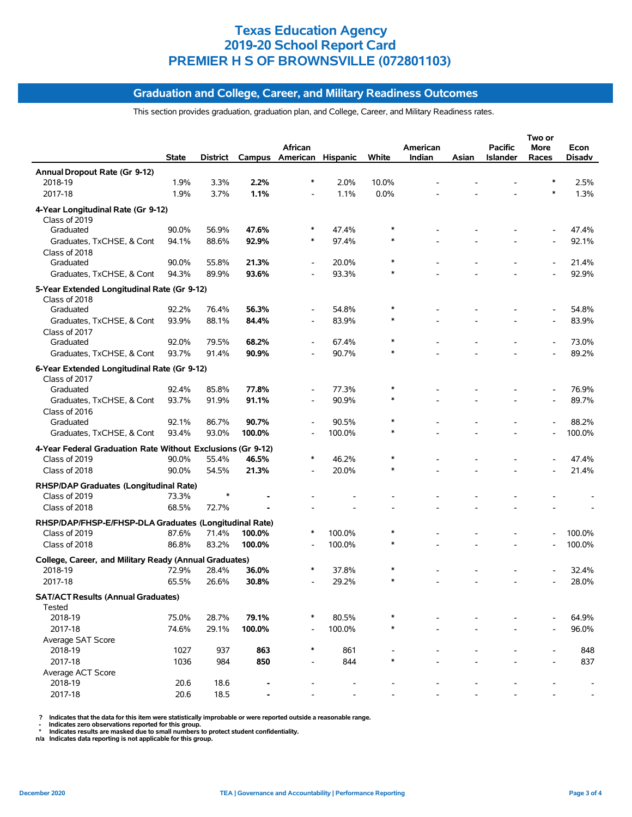### **Graduation and College, Career, and Military Readiness Outcomes**

This section provides graduation, graduation plan, and College, Career, and Military Readiness rates.

|                                                              |                |                |                 | African                           |                 |        | American |       | <b>Pacific</b>  | Two or<br>More           | Econ           |
|--------------------------------------------------------------|----------------|----------------|-----------------|-----------------------------------|-----------------|--------|----------|-------|-----------------|--------------------------|----------------|
|                                                              | State          |                |                 | District Campus American Hispanic |                 | White  | Indian   | Asian | <b>Islander</b> | Races                    | Disadv         |
| Annual Dropout Rate (Gr 9-12)                                |                |                |                 |                                   |                 |        |          |       |                 |                          |                |
| 2018-19                                                      | 1.9%           | 3.3%           | 2.2%            | *                                 | 2.0%            | 10.0%  |          |       |                 |                          | 2.5%           |
| 2017-18                                                      | 1.9%           | 3.7%           | 1.1%            |                                   | 1.1%            | 0.0%   |          |       |                 | $\ast$                   | 1.3%           |
| 4-Year Longitudinal Rate (Gr 9-12)                           |                |                |                 |                                   |                 |        |          |       |                 |                          |                |
| Class of 2019                                                |                |                |                 | ∗                                 |                 |        |          |       |                 |                          |                |
| Graduated                                                    | 90.0%          | 56.9%          | 47.6%           | $\ast$                            | 47.4%           | $\ast$ |          |       |                 |                          | 47.4%          |
| Graduates, TxCHSE, & Cont<br>Class of 2018                   | 94.1%          | 88.6%          | 92.9%           |                                   | 97.4%           |        |          |       |                 |                          | 92.1%          |
| Graduated                                                    | 90.0%          | 55.8%          | 21.3%           |                                   | 20.0%           | $\ast$ |          |       |                 | $\overline{\phantom{a}}$ | 21.4%          |
| Graduates, TxCHSE, & Cont                                    | 94.3%          | 89.9%          | 93.6%           |                                   | 93.3%           |        |          |       |                 | $\overline{a}$           | 92.9%          |
| 5-Year Extended Longitudinal Rate (Gr 9-12)<br>Class of 2018 |                |                |                 |                                   |                 |        |          |       |                 |                          |                |
| Graduated                                                    | 92.2%          | 76.4%          | 56.3%           |                                   | 54.8%           |        |          |       |                 |                          | 54.8%          |
| Graduates, TxCHSE, & Cont                                    | 93.9%          | 88.1%          | 84.4%           |                                   | 83.9%           |        |          |       |                 |                          | 83.9%          |
| Class of 2017                                                |                |                |                 |                                   |                 |        |          |       |                 |                          |                |
| Graduated                                                    | 92.0%          | 79.5%          | 68.2%           |                                   | 67.4%           | $\ast$ |          |       |                 | $\overline{\phantom{0}}$ | 73.0%          |
| Graduates, TxCHSE, & Cont                                    | 93.7%          | 91.4%          | 90.9%           |                                   | 90.7%           |        |          |       |                 |                          | 89.2%          |
| 6-Year Extended Longitudinal Rate (Gr 9-12)<br>Class of 2017 |                |                |                 |                                   |                 |        |          |       |                 |                          |                |
| Graduated                                                    | 92.4%          | 85.8%          | 77.8%           |                                   | 77.3%           |        |          |       |                 |                          | 76.9%          |
| Graduates, TxCHSE, & Cont                                    | 93.7%          | 91.9%          | 91.1%           |                                   | 90.9%           | $\ast$ |          |       |                 |                          | 89.7%          |
| Class of 2016                                                |                |                |                 |                                   |                 |        |          |       |                 |                          |                |
| Graduated                                                    | 92.1%          | 86.7%          | 90.7%           |                                   | 90.5%           |        |          |       |                 |                          | 88.2%          |
| Graduates, TxCHSE, & Cont                                    | 93.4%          | 93.0%          | 100.0%          |                                   | 100.0%          | $\ast$ |          |       |                 |                          | 100.0%         |
| 4-Year Federal Graduation Rate Without Exclusions (Gr 9-12)  |                |                |                 |                                   |                 |        |          |       |                 |                          |                |
| Class of 2019                                                | 90.0%          | 55.4%          | 46.5%           | $\ast$                            | 46.2%           |        |          |       |                 |                          | 47.4%          |
| Class of 2018                                                | 90.0%          | 54.5%          | 21.3%           |                                   | 20.0%           | $\ast$ |          |       |                 |                          | 21.4%          |
| RHSP/DAP Graduates (Longitudinal Rate)                       |                |                |                 |                                   |                 |        |          |       |                 |                          |                |
| Class of 2019                                                | 73.3%          |                |                 |                                   |                 |        |          |       |                 |                          |                |
| Class of 2018                                                | 68.5%          | 72.7%          |                 |                                   |                 |        |          |       |                 |                          |                |
| RHSP/DAP/FHSP-E/FHSP-DLA Graduates (Longitudinal Rate)       |                |                |                 |                                   |                 |        |          |       |                 |                          |                |
| Class of 2019                                                | 87.6%          | 71.4%          | 100.0%          | *                                 | 100.0%          |        |          |       |                 |                          | 100.0%         |
| Class of 2018                                                | 86.8%          | 83.2%          | 100.0%          |                                   | 100.0%          | $\ast$ |          |       |                 |                          | 100.0%         |
| College, Career, and Military Ready (Annual Graduates)       |                |                |                 |                                   |                 |        |          |       |                 |                          |                |
| 2018-19                                                      | 72.9%          | 28.4%          | 36.0%           | $\ast$                            | 37.8%           |        |          |       |                 |                          | 32.4%          |
| 2017-18                                                      | 65.5%          | 26.6%          | 30.8%           |                                   | 29.2%           |        |          |       |                 |                          | 28.0%          |
| <b>SAT/ACT Results (Annual Graduates)</b>                    |                |                |                 |                                   |                 |        |          |       |                 |                          |                |
| Tested                                                       |                |                |                 |                                   |                 |        |          |       |                 |                          |                |
| 2018-19<br>2017-18                                           | 75.0%<br>74.6% | 28.7%<br>29.1% | 79.1%<br>100.0% |                                   | 80.5%<br>100.0% | $\ast$ |          |       |                 |                          | 64.9%<br>96.0% |
| Average SAT Score                                            |                |                |                 |                                   |                 |        |          |       |                 |                          |                |
| 2018-19                                                      | 1027           | 937            | 863             | $\ast$                            | 861             |        |          |       |                 |                          | 848            |
| 2017-18                                                      | 1036           | 984            | 850             |                                   | 844             | $\ast$ |          |       |                 |                          | 837            |
| Average ACT Score                                            |                |                |                 |                                   |                 |        |          |       |                 |                          |                |
| 2018-19                                                      | 20.6           | 18.6           |                 |                                   |                 |        |          |       |                 |                          |                |
| 2017-18                                                      | 20.6           | 18.5           |                 |                                   |                 |        |          |       |                 |                          |                |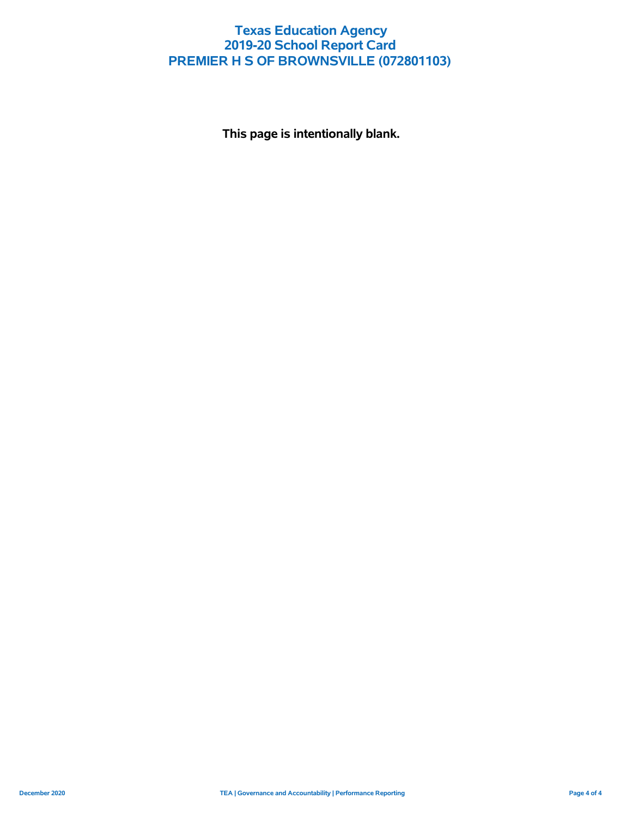**This page is intentionally blank.**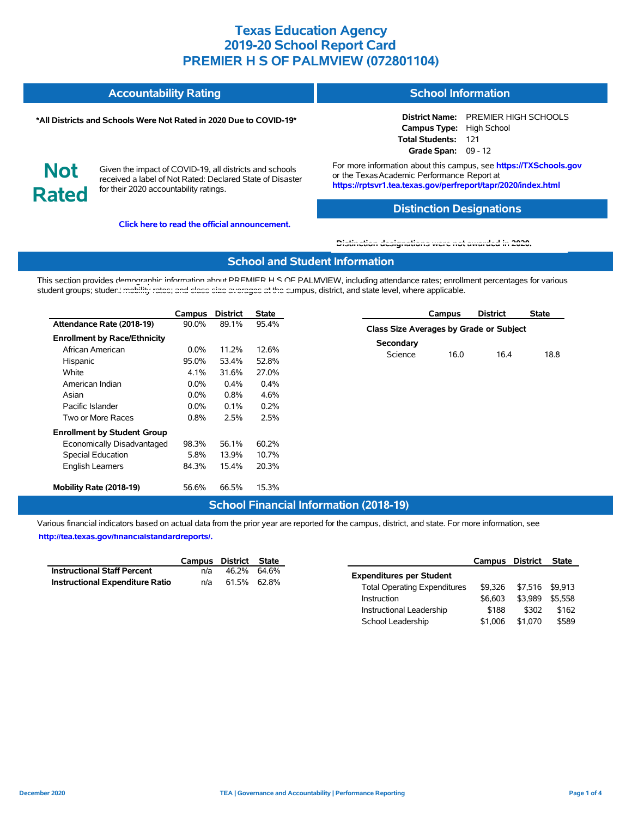| <b>Accountability Rating</b> | <b>School Information</b> |
|------------------------------|---------------------------|
|                              |                           |

#### **\*All Districts and Schools Were Not Rated in 2020 Due to COVID-19\***

**District Name:** PREMIER HIGH SCHOOLS **Campus Type:** High School **Total Students:** 121 **Grade Span:** 09 - 12

**Not Rated**

Given the impact of COVID-19, all districts and schools received a label of Not Rated: Declared State of Disaster for their 2020 accountability ratings.

**Click here to read the official announcement.**

For more information about this campus, see **https://TXSchools.gov** or the Texas Academic Performance Report at **https://rptsvr1.tea.texas.gov/perfreport/tapr/2020/index.html**

### **Distinction Designations**

#### **[Distinction designations were not awarded in 2020.](https://rptsvr1.tea.texas.gov/perfreport/tapr/2020/index.html)**

### **School and Student Information**

This section provides demographic information about PREMIER H S OF PALMVIEW, including attendance rates; enrollment percentages for various student groups; stude[nt mobility rates; and class size averages at the ca](https://tea.texas.gov/about-tea/news-and-multimedia/correspondence/taa-letters/every-student-succeeds-act-essa-waiver-approval-2020-state-academic-accountability)mpus, district, and state level, where applicable.

|                                     | Campus  | <b>District</b> | <b>State</b> |                                         | Campus | <b>District</b> | <b>State</b> |
|-------------------------------------|---------|-----------------|--------------|-----------------------------------------|--------|-----------------|--------------|
| Attendance Rate (2018-19)           | 90.0%   | 89.1%           | 95.4%        | Class Size Averages by Grade or Subject |        |                 |              |
| <b>Enrollment by Race/Ethnicity</b> |         |                 |              | Secondary                               |        |                 |              |
| African American                    | $0.0\%$ | 11.2%           | 12.6%        | Science                                 | 16.0   | 16.4            | 18.8         |
| Hispanic                            | 95.0%   | 53.4%           | 52.8%        |                                         |        |                 |              |
| White                               | 4.1%    | 31.6%           | 27.0%        |                                         |        |                 |              |
| American Indian                     | $0.0\%$ | 0.4%            | 0.4%         |                                         |        |                 |              |
| Asian                               | $0.0\%$ | 0.8%            | 4.6%         |                                         |        |                 |              |
| Pacific Islander                    | $0.0\%$ | 0.1%            | 0.2%         |                                         |        |                 |              |
| Two or More Races                   | 0.8%    | 2.5%            | 2.5%         |                                         |        |                 |              |
| <b>Enrollment by Student Group</b>  |         |                 |              |                                         |        |                 |              |
| Economically Disadvantaged          | 98.3%   | 56.1%           | 60.2%        |                                         |        |                 |              |
| Special Education                   | 5.8%    | 13.9%           | 10.7%        |                                         |        |                 |              |
| <b>English Learners</b>             | 84.3%   | 15.4%           | 20.3%        |                                         |        |                 |              |
| Mobility Rate (2018-19)             | 56.6%   | 66.5%           | 15.3%        |                                         |        |                 |              |

### **School Financial Information (2018-19)**

Various financial indicators based on actual data from the prior year are reported for the campus, district, and state. For more information, see **[http://tea.texas.gov/financialstandardreports/.](http://tea.texas.gov/financialstandardreports/)**

|                                        | Campus District State |             |  |
|----------------------------------------|-----------------------|-------------|--|
| <b>Instructional Staff Percent</b>     | n/a                   | 46.2% 64.6% |  |
| <b>Instructional Expenditure Ratio</b> | n/a                   | 61.5% 62.8% |  |

|                                     | Campus District |         | <b>State</b> |
|-------------------------------------|-----------------|---------|--------------|
| <b>Expenditures per Student</b>     |                 |         |              |
| <b>Total Operating Expenditures</b> | \$9.326         | \$7.516 | \$9.913      |
| <b>Instruction</b>                  | \$6,603         | \$3.989 | \$5.558      |
| Instructional Leadership            | \$188           | \$302   | \$162        |
| School Leadership                   | \$1,006         | \$1.070 | \$589        |

l,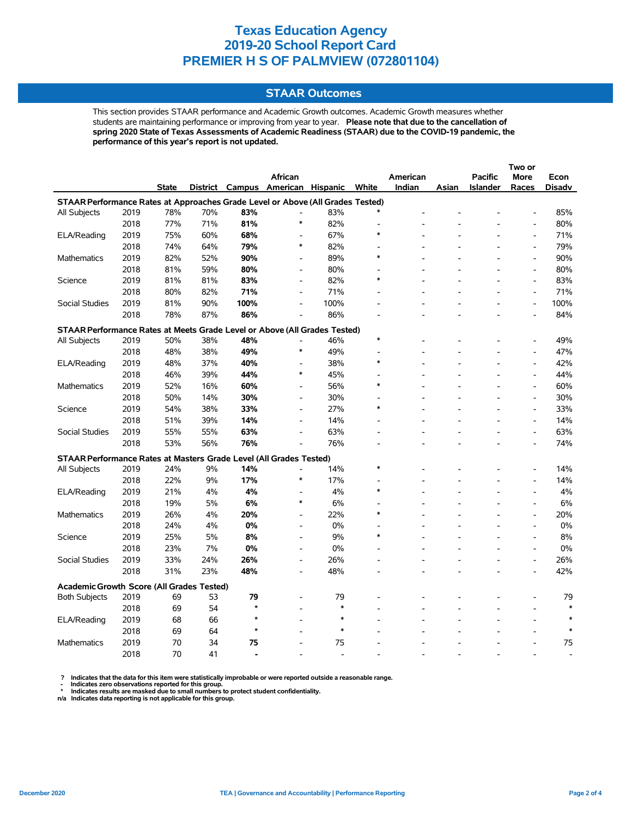### **STAAR Outcomes**

This section provides STAAR performance and Academic Growth outcomes. Academic Growth measures whether students are maintaining performance or improving from year to year. **Please note that due to the cancellation of spring 2020 State of Texas Assessments of Academic Readiness (STAAR) due to the COVID-19 pandemic, the performance of this year's report is not updated.**

|                                                                                |      |       |     |               |                                   |        |        |          |       |                 | Two or                       |               |
|--------------------------------------------------------------------------------|------|-------|-----|---------------|-----------------------------------|--------|--------|----------|-------|-----------------|------------------------------|---------------|
|                                                                                |      |       |     |               | African                           |        |        | American |       | <b>Pacific</b>  | <b>More</b>                  | Econ          |
|                                                                                |      | State |     |               | District Campus American Hispanic |        | White  | Indian   | Asian | <b>Islander</b> | Races                        | <b>Disadv</b> |
| STAAR Performance Rates at Approaches Grade Level or Above (All Grades Tested) |      |       |     |               |                                   |        |        |          |       |                 |                              |               |
| All Subjects                                                                   | 2019 | 78%   | 70% | 83%           | $\overline{a}$                    | 83%    | $\ast$ |          |       |                 |                              | 85%           |
|                                                                                | 2018 | 77%   | 71% | 81%           | $\ast$                            | 82%    |        |          |       |                 | $\qquad \qquad \blacksquare$ | 80%           |
| ELA/Reading                                                                    | 2019 | 75%   | 60% | 68%           |                                   | 67%    |        |          |       |                 |                              | 71%           |
|                                                                                | 2018 | 74%   | 64% | 79%           | $\ast$                            | 82%    |        |          |       |                 | $\frac{1}{2}$                | 79%           |
| <b>Mathematics</b>                                                             | 2019 | 82%   | 52% | 90%           | $\overline{\phantom{a}}$          | 89%    | $\ast$ |          |       |                 | $\overline{\phantom{a}}$     | 90%           |
|                                                                                | 2018 | 81%   | 59% | 80%           | $\overline{\phantom{a}}$          | 80%    |        |          |       |                 | $\overline{\phantom{a}}$     | 80%           |
| Science                                                                        | 2019 | 81%   | 81% | 83%           | $\overline{\phantom{a}}$          | 82%    |        |          |       |                 | $\overline{\phantom{a}}$     | 83%           |
|                                                                                | 2018 | 80%   | 82% | 71%           | $\overline{a}$                    | 71%    |        |          |       |                 | $\overline{a}$               | 71%           |
| Social Studies                                                                 | 2019 | 81%   | 90% | 100%          | $\overline{a}$                    | 100%   |        |          |       |                 | $\qquad \qquad \blacksquare$ | 100%          |
|                                                                                | 2018 | 78%   | 87% | 86%           |                                   | 86%    |        |          |       |                 |                              | 84%           |
| STAAR Performance Rates at Meets Grade Level or Above (All Grades Tested)      |      |       |     |               |                                   |        |        |          |       |                 |                              |               |
| All Subjects                                                                   | 2019 | 50%   | 38% | 48%           |                                   | 46%    | $\ast$ |          |       |                 | $\overline{\phantom{0}}$     | 49%           |
|                                                                                | 2018 | 48%   | 38% | 49%           | $\ast$                            | 49%    |        |          |       |                 | $\overline{\phantom{a}}$     | 47%           |
| <b>ELA/Reading</b>                                                             | 2019 | 48%   | 37% | 40%           | $\overline{\phantom{a}}$          | 38%    | $\ast$ |          |       |                 | $\overline{\phantom{a}}$     | 42%           |
|                                                                                | 2018 | 46%   | 39% | 44%           | $\ast$                            | 45%    |        |          |       |                 | L,                           | 44%           |
| Mathematics                                                                    | 2019 | 52%   | 16% | 60%           | $\overline{\phantom{a}}$          | 56%    |        |          |       |                 | $\overline{\phantom{a}}$     | 60%           |
|                                                                                | 2018 | 50%   | 14% | 30%           | $\overline{\phantom{a}}$          | 30%    |        |          |       |                 | $\overline{\phantom{a}}$     | 30%           |
| Science                                                                        | 2019 | 54%   | 38% | 33%           | $\blacksquare$                    | 27%    |        |          |       |                 | $\overline{a}$               | 33%           |
|                                                                                | 2018 | 51%   | 39% | 14%           | $\overline{\phantom{a}}$          | 14%    |        |          |       |                 | $\blacksquare$               | 14%           |
| Social Studies                                                                 | 2019 | 55%   | 55% | 63%           | $\overline{\phantom{a}}$          | 63%    |        |          |       |                 | $\overline{a}$               | 63%           |
|                                                                                | 2018 | 53%   | 56% | 76%           | $\overline{a}$                    | 76%    |        |          |       |                 | $\overline{a}$               | 74%           |
| STAAR Performance Rates at Masters Grade Level (All Grades Tested)             |      |       |     |               |                                   |        |        |          |       |                 |                              |               |
| All Subjects                                                                   | 2019 | 24%   | 9%  | 14%           | $\overline{a}$                    | 14%    |        |          |       |                 | $\overline{a}$               | 14%           |
|                                                                                | 2018 | 22%   | 9%  | 17%           | $\ast$                            | 17%    |        |          |       |                 | $\overline{a}$               | 14%           |
| ELA/Reading                                                                    | 2019 | 21%   | 4%  | 4%            | $\overline{a}$                    | 4%     | $\ast$ |          |       |                 | $\overline{\phantom{a}}$     | 4%            |
|                                                                                | 2018 | 19%   | 5%  | 6%            | $\ast$                            | 6%     |        |          |       |                 | $\overline{\phantom{a}}$     | 6%            |
| Mathematics                                                                    | 2019 | 26%   | 4%  | 20%           | $\overline{a}$                    | 22%    |        |          |       |                 | $\overline{a}$               | 20%           |
|                                                                                | 2018 | 24%   | 4%  | 0%            | $\overline{a}$                    | 0%     |        |          |       |                 | L,                           | 0%            |
| Science                                                                        | 2019 | 25%   | 5%  | 8%            | $\overline{\phantom{a}}$          | 9%     | $\ast$ |          |       |                 | $\overline{\phantom{a}}$     | 8%            |
|                                                                                | 2018 | 23%   | 7%  | 0%            | $\overline{\phantom{a}}$          | 0%     |        |          |       |                 | $\qquad \qquad \blacksquare$ | 0%            |
| Social Studies                                                                 | 2019 | 33%   | 24% | 26%           | $\overline{a}$                    | 26%    |        |          |       |                 | $\overline{\phantom{a}}$     | 26%           |
|                                                                                | 2018 | 31%   | 23% | 48%           | $\overline{a}$                    | 48%    |        |          |       |                 | $\overline{a}$               | 42%           |
|                                                                                |      |       |     |               |                                   |        |        |          |       |                 |                              |               |
| <b>Academic Growth Score (All Grades Tested)</b>                               |      |       |     |               |                                   |        |        |          |       |                 |                              |               |
| <b>Both Subjects</b>                                                           | 2019 | 69    | 53  | 79<br>$\star$ |                                   | 79     |        |          |       |                 |                              | 79            |
|                                                                                | 2018 | 69    | 54  | $\star$       |                                   | $\ast$ |        |          |       |                 |                              |               |
| ELA/Reading                                                                    | 2019 | 68    | 66  | $\star$       |                                   | $\ast$ |        |          |       |                 |                              | $\ast$        |
|                                                                                | 2018 | 69    | 64  |               |                                   | $\ast$ |        |          |       |                 |                              | $\ast$        |
| <b>Mathematics</b>                                                             | 2019 | 70    | 34  | 75            |                                   | 75     |        |          |       |                 |                              | 75            |
|                                                                                | 2018 | 70    | 41  |               |                                   |        |        |          |       |                 |                              |               |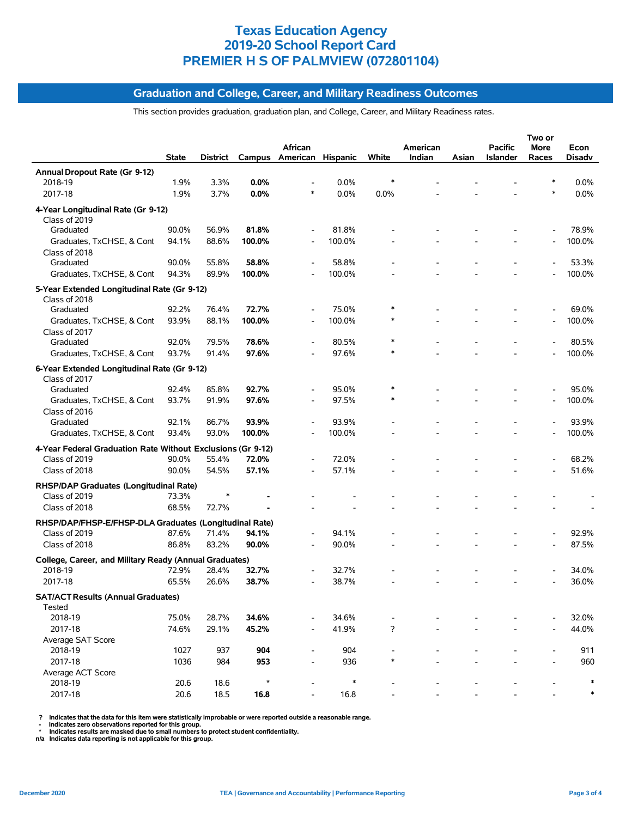### **Graduation and College, Career, and Military Readiness Outcomes**

This section provides graduation, graduation plan, and College, Career, and Military Readiness rates.

|                                                              |              |          |         | African                  |        |        | American |       | <b>Pacific</b>  | Two or<br>More           | Econ    |
|--------------------------------------------------------------|--------------|----------|---------|--------------------------|--------|--------|----------|-------|-----------------|--------------------------|---------|
|                                                              | <b>State</b> | District |         | Campus American Hispanic |        | White  | Indian   | Asian | <b>Islander</b> | Races                    | Disadv  |
| Annual Dropout Rate (Gr 9-12)                                |              |          |         |                          |        |        |          |       |                 |                          |         |
| 2018-19                                                      | 1.9%         | 3.3%     | 0.0%    |                          | 0.0%   | $\ast$ |          |       |                 |                          | $0.0\%$ |
| 2017-18                                                      | 1.9%         | 3.7%     | 0.0%    |                          | 0.0%   | 0.0%   |          |       |                 | $\ast$                   | 0.0%    |
| 4-Year Longitudinal Rate (Gr 9-12)                           |              |          |         |                          |        |        |          |       |                 |                          |         |
| Class of 2019                                                |              |          |         |                          |        |        |          |       |                 |                          |         |
| Graduated                                                    | 90.0%        | 56.9%    | 81.8%   |                          | 81.8%  |        |          |       |                 |                          | 78.9%   |
| Graduates, TxCHSE, & Cont                                    | 94.1%        | 88.6%    | 100.0%  | $\overline{\phantom{a}}$ | 100.0% |        |          |       |                 |                          | 100.0%  |
| Class of 2018                                                |              |          |         |                          |        |        |          |       |                 |                          |         |
| Graduated                                                    | 90.0%        | 55.8%    | 58.8%   |                          | 58.8%  |        |          |       |                 |                          | 53.3%   |
| Graduates, TxCHSE, & Cont                                    | 94.3%        | 89.9%    | 100.0%  |                          | 100.0% |        |          |       |                 |                          | 100.0%  |
| 5-Year Extended Longitudinal Rate (Gr 9-12)<br>Class of 2018 |              |          |         |                          |        |        |          |       |                 |                          |         |
| Graduated                                                    | 92.2%        | 76.4%    | 72.7%   |                          | 75.0%  |        |          |       |                 |                          | 69.0%   |
| Graduates, TxCHSE, & Cont                                    | 93.9%        | 88.1%    | 100.0%  |                          | 100.0% |        |          |       |                 |                          | 100.0%  |
| Class of 2017                                                |              |          |         |                          |        |        |          |       |                 |                          |         |
| Graduated                                                    | 92.0%        | 79.5%    | 78.6%   |                          | 80.5%  | $\ast$ |          |       |                 |                          | 80.5%   |
| Graduates, TxCHSE, & Cont                                    | 93.7%        | 91.4%    | 97.6%   |                          | 97.6%  |        |          |       |                 |                          | 100.0%  |
| 6-Year Extended Longitudinal Rate (Gr 9-12)<br>Class of 2017 |              |          |         |                          |        |        |          |       |                 |                          |         |
| Graduated                                                    | 92.4%        | 85.8%    | 92.7%   |                          | 95.0%  |        |          |       |                 |                          | 95.0%   |
| Graduates, TxCHSE, & Cont                                    | 93.7%        | 91.9%    | 97.6%   |                          | 97.5%  | $\ast$ |          |       |                 |                          | 100.0%  |
| Class of 2016                                                |              |          |         |                          |        |        |          |       |                 |                          |         |
| Graduated                                                    | 92.1%        | 86.7%    | 93.9%   |                          | 93.9%  |        |          |       |                 |                          | 93.9%   |
| Graduates, TxCHSE, & Cont                                    | 93.4%        | 93.0%    | 100.0%  |                          | 100.0% |        |          |       |                 |                          | 100.0%  |
| 4-Year Federal Graduation Rate Without Exclusions (Gr 9-12)  |              |          |         |                          |        |        |          |       |                 |                          |         |
| Class of 2019                                                | 90.0%        | 55.4%    | 72.0%   |                          | 72.0%  |        |          |       |                 |                          | 68.2%   |
| Class of 2018                                                | 90.0%        | 54.5%    | 57.1%   |                          | 57.1%  |        |          |       |                 |                          | 51.6%   |
| RHSP/DAP Graduates (Longitudinal Rate)                       |              |          |         |                          |        |        |          |       |                 |                          |         |
| Class of 2019                                                | 73.3%        |          |         |                          |        |        |          |       |                 |                          |         |
| Class of 2018                                                | 68.5%        | 72.7%    |         |                          |        |        |          |       |                 |                          |         |
| RHSP/DAP/FHSP-E/FHSP-DLA Graduates (Longitudinal Rate)       |              |          |         |                          |        |        |          |       |                 |                          |         |
| Class of 2019                                                | 87.6%        | 71.4%    | 94.1%   |                          | 94.1%  |        |          |       |                 |                          | 92.9%   |
| Class of 2018                                                | 86.8%        | 83.2%    | 90.0%   |                          | 90.0%  |        |          |       |                 |                          | 87.5%   |
| College, Career, and Military Ready (Annual Graduates)       |              |          |         |                          |        |        |          |       |                 |                          |         |
| 2018-19                                                      | 72.9%        | 28.4%    | 32.7%   |                          | 32.7%  |        |          |       |                 | $\overline{\phantom{a}}$ | 34.0%   |
| 2017-18                                                      | 65.5%        | 26.6%    | 38.7%   |                          | 38.7%  |        |          |       |                 |                          | 36.0%   |
| <b>SAT/ACT Results (Annual Graduates)</b>                    |              |          |         |                          |        |        |          |       |                 |                          |         |
| Tested                                                       |              |          |         |                          |        |        |          |       |                 |                          |         |
| 2018-19                                                      | 75.0%        | 28.7%    | 34.6%   |                          | 34.6%  |        |          |       |                 |                          | 32.0%   |
| 2017-18                                                      | 74.6%        | 29.1%    | 45.2%   |                          | 41.9%  | ?      |          |       |                 |                          | 44.0%   |
| Average SAT Score                                            |              |          |         |                          |        |        |          |       |                 |                          |         |
| 2018-19                                                      | 1027         | 937      | 904     | $\overline{a}$           | 904    |        |          |       |                 |                          | 911     |
| 2017-18                                                      | 1036         | 984      | 953     |                          | 936    | $\ast$ |          |       |                 |                          | 960     |
| Average ACT Score                                            |              |          |         |                          |        |        |          |       |                 |                          | *       |
| 2018-19                                                      | 20.6         | 18.6     | $\star$ |                          | $\ast$ |        |          |       |                 |                          |         |
| 2017-18                                                      | 20.6         | 18.5     | 16.8    | $\overline{a}$           | 16.8   |        |          |       |                 |                          |         |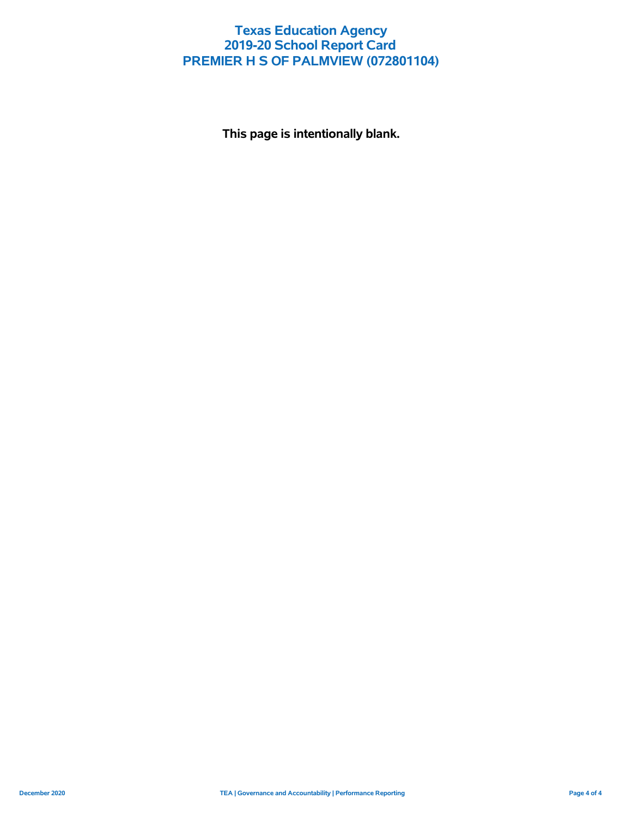**This page is intentionally blank.**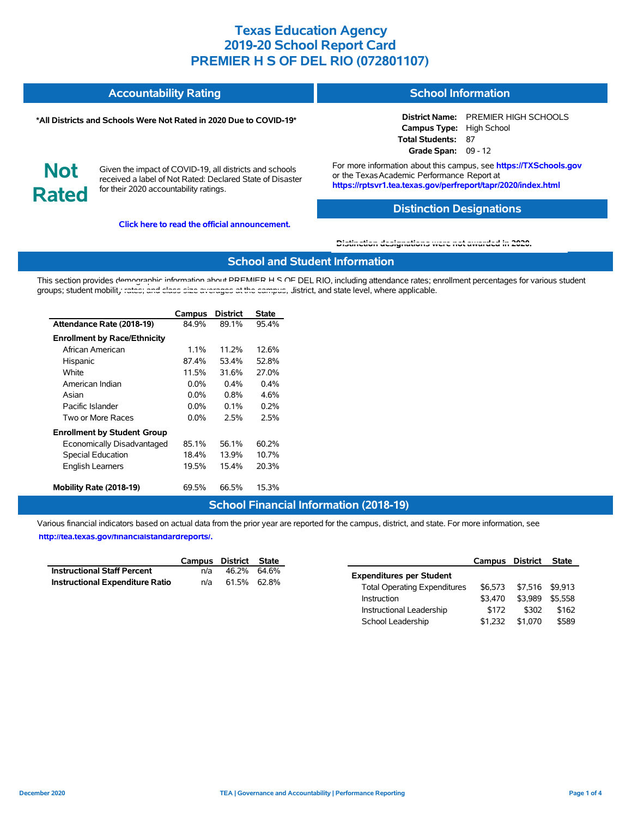| <b>Accountability Rating</b> | <b>School Information</b>                                                                                                                                 |
|------------------------------|-----------------------------------------------------------------------------------------------------------------------------------------------------------|
|                              | $D_{\text{total}}$ $\text{M}_{\text{model}}$ $\text{D}D\Gamma\text{M}$ $\Gamma\text{D}$ $\text{M}$ $\text{C}$ $\text{M}$ $\text{C}$ $\text{M}$ $\text{O}$ |

#### **\*All Districts and Schools Were Not Rated in 2020 Due to COVID-19\***

**District Name:** PREMIER HIGH SCHOOLS **Campus Type:** High School **Total Students:** 87 **Grade Span:** 09 - 12

**Not Rated**

Given the impact of COVID-19, all districts and schools received a label of Not Rated: Declared State of Disaster for their 2020 accountability ratings.

**Click here to read the official announcement.**

For more information about this campus, see **https://TXSchools.gov** or the Texas Academic Performance Report at **https://rptsvr1.tea.texas.gov/perfreport/tapr/2020/index.html**

### **Distinction Designations**

### **[Distinction designations were not awarded in 2020.](https://rptsvr1.tea.texas.gov/perfreport/tapr/2020/index.html)**

### **School and Student Information**

This section provides demographic information about PREMIER H S OF DEL RIO, including attendance rates; enrollment percentages for various student groups; student mobilit[y rates; and class size averages at the campus, d](https://tea.texas.gov/about-tea/news-and-multimedia/correspondence/taa-letters/every-student-succeeds-act-essa-waiver-approval-2020-state-academic-accountability)istrict, and state level, where applicable.

|                                     | Campus  | <b>District</b> | <b>State</b> |
|-------------------------------------|---------|-----------------|--------------|
| Attendance Rate (2018-19)           | 84.9%   | 89.1%           | 95.4%        |
| <b>Enrollment by Race/Ethnicity</b> |         |                 |              |
| African American                    | $1.1\%$ | 11.2%           | 12.6%        |
| Hispanic                            | 87.4%   | 53.4%           | 52.8%        |
| White                               | 11.5%   | 31.6%           | 27.0%        |
| American Indian                     | $0.0\%$ | $0.4\%$         | $0.4\%$      |
| Asian                               | $0.0\%$ | $0.8\%$         | 4.6%         |
| Pacific Islander                    | $0.0\%$ | $0.1\%$         | 0.2%         |
| Two or More Races                   | $0.0\%$ | 2.5%            | 2.5%         |
| <b>Enrollment by Student Group</b>  |         |                 |              |
| Economically Disadvantaged          | 85.1%   | 56.1%           | 60.2%        |
| <b>Special Education</b>            | 18.4%   | 13.9%           | 10.7%        |
| <b>English Learners</b>             | 19.5%   | 15.4%           | 20.3%        |
| Mobility Rate (2018-19)             | 69.5%   | 66.5%           | 15.3%        |

### **School Financial Information (2018-19)**

Various financial indicators based on actual data from the prior year are reported for the campus, district, and state. For more information, see **[http://tea.texas.gov/financialstandardreports/.](http://tea.texas.gov/financialstandardreports/)**

|                                        | Campus District State |             |  |
|----------------------------------------|-----------------------|-------------|--|
| <b>Instructional Staff Percent</b>     | n/a                   | 46.2% 64.6% |  |
| <b>Instructional Expenditure Ratio</b> | n/a                   | 61.5% 62.8% |  |

|                                     | Campus District |         | <b>State</b> |
|-------------------------------------|-----------------|---------|--------------|
| <b>Expenditures per Student</b>     |                 |         |              |
| <b>Total Operating Expenditures</b> | \$6.573         | \$7.516 | \$9.913      |
| Instruction                         | \$3.470         | \$3.989 | \$5.558      |
| Instructional Leadership            | \$172           | \$302   | \$162        |
| School Leadership                   | \$1.232         | \$1.070 | \$589        |

l.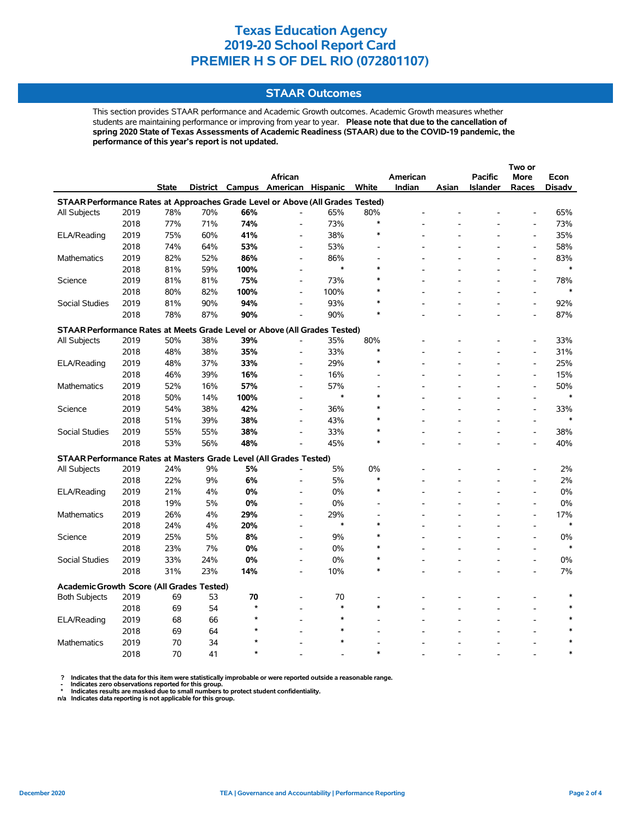### **STAAR Outcomes**

This section provides STAAR performance and Academic Growth outcomes. Academic Growth measures whether students are maintaining performance or improving from year to year. **Please note that due to the cancellation of spring 2020 State of Texas Assessments of Academic Readiness (STAAR) due to the COVID-19 pandemic, the performance of this year's report is not updated.**

|                                                                                |      |       |     |         |                                   |               |              |          |       |                 | Two or                   |               |
|--------------------------------------------------------------------------------|------|-------|-----|---------|-----------------------------------|---------------|--------------|----------|-------|-----------------|--------------------------|---------------|
|                                                                                |      |       |     |         | African                           |               |              | American |       | <b>Pacific</b>  | <b>More</b>              | Econ          |
|                                                                                |      | State |     |         | District Campus American Hispanic |               | White        | Indian   | Asian | <b>Islander</b> | Races                    | <b>Disadv</b> |
| STAAR Performance Rates at Approaches Grade Level or Above (All Grades Tested) |      |       |     |         |                                   |               |              |          |       |                 |                          |               |
| All Subjects                                                                   | 2019 | 78%   | 70% | 66%     | $\overline{a}$                    | 65%           | 80%          |          |       |                 |                          | 65%           |
|                                                                                | 2018 | 77%   | 71% | 74%     | $\overline{\phantom{a}}$          | 73%           | $\ast$       |          |       |                 | $\overline{a}$           | 73%           |
| ELA/Reading                                                                    | 2019 | 75%   | 60% | 41%     |                                   | 38%           |              |          |       |                 |                          | 35%           |
|                                                                                | 2018 | 74%   | 64% | 53%     | L,                                | 53%           |              |          |       |                 | $\overline{a}$           | 58%           |
| <b>Mathematics</b>                                                             | 2019 | 82%   | 52% | 86%     | $\overline{\phantom{0}}$          | 86%           |              |          |       |                 | $\overline{a}$           | 83%           |
|                                                                                | 2018 | 81%   | 59% | 100%    | $\blacksquare$                    | $\ast$        |              |          |       |                 | $\blacksquare$           | $\ast$        |
| Science                                                                        | 2019 | 81%   | 81% | 75%     | $\overline{\phantom{0}}$          | 73%           |              |          |       |                 | $\overline{a}$           | 78%           |
|                                                                                | 2018 | 80%   | 82% | 100%    | $\overline{\phantom{a}}$          | 100%          | $\ast$       |          |       |                 | $\overline{a}$           |               |
| Social Studies                                                                 | 2019 | 81%   | 90% | 94%     | L,                                | 93%           |              |          |       |                 | $\overline{a}$           | 92%           |
|                                                                                | 2018 | 78%   | 87% | 90%     |                                   | 90%           |              |          |       |                 |                          | 87%           |
| STAAR Performance Rates at Meets Grade Level or Above (All Grades Tested)      |      |       |     |         |                                   |               |              |          |       |                 |                          |               |
| All Subjects                                                                   | 2019 | 50%   | 38% | 39%     |                                   | 35%           | 80%          |          |       |                 |                          | 33%           |
|                                                                                | 2018 | 48%   | 38% | 35%     | $\overline{a}$                    | 33%           | $\ast$       |          |       |                 | $\overline{a}$           | 31%           |
| ELA/Reading                                                                    | 2019 | 48%   | 37% | 33%     | $\overline{\phantom{a}}$          | 29%           |              |          |       |                 | $\overline{a}$           | 25%           |
|                                                                                | 2018 | 46%   | 39% | 16%     | $\blacksquare$                    | 16%           |              |          |       |                 |                          | 15%           |
| <b>Mathematics</b>                                                             | 2019 | 52%   | 16% | 57%     |                                   | 57%           |              |          |       |                 | $\overline{\phantom{a}}$ | 50%           |
|                                                                                | 2018 | 50%   | 14% | 100%    | $\blacksquare$                    | $\ast$        | $\ast$       |          |       |                 | $\overline{a}$           | $\ast$        |
| Science                                                                        | 2019 | 54%   | 38% | 42%     | $\blacksquare$                    | 36%           |              |          |       |                 | $\overline{\phantom{a}}$ | 33%           |
|                                                                                | 2018 | 51%   | 39% | 38%     |                                   | 43%           |              |          |       |                 |                          | $\ast$        |
| Social Studies                                                                 | 2019 | 55%   | 55% | 38%     | $\blacksquare$                    | 33%           |              |          |       |                 | $\overline{a}$           | 38%           |
|                                                                                | 2018 | 53%   | 56% | 48%     | $\overline{a}$                    | 45%           |              |          |       |                 |                          | 40%           |
|                                                                                |      |       |     |         |                                   |               |              |          |       |                 |                          |               |
| STAAR Performance Rates at Masters Grade Level (All Grades Tested)             |      |       |     |         |                                   |               |              |          |       |                 |                          |               |
| All Subjects                                                                   | 2019 | 24%   | 9%  | 5%      |                                   | 5%            | 0%<br>$\ast$ |          |       |                 |                          | 2%            |
|                                                                                | 2018 | 22%   | 9%  | 6%      | $\blacksquare$                    | 5%            | $\ast$       |          |       |                 |                          | 2%            |
| ELA/Reading                                                                    | 2019 | 21%   | 4%  | 0%      | $\blacksquare$                    | 0%            |              |          |       |                 |                          | 0%            |
|                                                                                | 2018 | 19%   | 5%  | 0%      | $\overline{\phantom{a}}$          | 0%            |              |          |       |                 | $\overline{a}$           | 0%            |
| Mathematics                                                                    | 2019 | 26%   | 4%  | 29%     |                                   | 29%<br>$\ast$ |              |          |       |                 |                          | 17%           |
|                                                                                | 2018 | 24%   | 4%  | 20%     |                                   |               |              |          |       |                 |                          |               |
| Science                                                                        | 2019 | 25%   | 5%  | 8%      | L,                                | 9%            |              |          |       |                 | $\overline{\phantom{a}}$ | 0%            |
|                                                                                | 2018 | 23%   | 7%  | 0%      | $\overline{a}$                    | 0%            |              |          |       |                 | $\overline{a}$           | $\ast$        |
| Social Studies                                                                 | 2019 | 33%   | 24% | 0%      | $\overline{a}$                    | 0%            | $\ast$       |          |       |                 | $\overline{a}$           | 0%            |
|                                                                                | 2018 | 31%   | 23% | 14%     |                                   | 10%           | $\ast$       |          |       |                 |                          | 7%            |
| <b>Academic Growth Score (All Grades Tested)</b>                               |      |       |     |         |                                   |               |              |          |       |                 |                          |               |
| <b>Both Subjects</b>                                                           | 2019 | 69    | 53  | 70      |                                   | 70            |              |          |       |                 |                          |               |
|                                                                                | 2018 | 69    | 54  | $\star$ |                                   | $\ast$        |              |          |       |                 |                          |               |
| ELA/Reading                                                                    | 2019 | 68    | 66  |         |                                   | $\ast$        |              |          |       |                 |                          |               |
|                                                                                | 2018 | 69    | 64  |         |                                   | $\ast$        |              |          |       |                 |                          |               |
| <b>Mathematics</b>                                                             | 2019 | 70    | 34  |         |                                   | $\ast$        |              |          |       |                 |                          |               |
|                                                                                | 2018 | 70    | 41  |         |                                   |               |              |          |       |                 |                          | $\ast$        |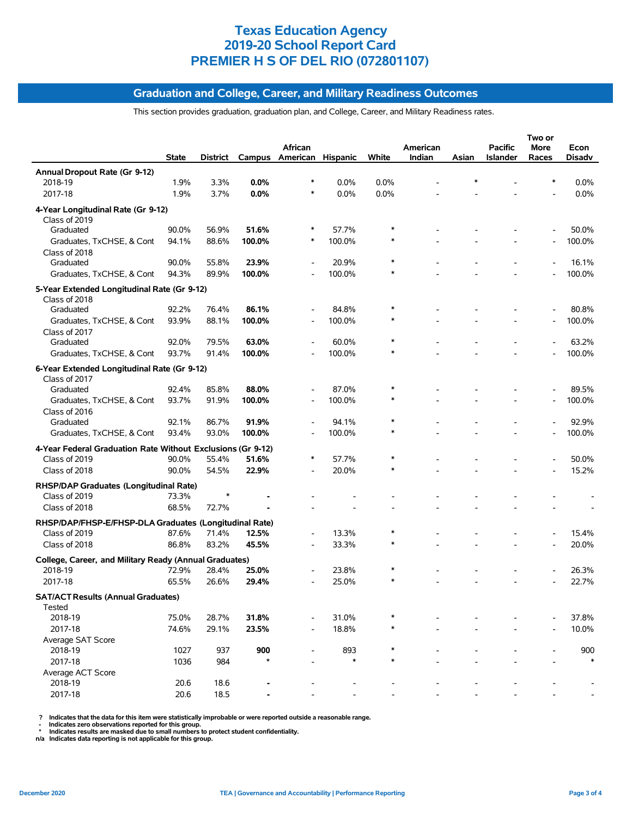### **Graduation and College, Career, and Military Readiness Outcomes**

This section provides graduation, graduation plan, and College, Career, and Military Readiness rates.

|                                                             |              |              |         |                                     |        |        |                    |       |                                   | Two or                   |                       |
|-------------------------------------------------------------|--------------|--------------|---------|-------------------------------------|--------|--------|--------------------|-------|-----------------------------------|--------------------------|-----------------------|
|                                                             | <b>State</b> | District     |         | African<br>Campus American Hispanic |        | White  | American<br>Indian | Asian | <b>Pacific</b><br><b>Islander</b> | More<br>Races            | Econ<br><b>Disadv</b> |
| Annual Dropout Rate (Gr 9-12)                               |              |              |         |                                     |        |        |                    |       |                                   |                          |                       |
| 2018-19                                                     | 1.9%         | 3.3%         | 0.0%    |                                     | 0.0%   | 0.0%   |                    |       |                                   |                          | $0.0\%$               |
| 2017-18                                                     | 1.9%         | 3.7%         | 0.0%    | $\ast$                              | 0.0%   | 0.0%   |                    |       |                                   |                          | 0.0%                  |
|                                                             |              |              |         |                                     |        |        |                    |       |                                   |                          |                       |
| 4-Year Longitudinal Rate (Gr 9-12)<br>Class of 2019         |              |              |         |                                     |        |        |                    |       |                                   |                          |                       |
| Graduated                                                   | 90.0%        | 56.9%        | 51.6%   |                                     | 57.7%  |        |                    |       |                                   |                          | 50.0%                 |
| Graduates, TxCHSE, & Cont                                   | 94.1%        | 88.6%        | 100.0%  | $\ast$                              | 100.0% | $\ast$ |                    |       |                                   | $\overline{\phantom{a}}$ | 100.0%                |
| Class of 2018                                               |              |              |         |                                     |        |        |                    |       |                                   |                          |                       |
| Graduated                                                   | 90.0%        | 55.8%        | 23.9%   |                                     | 20.9%  | $\ast$ |                    |       |                                   |                          | 16.1%                 |
| Graduates, TxCHSE, & Cont                                   | 94.3%        | 89.9%        | 100.0%  |                                     | 100.0% |        |                    |       |                                   | $\overline{\phantom{a}}$ | 100.0%                |
| 5-Year Extended Longitudinal Rate (Gr 9-12)                 |              |              |         |                                     |        |        |                    |       |                                   |                          |                       |
| Class of 2018                                               |              |              |         |                                     |        |        |                    |       |                                   |                          |                       |
| Graduated                                                   | 92.2%        | 76.4%        | 86.1%   |                                     | 84.8%  |        |                    |       |                                   |                          | 80.8%                 |
| Graduates, TxCHSE, & Cont                                   | 93.9%        | 88.1%        | 100.0%  |                                     | 100.0% |        |                    |       |                                   |                          | 100.0%                |
| Class of 2017                                               |              |              |         |                                     |        |        |                    |       |                                   |                          |                       |
| Graduated                                                   | 92.0%        | 79.5%        | 63.0%   |                                     | 60.0%  | $\ast$ |                    |       |                                   |                          | 63.2%                 |
| Graduates, TxCHSE, & Cont                                   | 93.7%        | 91.4%        | 100.0%  |                                     | 100.0% |        |                    |       |                                   |                          | 100.0%                |
| 6-Year Extended Longitudinal Rate (Gr 9-12)                 |              |              |         |                                     |        |        |                    |       |                                   |                          |                       |
| Class of 2017                                               |              |              |         |                                     |        |        |                    |       |                                   |                          |                       |
| Graduated                                                   | 92.4%        | 85.8%        | 88.0%   |                                     | 87.0%  |        |                    |       |                                   |                          | 89.5%                 |
| Graduates, TxCHSE, & Cont                                   | 93.7%        | 91.9%        | 100.0%  |                                     | 100.0% | $\ast$ |                    |       |                                   |                          | 100.0%                |
| Class of 2016<br>Graduated                                  | 92.1%        | 86.7%        | 91.9%   |                                     | 94.1%  |        |                    |       |                                   |                          | 92.9%                 |
|                                                             | 93.4%        | 93.0%        | 100.0%  |                                     | 100.0% | $\ast$ |                    |       |                                   |                          | 100.0%                |
| Graduates, TxCHSE, & Cont                                   |              |              |         |                                     |        |        |                    |       |                                   |                          |                       |
| 4-Year Federal Graduation Rate Without Exclusions (Gr 9-12) |              |              |         |                                     |        |        |                    |       |                                   |                          |                       |
| Class of 2019                                               | 90.0%        | 55.4%        | 51.6%   |                                     | 57.7%  | $\ast$ |                    |       |                                   |                          | 50.0%                 |
| Class of 2018                                               | 90.0%        | 54.5%        | 22.9%   |                                     | 20.0%  |        |                    |       |                                   |                          | 15.2%                 |
| RHSP/DAP Graduates (Longitudinal Rate)                      |              |              |         |                                     |        |        |                    |       |                                   |                          |                       |
| Class of 2019                                               | 73.3%        |              |         |                                     |        |        |                    |       |                                   |                          |                       |
| Class of 2018                                               | 68.5%        | 72.7%        |         |                                     |        |        |                    |       |                                   |                          |                       |
| RHSP/DAP/FHSP-E/FHSP-DLA Graduates (Longitudinal Rate)      |              |              |         |                                     |        |        |                    |       |                                   |                          |                       |
| Class of 2019                                               | 87.6%        | 71.4%        | 12.5%   |                                     | 13.3%  |        |                    |       |                                   | $\overline{\phantom{a}}$ | 15.4%                 |
| Class of 2018                                               | 86.8%        | 83.2%        | 45.5%   |                                     | 33.3%  | $\ast$ |                    |       |                                   |                          | 20.0%                 |
| College, Career, and Military Ready (Annual Graduates)      |              |              |         |                                     |        |        |                    |       |                                   |                          |                       |
| 2018-19                                                     | 72.9%        | 28.4%        | 25.0%   |                                     | 23.8%  |        |                    |       |                                   | $\overline{\phantom{a}}$ | 26.3%                 |
| 2017-18                                                     | 65.5%        | 26.6%        | 29.4%   |                                     | 25.0%  |        |                    |       |                                   |                          | 22.7%                 |
| <b>SAT/ACT Results (Annual Graduates)</b>                   |              |              |         |                                     |        |        |                    |       |                                   |                          |                       |
| Tested                                                      |              |              |         |                                     |        |        |                    |       |                                   |                          |                       |
| 2018-19                                                     | 75.0%        | 28.7%        | 31.8%   |                                     | 31.0%  |        |                    |       |                                   |                          | 37.8%                 |
| 2017-18                                                     | 74.6%        | 29.1%        | 23.5%   |                                     | 18.8%  | $\ast$ |                    |       |                                   |                          | 10.0%                 |
| Average SAT Score                                           |              |              |         |                                     |        |        |                    |       |                                   |                          |                       |
| 2018-19                                                     | 1027         | 937          | 900     |                                     | 893    |        |                    |       |                                   |                          | 900                   |
| 2017-18                                                     | 1036         | 984          | $\star$ |                                     | $\ast$ | $\ast$ |                    |       |                                   |                          | $\ast$                |
| Average ACT Score<br>2018-19                                | 20.6         |              |         |                                     |        |        |                    |       |                                   |                          |                       |
| 2017-18                                                     | 20.6         | 18.6<br>18.5 |         |                                     |        |        |                    |       |                                   |                          |                       |
|                                                             |              |              |         |                                     |        |        |                    |       |                                   |                          |                       |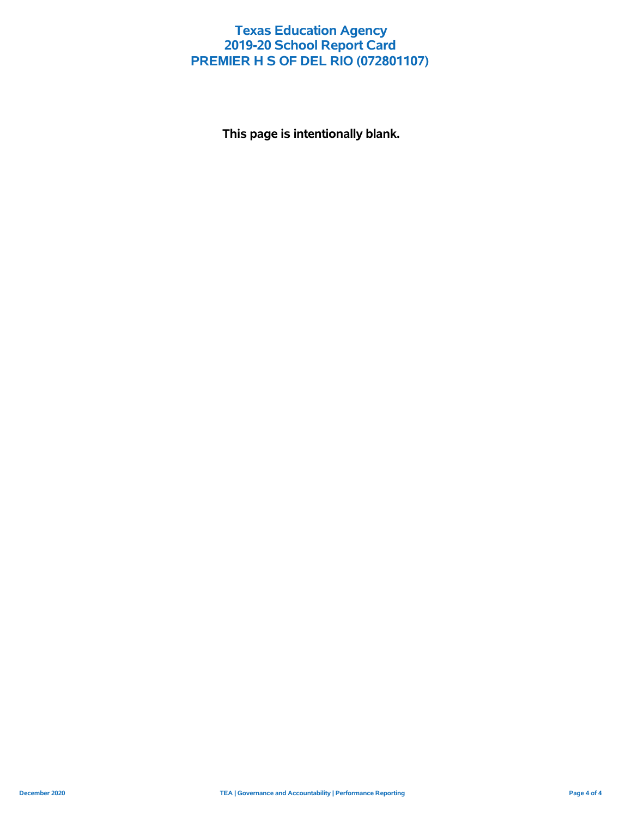**This page is intentionally blank.**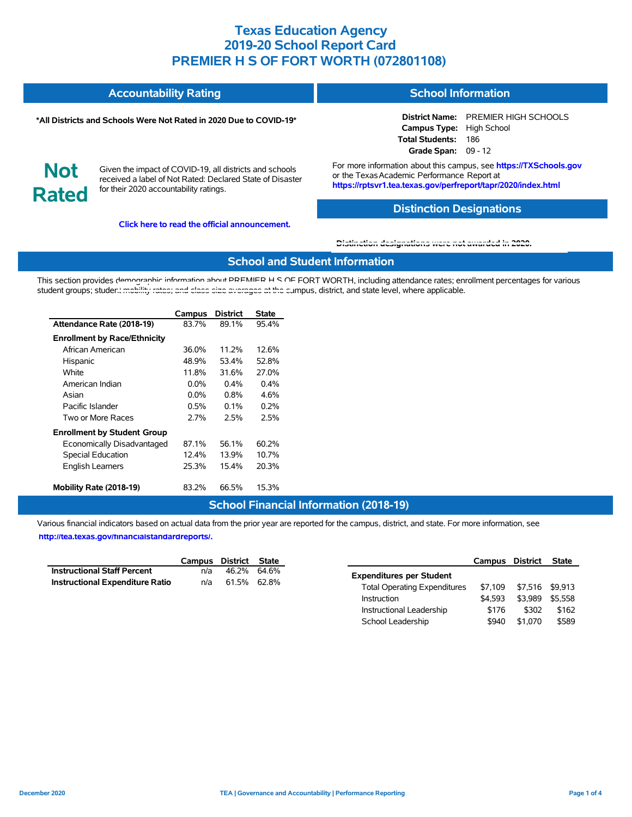| <b>Accountability Rating</b> | <b>School Information</b> |
|------------------------------|---------------------------|
|                              | _<br>______               |

#### **\*All Districts and Schools Were Not Rated in 2020 Due to COVID-19\***

**District Name:** PREMIER HIGH SCHOOLS **Campus Type:** High School **Total Students:** 186 **Grade Span:** 09 - 12

**Not Rated**

Given the impact of COVID-19, all districts and schools received a label of Not Rated: Declared State of Disaster for their 2020 accountability ratings.

For more information about this campus, see **https://TXSchools.gov** or the Texas Academic Performance Report at **https://rptsvr1.tea.texas.gov/perfreport/tapr/2020/index.html**

### **Distinction Designations**

#### **Click here to read the official announcement.**

#### **[Distinction designations were not awarded in 2020.](https://rptsvr1.tea.texas.gov/perfreport/tapr/2020/index.html)**

### **School and Student Information**

This section provides demographic information about PREMIER H S OF FORT WORTH, including attendance rates; enrollment percentages for various student groups; stude[nt mobility rates; and class size averages at the ca](https://tea.texas.gov/about-tea/news-and-multimedia/correspondence/taa-letters/every-student-succeeds-act-essa-waiver-approval-2020-state-academic-accountability)mpus, district, and state level, where applicable.

|                                     | Campus  | <b>District</b> | <b>State</b> |
|-------------------------------------|---------|-----------------|--------------|
| Attendance Rate (2018-19)           | 83.7%   | 89.1%           | 95.4%        |
| <b>Enrollment by Race/Ethnicity</b> |         |                 |              |
| African American                    | 36.0%   | 11.2%           | 12.6%        |
| Hispanic                            | 48.9%   | 53.4%           | 52.8%        |
| White                               | 11.8%   | 31.6%           | 27.0%        |
| American Indian                     | $0.0\%$ | $0.4\%$         | 0.4%         |
| Asian                               | $0.0\%$ | $0.8\%$         | 4.6%         |
| Pacific Islander                    | $0.5\%$ | $0.1\%$         | 0.2%         |
| Two or More Races                   | 2.7%    | 2.5%            | 2.5%         |
| <b>Enrollment by Student Group</b>  |         |                 |              |
| Economically Disadvantaged          | 87.1%   | 56.1%           | 60.2%        |
| Special Education                   | 12.4%   | 13.9%           | 10.7%        |
| <b>English Learners</b>             | 25.3%   | 15.4%           | 20.3%        |
| Mobility Rate (2018-19)             | 83.2%   | 66.5%           | 15.3%        |

### **School Financial Information (2018-19)**

Various financial indicators based on actual data from the prior year are reported for the campus, district, and state. For more information, see **[http://tea.texas.gov/financialstandardreports/.](http://tea.texas.gov/financialstandardreports/)**

|                                        | Campus District State |             |  |
|----------------------------------------|-----------------------|-------------|--|
| <b>Instructional Staff Percent</b>     | n/a                   | 46.2% 64.6% |  |
| <b>Instructional Expenditure Ratio</b> | n/a                   | 61.5% 62.8% |  |

|                                     | Campus District |         | <b>State</b> |
|-------------------------------------|-----------------|---------|--------------|
| <b>Expenditures per Student</b>     |                 |         |              |
| <b>Total Operating Expenditures</b> | \$7,109         | \$7.516 | \$9.913      |
| Instruction                         | \$4.593         | \$3.989 | \$5.558      |
| Instructional Leadership            | \$176           | \$302   | \$162        |
| School Leadership                   | \$940           | \$1.070 | \$589        |

l.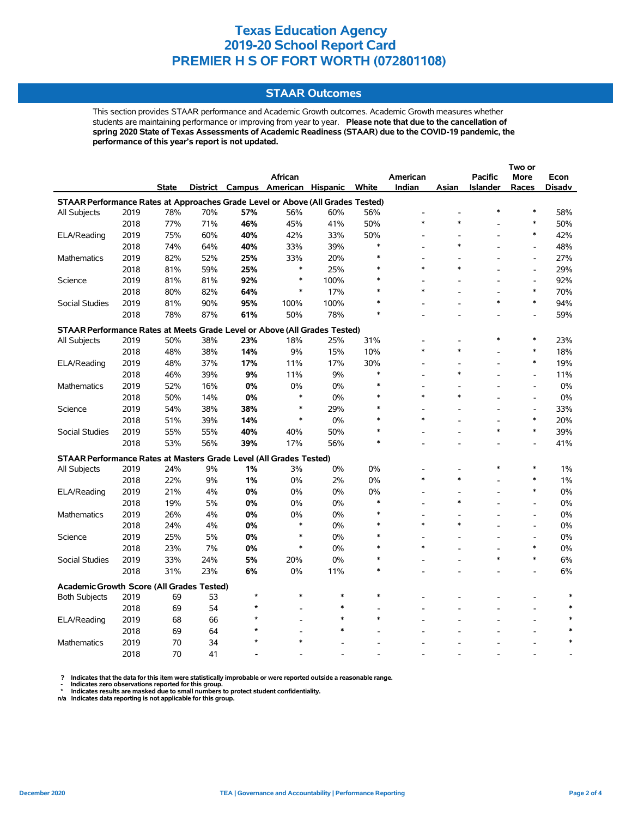### **STAAR Outcomes**

This section provides STAAR performance and Academic Growth outcomes. Academic Growth measures whether students are maintaining performance or improving from year to year. **Please note that due to the cancellation of spring 2020 State of Texas Assessments of Academic Readiness (STAAR) due to the COVID-19 pandemic, the performance of this year's report is not updated.**

|                                                                                |      |       |     |     |                                   |        |        |          |        |                 | Two or         |               |
|--------------------------------------------------------------------------------|------|-------|-----|-----|-----------------------------------|--------|--------|----------|--------|-----------------|----------------|---------------|
|                                                                                |      |       |     |     | African                           |        |        | American |        | <b>Pacific</b>  | <b>More</b>    | Econ          |
|                                                                                |      | State |     |     | District Campus American Hispanic |        | White  | Indian   | Asian  | <b>Islander</b> | Races          | <b>Disadv</b> |
| STAAR Performance Rates at Approaches Grade Level or Above (All Grades Tested) |      |       |     |     |                                   |        |        |          |        |                 |                |               |
| All Subjects                                                                   | 2019 | 78%   | 70% | 57% | 56%                               | 60%    | 56%    |          |        | $\ast$          | $\ast$         | 58%           |
|                                                                                | 2018 | 77%   | 71% | 46% | 45%                               | 41%    | 50%    | $\ast$   | $\ast$ |                 | $\ast$         | 50%           |
| ELA/Reading                                                                    | 2019 | 75%   | 60% | 40% | 42%                               | 33%    | 50%    |          |        |                 | *              | 42%           |
|                                                                                | 2018 | 74%   | 64% | 40% | 33%                               | 39%    | $\ast$ |          | $\ast$ |                 | $\overline{a}$ | 48%           |
| <b>Mathematics</b>                                                             | 2019 | 82%   | 52% | 25% | 33%                               | 20%    |        |          |        |                 | $\overline{a}$ | 27%           |
|                                                                                | 2018 | 81%   | 59% | 25% | ∗                                 | 25%    |        | $\ast$   | $\ast$ |                 | $\overline{a}$ | 29%           |
| Science                                                                        | 2019 | 81%   | 81% | 92% | $\ast$                            | 100%   |        |          |        |                 | $\overline{a}$ | 92%           |
|                                                                                | 2018 | 80%   | 82% | 64% | $\ast$                            | 17%    | $\ast$ | $\ast$   |        |                 | $\ast$         | 70%           |
| Social Studies                                                                 | 2019 | 81%   | 90% | 95% | 100%                              | 100%   |        |          |        | $\ast$          | $\ast$         | 94%           |
|                                                                                | 2018 | 78%   | 87% | 61% | 50%                               | 78%    |        |          |        |                 |                | 59%           |
| STAAR Performance Rates at Meets Grade Level or Above (All Grades Tested)      |      |       |     |     |                                   |        |        |          |        |                 |                |               |
| All Subjects                                                                   | 2019 | 50%   | 38% | 23% | 18%                               | 25%    | 31%    |          |        | $\ast$          | $\ast$         | 23%           |
|                                                                                | 2018 | 48%   | 38% | 14% | 9%                                | 15%    | 10%    | $\ast$   | $\ast$ |                 | $\ast$         | 18%           |
| ELA/Reading                                                                    | 2019 | 48%   | 37% | 17% | 11%                               | 17%    | 30%    |          |        |                 | $\ast$         | 19%           |
|                                                                                | 2018 | 46%   | 39% | 9%  | 11%                               | 9%     | $\ast$ |          | $\ast$ |                 |                | 11%           |
| Mathematics                                                                    | 2019 | 52%   | 16% | 0%  | $0\%$                             | 0%     |        |          |        |                 |                | $0\%$         |
|                                                                                | 2018 | 50%   | 14% | 0%  | $\ast$                            | 0%     |        | $\ast$   | $\ast$ |                 | $\overline{a}$ | $0\%$         |
| Science                                                                        | 2019 | 54%   | 38% | 38% | $\ast$                            | 29%    |        |          |        |                 | $\blacksquare$ | 33%           |
|                                                                                | 2018 | 51%   | 39% | 14% | $\ast$                            | 0%     |        | $\ast$   |        |                 | $\ast$         | 20%           |
| <b>Social Studies</b>                                                          | 2019 | 55%   | 55% | 40% | 40%                               | 50%    |        |          |        | $\ast$          | $\ast$         | 39%           |
|                                                                                | 2018 | 53%   | 56% | 39% | 17%                               | 56%    |        |          |        |                 |                | 41%           |
| STAAR Performance Rates at Masters Grade Level (All Grades Tested)             |      |       |     |     |                                   |        |        |          |        |                 |                |               |
| All Subjects                                                                   | 2019 | 24%   | 9%  | 1%  | 3%                                | 0%     | 0%     |          |        | $\ast$          | $\ast$         | 1%            |
|                                                                                | 2018 | 22%   | 9%  | 1%  | 0%                                | 2%     | 0%     | $\ast$   | $\ast$ |                 | $\ast$         | 1%            |
| ELA/Reading                                                                    | 2019 | 21%   | 4%  | 0%  | 0%                                | 0%     | 0%     |          |        |                 | *              | 0%            |
|                                                                                | 2018 | 19%   | 5%  | 0%  | 0%                                | 0%     | $\ast$ |          | *      |                 | $\overline{a}$ | 0%            |
| Mathematics                                                                    | 2019 | 26%   | 4%  | 0%  | 0%                                | 0%     |        |          |        |                 |                | 0%            |
|                                                                                | 2018 | 24%   | 4%  | 0%  | $\ast$                            | 0%     |        | $\ast$   | $\ast$ |                 |                | 0%            |
| Science                                                                        | 2019 | 25%   | 5%  | 0%  | $\ast$                            | 0%     |        |          |        |                 | $\overline{a}$ | 0%            |
|                                                                                | 2018 | 23%   | 7%  | 0%  | $\ast$                            | 0%     |        | $\ast$   |        |                 | $\ast$         | 0%            |
| Social Studies                                                                 | 2019 | 33%   | 24% | 5%  | 20%                               | 0%     | $\ast$ |          |        | $\ast$          | $\ast$         | 6%            |
|                                                                                | 2018 | 31%   | 23% | 6%  | 0%                                | 11%    | $\ast$ |          |        |                 |                | 6%            |
|                                                                                |      |       |     |     |                                   |        |        |          |        |                 |                |               |
| <b>Academic Growth Score (All Grades Tested)</b>                               |      |       |     |     |                                   | $\ast$ |        |          |        |                 |                |               |
| <b>Both Subjects</b>                                                           | 2019 | 69    | 53  |     |                                   | $\ast$ |        |          |        |                 |                |               |
|                                                                                | 2018 | 69    | 54  |     |                                   | $\ast$ |        |          |        |                 |                |               |
| ELA/Reading                                                                    | 2019 | 68    | 66  |     |                                   | $\ast$ |        |          |        |                 |                |               |
|                                                                                | 2018 | 69    | 64  |     |                                   |        |        |          |        |                 |                |               |
| <b>Mathematics</b>                                                             | 2019 | 70    | 34  |     |                                   |        |        |          |        |                 |                |               |
|                                                                                | 2018 | 70    | 41  |     |                                   |        |        |          |        |                 |                |               |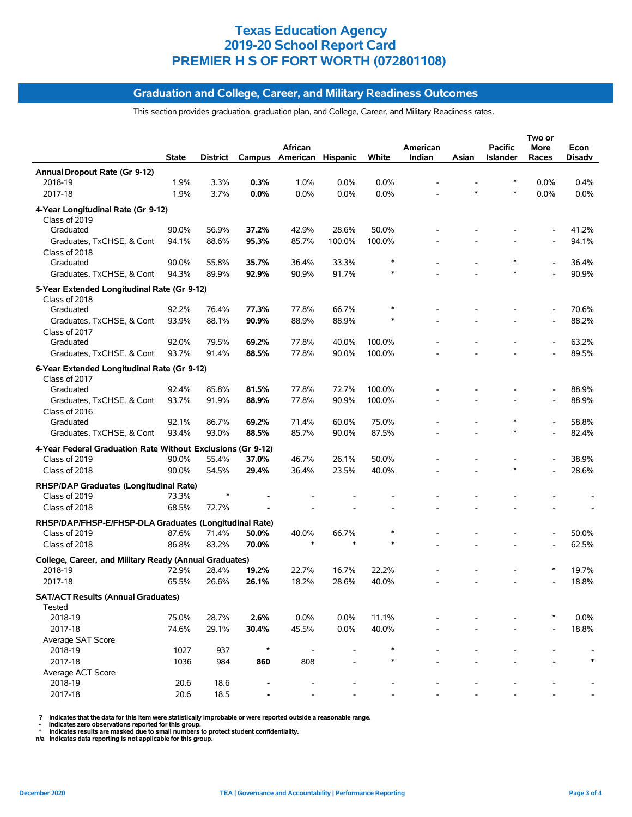### **Graduation and College, Career, and Military Readiness Outcomes**

This section provides graduation, graduation plan, and College, Career, and Military Readiness rates.

|                                                                         |              |              |                |                                     |        |        |                    |        |                            | Two or                   |                |
|-------------------------------------------------------------------------|--------------|--------------|----------------|-------------------------------------|--------|--------|--------------------|--------|----------------------------|--------------------------|----------------|
|                                                                         | <b>State</b> | District     |                | African<br>Campus American Hispanic |        | White  | American<br>Indian | Asian  | <b>Pacific</b><br>Islander | More<br>Races            | Econ<br>Disadv |
| Annual Dropout Rate (Gr 9-12)                                           |              |              |                |                                     |        |        |                    |        |                            |                          |                |
| 2018-19                                                                 | 1.9%         | 3.3%         | 0.3%           | 1.0%                                | 0.0%   | 0.0%   |                    |        |                            | 0.0%                     | 0.4%           |
| 2017-18                                                                 | 1.9%         | 3.7%         | 0.0%           | 0.0%                                | 0.0%   | 0.0%   |                    | $\ast$ | $\ast$                     | 0.0%                     | 0.0%           |
| 4-Year Longitudinal Rate (Gr 9-12)                                      |              |              |                |                                     |        |        |                    |        |                            |                          |                |
| Class of 2019                                                           |              |              |                |                                     |        |        |                    |        |                            |                          |                |
| Graduated                                                               | 90.0%        | 56.9%        | 37.2%          | 42.9%                               | 28.6%  | 50.0%  |                    |        |                            |                          | 41.2%          |
| Graduates, TxCHSE, & Cont                                               | 94.1%        | 88.6%        | 95.3%          | 85.7%                               | 100.0% | 100.0% |                    |        |                            |                          | 94.1%          |
| Class of 2018                                                           |              |              |                |                                     |        |        |                    |        |                            |                          |                |
| Graduated                                                               | 90.0%        | 55.8%        | 35.7%          | 36.4%                               | 33.3%  | $\ast$ |                    |        |                            |                          | 36.4%          |
| Graduates, TxCHSE, & Cont                                               | 94.3%        | 89.9%        | 92.9%          | 90.9%                               | 91.7%  | $\ast$ |                    |        |                            |                          | 90.9%          |
| 5-Year Extended Longitudinal Rate (Gr 9-12)<br>Class of 2018            |              |              |                |                                     |        |        |                    |        |                            |                          |                |
| Graduated                                                               | 92.2%        | 76.4%        | 77.3%          | 77.8%                               | 66.7%  |        |                    |        |                            |                          | 70.6%          |
| Graduates, TxCHSE, & Cont                                               | 93.9%        | 88.1%        | 90.9%          | 88.9%                               | 88.9%  | $\ast$ |                    |        |                            |                          | 88.2%          |
| Class of 2017                                                           |              |              |                |                                     |        |        |                    |        |                            |                          |                |
| Graduated                                                               | 92.0%        | 79.5%        | 69.2%          | 77.8%                               | 40.0%  | 100.0% |                    |        |                            |                          | 63.2%          |
| Graduates, TxCHSE, & Cont                                               | 93.7%        | 91.4%        | 88.5%          | 77.8%                               | 90.0%  | 100.0% |                    |        |                            |                          | 89.5%          |
| 6-Year Extended Longitudinal Rate (Gr 9-12)                             |              |              |                |                                     |        |        |                    |        |                            |                          |                |
| Class of 2017<br>Graduated                                              | 92.4%        | 85.8%        | 81.5%          | 77.8%                               | 72.7%  | 100.0% |                    |        |                            |                          | 88.9%          |
| Graduates, TxCHSE, & Cont                                               | 93.7%        | 91.9%        | 88.9%          | 77.8%                               | 90.9%  | 100.0% |                    |        |                            |                          | 88.9%          |
| Class of 2016                                                           |              |              |                |                                     |        |        |                    |        |                            |                          |                |
| Graduated                                                               | 92.1%        | 86.7%        | 69.2%          | 71.4%                               | 60.0%  | 75.0%  |                    |        |                            |                          | 58.8%          |
| Graduates, TxCHSE, & Cont                                               | 93.4%        | 93.0%        | 88.5%          | 85.7%                               | 90.0%  | 87.5%  |                    |        |                            |                          | 82.4%          |
| 4-Year Federal Graduation Rate Without Exclusions (Gr 9-12)             |              |              |                |                                     |        |        |                    |        |                            |                          |                |
| Class of 2019                                                           | 90.0%        | 55.4%        | 37.0%          | 46.7%                               | 26.1%  | 50.0%  |                    |        |                            | $\overline{\phantom{a}}$ | 38.9%          |
| Class of 2018                                                           | 90.0%        | 54.5%        | 29.4%          | 36.4%                               | 23.5%  | 40.0%  |                    |        |                            |                          | 28.6%          |
| RHSP/DAP Graduates (Longitudinal Rate)                                  |              |              |                |                                     |        |        |                    |        |                            |                          |                |
| Class of 2019                                                           | 73.3%        |              |                |                                     |        |        |                    |        |                            |                          |                |
| Class of 2018                                                           | 68.5%        | 72.7%        |                |                                     |        |        |                    |        |                            |                          |                |
|                                                                         |              |              |                |                                     |        |        |                    |        |                            |                          |                |
| RHSP/DAP/FHSP-E/FHSP-DLA Graduates (Longitudinal Rate)<br>Class of 2019 | 87.6%        | 71.4%        | 50.0%          | 40.0%                               | 66.7%  | $\ast$ |                    |        |                            |                          | 50.0%          |
| Class of 2018                                                           | 86.8%        | 83.2%        | 70.0%          | $\ast$                              | $\ast$ | $\ast$ |                    |        |                            |                          | 62.5%          |
|                                                                         |              |              |                |                                     |        |        |                    |        |                            |                          |                |
| College, Career, and Military Ready (Annual Graduates)<br>2018-19       | 72.9%        | 28.4%        | 19.2%          | 22.7%                               | 16.7%  | 22.2%  |                    |        |                            | $\ast$                   | 19.7%          |
| 2017-18                                                                 | 65.5%        | 26.6%        | 26.1%          | 18.2%                               | 28.6%  | 40.0%  |                    |        |                            |                          | 18.8%          |
|                                                                         |              |              |                |                                     |        |        |                    |        |                            |                          |                |
| <b>SAT/ACT Results (Annual Graduates)</b><br>Tested                     |              |              |                |                                     |        |        |                    |        |                            |                          |                |
| 2018-19                                                                 | 75.0%        | 28.7%        | 2.6%           | 0.0%                                | 0.0%   | 11.1%  |                    |        |                            |                          | 0.0%           |
| 2017-18                                                                 | 74.6%        | 29.1%        | 30.4%          | 45.5%                               | 0.0%   | 40.0%  |                    |        |                            |                          | 18.8%          |
| Average SAT Score                                                       |              |              |                |                                     |        |        |                    |        |                            |                          |                |
| 2018-19                                                                 | 1027         | 937          | $\ast$         |                                     |        |        |                    |        |                            |                          |                |
| 2017-18                                                                 | 1036         | 984          | 860            | 808                                 |        | ∗      |                    |        |                            |                          | $\ast$         |
| Average ACT Score                                                       |              |              |                |                                     |        |        |                    |        |                            |                          |                |
| 2018-19<br>2017-18                                                      | 20.6<br>20.6 | 18.6<br>18.5 | $\blacksquare$ |                                     |        |        |                    |        |                            |                          |                |
|                                                                         |              |              |                |                                     |        |        |                    |        |                            |                          |                |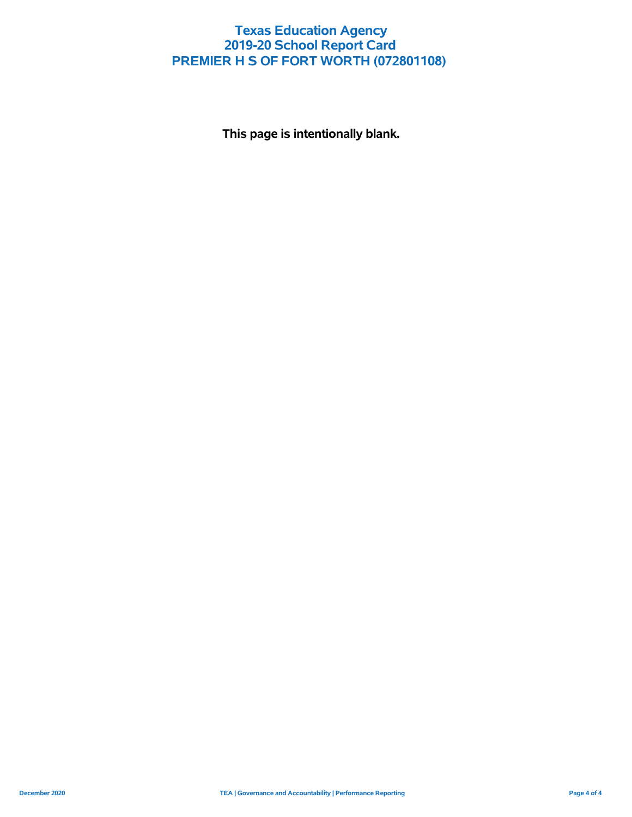**This page is intentionally blank.**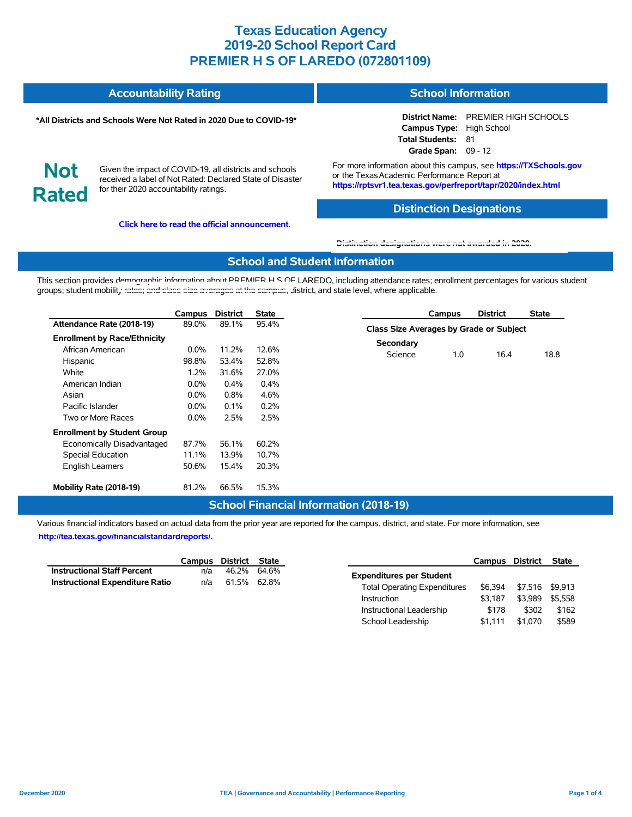| <b>Accountability Rating</b> | <b>School Information</b> |
|------------------------------|---------------------------|
|                              |                           |

#### **\*All Districts and Schools Were Not Rated in 2020 Due to COVID-19\***

### **District Name:** PREMIER HIGH SCHOOLS **Campus Type:** High School **Total Students:** 81

**Grade Span:** 09 - 12

**Not Rated**

Given the impact of COVID-19, all districts and schools received a label of Not Rated: Declared State of Disaster for their 2020 accountability ratings.

**Click here to read the official announcement.**

For more information about this campus, see **https://TXSchools.gov** or the Texas Academic Performance Report at **https://rptsvr1.tea.texas.gov/perfreport/tapr/2020/index.html**

### **Distinction Designations**

#### **[Distinction designations were not awarded in 2020.](https://rptsvr1.tea.texas.gov/perfreport/tapr/2020/index.html)**

### **School and Student Information**

This section provides demographic information about PREMIER H S OF LAREDO, including attendance rates; enrollment percentages for various student groups; student mobilit[y rates; and class size averages at the campus, d](https://tea.texas.gov/about-tea/news-and-multimedia/correspondence/taa-letters/every-student-succeeds-act-essa-waiver-approval-2020-state-academic-accountability)istrict, and state level, where applicable.

|                                                                                                                                       | Campus                                                               | <b>District</b>                                         | <b>State</b>                                            |                                         | Campus | <b>District</b> | <b>State</b> |
|---------------------------------------------------------------------------------------------------------------------------------------|----------------------------------------------------------------------|---------------------------------------------------------|---------------------------------------------------------|-----------------------------------------|--------|-----------------|--------------|
| Attendance Rate (2018-19)                                                                                                             | 89.0%                                                                | 89.1%                                                   | 95.4%                                                   | Class Size Averages by Grade or Subject |        |                 |              |
| <b>Enrollment by Race/Ethnicity</b><br>African American<br>Hispanic<br>White<br>American Indian<br>Asian<br>Pacific Islander          | $0.0\%$<br>98.8%<br>1.2%<br>$0.0\%$<br>$0.0\%$<br>$0.0\%$<br>$0.0\%$ | 11.2%<br>53.4%<br>31.6%<br>0.4%<br>0.8%<br>0.1%<br>2.5% | 12.6%<br>52.8%<br>27.0%<br>0.4%<br>4.6%<br>0.2%<br>2.5% | Secondary<br>Science                    | 1.0    | 16.4            | 18.8         |
| Two or More Races<br><b>Enrollment by Student Group</b><br>Economically Disadvantaged<br>Special Education<br><b>English Learners</b> | 87.7%<br>11.1%<br>50.6%                                              | 56.1%<br>13.9%<br>15.4%                                 | 60.2%<br>10.7%<br>20.3%                                 |                                         |        |                 |              |
| Mobility Rate (2018-19)                                                                                                               | 81.2%                                                                | 66.5%                                                   | 15.3%                                                   |                                         |        |                 |              |

### **School Financial Information (2018-19)**

Various financial indicators based on actual data from the prior year are reported for the campus, district, and state. For more information, see **[http://tea.texas.gov/financialstandardreports/.](http://tea.texas.gov/financialstandardreports/)**

|                                        | Campus District State |             |  |
|----------------------------------------|-----------------------|-------------|--|
| <b>Instructional Staff Percent</b>     | n/a                   | 46.2% 64.6% |  |
| <b>Instructional Expenditure Ratio</b> | n/a                   | 61.5% 62.8% |  |

|                                     | Campus District |         | <b>State</b> |
|-------------------------------------|-----------------|---------|--------------|
| <b>Expenditures per Student</b>     |                 |         |              |
| <b>Total Operating Expenditures</b> | \$6.394         | \$7.516 | \$9.913      |
| <b>Instruction</b>                  | \$3.187         | \$3.989 | \$5.558      |
| Instructional Leadership            | \$178           | \$302   | \$162        |
| School Leadership                   | \$1.111         | \$1.070 | \$589        |

l,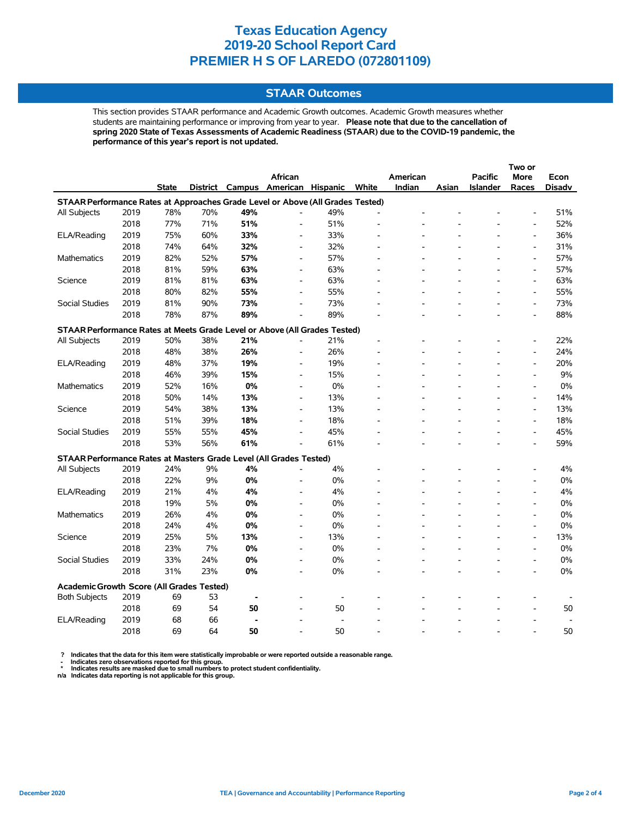### **STAAR Outcomes**

This section provides STAAR performance and Academic Growth outcomes. Academic Growth measures whether students are maintaining performance or improving from year to year. **Please note that due to the cancellation of spring 2020 State of Texas Assessments of Academic Readiness (STAAR) due to the COVID-19 pandemic, the performance of this year's report is not updated.**

|                                                                                |      |              |     |                |                                   |                          |       |          |       |                 | Two or                   |        |
|--------------------------------------------------------------------------------|------|--------------|-----|----------------|-----------------------------------|--------------------------|-------|----------|-------|-----------------|--------------------------|--------|
|                                                                                |      |              |     |                | African                           |                          |       | American |       | <b>Pacific</b>  | <b>More</b>              | Econ   |
|                                                                                |      | <b>State</b> |     |                | District Campus American Hispanic |                          | White | Indian   | Asian | <b>Islander</b> | Races                    | Disadv |
| STAAR Performance Rates at Approaches Grade Level or Above (All Grades Tested) |      |              |     |                |                                   |                          |       |          |       |                 |                          |        |
| All Subjects                                                                   | 2019 | 78%          | 70% | 49%            | $\overline{a}$                    | 49%                      |       |          |       |                 |                          | 51%    |
|                                                                                | 2018 | 77%          | 71% | 51%            | $\overline{\phantom{a}}$          | 51%                      | ÷.    |          |       |                 | $\overline{a}$           | 52%    |
| ELA/Reading                                                                    | 2019 | 75%          | 60% | 33%            | L,                                | 33%                      |       |          |       |                 | $\overline{a}$           | 36%    |
|                                                                                | 2018 | 74%          | 64% | 32%            | $\overline{\phantom{a}}$          | 32%                      |       |          |       |                 | $\overline{\phantom{a}}$ | 31%    |
| <b>Mathematics</b>                                                             | 2019 | 82%          | 52% | 57%            | $\blacksquare$                    | 57%                      |       |          |       |                 | $\overline{a}$           | 57%    |
|                                                                                | 2018 | 81%          | 59% | 63%            | $\overline{\phantom{a}}$          | 63%                      |       |          |       |                 | $\overline{a}$           | 57%    |
| Science                                                                        | 2019 | 81%          | 81% | 63%            | $\overline{\phantom{a}}$          | 63%                      |       |          |       |                 | $\overline{a}$           | 63%    |
|                                                                                | 2018 | 80%          | 82% | 55%            | $\overline{\phantom{a}}$          | 55%                      |       |          |       |                 | $\overline{\phantom{a}}$ | 55%    |
| <b>Social Studies</b>                                                          | 2019 | 81%          | 90% | 73%            | $\overline{\phantom{a}}$          | 73%                      |       |          |       |                 | $\overline{a}$           | 73%    |
|                                                                                | 2018 | 78%          | 87% | 89%            |                                   | 89%                      |       |          |       |                 |                          | 88%    |
| STAAR Performance Rates at Meets Grade Level or Above (All Grades Tested)      |      |              |     |                |                                   |                          |       |          |       |                 |                          |        |
| All Subjects                                                                   | 2019 | 50%          | 38% | 21%            | $\overline{a}$                    | 21%                      |       |          |       |                 |                          | 22%    |
|                                                                                | 2018 | 48%          | 38% | 26%            | $\overline{a}$                    | 26%                      |       |          |       |                 | $\overline{a}$           | 24%    |
| ELA/Reading                                                                    | 2019 | 48%          | 37% | 19%            | $\overline{\phantom{a}}$          | 19%                      |       |          |       |                 | $\overline{a}$           | 20%    |
|                                                                                | 2018 | 46%          | 39% | 15%            | $\overline{\phantom{0}}$          | 15%                      |       |          |       |                 | $\overline{a}$           | 9%     |
| <b>Mathematics</b>                                                             | 2019 | 52%          | 16% | 0%             | $\overline{\phantom{a}}$          | 0%                       |       |          |       |                 | $\overline{\phantom{a}}$ | $0\%$  |
|                                                                                | 2018 | 50%          | 14% | 13%            | L,                                | 13%                      |       |          |       |                 | $\overline{a}$           | 14%    |
| Science                                                                        | 2019 | 54%          | 38% | 13%            | $\blacksquare$                    | 13%                      |       |          |       |                 | $\overline{a}$           | 13%    |
|                                                                                | 2018 | 51%          | 39% | 18%            | $\blacksquare$                    | 18%                      |       |          |       |                 | $\overline{\phantom{a}}$ | 18%    |
| Social Studies                                                                 | 2019 | 55%          | 55% | 45%            | $\overline{\phantom{a}}$          | 45%                      |       |          |       |                 | $\overline{\phantom{a}}$ | 45%    |
|                                                                                | 2018 | 53%          | 56% | 61%            | $\overline{a}$                    | 61%                      |       |          |       |                 | $\overline{a}$           | 59%    |
| STAAR Performance Rates at Masters Grade Level (All Grades Tested)             |      |              |     |                |                                   |                          |       |          |       |                 |                          |        |
| All Subjects                                                                   | 2019 | 24%          | 9%  | 4%             | L,                                | 4%                       |       |          |       |                 |                          | 4%     |
|                                                                                | 2018 | 22%          | 9%  | 0%             | L,                                | 0%                       |       |          |       |                 |                          | 0%     |
| ELA/Reading                                                                    | 2019 | 21%          | 4%  | 4%             | $\overline{\phantom{a}}$          | 4%                       |       |          |       |                 | $\overline{\phantom{a}}$ | 4%     |
|                                                                                | 2018 | 19%          | 5%  | 0%             | $\blacksquare$                    | 0%                       |       |          |       |                 | $\overline{a}$           | 0%     |
| <b>Mathematics</b>                                                             | 2019 | 26%          | 4%  | 0%             | $\overline{\phantom{a}}$          | 0%                       |       |          |       |                 | $\overline{a}$           | 0%     |
|                                                                                | 2018 | 24%          | 4%  | 0%             | $\overline{\phantom{a}}$          | 0%                       |       |          |       |                 | $\overline{\phantom{a}}$ | 0%     |
| Science                                                                        | 2019 | 25%          | 5%  | 13%            |                                   | 13%                      |       |          |       |                 |                          | 13%    |
|                                                                                | 2018 | 23%          | 7%  | 0%             | $\blacksquare$                    | 0%                       |       |          |       |                 | $\overline{a}$           | $0\%$  |
| Social Studies                                                                 | 2019 | 33%          | 24% | 0%             | $\overline{a}$                    | 0%                       |       |          |       |                 | $\overline{a}$           | $0\%$  |
|                                                                                | 2018 | 31%          | 23% | 0%             | $\overline{\phantom{a}}$          | 0%                       |       |          |       |                 | $\overline{a}$           | 0%     |
| Academic Growth Score (All Grades Tested)                                      |      |              |     |                |                                   |                          |       |          |       |                 |                          |        |
| <b>Both Subjects</b>                                                           | 2019 | 69           | 53  | $\blacksquare$ | $\overline{a}$                    | $\overline{\phantom{a}}$ |       |          |       |                 |                          |        |
|                                                                                | 2018 | 69           | 54  | 50             | L,                                | 50                       |       |          |       |                 |                          | 50     |
| ELA/Reading                                                                    | 2019 | 68           | 66  |                |                                   | L,                       |       |          |       |                 |                          |        |
|                                                                                | 2018 | 69           | 64  | 50             |                                   | 50                       |       |          |       |                 |                          | 50     |

 **? Indicates that the data for this item were statistically improbable or were reported outside a reasonable range.**

- Indicates zero observations reported for this group.<br>\* Indicates results are masked due to small numbers to protect student confidentiality.<br>n/a Indicates data reporting is not applicable for this group.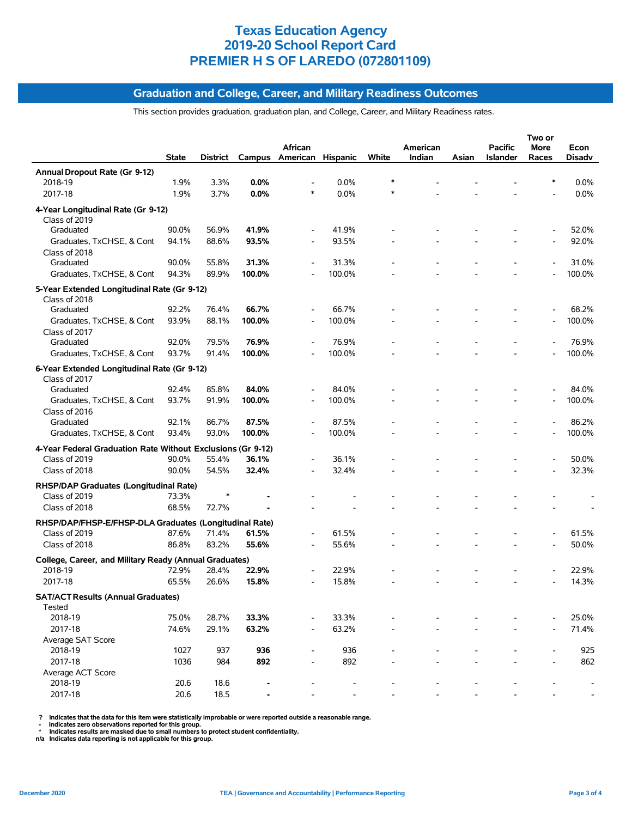### **Graduation and College, Career, and Military Readiness Outcomes**

This section provides graduation, graduation plan, and College, Career, and Military Readiness rates.

|                                                             |              |          |                |                          |        |        |          |       |                 | Two or |         |
|-------------------------------------------------------------|--------------|----------|----------------|--------------------------|--------|--------|----------|-------|-----------------|--------|---------|
|                                                             |              |          |                | African                  |        |        | American |       | <b>Pacific</b>  | More   | Econ    |
|                                                             | <b>State</b> | District |                | Campus American Hispanic |        | White  | Indian   | Asian | <b>Islander</b> | Races  | Disadv  |
| Annual Dropout Rate (Gr 9-12)                               |              |          |                |                          |        |        |          |       |                 |        |         |
| 2018-19                                                     | 1.9%         | 3.3%     | 0.0%           |                          | 0.0%   | $\ast$ |          |       |                 |        | $0.0\%$ |
| 2017-18                                                     | 1.9%         | 3.7%     | 0.0%           |                          | 0.0%   | $\ast$ |          |       |                 |        | 0.0%    |
| 4-Year Longitudinal Rate (Gr 9-12)                          |              |          |                |                          |        |        |          |       |                 |        |         |
| Class of 2019                                               |              |          |                |                          |        |        |          |       |                 |        |         |
| Graduated                                                   | 90.0%        | 56.9%    | 41.9%          |                          | 41.9%  |        |          |       |                 |        | 52.0%   |
| Graduates, TxCHSE, & Cont                                   | 94.1%        | 88.6%    | 93.5%          |                          | 93.5%  |        |          |       |                 |        | 92.0%   |
| Class of 2018                                               |              |          |                |                          |        |        |          |       |                 |        |         |
| Graduated                                                   | 90.0%        | 55.8%    | 31.3%          |                          | 31.3%  |        |          |       |                 |        | 31.0%   |
| Graduates, TxCHSE, & Cont                                   | 94.3%        | 89.9%    | 100.0%         |                          | 100.0% |        |          |       |                 |        | 100.0%  |
| 5-Year Extended Longitudinal Rate (Gr 9-12)                 |              |          |                |                          |        |        |          |       |                 |        |         |
| Class of 2018                                               |              |          |                |                          |        |        |          |       |                 |        |         |
| Graduated                                                   | 92.2%        | 76.4%    | 66.7%          |                          | 66.7%  |        |          |       |                 |        | 68.2%   |
| Graduates, TxCHSE, & Cont                                   | 93.9%        | 88.1%    | 100.0%         |                          | 100.0% |        |          |       |                 |        | 100.0%  |
| Class of 2017                                               |              |          |                |                          |        |        |          |       |                 |        |         |
| Graduated                                                   | 92.0%        | 79.5%    | 76.9%          |                          | 76.9%  |        |          |       |                 |        | 76.9%   |
| Graduates, TxCHSE, & Cont                                   | 93.7%        | 91.4%    | 100.0%         |                          | 100.0% |        |          |       |                 |        | 100.0%  |
| 6-Year Extended Longitudinal Rate (Gr 9-12)                 |              |          |                |                          |        |        |          |       |                 |        |         |
| Class of 2017                                               |              |          |                |                          |        |        |          |       |                 |        |         |
| Graduated                                                   | 92.4%        | 85.8%    | 84.0%          |                          | 84.0%  |        |          |       |                 |        | 84.0%   |
| Graduates, TxCHSE, & Cont                                   | 93.7%        | 91.9%    | 100.0%         |                          | 100.0% |        |          |       |                 |        | 100.0%  |
| Class of 2016<br>Graduated                                  | 92.1%        | 86.7%    | 87.5%          |                          | 87.5%  |        |          |       |                 |        | 86.2%   |
| Graduates, TxCHSE, & Cont                                   | 93.4%        | 93.0%    | 100.0%         |                          | 100.0% |        |          |       |                 |        | 100.0%  |
|                                                             |              |          |                |                          |        |        |          |       |                 |        |         |
| 4-Year Federal Graduation Rate Without Exclusions (Gr 9-12) |              |          |                |                          |        |        |          |       |                 |        |         |
| Class of 2019                                               | 90.0%        | 55.4%    | 36.1%          |                          | 36.1%  |        |          |       |                 |        | 50.0%   |
| Class of 2018                                               | 90.0%        | 54.5%    | 32.4%          |                          | 32.4%  |        |          |       |                 |        | 32.3%   |
| RHSP/DAP Graduates (Longitudinal Rate)                      |              |          |                |                          |        |        |          |       |                 |        |         |
| Class of 2019                                               | 73.3%        |          |                |                          |        |        |          |       |                 |        |         |
| Class of 2018                                               | 68.5%        | 72.7%    |                |                          |        |        |          |       |                 |        |         |
| RHSP/DAP/FHSP-E/FHSP-DLA Graduates (Longitudinal Rate)      |              |          |                |                          |        |        |          |       |                 |        |         |
| Class of 2019                                               | 87.6%        | 71.4%    | 61.5%          |                          | 61.5%  |        |          |       |                 |        | 61.5%   |
| Class of 2018                                               | 86.8%        | 83.2%    | 55.6%          |                          | 55.6%  |        |          |       |                 |        | 50.0%   |
| College, Career, and Military Ready (Annual Graduates)      |              |          |                |                          |        |        |          |       |                 |        |         |
| 2018-19                                                     | 72.9%        | 28.4%    | 22.9%          |                          | 22.9%  |        |          |       |                 |        | 22.9%   |
| 2017-18                                                     | 65.5%        | 26.6%    | 15.8%          |                          | 15.8%  |        |          |       |                 |        | 14.3%   |
|                                                             |              |          |                |                          |        |        |          |       |                 |        |         |
| <b>SAT/ACT Results (Annual Graduates)</b>                   |              |          |                |                          |        |        |          |       |                 |        |         |
| Tested<br>2018-19                                           | 75.0%        | 28.7%    | 33.3%          |                          | 33.3%  |        |          |       |                 |        | 25.0%   |
| 2017-18                                                     | 74.6%        | 29.1%    | 63.2%          |                          | 63.2%  |        |          |       |                 |        | 71.4%   |
| Average SAT Score                                           |              |          |                |                          |        |        |          |       |                 |        |         |
| 2018-19                                                     | 1027         | 937      | 936            | $\overline{a}$           | 936    |        |          |       |                 |        | 925     |
| 2017-18                                                     | 1036         | 984      | 892            |                          | 892    |        |          |       |                 |        | 862     |
| Average ACT Score                                           |              |          |                |                          |        |        |          |       |                 |        |         |
| 2018-19                                                     | 20.6         | 18.6     |                |                          |        |        |          |       |                 |        |         |
| 2017-18                                                     | 20.6         | 18.5     | $\blacksquare$ |                          |        |        |          |       |                 |        |         |
|                                                             |              |          |                |                          |        |        |          |       |                 |        |         |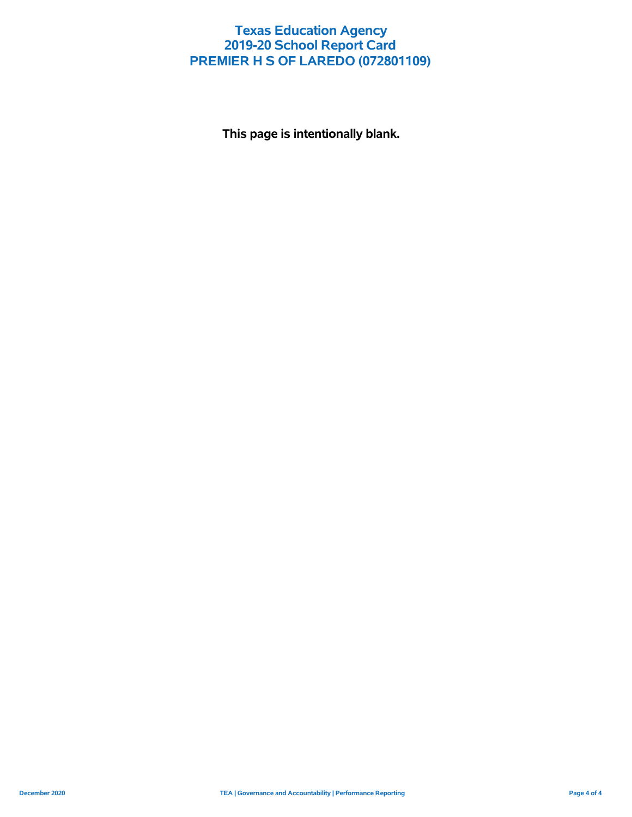**This page is intentionally blank.**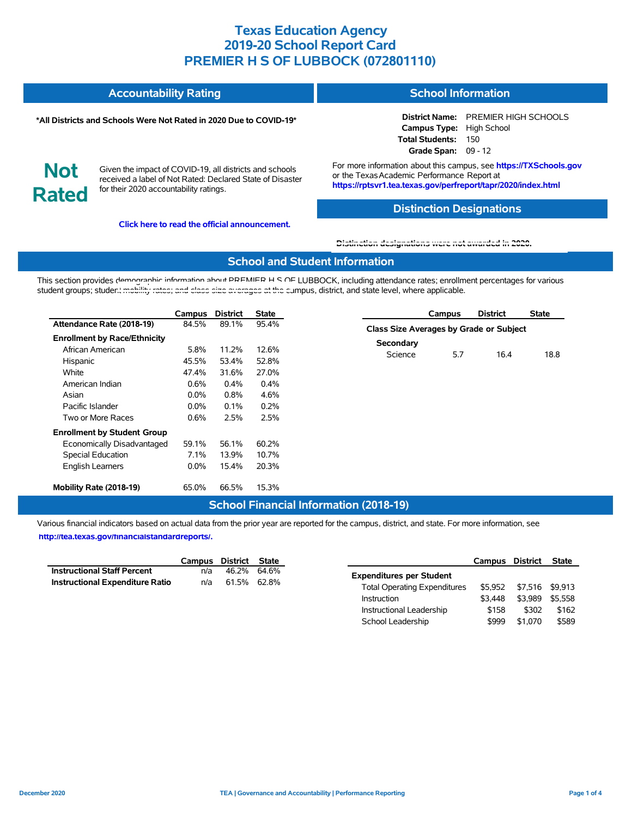#### **Accountability Rating School Information**

#### **\*All Districts and Schools Were Not Rated in 2020 Due to COVID-19\***

**District Name:** PREMIER HIGH SCHOOLS **Campus Type:** High School **Total Students:** 150 **Grade Span:** 09 - 12

**Not Rated**

Given the impact of COVID-19, all districts and schools received a label of Not Rated: Declared State of Disaster for their 2020 accountability ratings.

For more information about this campus, see **https://TXSchools.gov** or the Texas Academic Performance Report at **https://rptsvr1.tea.texas.gov/perfreport/tapr/2020/index.html**

### **Distinction Designations**

# **Click here to read the official announcement.**

#### **[Distinction designations were not awarded in 2020.](https://rptsvr1.tea.texas.gov/perfreport/tapr/2020/index.html)**

### **School and Student Information**

This section provides demographic information about PREMIER H S OF LUBBOCK, including attendance rates; enrollment percentages for various student groups; stude[nt mobility rates; and class size averages at the ca](https://tea.texas.gov/about-tea/news-and-multimedia/correspondence/taa-letters/every-student-succeeds-act-essa-waiver-approval-2020-state-academic-accountability)mpus, district, and state level, where applicable.

|                                                                                                                              | Campus                                               | <b>District</b>                                 | <b>State</b>                                    |                                         | Campus | <b>District</b> | <b>State</b> |
|------------------------------------------------------------------------------------------------------------------------------|------------------------------------------------------|-------------------------------------------------|-------------------------------------------------|-----------------------------------------|--------|-----------------|--------------|
| Attendance Rate (2018-19)                                                                                                    | 84.5%                                                | 89.1%                                           | 95.4%                                           | Class Size Averages by Grade or Subject |        |                 |              |
| <b>Enrollment by Race/Ethnicity</b><br>African American<br>Hispanic<br>White<br>American Indian<br>Asian<br>Pacific Islander | 5.8%<br>45.5%<br>47.4%<br>0.6%<br>$0.0\%$<br>$0.0\%$ | 11.2%<br>53.4%<br>31.6%<br>0.4%<br>0.8%<br>0.1% | 12.6%<br>52.8%<br>27.0%<br>0.4%<br>4.6%<br>0.2% | Secondary<br>Science                    | 5.7    | 16.4            | 18.8         |
| Two or More Races                                                                                                            | 0.6%                                                 | 2.5%                                            | 2.5%                                            |                                         |        |                 |              |
| <b>Enrollment by Student Group</b><br>Economically Disadvantaged                                                             | 59.1%                                                | 56.1%                                           | 60.2%                                           |                                         |        |                 |              |
| Special Education<br><b>English Learners</b>                                                                                 | 7.1%<br>$0.0\%$                                      | 13.9%<br>15.4%                                  | 10.7%<br>20.3%                                  |                                         |        |                 |              |
| Mobility Rate (2018-19)                                                                                                      | 65.0%                                                | 66.5%                                           | 15.3%                                           |                                         |        |                 |              |

### **School Financial Information (2018-19)**

Various financial indicators based on actual data from the prior year are reported for the campus, district, and state. For more information, see **[http://tea.texas.gov/financialstandardreports/.](http://tea.texas.gov/financialstandardreports/)**

|                                        | Campus District State |             |  |
|----------------------------------------|-----------------------|-------------|--|
| <b>Instructional Staff Percent</b>     | n/a                   | 46.2% 64.6% |  |
| <b>Instructional Expenditure Ratio</b> | n/a                   | 61.5% 62.8% |  |

|                                     | Campus District |         | <b>State</b> |
|-------------------------------------|-----------------|---------|--------------|
| <b>Expenditures per Student</b>     |                 |         |              |
| <b>Total Operating Expenditures</b> | \$5.952         | \$7.516 | \$9.913      |
| <b>Instruction</b>                  | \$3.448         | \$3.989 | \$5.558      |
| Instructional Leadership            | \$158           | \$302   | \$162        |
| School Leadership                   | \$999           | \$1.070 | \$589        |

l.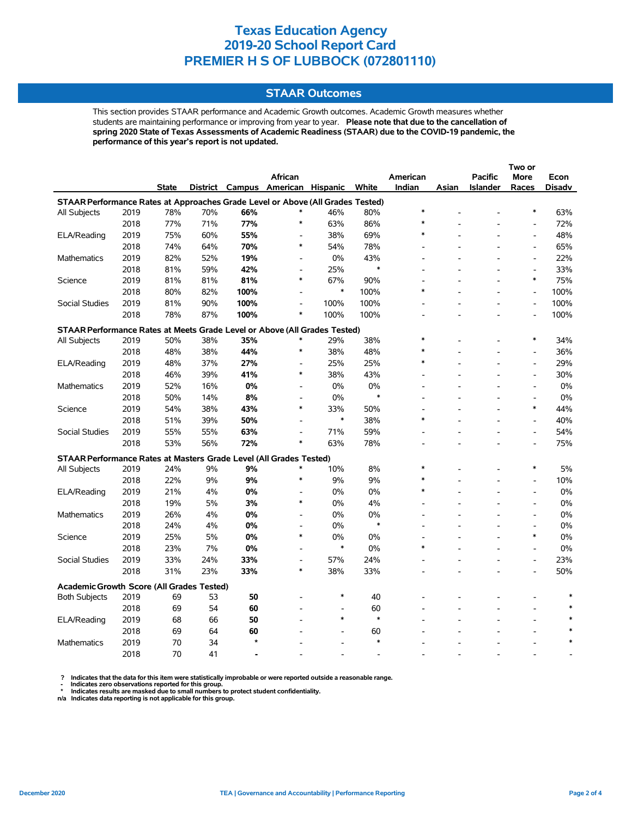### **STAAR Outcomes**

This section provides STAAR performance and Academic Growth outcomes. Academic Growth measures whether students are maintaining performance or improving from year to year. **Please note that due to the cancellation of spring 2020 State of Texas Assessments of Academic Readiness (STAAR) due to the COVID-19 pandemic, the performance of this year's report is not updated.**

| African<br><b>Pacific</b><br>American<br><b>More</b><br>Econ<br>District Campus American Hispanic<br>White<br>Indian<br>Asian<br><b>Islander</b><br>Races<br><b>Disadv</b><br>State<br>STAAR Performance Rates at Approaches Grade Level or Above (All Grades Tested)<br>78%<br>$\ast$<br>$\ast$<br>70%<br>66%<br>46%<br>63%<br>2019<br>∗<br>80%<br>All Subjects<br>2018<br>77%<br>71%<br>77%<br>∗<br>63%<br>86%<br>*<br>72%<br>$\overline{a}$<br>48%<br>2019<br>75%<br>60%<br>55%<br>38%<br>69%<br>$\ast$<br>ELA/Reading<br>2018<br>74%<br>64%<br>70%<br>*<br>78%<br>65%<br>54%<br>$\overline{a}$<br>2019<br>82%<br>52%<br>19%<br>0%<br>43%<br>22%<br><b>Mathematics</b><br>$\blacksquare$<br>$\overline{a}$<br>$\ast$<br>59%<br>42%<br>33%<br>2018<br>81%<br>25%<br>$\overline{a}$<br>$\overline{\phantom{0}}$<br>$\ast$<br>*<br>81%<br>81%<br>90%<br>75%<br>Science<br>2019<br>81%<br>67%<br>$\ast$<br>2018<br>80%<br>82%<br>100%<br>100%<br>$\ast$<br>100%<br>$\overline{a}$<br>L,<br>2019<br>81%<br>90%<br>100%<br>100%<br>100%<br>Social Studies<br>100%<br>$\overline{a}$<br>$\overline{a}$<br>2018<br>78%<br>87%<br>100%<br>∗<br>100%<br>100%<br>100%<br>STAAR Performance Rates at Meets Grade Level or Above (All Grades Tested)<br>38%<br>$\ast$<br>2019<br>50%<br>35%<br>29%<br>38%<br>$\ast$<br>All Subjects<br>∗<br>34%<br>48%<br>38%<br>44%<br>$\ast$<br>38%<br>36%<br>2018<br>48%<br>$\ast$<br>$\overline{a}$<br>37%<br>27%<br>29%<br>2019<br>48%<br>25%<br>25%<br>$\ast$<br>ELA/Reading<br>$\overline{\phantom{a}}$<br>$\overline{a}$<br>46%<br>39%<br>41%<br>$\ast$<br>43%<br>30%<br>2018<br>38%<br>$0\%$<br>2019<br>52%<br>16%<br>0%<br>0%<br>0%<br><b>Mathematics</b><br>L,<br>$\overline{\phantom{a}}$<br>8%<br>$\ast$<br>$0\%$<br>2018<br>50%<br>14%<br>0%<br>$\overline{\phantom{a}}$<br>$\overline{\phantom{a}}$<br>2019<br>54%<br>38%<br>43%<br>*<br>33%<br>*<br>44%<br>Science<br>50%<br>$\ast$<br>2018<br>51%<br>39%<br>50%<br>38%<br>$\ast$<br>40%<br>$\overline{\phantom{a}}$<br>54%<br>Social Studies<br>2019<br>55%<br>55%<br>63%<br>71%<br>59%<br>$\overline{a}$<br>$\overline{a}$<br>*<br>2018<br>53%<br>56%<br>72%<br>63%<br>78%<br>75%<br>$\overline{a}$<br>STAAR Performance Rates at Masters Grade Level (All Grades Tested) |              |      |     |    |    |   |     |    |        |  | Two or |    |
|-------------------------------------------------------------------------------------------------------------------------------------------------------------------------------------------------------------------------------------------------------------------------------------------------------------------------------------------------------------------------------------------------------------------------------------------------------------------------------------------------------------------------------------------------------------------------------------------------------------------------------------------------------------------------------------------------------------------------------------------------------------------------------------------------------------------------------------------------------------------------------------------------------------------------------------------------------------------------------------------------------------------------------------------------------------------------------------------------------------------------------------------------------------------------------------------------------------------------------------------------------------------------------------------------------------------------------------------------------------------------------------------------------------------------------------------------------------------------------------------------------------------------------------------------------------------------------------------------------------------------------------------------------------------------------------------------------------------------------------------------------------------------------------------------------------------------------------------------------------------------------------------------------------------------------------------------------------------------------------------------------------------------------------------------------------------------------------------------------------------------------------------------------------------------------------------------------------------------------------------------------------------|--------------|------|-----|----|----|---|-----|----|--------|--|--------|----|
|                                                                                                                                                                                                                                                                                                                                                                                                                                                                                                                                                                                                                                                                                                                                                                                                                                                                                                                                                                                                                                                                                                                                                                                                                                                                                                                                                                                                                                                                                                                                                                                                                                                                                                                                                                                                                                                                                                                                                                                                                                                                                                                                                                                                                                                                   |              |      |     |    |    |   |     |    |        |  |        |    |
|                                                                                                                                                                                                                                                                                                                                                                                                                                                                                                                                                                                                                                                                                                                                                                                                                                                                                                                                                                                                                                                                                                                                                                                                                                                                                                                                                                                                                                                                                                                                                                                                                                                                                                                                                                                                                                                                                                                                                                                                                                                                                                                                                                                                                                                                   |              |      |     |    |    |   |     |    |        |  |        |    |
|                                                                                                                                                                                                                                                                                                                                                                                                                                                                                                                                                                                                                                                                                                                                                                                                                                                                                                                                                                                                                                                                                                                                                                                                                                                                                                                                                                                                                                                                                                                                                                                                                                                                                                                                                                                                                                                                                                                                                                                                                                                                                                                                                                                                                                                                   |              |      |     |    |    |   |     |    |        |  |        |    |
|                                                                                                                                                                                                                                                                                                                                                                                                                                                                                                                                                                                                                                                                                                                                                                                                                                                                                                                                                                                                                                                                                                                                                                                                                                                                                                                                                                                                                                                                                                                                                                                                                                                                                                                                                                                                                                                                                                                                                                                                                                                                                                                                                                                                                                                                   |              |      |     |    |    |   |     |    |        |  |        |    |
|                                                                                                                                                                                                                                                                                                                                                                                                                                                                                                                                                                                                                                                                                                                                                                                                                                                                                                                                                                                                                                                                                                                                                                                                                                                                                                                                                                                                                                                                                                                                                                                                                                                                                                                                                                                                                                                                                                                                                                                                                                                                                                                                                                                                                                                                   |              |      |     |    |    |   |     |    |        |  |        |    |
|                                                                                                                                                                                                                                                                                                                                                                                                                                                                                                                                                                                                                                                                                                                                                                                                                                                                                                                                                                                                                                                                                                                                                                                                                                                                                                                                                                                                                                                                                                                                                                                                                                                                                                                                                                                                                                                                                                                                                                                                                                                                                                                                                                                                                                                                   |              |      |     |    |    |   |     |    |        |  |        |    |
|                                                                                                                                                                                                                                                                                                                                                                                                                                                                                                                                                                                                                                                                                                                                                                                                                                                                                                                                                                                                                                                                                                                                                                                                                                                                                                                                                                                                                                                                                                                                                                                                                                                                                                                                                                                                                                                                                                                                                                                                                                                                                                                                                                                                                                                                   |              |      |     |    |    |   |     |    |        |  |        |    |
|                                                                                                                                                                                                                                                                                                                                                                                                                                                                                                                                                                                                                                                                                                                                                                                                                                                                                                                                                                                                                                                                                                                                                                                                                                                                                                                                                                                                                                                                                                                                                                                                                                                                                                                                                                                                                                                                                                                                                                                                                                                                                                                                                                                                                                                                   |              |      |     |    |    |   |     |    |        |  |        |    |
|                                                                                                                                                                                                                                                                                                                                                                                                                                                                                                                                                                                                                                                                                                                                                                                                                                                                                                                                                                                                                                                                                                                                                                                                                                                                                                                                                                                                                                                                                                                                                                                                                                                                                                                                                                                                                                                                                                                                                                                                                                                                                                                                                                                                                                                                   |              |      |     |    |    |   |     |    |        |  |        |    |
|                                                                                                                                                                                                                                                                                                                                                                                                                                                                                                                                                                                                                                                                                                                                                                                                                                                                                                                                                                                                                                                                                                                                                                                                                                                                                                                                                                                                                                                                                                                                                                                                                                                                                                                                                                                                                                                                                                                                                                                                                                                                                                                                                                                                                                                                   |              |      |     |    |    |   |     |    |        |  |        |    |
|                                                                                                                                                                                                                                                                                                                                                                                                                                                                                                                                                                                                                                                                                                                                                                                                                                                                                                                                                                                                                                                                                                                                                                                                                                                                                                                                                                                                                                                                                                                                                                                                                                                                                                                                                                                                                                                                                                                                                                                                                                                                                                                                                                                                                                                                   |              |      |     |    |    |   |     |    |        |  |        |    |
|                                                                                                                                                                                                                                                                                                                                                                                                                                                                                                                                                                                                                                                                                                                                                                                                                                                                                                                                                                                                                                                                                                                                                                                                                                                                                                                                                                                                                                                                                                                                                                                                                                                                                                                                                                                                                                                                                                                                                                                                                                                                                                                                                                                                                                                                   |              |      |     |    |    |   |     |    |        |  |        |    |
|                                                                                                                                                                                                                                                                                                                                                                                                                                                                                                                                                                                                                                                                                                                                                                                                                                                                                                                                                                                                                                                                                                                                                                                                                                                                                                                                                                                                                                                                                                                                                                                                                                                                                                                                                                                                                                                                                                                                                                                                                                                                                                                                                                                                                                                                   |              |      |     |    |    |   |     |    |        |  |        |    |
|                                                                                                                                                                                                                                                                                                                                                                                                                                                                                                                                                                                                                                                                                                                                                                                                                                                                                                                                                                                                                                                                                                                                                                                                                                                                                                                                                                                                                                                                                                                                                                                                                                                                                                                                                                                                                                                                                                                                                                                                                                                                                                                                                                                                                                                                   |              |      |     |    |    |   |     |    |        |  |        |    |
|                                                                                                                                                                                                                                                                                                                                                                                                                                                                                                                                                                                                                                                                                                                                                                                                                                                                                                                                                                                                                                                                                                                                                                                                                                                                                                                                                                                                                                                                                                                                                                                                                                                                                                                                                                                                                                                                                                                                                                                                                                                                                                                                                                                                                                                                   |              |      |     |    |    |   |     |    |        |  |        |    |
|                                                                                                                                                                                                                                                                                                                                                                                                                                                                                                                                                                                                                                                                                                                                                                                                                                                                                                                                                                                                                                                                                                                                                                                                                                                                                                                                                                                                                                                                                                                                                                                                                                                                                                                                                                                                                                                                                                                                                                                                                                                                                                                                                                                                                                                                   |              |      |     |    |    |   |     |    |        |  |        |    |
|                                                                                                                                                                                                                                                                                                                                                                                                                                                                                                                                                                                                                                                                                                                                                                                                                                                                                                                                                                                                                                                                                                                                                                                                                                                                                                                                                                                                                                                                                                                                                                                                                                                                                                                                                                                                                                                                                                                                                                                                                                                                                                                                                                                                                                                                   |              |      |     |    |    |   |     |    |        |  |        |    |
|                                                                                                                                                                                                                                                                                                                                                                                                                                                                                                                                                                                                                                                                                                                                                                                                                                                                                                                                                                                                                                                                                                                                                                                                                                                                                                                                                                                                                                                                                                                                                                                                                                                                                                                                                                                                                                                                                                                                                                                                                                                                                                                                                                                                                                                                   |              |      |     |    |    |   |     |    |        |  |        |    |
|                                                                                                                                                                                                                                                                                                                                                                                                                                                                                                                                                                                                                                                                                                                                                                                                                                                                                                                                                                                                                                                                                                                                                                                                                                                                                                                                                                                                                                                                                                                                                                                                                                                                                                                                                                                                                                                                                                                                                                                                                                                                                                                                                                                                                                                                   |              |      |     |    |    |   |     |    |        |  |        |    |
|                                                                                                                                                                                                                                                                                                                                                                                                                                                                                                                                                                                                                                                                                                                                                                                                                                                                                                                                                                                                                                                                                                                                                                                                                                                                                                                                                                                                                                                                                                                                                                                                                                                                                                                                                                                                                                                                                                                                                                                                                                                                                                                                                                                                                                                                   |              |      |     |    |    |   |     |    |        |  |        |    |
|                                                                                                                                                                                                                                                                                                                                                                                                                                                                                                                                                                                                                                                                                                                                                                                                                                                                                                                                                                                                                                                                                                                                                                                                                                                                                                                                                                                                                                                                                                                                                                                                                                                                                                                                                                                                                                                                                                                                                                                                                                                                                                                                                                                                                                                                   |              |      |     |    |    |   |     |    |        |  |        |    |
|                                                                                                                                                                                                                                                                                                                                                                                                                                                                                                                                                                                                                                                                                                                                                                                                                                                                                                                                                                                                                                                                                                                                                                                                                                                                                                                                                                                                                                                                                                                                                                                                                                                                                                                                                                                                                                                                                                                                                                                                                                                                                                                                                                                                                                                                   |              |      |     |    |    |   |     |    |        |  |        |    |
|                                                                                                                                                                                                                                                                                                                                                                                                                                                                                                                                                                                                                                                                                                                                                                                                                                                                                                                                                                                                                                                                                                                                                                                                                                                                                                                                                                                                                                                                                                                                                                                                                                                                                                                                                                                                                                                                                                                                                                                                                                                                                                                                                                                                                                                                   |              |      |     |    |    |   |     |    |        |  |        |    |
|                                                                                                                                                                                                                                                                                                                                                                                                                                                                                                                                                                                                                                                                                                                                                                                                                                                                                                                                                                                                                                                                                                                                                                                                                                                                                                                                                                                                                                                                                                                                                                                                                                                                                                                                                                                                                                                                                                                                                                                                                                                                                                                                                                                                                                                                   |              |      |     |    |    |   |     |    |        |  |        |    |
|                                                                                                                                                                                                                                                                                                                                                                                                                                                                                                                                                                                                                                                                                                                                                                                                                                                                                                                                                                                                                                                                                                                                                                                                                                                                                                                                                                                                                                                                                                                                                                                                                                                                                                                                                                                                                                                                                                                                                                                                                                                                                                                                                                                                                                                                   |              |      |     |    |    |   |     |    |        |  |        |    |
|                                                                                                                                                                                                                                                                                                                                                                                                                                                                                                                                                                                                                                                                                                                                                                                                                                                                                                                                                                                                                                                                                                                                                                                                                                                                                                                                                                                                                                                                                                                                                                                                                                                                                                                                                                                                                                                                                                                                                                                                                                                                                                                                                                                                                                                                   | All Subjects | 2019 | 24% | 9% | 9% | ∗ | 10% | 8% | $\ast$ |  | ∗      | 5% |
| 22%<br>9%<br>9%<br>*<br>10%<br>2018<br>9%<br>9%<br>$\ast$<br>$\overline{\phantom{a}}$                                                                                                                                                                                                                                                                                                                                                                                                                                                                                                                                                                                                                                                                                                                                                                                                                                                                                                                                                                                                                                                                                                                                                                                                                                                                                                                                                                                                                                                                                                                                                                                                                                                                                                                                                                                                                                                                                                                                                                                                                                                                                                                                                                             |              |      |     |    |    |   |     |    |        |  |        |    |
| 21%<br>4%<br>0%<br>0%<br>ELA/Reading<br>2019<br>0%<br>0%<br>$\ast$<br>$\overline{a}$<br>$\overline{a}$                                                                                                                                                                                                                                                                                                                                                                                                                                                                                                                                                                                                                                                                                                                                                                                                                                                                                                                                                                                                                                                                                                                                                                                                                                                                                                                                                                                                                                                                                                                                                                                                                                                                                                                                                                                                                                                                                                                                                                                                                                                                                                                                                            |              |      |     |    |    |   |     |    |        |  |        |    |
| $\ast$<br>19%<br>3%<br>0%<br>2018<br>5%<br>0%<br>4%<br>$\overline{a}$                                                                                                                                                                                                                                                                                                                                                                                                                                                                                                                                                                                                                                                                                                                                                                                                                                                                                                                                                                                                                                                                                                                                                                                                                                                                                                                                                                                                                                                                                                                                                                                                                                                                                                                                                                                                                                                                                                                                                                                                                                                                                                                                                                                             |              |      |     |    |    |   |     |    |        |  |        |    |
| 26%<br>0%<br>$0\%$<br><b>Mathematics</b><br>2019<br>4%<br>0%<br>0%<br>L,                                                                                                                                                                                                                                                                                                                                                                                                                                                                                                                                                                                                                                                                                                                                                                                                                                                                                                                                                                                                                                                                                                                                                                                                                                                                                                                                                                                                                                                                                                                                                                                                                                                                                                                                                                                                                                                                                                                                                                                                                                                                                                                                                                                          |              |      |     |    |    |   |     |    |        |  |        |    |
| 2018<br>24%<br>4%<br>0%<br>0%<br>$\ast$<br>0%<br>L,                                                                                                                                                                                                                                                                                                                                                                                                                                                                                                                                                                                                                                                                                                                                                                                                                                                                                                                                                                                                                                                                                                                                                                                                                                                                                                                                                                                                                                                                                                                                                                                                                                                                                                                                                                                                                                                                                                                                                                                                                                                                                                                                                                                                               |              |      |     |    |    |   |     |    |        |  |        |    |
| 2019<br>25%<br>5%<br>0%<br>*<br>0%<br>$\ast$<br>0%<br>0%<br>Science                                                                                                                                                                                                                                                                                                                                                                                                                                                                                                                                                                                                                                                                                                                                                                                                                                                                                                                                                                                                                                                                                                                                                                                                                                                                                                                                                                                                                                                                                                                                                                                                                                                                                                                                                                                                                                                                                                                                                                                                                                                                                                                                                                                               |              |      |     |    |    |   |     |    |        |  |        |    |
| 2018<br>23%<br>7%<br>0%<br>$\ast$<br>0%<br>$0\%$<br>$\ast$<br>$\overline{a}$<br>$\overline{a}$                                                                                                                                                                                                                                                                                                                                                                                                                                                                                                                                                                                                                                                                                                                                                                                                                                                                                                                                                                                                                                                                                                                                                                                                                                                                                                                                                                                                                                                                                                                                                                                                                                                                                                                                                                                                                                                                                                                                                                                                                                                                                                                                                                    |              |      |     |    |    |   |     |    |        |  |        |    |
| Social Studies<br>2019<br>33%<br>24%<br>33%<br>57%<br>24%<br>23%<br>$\overline{a}$<br>$\overline{a}$                                                                                                                                                                                                                                                                                                                                                                                                                                                                                                                                                                                                                                                                                                                                                                                                                                                                                                                                                                                                                                                                                                                                                                                                                                                                                                                                                                                                                                                                                                                                                                                                                                                                                                                                                                                                                                                                                                                                                                                                                                                                                                                                                              |              |      |     |    |    |   |     |    |        |  |        |    |
| 2018<br>31%<br>23%<br>33%<br>*<br>50%<br>38%<br>33%<br>$\overline{a}$                                                                                                                                                                                                                                                                                                                                                                                                                                                                                                                                                                                                                                                                                                                                                                                                                                                                                                                                                                                                                                                                                                                                                                                                                                                                                                                                                                                                                                                                                                                                                                                                                                                                                                                                                                                                                                                                                                                                                                                                                                                                                                                                                                                             |              |      |     |    |    |   |     |    |        |  |        |    |
|                                                                                                                                                                                                                                                                                                                                                                                                                                                                                                                                                                                                                                                                                                                                                                                                                                                                                                                                                                                                                                                                                                                                                                                                                                                                                                                                                                                                                                                                                                                                                                                                                                                                                                                                                                                                                                                                                                                                                                                                                                                                                                                                                                                                                                                                   |              |      |     |    |    |   |     |    |        |  |        |    |
| <b>Academic Growth Score (All Grades Tested)</b><br>2019<br>69<br>53<br>50<br>$\ast$<br>40<br><b>Both Subjects</b>                                                                                                                                                                                                                                                                                                                                                                                                                                                                                                                                                                                                                                                                                                                                                                                                                                                                                                                                                                                                                                                                                                                                                                                                                                                                                                                                                                                                                                                                                                                                                                                                                                                                                                                                                                                                                                                                                                                                                                                                                                                                                                                                                |              |      |     |    |    |   |     |    |        |  |        |    |
| 2018<br>69<br>54<br>60<br>60<br>$\overline{a}$                                                                                                                                                                                                                                                                                                                                                                                                                                                                                                                                                                                                                                                                                                                                                                                                                                                                                                                                                                                                                                                                                                                                                                                                                                                                                                                                                                                                                                                                                                                                                                                                                                                                                                                                                                                                                                                                                                                                                                                                                                                                                                                                                                                                                    |              |      |     |    |    |   |     |    |        |  |        |    |
| $\ast$<br>2019<br>68<br>66<br>50<br>$\ast$<br>ELA/Reading                                                                                                                                                                                                                                                                                                                                                                                                                                                                                                                                                                                                                                                                                                                                                                                                                                                                                                                                                                                                                                                                                                                                                                                                                                                                                                                                                                                                                                                                                                                                                                                                                                                                                                                                                                                                                                                                                                                                                                                                                                                                                                                                                                                                         |              |      |     |    |    |   |     |    |        |  |        |    |
| 2018<br>69<br>64<br>60<br>60                                                                                                                                                                                                                                                                                                                                                                                                                                                                                                                                                                                                                                                                                                                                                                                                                                                                                                                                                                                                                                                                                                                                                                                                                                                                                                                                                                                                                                                                                                                                                                                                                                                                                                                                                                                                                                                                                                                                                                                                                                                                                                                                                                                                                                      |              |      |     |    |    |   |     |    |        |  |        |    |
| $\star$<br>2019<br>70<br>34<br>$\ast$<br><b>Mathematics</b>                                                                                                                                                                                                                                                                                                                                                                                                                                                                                                                                                                                                                                                                                                                                                                                                                                                                                                                                                                                                                                                                                                                                                                                                                                                                                                                                                                                                                                                                                                                                                                                                                                                                                                                                                                                                                                                                                                                                                                                                                                                                                                                                                                                                       |              |      |     |    |    |   |     |    |        |  |        |    |
| 2018<br>70<br>41                                                                                                                                                                                                                                                                                                                                                                                                                                                                                                                                                                                                                                                                                                                                                                                                                                                                                                                                                                                                                                                                                                                                                                                                                                                                                                                                                                                                                                                                                                                                                                                                                                                                                                                                                                                                                                                                                                                                                                                                                                                                                                                                                                                                                                                  |              |      |     |    |    |   |     |    |        |  |        |    |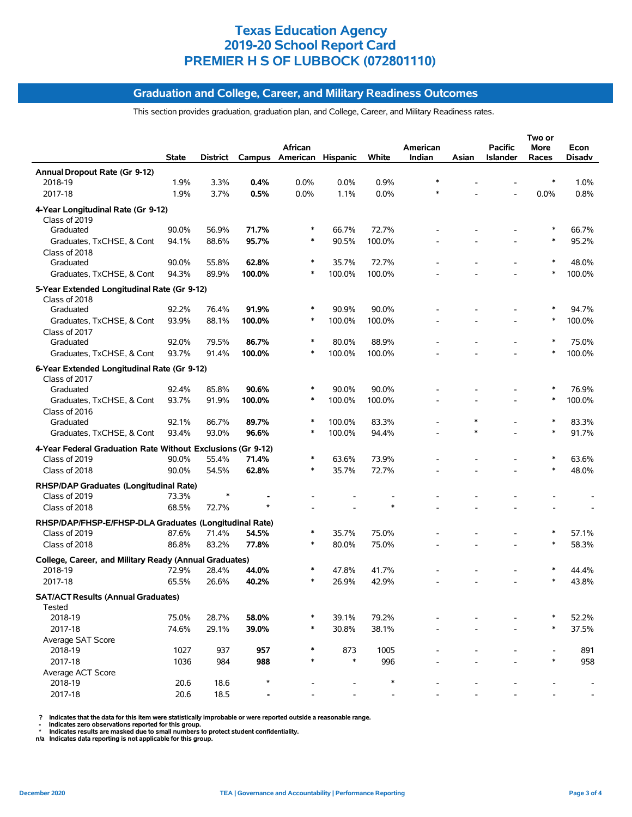### **Graduation and College, Career, and Military Readiness Outcomes**

This section provides graduation, graduation plan, and College, Career, and Military Readiness rates.

|                                                              | <b>State</b> | District |        | African<br>Campus American Hispanic |        | White  | American<br>Indian | Asian  | <b>Pacific</b><br>Islander | Two or<br>More<br>Races | Econ<br>Disadv |
|--------------------------------------------------------------|--------------|----------|--------|-------------------------------------|--------|--------|--------------------|--------|----------------------------|-------------------------|----------------|
| Annual Dropout Rate (Gr 9-12)                                |              |          |        |                                     |        |        |                    |        |                            |                         |                |
| 2018-19                                                      | 1.9%         | 3.3%     | 0.4%   | 0.0%                                | 0.0%   | 0.9%   | $\ast$             |        |                            |                         | 1.0%           |
| 2017-18                                                      | 1.9%         | 3.7%     | 0.5%   | 0.0%                                | 1.1%   | 0.0%   |                    |        |                            | 0.0%                    | 0.8%           |
| 4-Year Longitudinal Rate (Gr 9-12)<br>Class of 2019          |              |          |        |                                     |        |        |                    |        |                            |                         |                |
| Graduated                                                    | 90.0%        | 56.9%    | 71.7%  |                                     | 66.7%  | 72.7%  |                    |        |                            |                         | 66.7%          |
| Graduates, TxCHSE, & Cont                                    | 94.1%        | 88.6%    | 95.7%  | $\ast$                              | 90.5%  | 100.0% |                    |        |                            | $\ast$                  | 95.2%          |
| Class of 2018<br>Graduated                                   | 90.0%        | 55.8%    | 62.8%  | $\ast$                              | 35.7%  | 72.7%  |                    |        |                            |                         | 48.0%          |
| Graduates, TxCHSE, & Cont                                    | 94.3%        | 89.9%    | 100.0% | $\ast$                              | 100.0% | 100.0% |                    |        |                            |                         | 100.0%         |
| 5-Year Extended Longitudinal Rate (Gr 9-12)                  |              |          |        |                                     |        |        |                    |        |                            |                         |                |
| Class of 2018                                                |              |          |        |                                     |        |        |                    |        |                            |                         |                |
| Graduated                                                    | 92.2%        | 76.4%    | 91.9%  |                                     | 90.9%  | 90.0%  |                    |        |                            |                         | 94.7%          |
| Graduates, TxCHSE, & Cont                                    | 93.9%        | 88.1%    | 100.0% |                                     | 100.0% | 100.0% |                    |        |                            |                         | 100.0%         |
| Class of 2017<br>Graduated                                   | 92.0%        | 79.5%    | 86.7%  |                                     | 80.0%  | 88.9%  |                    |        |                            |                         | 75.0%          |
|                                                              | 93.7%        |          | 100.0% |                                     | 100.0% | 100.0% |                    |        |                            |                         | 100.0%         |
| Graduates, TxCHSE, & Cont                                    |              | 91.4%    |        |                                     |        |        |                    |        |                            |                         |                |
| 6-Year Extended Longitudinal Rate (Gr 9-12)<br>Class of 2017 |              |          |        |                                     |        |        |                    |        |                            |                         |                |
| Graduated                                                    | 92.4%        | 85.8%    | 90.6%  |                                     | 90.0%  | 90.0%  |                    |        |                            |                         | 76.9%          |
| Graduates, TxCHSE, & Cont<br>Class of 2016                   | 93.7%        | 91.9%    | 100.0% | $\ast$                              | 100.0% | 100.0% |                    |        |                            | $\ast$                  | 100.0%         |
| Graduated                                                    | 92.1%        | 86.7%    | 89.7%  |                                     | 100.0% | 83.3%  |                    |        |                            |                         | 83.3%          |
| Graduates, TxCHSE, & Cont                                    | 93.4%        | 93.0%    | 96.6%  |                                     | 100.0% | 94.4%  |                    | $\ast$ |                            | $\ast$                  | 91.7%          |
| 4-Year Federal Graduation Rate Without Exclusions (Gr 9-12)  |              |          |        |                                     |        |        |                    |        |                            |                         |                |
| Class of 2019                                                | 90.0%        | 55.4%    | 71.4%  |                                     | 63.6%  | 73.9%  |                    |        |                            |                         | 63.6%          |
| Class of 2018                                                | 90.0%        | 54.5%    | 62.8%  |                                     | 35.7%  | 72.7%  |                    |        |                            | $\ast$                  | 48.0%          |
| RHSP/DAP Graduates (Longitudinal Rate)                       |              |          |        |                                     |        |        |                    |        |                            |                         |                |
| Class of 2019                                                | 73.3%        |          |        |                                     |        |        |                    |        |                            |                         |                |
| Class of 2018                                                | 68.5%        | 72.7%    |        |                                     |        |        |                    |        |                            |                         |                |
| RHSP/DAP/FHSP-E/FHSP-DLA Graduates (Longitudinal Rate)       |              |          |        |                                     |        |        |                    |        |                            |                         |                |
| Class of 2019                                                | 87.6%        | 71.4%    | 54.5%  |                                     | 35.7%  | 75.0%  |                    |        |                            |                         | 57.1%          |
| Class of 2018                                                | 86.8%        | 83.2%    | 77.8%  |                                     | 80.0%  | 75.0%  |                    |        |                            |                         | 58.3%          |
| College, Career, and Military Ready (Annual Graduates)       |              |          |        |                                     |        |        |                    |        |                            |                         |                |
| 2018-19                                                      | 72.9%        | 28.4%    | 44.0%  |                                     | 47.8%  | 41.7%  |                    |        |                            |                         | 44.4%          |
| 2017-18                                                      | 65.5%        | 26.6%    | 40.2%  |                                     | 26.9%  | 42.9%  |                    |        |                            |                         | 43.8%          |
| <b>SAT/ACT Results (Annual Graduates)</b><br>Tested          |              |          |        |                                     |        |        |                    |        |                            |                         |                |
| 2018-19                                                      | 75.0%        | 28.7%    | 58.0%  |                                     | 39.1%  | 79.2%  |                    |        |                            |                         | 52.2%          |
| 2017-18                                                      | 74.6%        | 29.1%    | 39.0%  | $\ast$                              | 30.8%  | 38.1%  |                    |        |                            | *                       | 37.5%          |
| Average SAT Score                                            |              |          |        |                                     |        |        |                    |        |                            |                         |                |
| 2018-19                                                      | 1027         | 937      | 957    |                                     | 873    | 1005   |                    |        |                            |                         | 891            |
| 2017-18                                                      | 1036         | 984      | 988    | $\ast$                              | $\ast$ | 996    |                    |        |                            | $\ast$                  | 958            |
| Average ACT Score                                            |              |          |        |                                     |        |        |                    |        |                            |                         |                |
| 2018-19                                                      | 20.6         | 18.6     |        |                                     |        | $\ast$ |                    |        |                            |                         |                |
| 2017-18                                                      | 20.6         | 18.5     |        |                                     |        |        |                    |        |                            |                         |                |
|                                                              |              |          |        |                                     |        |        |                    |        |                            |                         |                |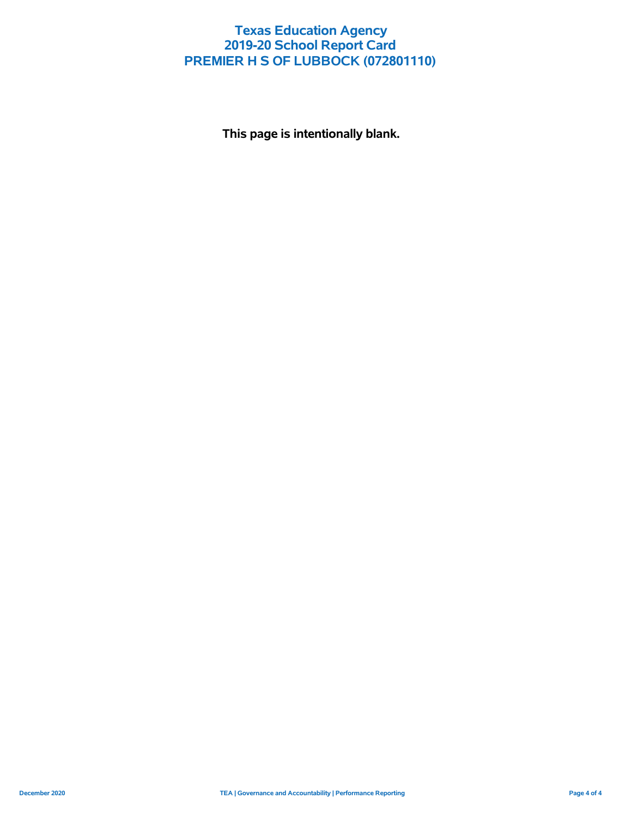**This page is intentionally blank.**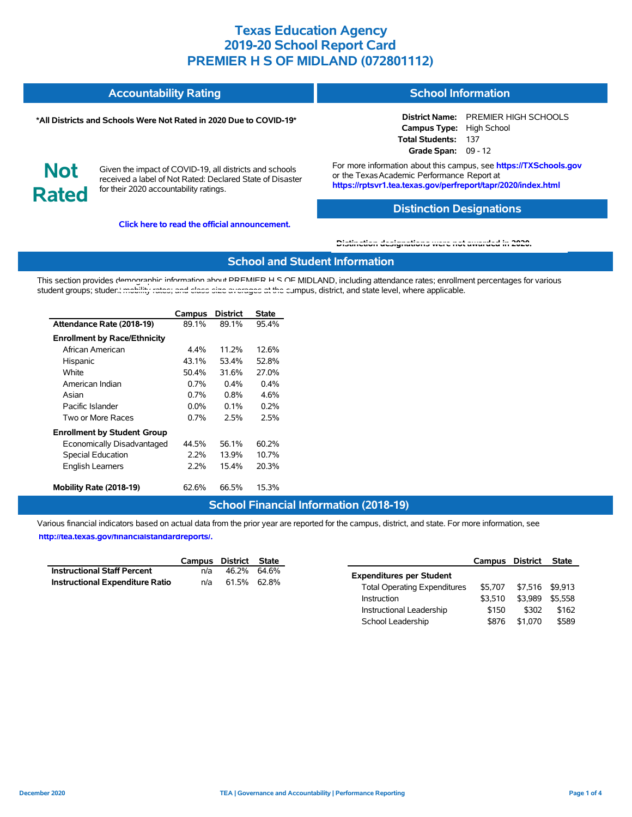| <b>Accountability Rating</b> | School Information |
|------------------------------|--------------------|
|                              |                    |

#### **\*All Districts and Schools Were Not Rated in 2020 Due to COVID-19\***

#### **District Name:** PREMIER HIGH SCHOOLS **Campus Type:** High School **Total Students:** 137 **Grade Span:** 09 - 12



Given the impact of COVID-19, all districts and schools received a label of Not Rated: Declared State of Disaster for their 2020 accountability ratings.

For more information about this campus, see **https://TXSchools.gov** or the Texas Academic Performance Report at **https://rptsvr1.tea.texas.gov/perfreport/tapr/2020/index.html**

### **Distinction Designations**

### **Click here to read the official announcement.**

#### **[Distinction designations were not awarded in 2020.](https://rptsvr1.tea.texas.gov/perfreport/tapr/2020/index.html)**

### **School and Student Information**

This section provides demographic information about PREMIER H S OF MIDLAND, including attendance rates; enrollment percentages for various student groups; stude[nt mobility rates; and class size averages at the ca](https://tea.texas.gov/about-tea/news-and-multimedia/correspondence/taa-letters/every-student-succeeds-act-essa-waiver-approval-2020-state-academic-accountability)mpus, district, and state level, where applicable.

|                                     | Campus  | <b>District</b> | <b>State</b> |
|-------------------------------------|---------|-----------------|--------------|
| Attendance Rate (2018-19)           | 89.1%   | 89.1%           | 95.4%        |
| <b>Enrollment by Race/Ethnicity</b> |         |                 |              |
| African American                    | $4.4\%$ | 11.2%           | 12.6%        |
| Hispanic                            | 43.1%   | 53.4%           | 52.8%        |
| White                               | 50.4%   | 31.6%           | 27.0%        |
| American Indian                     | $0.7\%$ | $0.4\%$         | 0.4%         |
| Asian                               | $0.7\%$ | $0.8\%$         | 4.6%         |
| Pacific Islander                    | $0.0\%$ | $0.1\%$         | 0.2%         |
| Two or More Races                   | 0.7%    | 2.5%            | 2.5%         |
| <b>Enrollment by Student Group</b>  |         |                 |              |
| Economically Disadvantaged          | 44.5%   | 56.1%           | 60.2%        |
| Special Education                   | $2.2\%$ | 13.9%           | 10.7%        |
| <b>English Learners</b>             | 2.2%    | 15.4%           | 20.3%        |
| Mobility Rate (2018-19)             | 62.6%   | 66.5%           | 15.3%        |

### **School Financial Information (2018-19)**

Various financial indicators based on actual data from the prior year are reported for the campus, district, and state. For more information, see **[http://tea.texas.gov/financialstandardreports/.](http://tea.texas.gov/financialstandardreports/)**

|                                        | Campus District State |             |  |
|----------------------------------------|-----------------------|-------------|--|
| <b>Instructional Staff Percent</b>     | n/a                   | 46.2% 64.6% |  |
| <b>Instructional Expenditure Ratio</b> | n/a                   | 61.5% 62.8% |  |

|                                     | Campus District |         | <b>State</b> |
|-------------------------------------|-----------------|---------|--------------|
| <b>Expenditures per Student</b>     |                 |         |              |
| <b>Total Operating Expenditures</b> | \$5.707         | \$7.516 | \$9.913      |
| <b>Instruction</b>                  | \$3.510         | \$3.989 | \$5.558      |
| Instructional Leadership            | \$150           | \$302   | \$162        |
| School Leadership                   | \$876           | \$1.070 | \$589        |

l.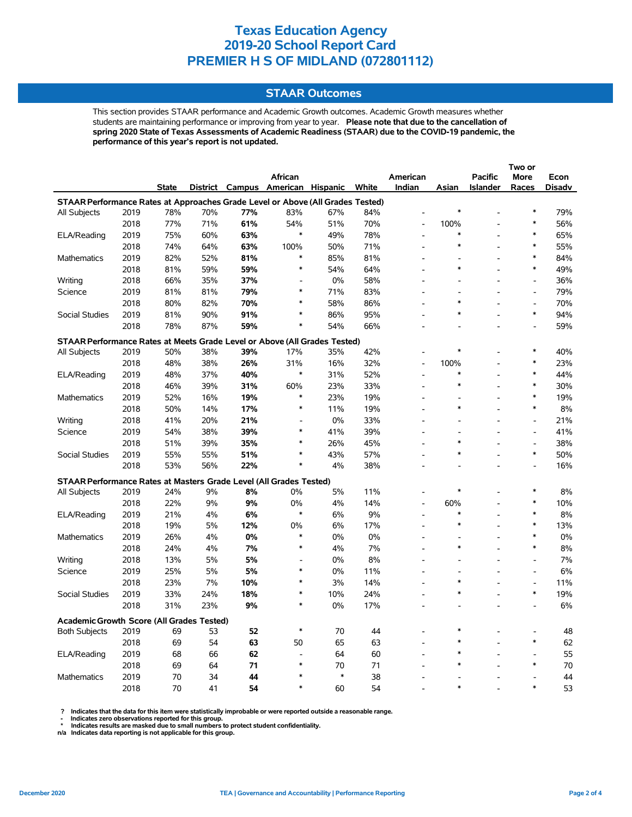### **STAAR Outcomes**

This section provides STAAR performance and Academic Growth outcomes. Academic Growth measures whether students are maintaining performance or improving from year to year. **Please note that due to the cancellation of spring 2020 State of Texas Assessments of Academic Readiness (STAAR) due to the COVID-19 pandemic, the performance of this year's report is not updated.**

|                                                                                |      |              |     |     |                                   |        |       |                          |        |                 | Two or                       |               |
|--------------------------------------------------------------------------------|------|--------------|-----|-----|-----------------------------------|--------|-------|--------------------------|--------|-----------------|------------------------------|---------------|
|                                                                                |      |              |     |     | African                           |        |       | American                 |        | Pacific         | More                         | Econ          |
|                                                                                |      | <b>State</b> |     |     | District Campus American Hispanic |        | White | Indian                   | Asian  | <b>Islander</b> | Races                        | <b>Disadv</b> |
| STAAR Performance Rates at Approaches Grade Level or Above (All Grades Tested) |      |              |     |     |                                   |        |       |                          |        |                 |                              |               |
| All Subjects                                                                   | 2019 | 78%          | 70% | 77% | 83%                               | 67%    | 84%   |                          | $\ast$ |                 | $\ast$                       | 79%           |
|                                                                                | 2018 | 77%          | 71% | 61% | 54%                               | 51%    | 70%   | $\overline{a}$           | 100%   |                 | $\ast$                       | 56%           |
| ELA/Reading                                                                    | 2019 | 75%          | 60% | 63% | $\ast$                            | 49%    | 78%   |                          | *      |                 | $\ast$                       | 65%           |
|                                                                                | 2018 | 74%          | 64% | 63% | 100%                              | 50%    | 71%   |                          | $\ast$ |                 | $\ast$                       | 55%           |
| <b>Mathematics</b>                                                             | 2019 | 82%          | 52% | 81% | $\ast$                            | 85%    | 81%   |                          |        | $\overline{a}$  | $\ast$                       | 84%           |
|                                                                                | 2018 | 81%          | 59% | 59% | *                                 | 54%    | 64%   |                          | $\ast$ |                 | $\ast$                       | 49%           |
| Writing                                                                        | 2018 | 66%          | 35% | 37% |                                   | 0%     | 58%   |                          |        |                 | $\overline{a}$               | 36%           |
| Science                                                                        | 2019 | 81%          | 81% | 79% | $\ast$                            | 71%    | 83%   |                          |        |                 | $\overline{\phantom{a}}$     | 79%           |
|                                                                                | 2018 | 80%          | 82% | 70% | $\ast$                            | 58%    | 86%   |                          | $\ast$ |                 | $\overline{a}$               | 70%           |
| <b>Social Studies</b>                                                          | 2019 | 81%          | 90% | 91% | $\ast$                            | 86%    | 95%   |                          | $\ast$ |                 | $\ast$                       | 94%           |
|                                                                                | 2018 | 78%          | 87% | 59% | $\ast$                            | 54%    | 66%   |                          |        |                 |                              | 59%           |
| STAAR Performance Rates at Meets Grade Level or Above (All Grades Tested)      |      |              |     |     |                                   |        |       |                          |        |                 |                              |               |
| All Subjects                                                                   | 2019 | 50%          | 38% | 39% | 17%                               | 35%    | 42%   |                          | *      |                 | $\ast$                       | 40%           |
|                                                                                | 2018 | 48%          | 38% | 26% | 31%                               | 16%    | 32%   | $\overline{\phantom{a}}$ | 100%   |                 | $\ast$                       | 23%           |
| ELA/Reading                                                                    | 2019 | 48%          | 37% | 40% | $\ast$                            | 31%    | 52%   |                          | *      |                 | $\ast$                       | 44%           |
|                                                                                | 2018 | 46%          | 39% | 31% | 60%                               | 23%    | 33%   |                          | $\ast$ |                 | $\ast$                       | 30%           |
| Mathematics                                                                    | 2019 | 52%          | 16% | 19% | $\ast$                            | 23%    | 19%   |                          |        |                 | $\ast$                       | 19%           |
|                                                                                | 2018 | 50%          | 14% | 17% | $\ast$                            | 11%    | 19%   |                          | $\ast$ |                 | $\ast$                       | 8%            |
| Writing                                                                        | 2018 | 41%          | 20% | 21% | $\overline{\phantom{0}}$          | 0%     | 33%   |                          |        |                 | $\overline{a}$               | 21%           |
| Science                                                                        | 2019 | 54%          | 38% | 39% | *                                 | 41%    | 39%   |                          |        |                 | $\overline{a}$               | 41%           |
|                                                                                | 2018 | 51%          | 39% | 35% | *                                 | 26%    | 45%   |                          | $\ast$ |                 | $\qquad \qquad \blacksquare$ | 38%           |
| Social Studies                                                                 | 2019 | 55%          | 55% | 51% | ∗                                 | 43%    | 57%   |                          | $\ast$ |                 | $\ast$                       | 50%           |
|                                                                                | 2018 | 53%          | 56% | 22% | $\ast$                            | 4%     | 38%   |                          |        |                 | $\overline{a}$               | 16%           |
| STAAR Performance Rates at Masters Grade Level (All Grades Tested)             |      |              |     |     |                                   |        |       |                          |        |                 |                              |               |
| All Subjects                                                                   | 2019 | 24%          | 9%  | 8%  | 0%                                | 5%     | 11%   |                          | *      |                 | $\ast$                       | 8%            |
|                                                                                | 2018 | 22%          | 9%  | 9%  | 0%                                | 4%     | 14%   | ÷                        | 60%    |                 | $\ast$                       | 10%           |
| ELA/Reading                                                                    | 2019 | 21%          | 4%  | 6%  | $\ast$                            | 6%     | 9%    |                          | $\ast$ |                 | $\ast$                       | 8%            |
|                                                                                | 2018 | 19%          | 5%  | 12% | 0%                                | 6%     | 17%   |                          | $\ast$ |                 | $\ast$                       | 13%           |
| <b>Mathematics</b>                                                             | 2019 | 26%          | 4%  | 0%  | $\ast$                            | 0%     | 0%    |                          |        |                 | $\ast$                       | 0%            |
|                                                                                | 2018 | 24%          | 4%  | 7%  | *                                 | 4%     | 7%    |                          | $\ast$ |                 | $\ast$                       | 8%            |
| Writing                                                                        | 2018 | 13%          | 5%  | 5%  | $\overline{a}$                    | 0%     | 8%    |                          |        |                 | $\overline{a}$               | 7%            |
| Science                                                                        | 2019 | 25%          | 5%  | 5%  | $\ast$                            | 0%     | 11%   |                          |        |                 | $\overline{a}$               | 6%            |
|                                                                                | 2018 | 23%          | 7%  | 10% | ∗                                 | 3%     | 14%   |                          | $\ast$ |                 | $\overline{a}$               | 11%           |
| <b>Social Studies</b>                                                          | 2019 | 33%          | 24% | 18% | $\ast$                            | 10%    | 24%   |                          | *      |                 | $\ast$                       | 19%           |
|                                                                                | 2018 | 31%          | 23% | 9%  | $\ast$                            | 0%     | 17%   |                          |        |                 |                              | 6%            |
| Academic Growth Score (All Grades Tested)                                      |      |              |     |     |                                   |        |       |                          |        |                 |                              |               |
| <b>Both Subjects</b>                                                           | 2019 | 69           | 53  | 52  | $\ast$                            | 70     | 44    |                          | $\ast$ |                 |                              | 48            |
|                                                                                | 2018 | 69           | 54  | 63  | 50                                | 65     | 63    |                          | $\ast$ |                 | $\ast$                       | 62            |
| ELA/Reading                                                                    | 2019 | 68           | 66  | 62  | $\overline{a}$                    | 64     | 60    |                          | $\ast$ |                 |                              | 55            |
|                                                                                | 2018 | 69           | 64  | 71  | $\ast$                            | 70     | 71    |                          | $\ast$ |                 | $\ast$                       | 70            |
| <b>Mathematics</b>                                                             | 2019 | 70           | 34  | 44  | $\ast$                            | $\ast$ | 38    |                          |        |                 |                              | 44            |
|                                                                                | 2018 | 70           | 41  | 54  |                                   | 60     | 54    |                          | $\ast$ |                 | $\ast$                       | 53            |
|                                                                                |      |              |     |     |                                   |        |       |                          |        |                 |                              |               |

 **? Indicates that the data for this item were statistically improbable or were reported outside a reasonable range.**

- Indicates zero observations reported for this group.<br>\* Indicates results are masked due to small numbers to protect student confidentiality.<br>n/a Indicates data reporting is not applicable for this group.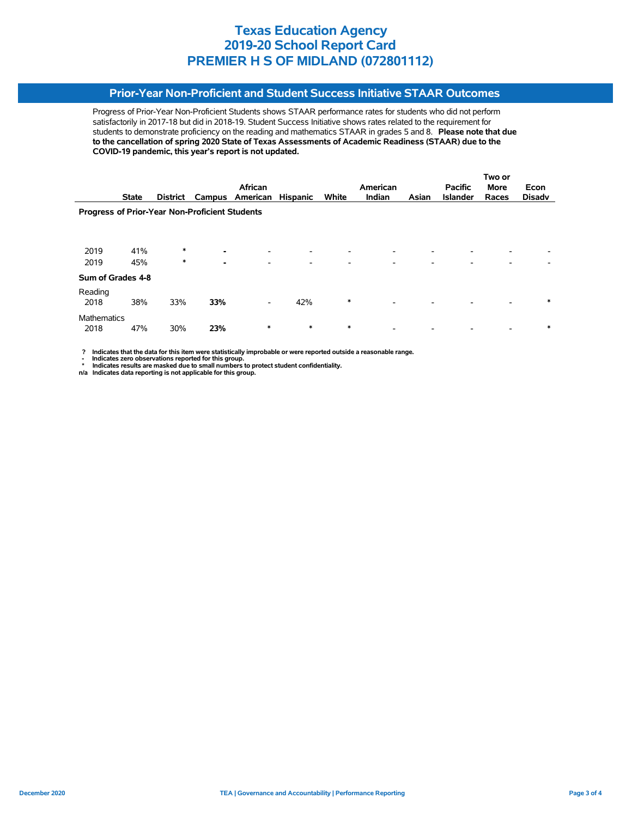### **Prior-Year Non-Proficient and Student Success Initiative STAAR Outcomes**

Progress of Prior-Year Non-Proficient Students shows STAAR performance rates for students who did not perform satisfactorily in 2017-18 but did in 2018-19. Student Success Initiative shows rates related to the requirement for students to demonstrate proficiency on the reading and mathematics STAAR in grades 5 and 8. **Please note that due to the cancellation of spring 2020 State of Texas Assessments of Academic Readiness (STAAR) due to the COVID-19 pandemic, this year's report is not updated.**

|                                                       |              |                  |                                  |                                                      |                                                      |                                                      |                               |       |                 | Two or      |               |
|-------------------------------------------------------|--------------|------------------|----------------------------------|------------------------------------------------------|------------------------------------------------------|------------------------------------------------------|-------------------------------|-------|-----------------|-------------|---------------|
|                                                       |              |                  |                                  | African                                              |                                                      |                                                      | American                      |       | <b>Pacific</b>  | <b>More</b> | Econ          |
|                                                       | <b>State</b> | <b>District</b>  | Campus                           | American                                             | <b>Hispanic</b>                                      | White                                                | <b>Indian</b>                 | Asian | <b>Islander</b> | Races       | <b>Disady</b> |
| <b>Progress of Prior-Year Non-Proficient Students</b> |              |                  |                                  |                                                      |                                                      |                                                      |                               |       |                 |             |               |
| 2019<br>2019                                          | 41%<br>45%   | $\ast$<br>$\ast$ | $\blacksquare$<br>$\blacksquare$ | $\overline{\phantom{0}}$<br>$\overline{\phantom{a}}$ | $\overline{\phantom{a}}$<br>$\overline{\phantom{a}}$ | $\overline{\phantom{a}}$<br>$\overline{\phantom{a}}$ | -<br>$\overline{\phantom{a}}$ | -     |                 |             |               |
| Sum of Grades 4-8                                     |              |                  |                                  |                                                      |                                                      |                                                      |                               |       |                 |             |               |
| Reading<br>2018                                       | 38%          | 33%              | 33%                              | ۰                                                    | 42%                                                  | ∗                                                    | ۰                             |       |                 |             | $\ast$        |
| <b>Mathematics</b><br>2018                            | 47%          | 30%              | 23%                              | $\ast$                                               | *                                                    | $\ast$                                               |                               |       |                 |             | $\ast$        |

 **? Indicates that the data for this item were statistically improbable or were reported outside a reasonable range.**

- Indicates zero observations reported for this group.<br>\* Indicates results are masked due to small numbers to protect student confidentiality.<br>n/a Indicates data reporting is not applicable for this group.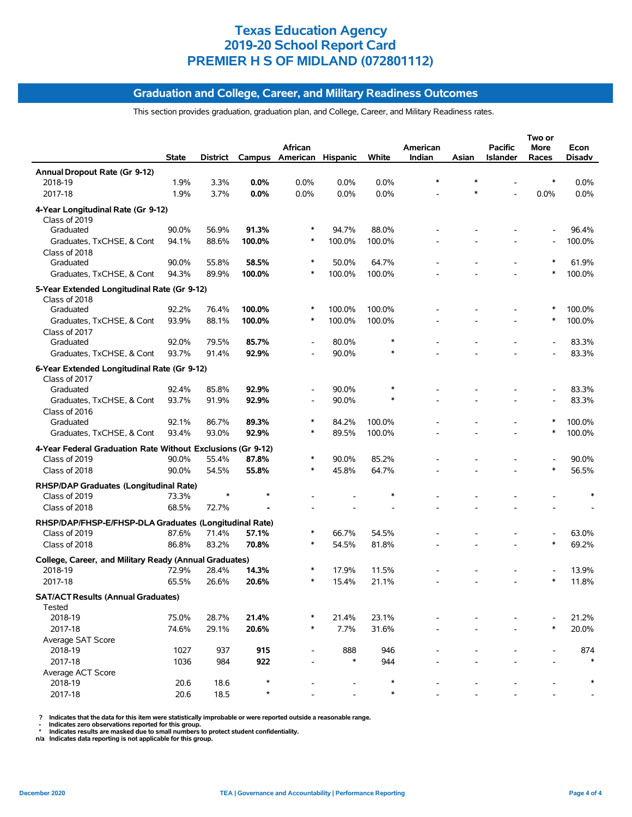### **Graduation and College, Career, and Military Readiness Outcomes**

This section provides graduation, graduation plan, and College, Career, and Military Readiness rates.

|                                                              | State | District | Campus  | African<br>American Hispanic |        | White   | American<br>Indian | Asian  | <b>Pacific</b><br>Islander | Two or<br>More<br>Races | Econ<br>Disadv |
|--------------------------------------------------------------|-------|----------|---------|------------------------------|--------|---------|--------------------|--------|----------------------------|-------------------------|----------------|
| Annual Dropout Rate (Gr 9-12)                                |       |          |         |                              |        |         |                    |        |                            |                         |                |
| 2018-19                                                      | 1.9%  | 3.3%     | 0.0%    | 0.0%                         | 0.0%   | $0.0\%$ | $\ast$             | $\ast$ |                            |                         | $0.0\%$        |
| 2017-18                                                      | 1.9%  | 3.7%     | 0.0%    | 0.0%                         | 0.0%   | 0.0%    |                    | $\ast$ |                            | 0.0%                    | 0.0%           |
| 4-Year Longitudinal Rate (Gr 9-12)<br>Class of 2019          |       |          |         |                              |        |         |                    |        |                            |                         |                |
| Graduated                                                    | 90.0% | 56.9%    | 91.3%   |                              | 94.7%  | 88.0%   |                    |        |                            |                         | 96.4%          |
| Graduates, TxCHSE, & Cont                                    | 94.1% | 88.6%    | 100.0%  | $\ast$                       | 100.0% | 100.0%  |                    |        |                            |                         | 100.0%         |
| Class of 2018<br>Graduated                                   | 90.0% | 55.8%    | 58.5%   | $\ast$                       | 50.0%  | 64.7%   |                    |        |                            |                         | 61.9%          |
| Graduates, TxCHSE, & Cont                                    | 94.3% | 89.9%    | 100.0%  | $\ast$                       | 100.0% | 100.0%  |                    |        |                            | $\ast$                  | 100.0%         |
| 5-Year Extended Longitudinal Rate (Gr 9-12)                  |       |          |         |                              |        |         |                    |        |                            |                         |                |
| Class of 2018<br>Graduated                                   | 92.2% | 76.4%    | 100.0%  |                              | 100.0% | 100.0%  |                    |        |                            |                         | 100.0%         |
| Graduates, TxCHSE, & Cont                                    | 93.9% | 88.1%    | 100.0%  | *                            | 100.0% | 100.0%  |                    |        |                            | $\ast$                  | 100.0%         |
| Class of 2017                                                |       |          |         |                              |        |         |                    |        |                            |                         |                |
| Graduated                                                    | 92.0% | 79.5%    | 85.7%   |                              | 80.0%  | $\ast$  |                    |        |                            |                         | 83.3%          |
| Graduates, TxCHSE, & Cont                                    | 93.7% | 91.4%    | 92.9%   |                              | 90.0%  |         |                    |        |                            |                         | 83.3%          |
| 6-Year Extended Longitudinal Rate (Gr 9-12)<br>Class of 2017 |       |          |         |                              |        |         |                    |        |                            |                         |                |
| Graduated                                                    | 92.4% | 85.8%    | 92.9%   |                              | 90.0%  |         |                    |        |                            |                         | 83.3%          |
| Graduates, TxCHSE, & Cont<br>Class of 2016                   | 93.7% | 91.9%    | 92.9%   |                              | 90.0%  |         |                    |        |                            |                         | 83.3%          |
| Graduated                                                    | 92.1% | 86.7%    | 89.3%   | $\ast$                       | 84.2%  | 100.0%  |                    |        |                            |                         | 100.0%         |
| Graduates, TxCHSE, & Cont                                    | 93.4% | 93.0%    | 92.9%   |                              | 89.5%  | 100.0%  |                    |        |                            |                         | 100.0%         |
| 4-Year Federal Graduation Rate Without Exclusions (Gr 9-12)  |       |          |         |                              |        |         |                    |        |                            |                         |                |
| Class of 2019                                                | 90.0% | 55.4%    | 87.8%   | $\ast$                       | 90.0%  | 85.2%   |                    |        |                            |                         | 90.0%          |
| Class of 2018                                                | 90.0% | 54.5%    | 55.8%   | $\ast$                       | 45.8%  | 64.7%   |                    |        |                            | $\ast$                  | 56.5%          |
| RHSP/DAP Graduates (Longitudinal Rate)<br>Class of 2019      | 73.3% |          |         |                              |        |         |                    |        |                            |                         |                |
| Class of 2018                                                | 68.5% | 72.7%    |         |                              |        |         |                    |        |                            |                         |                |
| RHSP/DAP/FHSP-E/FHSP-DLA Graduates (Longitudinal Rate)       |       |          |         |                              |        |         |                    |        |                            |                         |                |
| Class of 2019                                                | 87.6% | 71.4%    | 57.1%   |                              | 66.7%  | 54.5%   |                    |        |                            |                         | 63.0%          |
| Class of 2018                                                | 86.8% | 83.2%    | 70.8%   | $\ast$                       | 54.5%  | 81.8%   |                    |        |                            | $\ast$                  | 69.2%          |
| College, Career, and Military Ready (Annual Graduates)       |       |          |         |                              |        |         |                    |        |                            |                         |                |
| 2018-19                                                      | 72.9% | 28.4%    | 14.3%   | $\ast$                       | 17.9%  | 11.5%   |                    |        |                            |                         | 13.9%          |
| 2017-18                                                      | 65.5% | 26.6%    | 20.6%   |                              | 15.4%  | 21.1%   |                    |        |                            |                         | 11.8%          |
| <b>SAT/ACT Results (Annual Graduates)</b>                    |       |          |         |                              |        |         |                    |        |                            |                         |                |
| Tested<br>2018-19                                            | 75.0% | 28.7%    | 21.4%   |                              | 21.4%  | 23.1%   |                    |        |                            |                         | 21.2%          |
| 2017-18                                                      | 74.6% | 29.1%    | 20.6%   | $\ast$                       | 7.7%   | 31.6%   |                    |        |                            | $\ast$                  | 20.0%          |
| Average SAT Score                                            |       |          |         |                              |        |         |                    |        |                            |                         |                |
| 2018-19                                                      | 1027  | 937      | 915     |                              | 888    | 946     |                    |        |                            |                         | 874            |
| 2017-18                                                      | 1036  | 984      | 922     |                              | $\ast$ | 944     |                    |        |                            |                         | $\ast$         |
| Average ACT Score                                            |       |          |         |                              |        |         |                    |        |                            |                         |                |
| 2018-19                                                      | 20.6  | 18.6     | $\star$ |                              |        | ∗       |                    |        |                            |                         |                |
| 2017-18                                                      | 20.6  | 18.5     | $\star$ |                              |        | $\ast$  |                    |        |                            |                         |                |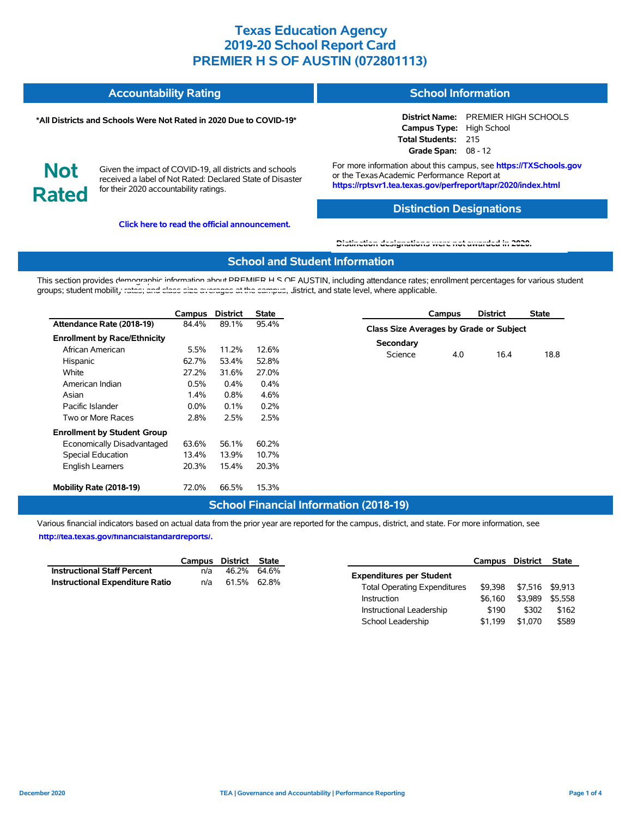| <b>Accountability Rating</b> | <b>School Information</b> |
|------------------------------|---------------------------|
|                              |                           |

#### **\*All Districts and Schools Were Not Rated in 2020 Due to COVID-19\***

**District Name:** PREMIER HIGH SCHOOLS **Campus Type:** High School **Total Students:** 215 **Grade Span:** 08 - 12

**Not Rated**

Given the impact of COVID-19, all districts and schools received a label of Not Rated: Declared State of Disaster for their 2020 accountability ratings.

**Click here to read the official announcement.**

For more information about this campus, see **https://TXSchools.gov** or the Texas Academic Performance Report at **https://rptsvr1.tea.texas.gov/perfreport/tapr/2020/index.html**

### **Distinction Designations**

#### **[Distinction designations were not awarded in 2020.](https://rptsvr1.tea.texas.gov/perfreport/tapr/2020/index.html)**

#### **School and Student Information**

This section provides demographic information about PREMIER H S OF AUSTIN, including attendance rates; enrollment percentages for various student groups; student mobilit[y rates; and class size averages at the campus, d](https://tea.texas.gov/about-tea/news-and-multimedia/correspondence/taa-letters/every-student-succeeds-act-essa-waiver-approval-2020-state-academic-accountability)istrict, and state level, where applicable.

|                                     | Campus | <b>District</b> | <b>State</b> | <b>District</b><br><b>State</b><br>Campus |
|-------------------------------------|--------|-----------------|--------------|-------------------------------------------|
| Attendance Rate (2018-19)           | 84.4%  | 89.1%           | 95.4%        | Class Size Averages by Grade or Subject   |
| <b>Enrollment by Race/Ethnicity</b> |        |                 |              |                                           |
| African American                    | 5.5%   | 11.2%           | 12.6%        | Secondary                                 |
| Hispanic                            | 62.7%  | 53.4%           | 52.8%        | 16.4<br>18.8<br>Science<br>4.0            |
| White                               | 27.2%  | 31.6%           | 27.0%        |                                           |
| American Indian                     | 0.5%   | 0.4%            | 0.4%         |                                           |
| Asian                               | 1.4%   | 0.8%            | 4.6%         |                                           |
| Pacific Islander                    | 0.0%   | 0.1%            | 0.2%         |                                           |
| Two or More Races                   | 2.8%   | 2.5%            | 2.5%         |                                           |
| <b>Enrollment by Student Group</b>  |        |                 |              |                                           |
| Economically Disadvantaged          | 63.6%  | 56.1%           | 60.2%        |                                           |
| Special Education                   | 13.4%  | 13.9%           | 10.7%        |                                           |
| <b>English Learners</b>             | 20.3%  | 15.4%           | 20.3%        |                                           |
| Mobility Rate (2018-19)             | 72.0%  | 66.5%           | 15.3%        |                                           |

### **School Financial Information (2018-19)**

Various financial indicators based on actual data from the prior year are reported for the campus, district, and state. For more information, see **[http://tea.texas.gov/financialstandardreports/.](http://tea.texas.gov/financialstandardreports/)**

|                                        | Campus District State |             |  |
|----------------------------------------|-----------------------|-------------|--|
| <b>Instructional Staff Percent</b>     | n/a                   | 46.2% 64.6% |  |
| <b>Instructional Expenditure Ratio</b> | n/a                   | 61.5% 62.8% |  |

|                                     | Campus District |         | <b>State</b> |
|-------------------------------------|-----------------|---------|--------------|
| <b>Expenditures per Student</b>     |                 |         |              |
| <b>Total Operating Expenditures</b> | \$9.398         | \$7.516 | \$9.913      |
| Instruction                         | \$6.160         | \$3.989 | \$5.558      |
| Instructional Leadership            | \$190           | \$302   | \$162        |
| School Leadership                   | \$1.199         | \$1.070 | \$589        |

l,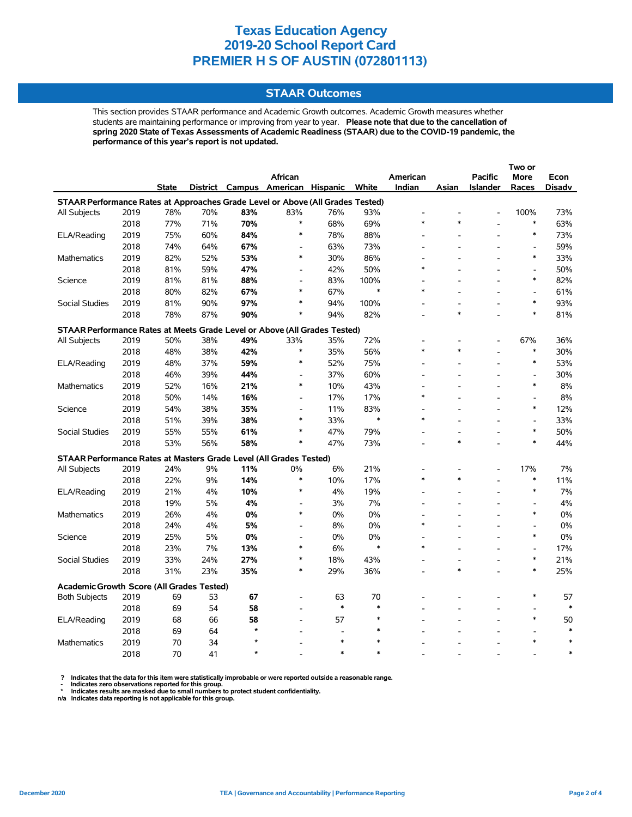#### **STAAR Outcomes**

This section provides STAAR performance and Academic Growth outcomes. Academic Growth measures whether students are maintaining performance or improving from year to year. **Please note that due to the cancellation of spring 2020 State of Texas Assessments of Academic Readiness (STAAR) due to the COVID-19 pandemic, the performance of this year's report is not updated.**

|                                                                                |              |              |          |            |                                                |                |          |          |        |                 | Two or                             |               |
|--------------------------------------------------------------------------------|--------------|--------------|----------|------------|------------------------------------------------|----------------|----------|----------|--------|-----------------|------------------------------------|---------------|
|                                                                                |              |              |          |            | African                                        |                |          | American |        | <b>Pacific</b>  | <b>More</b>                        | Econ          |
|                                                                                |              | <b>State</b> |          |            | District Campus American Hispanic              |                | White    | Indian   | Asian  | <b>Islander</b> | Races                              | <b>Disadv</b> |
| STAAR Performance Rates at Approaches Grade Level or Above (All Grades Tested) |              |              |          |            |                                                |                |          |          |        |                 |                                    |               |
| All Subjects                                                                   | 2019         | 78%          | 70%      | 83%        | 83%                                            | 76%            | 93%      |          |        |                 | 100%                               | 73%           |
|                                                                                | 2018         | 77%          | 71%      | 70%        | *                                              | 68%            | 69%      | $\ast$   | $\ast$ |                 | $\ast$                             | 63%           |
| ELA/Reading                                                                    | 2019         | 75%          | 60%      | 84%        | $\ast$                                         | 78%            | 88%      |          |        |                 | $\ast$                             | 73%           |
|                                                                                | 2018         | 74%          | 64%      | 67%        | $\overline{a}$                                 | 63%            | 73%      |          |        |                 | $\overline{\phantom{a}}$           | 59%           |
| <b>Mathematics</b>                                                             | 2019         | 82%          | 52%      | 53%        | $\ast$                                         | 30%            | 86%      |          |        |                 | $\ast$                             | 33%           |
|                                                                                | 2018         | 81%          | 59%      | 47%        | $\blacksquare$                                 | 42%            | 50%      | $\ast$   |        |                 | $\overline{a}$                     | 50%           |
| Science                                                                        | 2019         | 81%          | 81%      | 88%        | $\overline{a}$                                 | 83%            | 100%     |          |        |                 | $\ast$                             | 82%           |
|                                                                                | 2018         | 80%          | 82%      | 67%        | $\ast$                                         | 67%            | $\ast$   | $\ast$   |        |                 | $\overline{\phantom{a}}$           | 61%           |
| <b>Social Studies</b>                                                          | 2019         | 81%          | 90%      | 97%        | ∗                                              | 94%            | 100%     |          |        |                 | $\ast$                             | 93%           |
|                                                                                | 2018         | 78%          | 87%      | 90%        | $\ast$                                         | 94%            | 82%      |          | $\ast$ |                 | $\ast$                             | 81%           |
| STAAR Performance Rates at Meets Grade Level or Above (All Grades Tested)      |              |              |          |            |                                                |                |          |          |        |                 |                                    |               |
| All Subjects                                                                   | 2019         | 50%          | 38%      | 49%        | 33%                                            | 35%            | 72%      |          |        |                 | 67%                                | 36%           |
|                                                                                | 2018         | 48%          | 38%      | 42%        | $\ast$                                         | 35%            | 56%      | $\ast$   | $\ast$ |                 | $\ast$                             | 30%           |
| ELA/Reading                                                                    | 2019         | 48%          | 37%      | 59%        | $\ast$                                         | 52%            | 75%      |          |        |                 | $\ast$                             | 53%           |
|                                                                                | 2018         | 46%          | 39%      | 44%        | $\overline{a}$                                 | 37%            | 60%      |          |        |                 | $\overline{a}$                     | 30%           |
| Mathematics                                                                    | 2019         | 52%          | 16%      | 21%        | $\ast$                                         | 10%            | 43%      |          |        |                 | $\ast$                             | 8%            |
|                                                                                | 2018         | 50%          | 14%      | 16%        | $\overline{\phantom{a}}$                       | 17%            | 17%      | $\ast$   |        |                 | $\overline{\phantom{a}}$           | 8%            |
| Science                                                                        | 2019         | 54%          | 38%      | 35%        | $\overline{\phantom{a}}$                       | 11%            | 83%      |          |        |                 | $\ast$                             | 12%           |
|                                                                                | 2018         | 51%          | 39%      | 38%        | $\ast$                                         | 33%            | $\ast$   | $\ast$   |        |                 | $\overline{\phantom{a}}$           | 33%           |
| <b>Social Studies</b>                                                          | 2019         | 55%          | 55%      | 61%        | $\ast$                                         | 47%            | 79%      |          |        |                 | $\ast$                             | 50%           |
|                                                                                | 2018         | 53%          | 56%      | 58%        | $\ast$                                         | 47%            | 73%      |          | $\ast$ |                 | $\ast$                             | 44%           |
|                                                                                |              |              |          |            |                                                |                |          |          |        |                 |                                    |               |
| STAAR Performance Rates at Masters Grade Level (All Grades Tested)             |              |              |          | 11%        |                                                |                | 21%      |          |        |                 | 17%                                | 7%            |
| All Subjects                                                                   | 2019<br>2018 | 24%<br>22%   | 9%<br>9% | 14%        | 0%<br>$\ast$                                   | 6%             | 17%      | $\ast$   | $\ast$ | $\overline{a}$  | $\ast$                             | 11%           |
|                                                                                |              | 21%          |          | 10%        | $\ast$                                         | 10%            | 19%      |          |        |                 | $\ast$                             | 7%            |
| ELA/Reading                                                                    | 2019         | 19%          | 4%       | 4%         | $\blacksquare$                                 | 4%             | 7%       |          |        |                 | $\overline{\phantom{a}}$           | 4%            |
|                                                                                | 2018         |              | 5%       |            | $\ast$                                         | 3%             |          |          |        |                 | $\ast$                             |               |
| <b>Mathematics</b>                                                             | 2019<br>2018 | 26%          | 4%       | 0%         |                                                | 0%<br>8%       | 0%<br>0% | $\ast$   |        |                 | Ĭ.                                 | 0%<br>0%      |
|                                                                                | 2019         | 24%<br>25%   | 4%<br>5% | 5%<br>0%   | $\qquad \qquad \blacksquare$<br>$\blacksquare$ | 0%             | 0%       |          |        |                 | $\ast$                             | 0%            |
| Science                                                                        |              | 23%          |          |            | ∗                                              |                | $\ast$   | $\ast$   |        |                 |                                    | 17%           |
|                                                                                | 2018         |              | 7%       | 13%<br>27% | $\ast$                                         | 6%             |          |          |        | $\overline{a}$  | $\overline{\phantom{a}}$<br>$\ast$ | 21%           |
| Social Studies                                                                 | 2019         | 33%          | 24%      |            | $\ast$                                         | 18%            | 43%      |          | *      | L.              | $\ast$                             |               |
|                                                                                | 2018         | 31%          | 23%      | 35%        |                                                | 29%            | 36%      |          |        |                 |                                    | 25%           |
| <b>Academic Growth Score (All Grades Tested)</b>                               |              |              |          |            |                                                |                |          |          |        |                 |                                    |               |
| <b>Both Subjects</b>                                                           | 2019         | 69           | 53       | 67         |                                                | 63             | 70       |          |        |                 | $\ast$                             | 57            |
|                                                                                | 2018         | 69           | 54       | 58         | $\overline{a}$                                 | $\ast$         | $\ast$   |          |        |                 |                                    |               |
| ELA/Reading                                                                    | 2019         | 68           | 66       | 58         | $\overline{a}$                                 | 57             | $\ast$   |          |        |                 | $\ast$                             | 50            |
|                                                                                | 2018         | 69           | 64       | $\star$    |                                                | $\overline{a}$ |          |          |        |                 |                                    | $\ast$        |
| <b>Mathematics</b>                                                             | 2019         | 70           | 34       |            |                                                | $\ast$         |          |          |        |                 | $\ast$                             | $\ast$        |
|                                                                                | 2018         | 70           | 41       | $\star$    |                                                | $\ast$         | $\ast$   |          |        |                 |                                    | $\ast$        |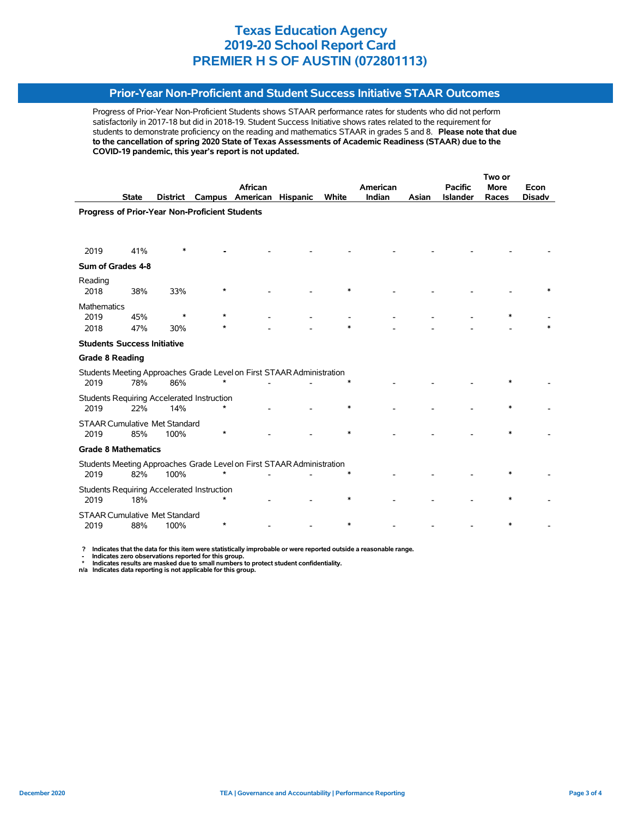### **Prior-Year Non-Proficient and Student Success Initiative STAAR Outcomes**

Progress of Prior-Year Non-Proficient Students shows STAAR performance rates for students who did not perform satisfactorily in 2017-18 but did in 2018-19. Student Success Initiative shows rates related to the requirement for students to demonstrate proficiency on the reading and mathematics STAAR in grades 5 and 8. **Please note that due to the cancellation of spring 2020 State of Texas Assessments of Academic Readiness (STAAR) due to the COVID-19 pandemic, this year's report is not updated.**

|                                              |              |               |                                                       |                                                                       |                 |        |          |       |                 | Two or      |        |
|----------------------------------------------|--------------|---------------|-------------------------------------------------------|-----------------------------------------------------------------------|-----------------|--------|----------|-------|-----------------|-------------|--------|
|                                              |              |               |                                                       | African                                                               |                 |        | American |       | <b>Pacific</b>  | <b>More</b> | Econ   |
|                                              | <b>State</b> |               |                                                       | District Campus American                                              | <b>Hispanic</b> | White  | Indian   | Asian | <b>Islander</b> | Races       | Disadv |
|                                              |              |               | Progress of Prior-Year Non-Proficient Students        |                                                                       |                 |        |          |       |                 |             |        |
| 2019                                         | 41%          |               |                                                       |                                                                       |                 |        |          |       |                 |             |        |
| Sum of Grades 4-8                            |              |               |                                                       |                                                                       |                 |        |          |       |                 |             |        |
| Reading<br>2018                              | 38%          | 33%           |                                                       |                                                                       |                 |        |          |       |                 |             |        |
| <b>Mathematics</b>                           |              |               |                                                       |                                                                       |                 |        |          |       |                 |             |        |
| 2019<br>2018                                 | 45%<br>47%   | $\ast$<br>30% | $\ast$                                                |                                                                       |                 | $\ast$ |          |       |                 |             |        |
| <b>Students Success Initiative</b>           |              |               |                                                       |                                                                       |                 |        |          |       |                 |             |        |
| <b>Grade 8 Reading</b>                       |              |               |                                                       |                                                                       |                 |        |          |       |                 |             |        |
|                                              |              |               |                                                       | Students Meeting Approaches Grade Level on First STAAR Administration |                 |        |          |       |                 |             |        |
| 2019                                         | 78%          | 86%           |                                                       |                                                                       |                 |        |          |       |                 |             |        |
| 2019                                         | 22%          | 14%           | Students Requiring Accelerated Instruction<br>$\star$ |                                                                       |                 |        |          |       |                 |             |        |
| <b>STAAR Cumulative Met Standard</b><br>2019 | 85%          | 100%          | $\star$                                               |                                                                       |                 | $\ast$ |          |       |                 |             |        |
| <b>Grade 8 Mathematics</b>                   |              |               |                                                       |                                                                       |                 |        |          |       |                 |             |        |
|                                              |              |               |                                                       | Students Meeting Approaches Grade Level on First STAAR Administration |                 |        |          |       |                 |             |        |
| 2019                                         | 82%          | 100%          |                                                       |                                                                       |                 |        |          |       |                 |             |        |
| 2019                                         | 18%          |               | Students Requiring Accelerated Instruction            |                                                                       |                 | $\ast$ |          |       |                 |             |        |
| <b>STAAR Cumulative Met Standard</b><br>2019 | 88%          | 100%          | $\ast$                                                |                                                                       |                 |        |          |       |                 |             |        |
|                                              |              |               |                                                       |                                                                       |                 |        |          |       |                 |             |        |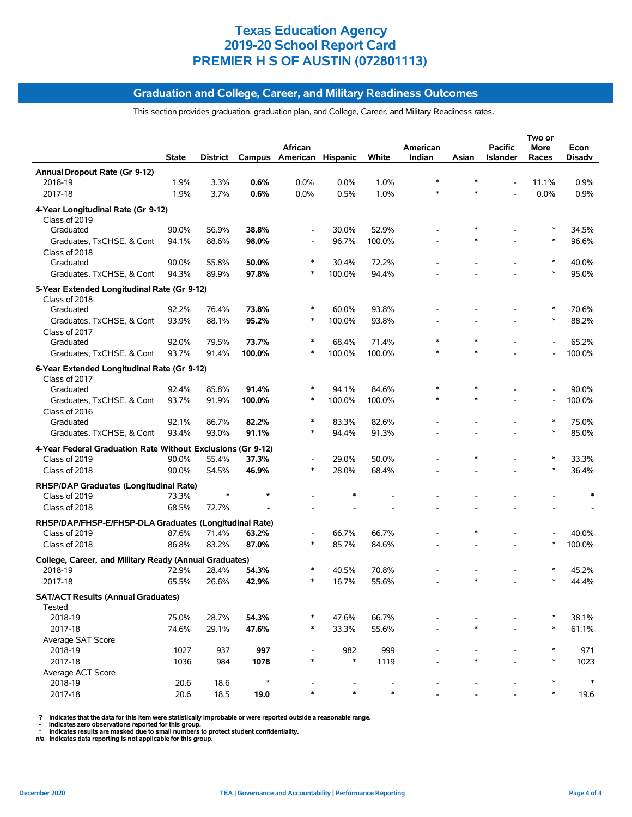### **Graduation and College, Career, and Military Readiness Outcomes**

This section provides graduation, graduation plan, and College, Career, and Military Readiness rates.

|                                                              | State | District       | Campus  | African<br>American Hispanic |                | White  | American<br>Indian | Asian  | <b>Pacific</b><br>Islander | Two or<br>More<br>Races | Econ<br>Disadv |
|--------------------------------------------------------------|-------|----------------|---------|------------------------------|----------------|--------|--------------------|--------|----------------------------|-------------------------|----------------|
| Annual Dropout Rate (Gr 9-12)                                |       |                |         |                              |                |        |                    |        |                            |                         |                |
| 2018-19                                                      | 1.9%  | 3.3%           | 0.6%    | 0.0%                         | 0.0%           | 1.0%   |                    | ∗      |                            | 11.1%                   | 0.9%           |
| 2017-18                                                      | 1.9%  | 3.7%           | 0.6%    | 0.0%                         | 0.5%           | 1.0%   |                    | $\ast$ |                            | 0.0%                    | 0.9%           |
| 4-Year Longitudinal Rate (Gr 9-12)<br>Class of 2019          |       |                |         |                              |                |        |                    |        |                            |                         |                |
| Graduated                                                    | 90.0% | 56.9%          | 38.8%   |                              | 30.0%          | 52.9%  |                    |        |                            |                         | 34.5%          |
| Graduates, TxCHSE, & Cont                                    | 94.1% | 88.6%          | 98.0%   |                              | 96.7%          | 100.0% |                    | $\ast$ |                            | $\ast$                  | 96.6%          |
| Class of 2018<br>Graduated                                   | 90.0% | 55.8%          | 50.0%   | $\ast$                       | 30.4%          | 72.2%  |                    |        |                            | $\ast$                  | 40.0%          |
| Graduates, TxCHSE, & Cont                                    | 94.3% | 89.9%          | 97.8%   | $\ast$                       | 100.0%         | 94.4%  |                    |        |                            | $\ast$                  | 95.0%          |
| 5-Year Extended Longitudinal Rate (Gr 9-12)<br>Class of 2018 |       |                |         |                              |                |        |                    |        |                            |                         |                |
| Graduated                                                    | 92.2% | 76.4%          | 73.8%   |                              | 60.0%          | 93.8%  |                    |        |                            |                         | 70.6%          |
| Graduates, TxCHSE, & Cont                                    | 93.9% | 88.1%          | 95.2%   | *                            | 100.0%         | 93.8%  |                    |        |                            | $\ast$                  | 88.2%          |
| Class of 2017<br>Graduated                                   | 92.0% | 79.5%          | 73.7%   |                              | 68.4%          | 71.4%  |                    | ∗      |                            |                         | 65.2%          |
| Graduates, TxCHSE, & Cont                                    | 93.7% | 91.4%          | 100.0%  |                              | 100.0%         | 100.0% |                    |        |                            |                         | 100.0%         |
|                                                              |       |                |         |                              |                |        |                    |        |                            |                         |                |
| 6-Year Extended Longitudinal Rate (Gr 9-12)<br>Class of 2017 |       |                |         |                              |                |        |                    |        |                            |                         |                |
| Graduated                                                    | 92.4% | 85.8%          | 91.4%   |                              | 94.1%          | 84.6%  |                    |        |                            |                         | 90.0%          |
| Graduates, TxCHSE, & Cont<br>Class of 2016                   | 93.7% | 91.9%          | 100.0%  | $\ast$                       | 100.0%         | 100.0% | $\ast$             | $\ast$ |                            |                         | 100.0%         |
| Graduated                                                    | 92.1% | 86.7%          | 82.2%   |                              | 83.3%          | 82.6%  |                    |        |                            |                         | 75.0%          |
| Graduates, TxCHSE, & Cont                                    | 93.4% | 93.0%          | 91.1%   |                              | 94.4%          | 91.3%  |                    |        |                            |                         | 85.0%          |
| 4-Year Federal Graduation Rate Without Exclusions (Gr 9-12)  |       |                |         |                              |                |        |                    |        |                            |                         |                |
| Class of 2019                                                | 90.0% | 55.4%          | 37.3%   |                              | 29.0%          | 50.0%  |                    |        |                            |                         | 33.3%          |
| Class of 2018                                                | 90.0% | 54.5%          | 46.9%   | $\ast$                       | 28.0%          | 68.4%  |                    |        |                            |                         | 36.4%          |
| RHSP/DAP Graduates (Longitudinal Rate)<br>Class of 2019      | 73.3% |                |         |                              |                |        |                    |        |                            |                         |                |
| Class of 2018                                                | 68.5% | 72.7%          |         |                              |                |        |                    |        |                            |                         |                |
|                                                              |       |                |         |                              |                |        |                    |        |                            |                         |                |
| RHSP/DAP/FHSP-E/FHSP-DLA Graduates (Longitudinal Rate)       |       |                |         |                              |                |        |                    |        |                            |                         |                |
| Class of 2019<br>Class of 2018                               | 87.6% | 71.4%<br>83.2% | 63.2%   | $\ast$                       | 66.7%<br>85.7% | 66.7%  |                    |        |                            |                         | 40.0%          |
|                                                              | 86.8% |                | 87.0%   |                              |                | 84.6%  |                    |        |                            |                         | 100.0%         |
| College, Career, and Military Ready (Annual Graduates)       |       |                |         |                              |                |        |                    |        |                            |                         |                |
| 2018-19                                                      | 72.9% | 28.4%          | 54.3%   | *                            | 40.5%          | 70.8%  |                    |        |                            |                         | 45.2%          |
| 2017-18                                                      | 65.5% | 26.6%          | 42.9%   |                              | 16.7%          | 55.6%  |                    |        |                            |                         | 44.4%          |
| <b>SAT/ACT Results (Annual Graduates)</b><br>Tested          |       |                |         |                              |                |        |                    |        |                            |                         |                |
| 2018-19                                                      | 75.0% | 28.7%          | 54.3%   |                              | 47.6%          | 66.7%  |                    |        |                            |                         | 38.1%          |
| 2017-18                                                      | 74.6% | 29.1%          | 47.6%   | $\ast$                       | 33.3%          | 55.6%  |                    | $\ast$ |                            | $\ast$                  | 61.1%          |
| Average SAT Score                                            |       |                |         |                              |                |        |                    |        |                            |                         |                |
| 2018-19                                                      | 1027  | 937            | 997     |                              | 982            | 999    |                    |        |                            |                         | 971            |
| 2017-18                                                      | 1036  | 984            | 1078    | $\ast$                       | $\ast$         | 1119   |                    | $\ast$ |                            | $\ast$                  | 1023           |
| Average ACT Score                                            |       |                |         |                              |                |        |                    |        |                            |                         |                |
| 2018-19                                                      | 20.6  | 18.6           | $\star$ | $\ast$                       |                | $\ast$ |                    |        |                            |                         | $\ast$         |
| 2017-18                                                      | 20.6  | 18.5           | 19.0    |                              |                |        |                    |        |                            |                         | 19.6           |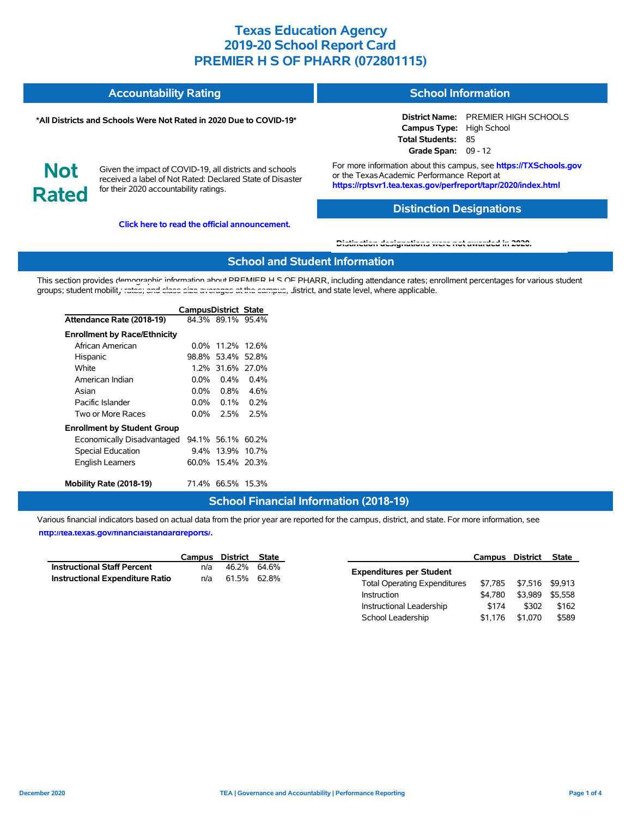| <b>Accountability Rating</b>                                       | <b>School Information</b>                  |
|--------------------------------------------------------------------|--------------------------------------------|
| *All Districts and Schools Were Not Rated in 2020 Due to COVID-19* | <b>District Name:</b> PREMIER HIGH SCHOOLS |

### **Campus Type:** High School **Total Students:** 85 **Grade Span:** 09 - 12



Given the impact of COVID-19, all districts and schools received a label of Not Rated: Declared State of Disaster for their 2020 accountability ratings.

For more information about this campus, see **https://TXSchools.gov** or the Texas Academic Performance Report at **https://rptsvr1.tea.texas.gov/perfreport/tapr/2020/index.html**

### **Distinction Designations**

#### **Click here to read the official announcement.**

#### **[Distinction designations were not awarded in 2020.](https://rptsvr1.tea.texas.gov/perfreport/tapr/2020/index.html)**

#### **School and Student Information**

This section provides demographic information about PREMIER H S OF PHARR, including attendance rates; enrollment percentages for various student groups; student mobilit[y rates; and class size averages at the campus, d](https://tea.texas.gov/about-tea/news-and-multimedia/correspondence/taa-letters/every-student-succeeds-act-essa-waiver-approval-2020-state-academic-accountability)istrict, and state level, where applicable.

|                                     | <b>CampusDistrict State</b> |                   |         |
|-------------------------------------|-----------------------------|-------------------|---------|
| Attendance Rate (2018-19)           |                             | 84.3% 89.1% 95.4% |         |
| <b>Enrollment by Race/Ethnicity</b> |                             |                   |         |
| African American                    | 0 ዐ%                        | 11 2% 12 6%       |         |
| Hispanic                            | 98.8%                       | 53.4%             | 52.8%   |
| White                               | 1.2%                        | 31.6%             | 27.0%   |
| American Indian                     | $0.0\%$                     | $0.4\%$           | $0.4\%$ |
| Asian                               | 0.0%                        | 0.8%              | 4.6%    |
| Pacific Islander                    | 0.0%                        | $0.1\%$           | 0.2%    |
| Two or More Races                   | $0.0\%$                     | $2.5\%$           | 2.5%    |
| <b>Enrollment by Student Group</b>  |                             |                   |         |
| Economically Disadvantaged          |                             | 94.1% 56.1% 60.2% |         |
| Special Education                   | $9.4\%$                     | 13.9% 10.7%       |         |
| English Learners                    | 60.0%                       | 15.4% 20.3%       |         |
| Mobility Rate (2018-19)             |                             | 71.4% 66.5%       | 15.3%   |

### **School Financial Information (2018-19)**

|                                        | Campus District State |             |  |
|----------------------------------------|-----------------------|-------------|--|
| <b>Instructional Staff Percent</b>     | n/a                   | 46.2% 64.6% |  |
| <b>Instructional Expenditure Ratio</b> | n/a                   | 61.5% 62.8% |  |

|                                     | Campus District |         | <b>State</b> |
|-------------------------------------|-----------------|---------|--------------|
| <b>Expenditures per Student</b>     |                 |         |              |
| <b>Total Operating Expenditures</b> | \$7.785         | \$7.516 | \$9.913      |
| Instruction                         | \$4.780         | \$3.989 | \$5.558      |
| Instructional Leadership            | \$174           | \$302   | \$162        |
| School Leadership                   | \$1.176         | \$1.070 | \$589        |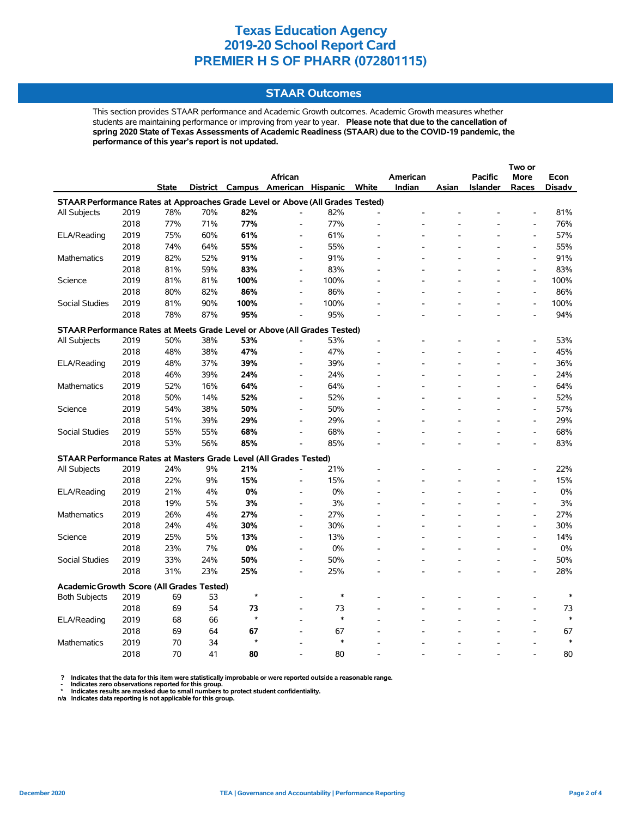#### **STAAR Outcomes**

This section provides STAAR performance and Academic Growth outcomes. Academic Growth measures whether students are maintaining performance or improving from year to year. **Please note that due to the cancellation of spring 2020 State of Texas Assessments of Academic Readiness (STAAR) due to the COVID-19 pandemic, the performance of this year's report is not updated.**

|                                                                                |      |       |     |               |                                   |              |       |          |       |                 | Two or                   |              |
|--------------------------------------------------------------------------------|------|-------|-----|---------------|-----------------------------------|--------------|-------|----------|-------|-----------------|--------------------------|--------------|
|                                                                                |      |       |     |               | <b>African</b>                    |              |       | American |       | <b>Pacific</b>  | <b>More</b>              | Econ         |
|                                                                                |      | State |     |               | District Campus American Hispanic |              | White | Indian   | Asian | <b>Islander</b> | Races                    | Disadv       |
| STAAR Performance Rates at Approaches Grade Level or Above (All Grades Tested) |      |       |     |               |                                   |              |       |          |       |                 |                          |              |
| All Subjects                                                                   | 2019 | 78%   | 70% | 82%           | $\overline{a}$                    | 82%          |       |          |       |                 |                          | 81%          |
|                                                                                | 2018 | 77%   | 71% | 77%           | $\qquad \qquad \blacksquare$      | 77%          |       |          |       |                 | $\overline{a}$           | 76%          |
| ELA/Reading                                                                    | 2019 | 75%   | 60% | 61%           |                                   | 61%          |       |          |       |                 |                          | 57%          |
|                                                                                | 2018 | 74%   | 64% | 55%           | $\blacksquare$                    | 55%          |       |          |       |                 | $\overline{a}$           | 55%          |
| <b>Mathematics</b>                                                             | 2019 | 82%   | 52% | 91%           | $\blacksquare$                    | 91%          |       |          |       |                 | $\overline{a}$           | 91%          |
|                                                                                | 2018 | 81%   | 59% | 83%           | $\blacksquare$                    | 83%          |       |          |       |                 | $\overline{a}$           | 83%          |
| Science                                                                        | 2019 | 81%   | 81% | 100%          | $\overline{\phantom{a}}$          | 100%         |       |          |       |                 | $\overline{a}$           | 100%         |
|                                                                                | 2018 | 80%   | 82% | 86%           | $\overline{a}$                    | 86%          |       |          |       |                 | $\overline{a}$           | 86%          |
| <b>Social Studies</b>                                                          | 2019 | 81%   | 90% | 100%          | L,                                | 100%         |       |          |       |                 | $\frac{1}{2}$            | 100%         |
|                                                                                | 2018 | 78%   | 87% | 95%           |                                   | 95%          |       |          |       |                 |                          | 94%          |
| STAAR Performance Rates at Meets Grade Level or Above (All Grades Tested)      |      |       |     |               |                                   |              |       |          |       |                 |                          |              |
| All Subjects                                                                   | 2019 | 50%   | 38% | 53%           |                                   | 53%          |       |          |       |                 |                          | 53%          |
|                                                                                | 2018 | 48%   | 38% | 47%           | $\overline{a}$                    | 47%          |       |          |       |                 | $\overline{a}$           | 45%          |
| ELA/Reading                                                                    | 2019 | 48%   | 37% | 39%           | $\qquad \qquad \blacksquare$      | 39%          |       |          |       |                 | $\overline{a}$           | 36%          |
|                                                                                | 2018 | 46%   | 39% | 24%           |                                   | 24%          |       |          |       |                 |                          | 24%          |
| <b>Mathematics</b>                                                             | 2019 | 52%   | 16% | 64%           | L,                                | 64%          |       |          |       |                 | $\overline{a}$           | 64%          |
|                                                                                | 2018 | 50%   | 14% | 52%           | $\blacksquare$                    | 52%          |       |          |       |                 | $\overline{a}$           | 52%          |
| Science                                                                        | 2019 | 54%   | 38% | 50%           | $\overline{\phantom{0}}$          | 50%          |       |          |       |                 | $\overline{a}$           | 57%          |
|                                                                                | 2018 | 51%   | 39% | 29%           | $\overline{\phantom{0}}$          | 29%          |       |          |       |                 | $\overline{a}$           | 29%          |
| Social Studies                                                                 | 2019 | 55%   | 55% | 68%           | $\overline{a}$                    | 68%          |       |          |       |                 | $\overline{a}$           | 68%          |
|                                                                                | 2018 | 53%   | 56% | 85%           | $\overline{\phantom{0}}$          | 85%          |       |          |       |                 | $\overline{a}$           | 83%          |
| STAAR Performance Rates at Masters Grade Level (All Grades Tested)             |      |       |     |               |                                   |              |       |          |       |                 |                          |              |
| All Subjects                                                                   | 2019 | 24%   | 9%  | 21%           | $\overline{\phantom{0}}$          | 21%          |       |          |       |                 | $\overline{a}$           | 22%          |
|                                                                                | 2018 | 22%   | 9%  | 15%           | $\overline{\phantom{a}}$          | 15%          |       |          |       |                 | $\overline{\phantom{a}}$ | 15%          |
| <b>ELA/Reading</b>                                                             | 2019 | 21%   | 4%  | 0%            | $\overline{a}$                    | 0%           |       |          |       |                 | $\overline{a}$           | $0\%$        |
|                                                                                | 2018 | 19%   | 5%  | 3%            | $\overline{\phantom{a}}$          | 3%           |       |          |       |                 | $\overline{a}$           | 3%           |
| Mathematics                                                                    | 2019 | 26%   | 4%  | 27%           | $\overline{\phantom{a}}$          | 27%          |       |          |       |                 |                          | 27%          |
|                                                                                | 2018 | 24%   | 4%  | 30%           | L,                                | 30%          |       |          |       |                 | $\overline{a}$           | 30%          |
| Science                                                                        | 2019 | 25%   | 5%  | 13%           | $\overline{\phantom{a}}$          | 13%          |       |          |       |                 | $\overline{a}$           | 14%          |
|                                                                                | 2018 | 23%   | 7%  | 0%            | $\blacksquare$                    | 0%           |       |          |       |                 | $\overline{\phantom{a}}$ | 0%           |
| Social Studies                                                                 | 2019 | 33%   | 24% | 50%           | $\overline{\phantom{0}}$          | 50%          |       |          |       |                 | $\overline{a}$           | 50%          |
|                                                                                | 2018 | 31%   | 23% | 25%           | $\overline{\phantom{a}}$          | 25%          |       |          |       |                 | $\overline{a}$           | 28%          |
|                                                                                |      |       |     |               |                                   |              |       |          |       |                 |                          |              |
| <b>Academic Growth Score (All Grades Tested)</b>                               |      |       |     | $\star$       |                                   |              |       |          |       |                 |                          | $\ast$       |
| <b>Both Subjects</b>                                                           | 2019 | 69    | 53  |               |                                   | $\ast$       |       |          |       |                 |                          |              |
|                                                                                | 2018 | 69    | 54  | 73<br>$\star$ |                                   | 73<br>$\ast$ |       |          |       |                 |                          | 73<br>$\ast$ |
| ELA/Reading                                                                    | 2019 | 68    | 66  |               |                                   |              |       |          |       |                 |                          |              |
|                                                                                | 2018 | 69    | 64  | 67<br>$\star$ |                                   | 67<br>$\ast$ |       |          |       |                 |                          | 67<br>$\ast$ |
| <b>Mathematics</b>                                                             | 2019 | 70    | 34  |               |                                   |              |       |          |       |                 |                          |              |
|                                                                                | 2018 | 70    | 41  | 80            |                                   | 80           |       |          |       |                 |                          | 80           |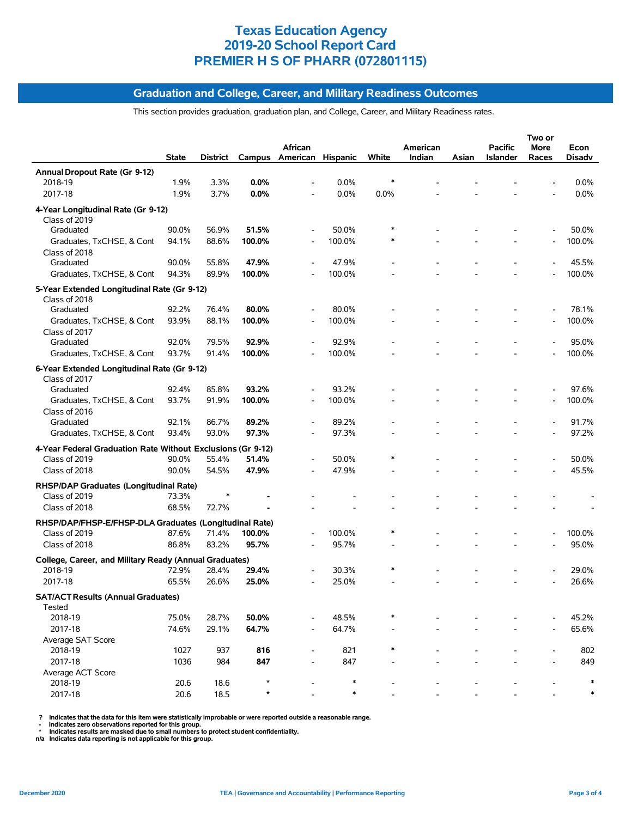### **Graduation and College, Career, and Military Readiness Outcomes**

This section provides graduation, graduation plan, and College, Career, and Military Readiness rates.

|                                                             |              |              |         |                                     |        |        |                    |       |                                   | Two or                   |                |
|-------------------------------------------------------------|--------------|--------------|---------|-------------------------------------|--------|--------|--------------------|-------|-----------------------------------|--------------------------|----------------|
|                                                             | <b>State</b> | District     |         | African<br>Campus American Hispanic |        | White  | American<br>Indian | Asian | <b>Pacific</b><br><b>Islander</b> | More<br>Races            | Econ<br>Disadv |
|                                                             |              |              |         |                                     |        |        |                    |       |                                   |                          |                |
| Annual Dropout Rate (Gr 9-12)<br>2018-19                    | 1.9%         | 3.3%         | 0.0%    |                                     | 0.0%   | $\ast$ |                    |       |                                   |                          | $0.0\%$        |
| 2017-18                                                     | 1.9%         | 3.7%         | 0.0%    |                                     | 0.0%   | 0.0%   |                    |       |                                   |                          | 0.0%           |
|                                                             |              |              |         |                                     |        |        |                    |       |                                   |                          |                |
| 4-Year Longitudinal Rate (Gr 9-12)                          |              |              |         |                                     |        |        |                    |       |                                   |                          |                |
| Class of 2019<br>Graduated                                  | 90.0%        | 56.9%        | 51.5%   |                                     | 50.0%  | $\ast$ |                    |       |                                   |                          | 50.0%          |
| Graduates, TxCHSE, & Cont                                   | 94.1%        | 88.6%        | 100.0%  | $\overline{\phantom{a}}$            | 100.0% | $\ast$ |                    |       |                                   | $\overline{\phantom{a}}$ | 100.0%         |
| Class of 2018                                               |              |              |         |                                     |        |        |                    |       |                                   |                          |                |
| Graduated                                                   | 90.0%        | 55.8%        | 47.9%   |                                     | 47.9%  |        |                    |       |                                   |                          | 45.5%          |
| Graduates, TxCHSE, & Cont                                   | 94.3%        | 89.9%        | 100.0%  |                                     | 100.0% |        |                    |       |                                   |                          | 100.0%         |
| 5-Year Extended Longitudinal Rate (Gr 9-12)                 |              |              |         |                                     |        |        |                    |       |                                   |                          |                |
| Class of 2018                                               |              |              |         |                                     |        |        |                    |       |                                   |                          |                |
| Graduated                                                   | 92.2%        | 76.4%        | 80.0%   |                                     | 80.0%  |        |                    |       |                                   |                          | 78.1%          |
| Graduates, TxCHSE, & Cont                                   | 93.9%        | 88.1%        | 100.0%  |                                     | 100.0% |        |                    |       |                                   |                          | 100.0%         |
| Class of 2017                                               |              |              |         |                                     |        |        |                    |       |                                   |                          |                |
| Graduated                                                   | 92.0%        | 79.5%        | 92.9%   |                                     | 92.9%  |        |                    |       |                                   |                          | 95.0%          |
| Graduates, TxCHSE, & Cont                                   | 93.7%        | 91.4%        | 100.0%  |                                     | 100.0% |        |                    |       |                                   |                          | 100.0%         |
| 6-Year Extended Longitudinal Rate (Gr 9-12)                 |              |              |         |                                     |        |        |                    |       |                                   |                          |                |
| Class of 2017                                               |              |              |         |                                     |        |        |                    |       |                                   |                          |                |
| Graduated                                                   | 92.4%        | 85.8%        | 93.2%   |                                     | 93.2%  |        |                    |       |                                   |                          | 97.6%          |
| Graduates, TxCHSE, & Cont                                   | 93.7%        | 91.9%        | 100.0%  |                                     | 100.0% |        |                    |       |                                   |                          | 100.0%         |
| Class of 2016                                               |              |              |         |                                     |        |        |                    |       |                                   |                          |                |
| Graduated                                                   | 92.1%        | 86.7%        | 89.2%   |                                     | 89.2%  |        |                    |       |                                   |                          | 91.7%          |
| Graduates, TxCHSE, & Cont                                   | 93.4%        | 93.0%        | 97.3%   |                                     | 97.3%  |        |                    |       |                                   |                          | 97.2%          |
| 4-Year Federal Graduation Rate Without Exclusions (Gr 9-12) |              |              |         |                                     |        |        |                    |       |                                   |                          |                |
| Class of 2019                                               | 90.0%        | 55.4%        | 51.4%   |                                     | 50.0%  |        |                    |       |                                   |                          | 50.0%          |
| Class of 2018                                               | 90.0%        | 54.5%        | 47.9%   |                                     | 47.9%  |        |                    |       |                                   |                          | 45.5%          |
| RHSP/DAP Graduates (Longitudinal Rate)                      |              |              |         |                                     |        |        |                    |       |                                   |                          |                |
| Class of 2019                                               | 73.3%        |              |         |                                     |        |        |                    |       |                                   |                          |                |
| Class of 2018                                               | 68.5%        | 72.7%        |         |                                     |        |        |                    |       |                                   |                          |                |
| RHSP/DAP/FHSP-E/FHSP-DLA Graduates (Longitudinal Rate)      |              |              |         |                                     |        |        |                    |       |                                   |                          |                |
| Class of 2019                                               | 87.6%        | 71.4%        | 100.0%  |                                     | 100.0% |        |                    |       |                                   |                          | 100.0%         |
| Class of 2018                                               | 86.8%        | 83.2%        | 95.7%   |                                     | 95.7%  |        |                    |       |                                   |                          | 95.0%          |
| College, Career, and Military Ready (Annual Graduates)      |              |              |         |                                     |        |        |                    |       |                                   |                          |                |
| 2018-19                                                     | 72.9%        | 28.4%        | 29.4%   |                                     | 30.3%  |        |                    |       |                                   | $\overline{\phantom{a}}$ | 29.0%          |
| 2017-18                                                     | 65.5%        | 26.6%        | 25.0%   |                                     | 25.0%  |        |                    |       |                                   |                          | 26.6%          |
| <b>SAT/ACT Results (Annual Graduates)</b>                   |              |              |         |                                     |        |        |                    |       |                                   |                          |                |
| Tested                                                      |              |              |         |                                     |        |        |                    |       |                                   |                          |                |
| 2018-19                                                     | 75.0%        | 28.7%        | 50.0%   |                                     | 48.5%  |        |                    |       |                                   |                          | 45.2%          |
| 2017-18                                                     | 74.6%        | 29.1%        | 64.7%   |                                     | 64.7%  |        |                    |       |                                   |                          | 65.6%          |
| Average SAT Score                                           |              |              |         |                                     |        |        |                    |       |                                   |                          |                |
| 2018-19                                                     | 1027         | 937          | 816     | $\overline{\phantom{a}}$            | 821    | $\ast$ |                    |       |                                   |                          | 802            |
| 2017-18                                                     | 1036         | 984          | 847     |                                     | 847    |        |                    |       |                                   |                          | 849            |
| Average ACT Score                                           |              |              |         |                                     | $\ast$ |        |                    |       |                                   |                          |                |
| 2018-19<br>2017-18                                          | 20.6<br>20.6 | 18.6<br>18.5 | $\star$ |                                     | $\ast$ |        |                    |       |                                   |                          |                |
|                                                             |              |              |         |                                     |        |        |                    |       |                                   |                          |                |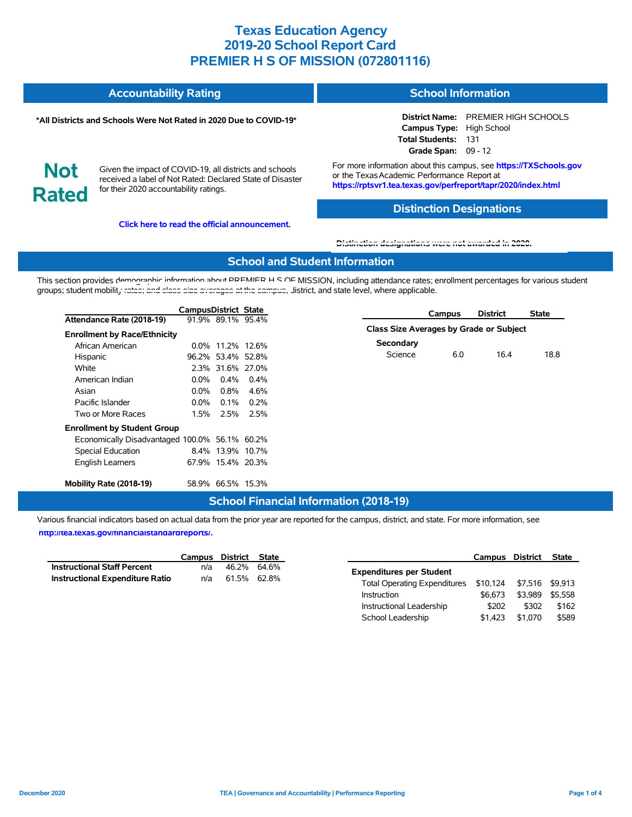| Accountability Rating | <b>School Information</b> |
|-----------------------|---------------------------|
|                       |                           |

#### **\*All Districts and Schools Were Not Rated in 2020 Due to COVID-19\***

# **District Name:** PREMIER HIGH SCHOOLS

**Not Rated**

Given the impact of COVID-19, all districts and schools received a label of Not Rated: Declared State of Disaster for their 2020 accountability ratings.

**Campus Type:** High School **Total Students:** 131 **Grade Span:** 09 - 12

For more information about this campus, see **https://TXSchools.gov** or the Texas Academic Performance Report at **https://rptsvr1.tea.texas.gov/perfreport/tapr/2020/index.html**

#### **Distinction Designations**

# **Click here to read the official announcement.**

#### **[Distinction designations were not awarded in 2020.](https://rptsvr1.tea.texas.gov/perfreport/tapr/2020/index.html)**

#### **School and Student Information**

This section provides demographic information about PREMIER H S OF MISSION, including attendance rates; enrollment percentages for various student groups; student mobilit[y rates; and class size averages at the campus, d](https://tea.texas.gov/about-tea/news-and-multimedia/correspondence/taa-letters/every-student-succeeds-act-essa-waiver-approval-2020-state-academic-accountability)istrict, and state level, where applicable.

|                                               | CampusDistrict State |                   |         |                                         | Campus | <b>District</b> | <b>State</b> |
|-----------------------------------------------|----------------------|-------------------|---------|-----------------------------------------|--------|-----------------|--------------|
| Attendance Rate (2018-19)                     |                      | 91.9% 89.1% 95.4% |         |                                         |        |                 |              |
| <b>Enrollment by Race/Ethnicity</b>           |                      |                   |         | Class Size Averages by Grade or Subject |        |                 |              |
| African American                              |                      | 0.0% 11.2% 12.6%  |         | Secondary                               |        |                 |              |
| Hispanic                                      |                      | 96.2% 53.4% 52.8% |         | Science                                 | 6.0    | 16.4            | 18.8         |
| White                                         |                      | 2.3% 31.6% 27.0%  |         |                                         |        |                 |              |
| American Indian                               | $0.0\%$              | $0.4\%$           | $0.4\%$ |                                         |        |                 |              |
| Asian                                         | $0.0\%$              | 0.8%              | 4.6%    |                                         |        |                 |              |
| Pacific Islander                              | $0.0\%$              | $0.1\%$           | $0.2\%$ |                                         |        |                 |              |
| Two or More Races                             | 1.5%                 | 2.5%              | 2.5%    |                                         |        |                 |              |
| <b>Enrollment by Student Group</b>            |                      |                   |         |                                         |        |                 |              |
| Economically Disadvantaged 100.0% 56.1% 60.2% |                      |                   |         |                                         |        |                 |              |
| Special Education                             |                      | 8.4% 13.9% 10.7%  |         |                                         |        |                 |              |
| <b>English Learners</b>                       |                      | 67.9% 15.4% 20.3% |         |                                         |        |                 |              |
| Mobility Rate (2018-19)                       |                      | 58.9% 66.5% 15.3% |         |                                         |        |                 |              |

#### **School Financial Information (2018-19)**

|                                        | Campus District State |             |  |
|----------------------------------------|-----------------------|-------------|--|
| <b>Instructional Staff Percent</b>     | n/a                   | 46.2% 64.6% |  |
| <b>Instructional Expenditure Ratio</b> | n/a                   | 61.5% 62.8% |  |

|                                     | Campus District |         | <b>State</b> |
|-------------------------------------|-----------------|---------|--------------|
| <b>Expenditures per Student</b>     |                 |         |              |
| <b>Total Operating Expenditures</b> | \$10.124        | \$7.516 | \$9.913      |
| Instruction                         | \$6.673         | \$3.989 | \$5.558      |
| Instructional Leadership            | \$202           | \$302   | \$162        |
| School Leadership                   | \$1.423         | \$1.070 | \$589        |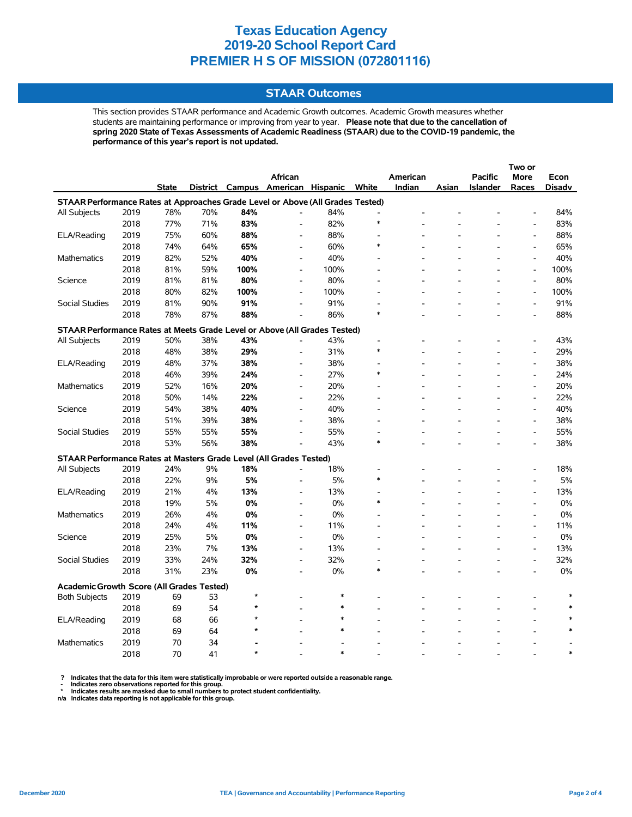### **STAAR Outcomes**

This section provides STAAR performance and Academic Growth outcomes. Academic Growth measures whether students are maintaining performance or improving from year to year. **Please note that due to the cancellation of spring 2020 State of Texas Assessments of Academic Readiness (STAAR) due to the COVID-19 pandemic, the performance of this year's report is not updated.**

|                                                                                    |      |       |     |      | African                           |        |        | American |       | <b>Pacific</b>  | <b>More</b>                  | Econ          |
|------------------------------------------------------------------------------------|------|-------|-----|------|-----------------------------------|--------|--------|----------|-------|-----------------|------------------------------|---------------|
|                                                                                    |      | State |     |      | District Campus American Hispanic |        | White  | Indian   | Asian | <b>Islander</b> | Races                        | <b>Disadv</b> |
| STAAR Performance Rates at Approaches Grade Level or Above (All Grades Tested)     |      |       |     |      |                                   |        |        |          |       |                 |                              |               |
| All Subjects                                                                       | 2019 | 78%   | 70% | 84%  | $\overline{a}$                    | 84%    |        |          |       |                 |                              | 84%           |
|                                                                                    | 2018 | 77%   | 71% | 83%  | $\qquad \qquad \blacksquare$      | 82%    | $\ast$ |          |       |                 | $\overline{a}$               | 83%           |
| ELA/Reading                                                                        | 2019 | 75%   | 60% | 88%  |                                   | 88%    |        |          |       |                 |                              | 88%           |
|                                                                                    | 2018 | 74%   | 64% | 65%  | L,                                | 60%    | $\ast$ |          |       |                 | $\overline{a}$               | 65%           |
| <b>Mathematics</b>                                                                 | 2019 | 82%   | 52% | 40%  | $\overline{\phantom{a}}$          | 40%    |        |          |       |                 | $\overline{a}$               | 40%           |
|                                                                                    | 2018 | 81%   | 59% | 100% | $\overline{\phantom{0}}$          | 100%   |        |          |       |                 | $\overline{a}$               | 100%          |
| Science                                                                            | 2019 | 81%   | 81% | 80%  | $\overline{\phantom{a}}$          | 80%    |        |          |       |                 | $\overline{a}$               | 80%           |
|                                                                                    | 2018 | 80%   | 82% | 100% | $\overline{a}$                    | 100%   |        |          |       |                 | $\overline{a}$               | 100%          |
| Social Studies                                                                     | 2019 | 81%   | 90% | 91%  | L,                                | 91%    |        |          |       |                 | $\overline{a}$               | 91%           |
|                                                                                    | 2018 | 78%   | 87% | 88%  |                                   | 86%    |        |          |       |                 |                              | 88%           |
| STAAR Performance Rates at Meets Grade Level or Above (All Grades Tested)          |      |       |     |      |                                   |        |        |          |       |                 |                              |               |
| All Subjects                                                                       | 2019 | 50%   | 38% | 43%  |                                   | 43%    |        |          |       |                 |                              | 43%           |
|                                                                                    | 2018 | 48%   | 38% | 29%  | $\overline{a}$                    | 31%    | $\ast$ |          |       |                 | $\overline{a}$               | 29%           |
| ELA/Reading                                                                        | 2019 | 48%   | 37% | 38%  | $\overline{\phantom{a}}$          | 38%    |        |          |       |                 | $\overline{a}$               | 38%           |
|                                                                                    | 2018 | 46%   | 39% | 24%  | $\blacksquare$                    | 27%    | $\ast$ |          |       |                 |                              | 24%           |
| <b>Mathematics</b>                                                                 | 2019 | 52%   | 16% | 20%  | $\overline{\phantom{0}}$          | 20%    |        |          |       |                 | $\overline{a}$               | 20%           |
|                                                                                    | 2018 | 50%   | 14% | 22%  | $\overline{\phantom{a}}$          | 22%    |        |          |       |                 | $\overline{a}$               | 22%           |
| Science                                                                            | 2019 | 54%   | 38% | 40%  | $\blacksquare$                    | 40%    |        |          |       |                 | $\overline{\phantom{a}}$     | 40%           |
|                                                                                    | 2018 | 51%   | 39% | 38%  |                                   | 38%    |        |          |       |                 | $\overline{\phantom{a}}$     | 38%           |
| <b>Social Studies</b>                                                              | 2019 | 55%   | 55% | 55%  | $\blacksquare$                    | 55%    |        |          |       |                 | $\overline{a}$               | 55%           |
|                                                                                    | 2018 | 53%   | 56% | 38%  | $\overline{\phantom{0}}$          | 43%    | $\ast$ |          |       |                 | $\overline{a}$               | 38%           |
|                                                                                    |      |       |     |      |                                   |        |        |          |       |                 |                              |               |
| STAAR Performance Rates at Masters Grade Level (All Grades Tested)<br>All Subjects | 2019 | 24%   | 9%  | 18%  |                                   | 18%    |        |          |       |                 | $\overline{a}$               | 18%           |
|                                                                                    | 2018 | 22%   | 9%  | 5%   | $\blacksquare$                    | 5%     | $\ast$ |          |       |                 |                              | 5%            |
| ELA/Reading                                                                        | 2019 | 21%   | 4%  | 13%  | $\blacksquare$                    | 13%    |        |          |       |                 | $\overline{a}$               | 13%           |
|                                                                                    | 2018 | 19%   | 5%  | 0%   | $\overline{\phantom{a}}$          | 0%     | $\ast$ |          |       |                 | $\overline{a}$               | 0%            |
| Mathematics                                                                        | 2019 | 26%   | 4%  | 0%   | L,                                | 0%     |        |          |       |                 |                              | $0\%$         |
|                                                                                    | 2018 | 24%   | 4%  | 11%  | L,                                | 11%    |        |          |       |                 |                              | 11%           |
| Science                                                                            | 2019 | 25%   | 5%  | 0%   | $\qquad \qquad \blacksquare$      | 0%     |        |          |       |                 | $\overline{\phantom{a}}$     | 0%            |
|                                                                                    | 2018 | 23%   | 7%  | 13%  | $\overline{a}$                    | 13%    |        |          |       |                 | $\qquad \qquad \blacksquare$ | 13%           |
| Social Studies                                                                     | 2019 | 33%   | 24% | 32%  | $\overline{a}$                    | 32%    |        |          |       |                 | $\overline{a}$               | 32%           |
|                                                                                    | 2018 | 31%   | 23% | 0%   | $\overline{a}$                    | 0%     | $\ast$ |          |       |                 |                              | 0%            |
|                                                                                    |      |       |     |      |                                   |        |        |          |       |                 |                              |               |
| <b>Academic Growth Score (All Grades Tested)</b>                                   |      |       |     |      |                                   |        |        |          |       |                 |                              |               |
| <b>Both Subjects</b>                                                               | 2019 | 69    | 53  |      |                                   | $\ast$ |        |          |       |                 |                              |               |
|                                                                                    | 2018 | 69    | 54  |      |                                   | $\ast$ |        |          |       |                 |                              |               |
| ELA/Reading                                                                        | 2019 | 68    | 66  |      |                                   | $\ast$ |        |          |       |                 |                              | $\ast$        |
|                                                                                    | 2018 | 69    | 64  |      |                                   | $\ast$ |        |          |       |                 |                              |               |
| <b>Mathematics</b>                                                                 | 2019 | 70    | 34  |      |                                   |        |        |          |       |                 |                              |               |
|                                                                                    | 2018 | 70    | 41  | ÷    |                                   | $\ast$ |        |          |       |                 |                              | $\ast$        |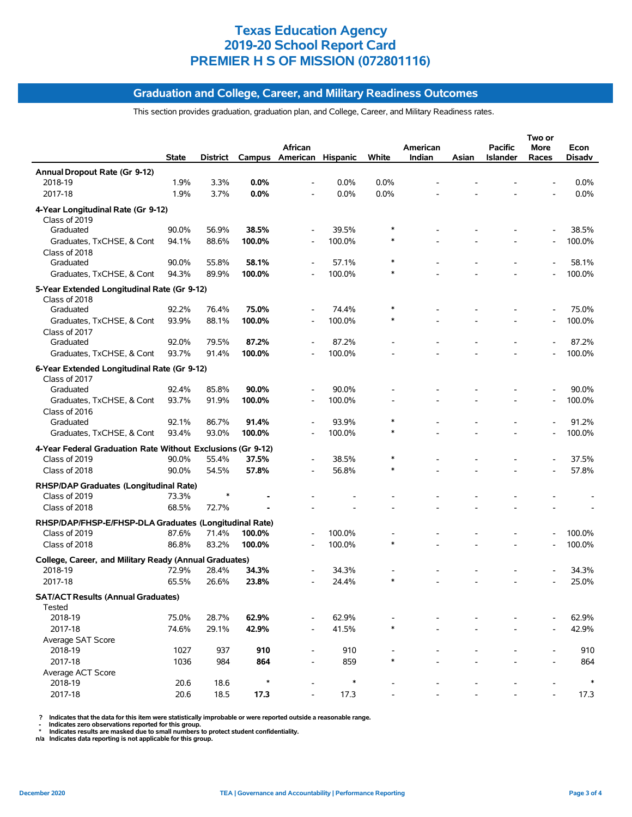### **Graduation and College, Career, and Military Readiness Outcomes**

This section provides graduation, graduation plan, and College, Career, and Military Readiness rates.

|                                                                         |                |                |                 |                                     |                 |        |                    |       |                                   | Two or                   |                  |
|-------------------------------------------------------------------------|----------------|----------------|-----------------|-------------------------------------|-----------------|--------|--------------------|-------|-----------------------------------|--------------------------|------------------|
|                                                                         | <b>State</b>   | District       |                 | African<br>Campus American Hispanic |                 | White  | American<br>Indian | Asian | <b>Pacific</b><br><b>Islander</b> | More<br>Races            | Econ<br>Disadv   |
|                                                                         |                |                |                 |                                     |                 |        |                    |       |                                   |                          |                  |
| Annual Dropout Rate (Gr 9-12)<br>2018-19                                | 1.9%           | 3.3%           | 0.0%            |                                     | 0.0%            | 0.0%   |                    |       |                                   |                          | $0.0\%$          |
| 2017-18                                                                 | 1.9%           | 3.7%           | 0.0%            |                                     | 0.0%            | 0.0%   |                    |       |                                   |                          | 0.0%             |
|                                                                         |                |                |                 |                                     |                 |        |                    |       |                                   |                          |                  |
| 4-Year Longitudinal Rate (Gr 9-12)                                      |                |                |                 |                                     |                 |        |                    |       |                                   |                          |                  |
| Class of 2019                                                           |                |                |                 |                                     |                 |        |                    |       |                                   |                          |                  |
| Graduated                                                               | 90.0%          | 56.9%          | 38.5%<br>100.0% |                                     | 39.5%<br>100.0% | $\ast$ |                    |       |                                   | $\overline{\phantom{a}}$ | 38.5%<br>100.0%  |
| Graduates, TxCHSE, & Cont<br>Class of 2018                              | 94.1%          | 88.6%          |                 | $\overline{\phantom{a}}$            |                 |        |                    |       |                                   |                          |                  |
| Graduated                                                               | 90.0%          | 55.8%          | 58.1%           |                                     | 57.1%           | $\ast$ |                    |       |                                   |                          | 58.1%            |
| Graduates, TxCHSE, & Cont                                               | 94.3%          | 89.9%          | 100.0%          |                                     | 100.0%          |        |                    |       |                                   |                          | 100.0%           |
|                                                                         |                |                |                 |                                     |                 |        |                    |       |                                   |                          |                  |
| 5-Year Extended Longitudinal Rate (Gr 9-12)                             |                |                |                 |                                     |                 |        |                    |       |                                   |                          |                  |
| Class of 2018<br>Graduated                                              | 92.2%          | 76.4%          | 75.0%           |                                     | 74.4%           |        |                    |       |                                   |                          | 75.0%            |
| Graduates, TxCHSE, & Cont                                               | 93.9%          | 88.1%          | 100.0%          |                                     | 100.0%          |        |                    |       |                                   |                          | 100.0%           |
| Class of 2017                                                           |                |                |                 |                                     |                 |        |                    |       |                                   |                          |                  |
| Graduated                                                               | 92.0%          | 79.5%          | 87.2%           |                                     | 87.2%           |        |                    |       |                                   |                          | 87.2%            |
| Graduates, TxCHSE, & Cont                                               | 93.7%          | 91.4%          | 100.0%          |                                     | 100.0%          |        |                    |       |                                   |                          | 100.0%           |
| 6-Year Extended Longitudinal Rate (Gr 9-12)                             |                |                |                 |                                     |                 |        |                    |       |                                   |                          |                  |
| Class of 2017                                                           |                |                |                 |                                     |                 |        |                    |       |                                   |                          |                  |
| Graduated                                                               | 92.4%          | 85.8%          | 90.0%           |                                     | 90.0%           |        |                    |       |                                   |                          | 90.0%            |
| Graduates, TxCHSE, & Cont                                               | 93.7%          | 91.9%          | 100.0%          |                                     | 100.0%          |        |                    |       |                                   |                          | 100.0%           |
| Class of 2016                                                           |                |                |                 |                                     |                 |        |                    |       |                                   |                          |                  |
| Graduated                                                               | 92.1%          | 86.7%          | 91.4%           |                                     | 93.9%           |        |                    |       |                                   |                          | 91.2%            |
| Graduates, TxCHSE, & Cont                                               | 93.4%          | 93.0%          | 100.0%          |                                     | 100.0%          |        |                    |       |                                   |                          | 100.0%           |
| 4-Year Federal Graduation Rate Without Exclusions (Gr 9-12)             |                |                |                 |                                     |                 |        |                    |       |                                   |                          |                  |
| Class of 2019                                                           | 90.0%          | 55.4%          | 37.5%           |                                     | 38.5%           |        |                    |       |                                   |                          | 37.5%            |
| Class of 2018                                                           | 90.0%          | 54.5%          | 57.8%           |                                     | 56.8%           | $\ast$ |                    |       |                                   |                          | 57.8%            |
| RHSP/DAP Graduates (Longitudinal Rate)                                  |                |                |                 |                                     |                 |        |                    |       |                                   |                          |                  |
| Class of 2019                                                           | 73.3%          |                |                 |                                     |                 |        |                    |       |                                   |                          |                  |
| Class of 2018                                                           | 68.5%          | 72.7%          |                 |                                     |                 |        |                    |       |                                   |                          |                  |
|                                                                         |                |                |                 |                                     |                 |        |                    |       |                                   |                          |                  |
| RHSP/DAP/FHSP-E/FHSP-DLA Graduates (Longitudinal Rate)<br>Class of 2019 |                |                | 100.0%          |                                     | 100.0%          |        |                    |       |                                   |                          |                  |
| Class of 2018                                                           | 87.6%<br>86.8% | 71.4%<br>83.2% | 100.0%          |                                     |                 | $\ast$ |                    |       |                                   |                          | 100.0%<br>100.0% |
|                                                                         |                |                |                 |                                     | 100.0%          |        |                    |       |                                   |                          |                  |
| College, Career, and Military Ready (Annual Graduates)                  |                |                |                 |                                     |                 |        |                    |       |                                   |                          |                  |
| 2018-19                                                                 | 72.9%          | 28.4%          | 34.3%           |                                     | 34.3%           |        |                    |       |                                   |                          | 34.3%            |
| 2017-18                                                                 | 65.5%          | 26.6%          | 23.8%           |                                     | 24.4%           |        |                    |       |                                   |                          | 25.0%            |
| <b>SAT/ACT Results (Annual Graduates)</b>                               |                |                |                 |                                     |                 |        |                    |       |                                   |                          |                  |
| Tested                                                                  |                |                |                 |                                     |                 |        |                    |       |                                   |                          |                  |
| 2018-19                                                                 | 75.0%          | 28.7%          | 62.9%           |                                     | 62.9%           |        |                    |       |                                   |                          | 62.9%            |
| 2017-18                                                                 | 74.6%          | 29.1%          | 42.9%           |                                     | 41.5%           | $\ast$ |                    |       |                                   |                          | 42.9%            |
| Average SAT Score                                                       |                |                |                 |                                     |                 |        |                    |       |                                   |                          |                  |
| 2018-19                                                                 | 1027           | 937            | 910<br>864      | $\overline{\phantom{a}}$            | 910             | $\ast$ |                    |       |                                   |                          | 910              |
| 2017-18<br>Average ACT Score                                            | 1036           | 984            |                 |                                     | 859             |        |                    |       |                                   |                          | 864              |
| 2018-19                                                                 | 20.6           | 18.6           | $\star$         |                                     | $\ast$          |        |                    |       |                                   |                          | $\ast$           |
| 2017-18                                                                 | 20.6           | 18.5           | 17.3            |                                     | 17.3            |        |                    |       |                                   |                          | 17.3             |
|                                                                         |                |                |                 |                                     |                 |        |                    |       |                                   |                          |                  |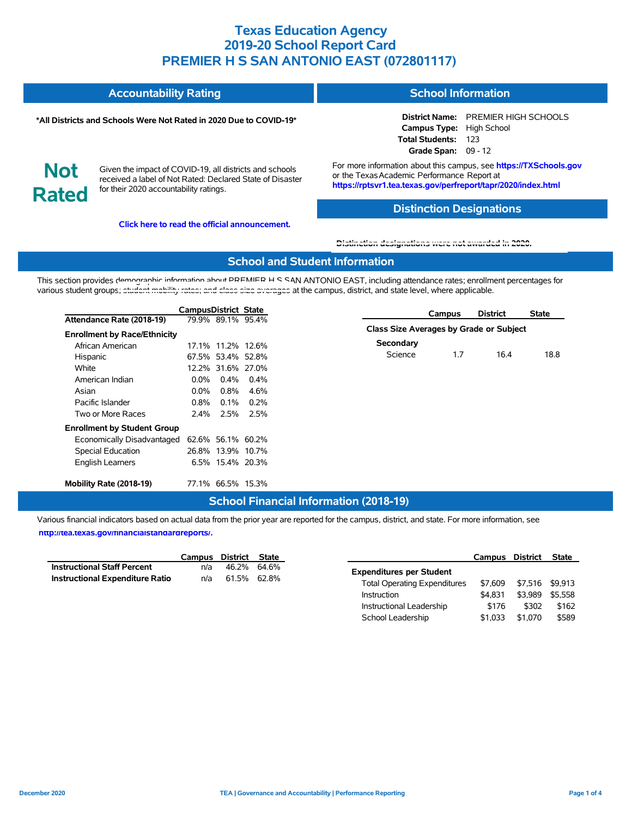| <b>Accountability Rating</b> | <b>School Information</b> |
|------------------------------|---------------------------|
|                              |                           |

#### **\*All Districts and Schools Were Not Rated in 2020 Due to COVID-19\***

**District Name:** PREMIER HIGH SCHOOLS **Campus Type:** High School **Total Students:** 123 **Grade Span:** 09 - 12



Given the impact of COVID-19, all districts and schools received a label of Not Rated: Declared State of Disaster for their 2020 accountability ratings.

**Click here to read the official announcement.**

For more information about this campus, see **https://TXSchools.gov** or the Texas Academic Performance Report at **https://rptsvr1.tea.texas.gov/perfreport/tapr/2020/index.html**

### **Distinction Designations**

# **[Distinction designations were not awarded in 2020.](https://rptsvr1.tea.texas.gov/perfreport/tapr/2020/index.html)**

### **School and Student Information**

This section provides demographic information about PREMIER H S SAN ANTONIO EAST, including attendance rates; enrollment percentages for various student group[s; student mobility rates; and class size averages](https://tea.texas.gov/about-tea/news-and-multimedia/correspondence/taa-letters/every-student-succeeds-act-essa-waiver-approval-2020-state-academic-accountability) at the campus, district, and state level, where applicable.

|                                     | <b>CampusDistrict State</b> |                   |           |                                         | <b>Campus</b> | <b>District</b> | <b>State</b> |
|-------------------------------------|-----------------------------|-------------------|-----------|-----------------------------------------|---------------|-----------------|--------------|
| Attendance Rate (2018-19)           |                             | 79.9% 89.1% 95.4% |           |                                         |               |                 |              |
| <b>Enrollment by Race/Ethnicity</b> |                             |                   |           | Class Size Averages by Grade or Subject |               |                 |              |
| African American                    |                             | 17.1% 11.2% 12.6% |           | Secondary                               |               |                 |              |
| Hispanic                            |                             | 67.5% 53.4% 52.8% |           | Science                                 | 1.7           | 16.4            | 18.8         |
| White                               |                             | 12.2% 31.6% 27.0% |           |                                         |               |                 |              |
| American Indian                     | $0.0\%$                     | $0.4\%$           | $0.4\%$   |                                         |               |                 |              |
| Asian                               | $0.0\%$                     | 0.8%              | 4.6%      |                                         |               |                 |              |
| Pacific Islander                    | 0.8%                        | $0.1\%$           | $0.2\%$   |                                         |               |                 |              |
| Two or More Races                   | 2.4%                        |                   | 2.5% 2.5% |                                         |               |                 |              |
| <b>Enrollment by Student Group</b>  |                             |                   |           |                                         |               |                 |              |
| Economically Disadvantaged          |                             | 62.6% 56.1% 60.2% |           |                                         |               |                 |              |
| Special Education                   |                             | 26.8% 13.9% 10.7% |           |                                         |               |                 |              |
| <b>English Learners</b>             |                             | 6.5% 15.4% 20.3%  |           |                                         |               |                 |              |
| Mobility Rate (2018-19)             |                             | 77.1% 66.5% 15.3% |           |                                         |               |                 |              |

#### **School Financial Information (2018-19)**

|                                        | Campus District State |             |  |
|----------------------------------------|-----------------------|-------------|--|
| <b>Instructional Staff Percent</b>     | n/a                   | 46.2% 64.6% |  |
| <b>Instructional Expenditure Ratio</b> | n/a                   | 61.5% 62.8% |  |

|                                     | Campus District |         | <b>State</b> |
|-------------------------------------|-----------------|---------|--------------|
| <b>Expenditures per Student</b>     |                 |         |              |
| <b>Total Operating Expenditures</b> | \$7.609         | \$7.516 | \$9.913      |
| Instruction                         | \$4.831         | \$3.989 | \$5.558      |
| Instructional Leadership            | \$176           | \$302   | \$162        |
| School Leadership                   | \$1.033         | \$1.070 | \$589        |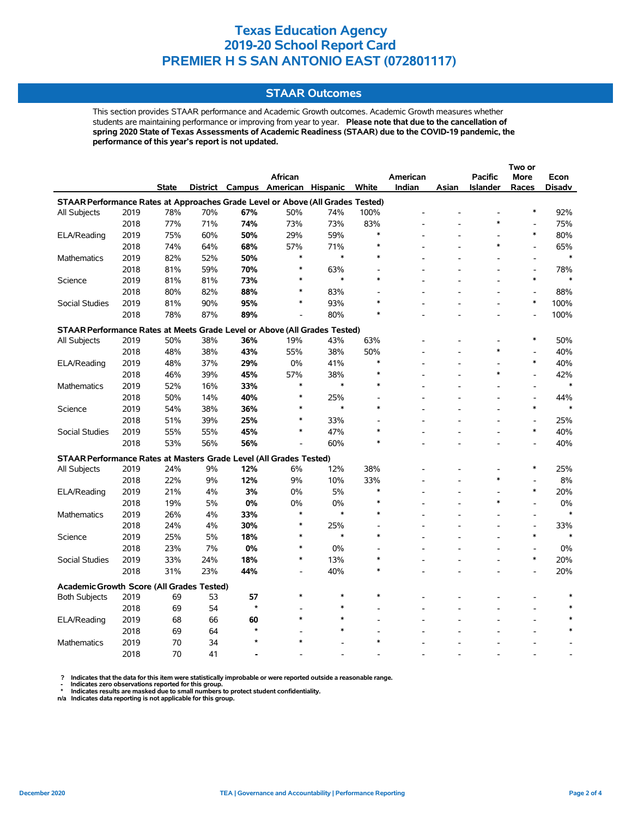#### **STAAR Outcomes**

This section provides STAAR performance and Academic Growth outcomes. Academic Growth measures whether students are maintaining performance or improving from year to year. **Please note that due to the cancellation of spring 2020 State of Texas Assessments of Academic Readiness (STAAR) due to the COVID-19 pandemic, the performance of this year's report is not updated.**

|                                                                                |      |       |     |         | African        |                                   |        | American |       | <b>Pacific</b>  | <b>More</b>    | Econ          |
|--------------------------------------------------------------------------------|------|-------|-----|---------|----------------|-----------------------------------|--------|----------|-------|-----------------|----------------|---------------|
|                                                                                |      | State |     |         |                | District Campus American Hispanic | White  | Indian   | Asian | <b>Islander</b> | Races          | <b>Disadv</b> |
| STAAR Performance Rates at Approaches Grade Level or Above (All Grades Tested) |      |       |     |         |                |                                   |        |          |       |                 |                |               |
| All Subjects                                                                   | 2019 | 78%   | 70% | 67%     | 50%            | 74%                               | 100%   |          |       |                 | $\ast$         | 92%           |
|                                                                                | 2018 | 77%   | 71% | 74%     | 73%            | 73%                               | 83%    |          |       | $\ast$          |                | 75%           |
| ELA/Reading                                                                    | 2019 | 75%   | 60% | 50%     | 29%            | 59%                               | $\ast$ |          |       |                 | *              | 80%           |
|                                                                                | 2018 | 74%   | 64% | 68%     | 57%            | 71%                               | $\ast$ |          |       | $\ast$          |                | 65%           |
| <b>Mathematics</b>                                                             | 2019 | 82%   | 52% | 50%     | $\ast$         | $\ast$                            | $\ast$ |          |       |                 |                | $\ast$        |
|                                                                                | 2018 | 81%   | 59% | 70%     | ∗              | 63%                               |        |          |       |                 |                | 78%           |
| Science                                                                        | 2019 | 81%   | 81% | 73%     | $\ast$         | $\ast$                            | $\ast$ |          |       |                 | $\ast$         | $\ast$        |
|                                                                                | 2018 | 80%   | 82% | 88%     | $\ast$         | 83%                               |        |          |       |                 | $\overline{a}$ | 88%           |
| Social Studies                                                                 | 2019 | 81%   | 90% | 95%     | $\ast$         | 93%                               |        |          |       |                 | *              | 100%          |
|                                                                                | 2018 | 78%   | 87% | 89%     |                | 80%                               |        |          |       |                 |                | 100%          |
| STAAR Performance Rates at Meets Grade Level or Above (All Grades Tested)      |      |       |     |         |                |                                   |        |          |       |                 |                |               |
| All Subjects                                                                   | 2019 | 50%   | 38% | 36%     | 19%            | 43%                               | 63%    |          |       |                 | $\ast$         | 50%           |
|                                                                                | 2018 | 48%   | 38% | 43%     | 55%            | 38%                               | 50%    |          |       | $\ast$          |                | 40%           |
| ELA/Reading                                                                    | 2019 | 48%   | 37% | 29%     | $0\%$          | 41%                               | $\ast$ |          |       |                 | $\ast$         | 40%           |
|                                                                                | 2018 | 46%   | 39% | 45%     | 57%            | 38%                               | $\ast$ |          |       | $\ast$          |                | 42%           |
| <b>Mathematics</b>                                                             | 2019 | 52%   | 16% | 33%     | $\ast$         | $\ast$                            | $\ast$ |          |       |                 |                | $\ast$        |
|                                                                                | 2018 | 50%   | 14% | 40%     | $\ast$         | 25%                               |        |          |       |                 |                | 44%           |
| Science                                                                        | 2019 | 54%   | 38% | 36%     | $\ast$         | $\ast$                            | $\ast$ |          |       |                 | $\ast$         | $\star$       |
|                                                                                | 2018 | 51%   | 39% | 25%     | $\ast$         | 33%                               |        |          |       |                 |                | 25%           |
| <b>Social Studies</b>                                                          | 2019 | 55%   | 55% | 45%     | $\ast$         | 47%                               |        |          |       |                 | $\ast$         | 40%           |
|                                                                                | 2018 | 53%   | 56% | 56%     | $\overline{a}$ | 60%                               |        |          |       |                 |                | 40%           |
| STAAR Performance Rates at Masters Grade Level (All Grades Tested)             |      |       |     |         |                |                                   |        |          |       |                 |                |               |
| All Subjects                                                                   | 2019 | 24%   | 9%  | 12%     | 6%             | 12%                               | 38%    |          |       |                 | ∗              | 25%           |
|                                                                                | 2018 | 22%   | 9%  | 12%     | 9%             | 10%                               | 33%    |          |       | $\ast$          |                | 8%            |
| ELA/Reading                                                                    | 2019 | 21%   | 4%  | 3%      | 0%             | 5%                                | $\ast$ |          |       |                 | *              | 20%           |
|                                                                                | 2018 | 19%   | 5%  | 0%      | 0%             | 0%                                | $\ast$ |          |       | $\ast$          |                | 0%            |
| Mathematics                                                                    | 2019 | 26%   | 4%  | 33%     | $\ast$         | $\ast$                            | $\ast$ |          |       |                 |                | $\ast$        |
|                                                                                | 2018 | 24%   | 4%  | 30%     | $\ast$         | 25%                               |        |          |       |                 |                | 33%           |
| Science                                                                        | 2019 | 25%   | 5%  | 18%     | $\ast$         | $\ast$                            | $\ast$ |          |       |                 | $\ast$         |               |
|                                                                                | 2018 | 23%   | 7%  | 0%      | $\ast$         | 0%                                |        |          |       |                 |                | 0%            |
| Social Studies                                                                 | 2019 | 33%   | 24% | 18%     | *              | 13%                               | $\ast$ |          |       |                 | *              | 20%           |
|                                                                                | 2018 | 31%   | 23% | 44%     |                |                                   | $\ast$ |          |       |                 |                | 20%           |
|                                                                                |      |       |     |         |                | 40%                               |        |          |       |                 |                |               |
| <b>Academic Growth Score (All Grades Tested)</b>                               |      |       |     |         |                |                                   |        |          |       |                 |                |               |
| <b>Both Subjects</b>                                                           | 2019 | 69    | 53  | 57      |                | $\ast$                            |        |          |       |                 |                |               |
|                                                                                | 2018 | 69    | 54  | $\star$ |                | $\ast$                            |        |          |       |                 |                |               |
| ELA/Reading                                                                    | 2019 | 68    | 66  | 60      | $\ast$         | $\ast$                            |        |          |       |                 |                |               |
|                                                                                | 2018 | 69    | 64  | ÷       |                | $\ast$                            |        |          |       |                 |                |               |
| <b>Mathematics</b>                                                             | 2019 | 70    | 34  |         |                |                                   |        |          |       |                 |                |               |
|                                                                                | 2018 | 70    | 41  |         |                |                                   |        |          |       |                 |                |               |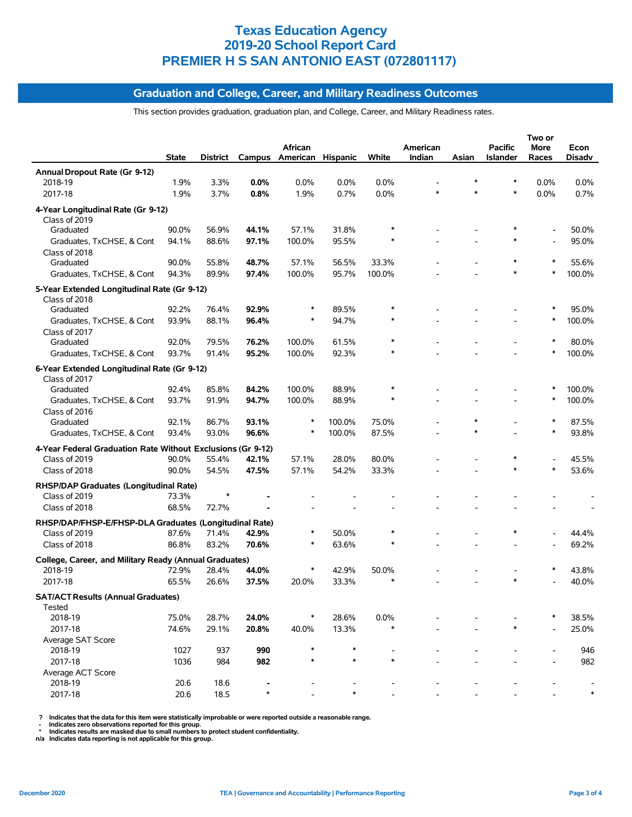### **Graduation and College, Career, and Military Readiness Outcomes**

This section provides graduation, graduation plan, and College, Career, and Military Readiness rates.

|                                                              | <b>State</b> | District |       | African<br>Campus American Hispanic |        | White  | American<br>Indian | Asian  | <b>Pacific</b><br>Islander | Two or<br>More<br>Races | Econ<br>Disadv |
|--------------------------------------------------------------|--------------|----------|-------|-------------------------------------|--------|--------|--------------------|--------|----------------------------|-------------------------|----------------|
| Annual Dropout Rate (Gr 9-12)                                |              |          |       |                                     |        |        |                    |        |                            |                         |                |
| 2018-19                                                      | 1.9%         | 3.3%     | 0.0%  | 0.0%                                | 0.0%   | 0.0%   |                    |        |                            | $0.0\%$                 | $0.0\%$        |
| 2017-18                                                      | 1.9%         | 3.7%     | 0.8%  | 1.9%                                | 0.7%   | 0.0%   |                    | $\ast$ | $\ast$                     | 0.0%                    | 0.7%           |
| 4-Year Longitudinal Rate (Gr 9-12)<br>Class of 2019          |              |          |       |                                     |        |        |                    |        |                            |                         |                |
| Graduated                                                    | 90.0%        | 56.9%    | 44.1% | 57.1%                               | 31.8%  |        |                    |        |                            |                         | 50.0%          |
| Graduates, TxCHSE, & Cont                                    | 94.1%        | 88.6%    | 97.1% | 100.0%                              | 95.5%  | $\ast$ |                    |        |                            |                         | 95.0%          |
| Class of 2018<br>Graduated                                   | 90.0%        | 55.8%    | 48.7% | 57.1%                               | 56.5%  | 33.3%  |                    |        |                            | $\ast$                  | 55.6%          |
| Graduates, TxCHSE, & Cont                                    | 94.3%        | 89.9%    | 97.4% | 100.0%                              | 95.7%  | 100.0% |                    |        |                            | *                       | 100.0%         |
| 5-Year Extended Longitudinal Rate (Gr 9-12)                  |              |          |       |                                     |        |        |                    |        |                            |                         |                |
| Class of 2018                                                |              |          |       |                                     |        |        |                    |        |                            |                         |                |
| Graduated                                                    | 92.2%        | 76.4%    | 92.9% |                                     | 89.5%  |        |                    |        |                            | $\ast$                  | 95.0%          |
| Graduates, TxCHSE, & Cont<br>Class of 2017                   | 93.9%        | 88.1%    | 96.4% |                                     | 94.7%  |        |                    |        |                            |                         | 100.0%         |
| Graduated                                                    | 92.0%        | 79.5%    | 76.2% | 100.0%                              | 61.5%  | $\ast$ |                    |        |                            |                         | 80.0%          |
| Graduates, TxCHSE, & Cont                                    | 93.7%        | 91.4%    | 95.2% | 100.0%                              | 92.3%  |        |                    |        |                            |                         | 100.0%         |
| 6-Year Extended Longitudinal Rate (Gr 9-12)<br>Class of 2017 |              |          |       |                                     |        |        |                    |        |                            |                         |                |
| Graduated                                                    | 92.4%        | 85.8%    | 84.2% | 100.0%                              | 88.9%  |        |                    |        |                            |                         | 100.0%         |
| Graduates, TxCHSE, & Cont<br>Class of 2016                   | 93.7%        | 91.9%    | 94.7% | 100.0%                              | 88.9%  | $\ast$ |                    |        |                            | $\ast$                  | 100.0%         |
| Graduated                                                    | 92.1%        | 86.7%    | 93.1% | $\ast$                              | 100.0% | 75.0%  |                    |        |                            | $\ast$                  | 87.5%          |
| Graduates, TxCHSE, & Cont                                    | 93.4%        | 93.0%    | 96.6% |                                     | 100.0% | 87.5%  |                    | $\ast$ |                            | $\ast$                  | 93.8%          |
| 4-Year Federal Graduation Rate Without Exclusions (Gr 9-12)  |              |          |       |                                     |        |        |                    |        |                            |                         |                |
| Class of 2019                                                | 90.0%        | 55.4%    | 42.1% | 57.1%                               | 28.0%  | 80.0%  |                    |        |                            |                         | 45.5%          |
| Class of 2018                                                | 90.0%        | 54.5%    | 47.5% | 57.1%                               | 54.2%  | 33.3%  |                    |        |                            | $\ast$                  | 53.6%          |
| RHSP/DAP Graduates (Longitudinal Rate)<br>Class of 2019      | 73.3%        |          |       |                                     |        |        |                    |        |                            |                         |                |
| Class of 2018                                                | 68.5%        | 72.7%    |       |                                     |        |        |                    |        |                            |                         |                |
|                                                              |              |          |       |                                     |        |        |                    |        |                            |                         |                |
| RHSP/DAP/FHSP-E/FHSP-DLA Graduates (Longitudinal Rate)       |              |          |       |                                     |        |        |                    |        |                            |                         |                |
| Class of 2019                                                | 87.6%        | 71.4%    | 42.9% | $\ast$                              | 50.0%  |        |                    |        |                            |                         | 44.4%          |
| Class of 2018                                                | 86.8%        | 83.2%    | 70.6% |                                     | 63.6%  |        |                    |        |                            |                         | 69.2%          |
| College, Career, and Military Ready (Annual Graduates)       |              |          |       |                                     |        |        |                    |        |                            |                         |                |
| 2018-19                                                      | 72.9%        | 28.4%    | 44.0% |                                     | 42.9%  | 50.0%  |                    |        |                            | ∗                       | 43.8%          |
| 2017-18                                                      | 65.5%        | 26.6%    | 37.5% | 20.0%                               | 33.3%  |        |                    |        |                            |                         | 40.0%          |
| <b>SAT/ACT Results (Annual Graduates)</b><br>Tested          |              |          |       |                                     |        |        |                    |        |                            |                         |                |
| 2018-19                                                      | 75.0%        | 28.7%    | 24.0% | $\ast$                              | 28.6%  | 0.0%   |                    |        |                            |                         | 38.5%          |
| 2017-18                                                      | 74.6%        | 29.1%    | 20.8% | 40.0%                               | 13.3%  | $\ast$ |                    |        |                            |                         | 25.0%          |
| Average SAT Score<br>2018-19                                 | 1027         | 937      | 990   |                                     |        |        |                    |        |                            |                         | 946            |
| 2017-18                                                      | 1036         | 984      | 982   | $\ast$                              | $\ast$ | $\ast$ |                    |        |                            |                         | 982            |
| Average ACT Score                                            |              |          |       |                                     |        |        |                    |        |                            |                         |                |
| 2018-19                                                      | 20.6         | 18.6     |       |                                     |        |        |                    |        |                            |                         |                |
| 2017-18                                                      | 20.6         | 18.5     |       |                                     |        |        |                    |        |                            |                         | $\ast$         |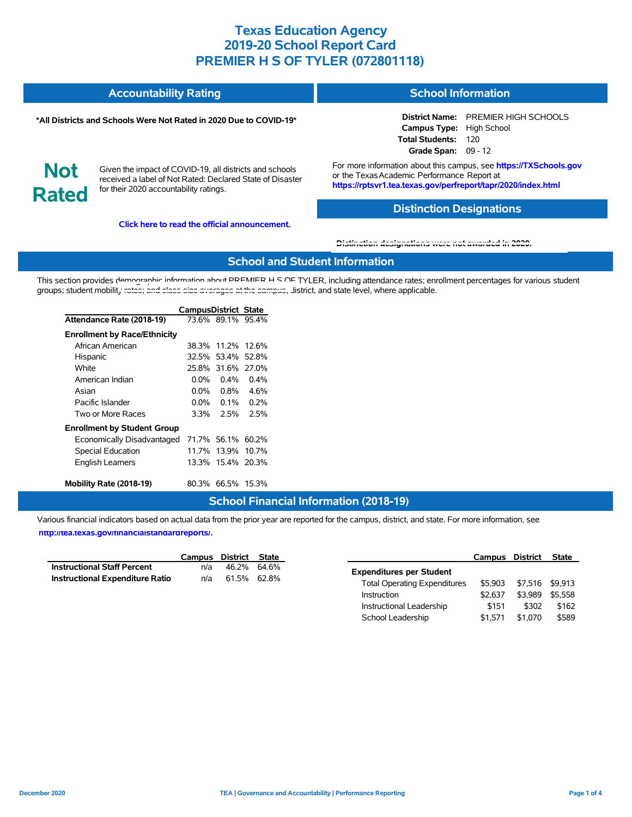| <b>Accountability Rating</b>                                       | School Information                  |
|--------------------------------------------------------------------|-------------------------------------|
| *All Districts and Schools Were Not Rated in 2020 Due to COVID-19* | District Name: PREMIER HIGH SCHOOLS |

**Campus Type:** High School **Total Students:** 120 **Grade Span:** 09 - 12



Given the impact of COVID-19, all districts and schools received a label of Not Rated: Declared State of Disaster for their 2020 accountability ratings.

For more information about this campus, see **https://TXSchools.gov** or the Texas Academic Performance Report at **https://rptsvr1.tea.texas.gov/perfreport/tapr/2020/index.html**

### **Distinction Designations**

#### **Click here to read the official announcement.**

#### **[Distinction designations were not awarded in 2020.](https://rptsvr1.tea.texas.gov/perfreport/tapr/2020/index.html)**

#### **School and Student Information**

This section provides demographic information about PREMIER H S OF TYLER, including attendance rates; enrollment percentages for various student groups; student mobilit[y rates; and class size averages at the campus, d](https://tea.texas.gov/about-tea/news-and-multimedia/correspondence/taa-letters/every-student-succeeds-act-essa-waiver-approval-2020-state-academic-accountability)istrict, and state level, where applicable.

|                                     | <b>CampusDistrict State</b> |                   |         |
|-------------------------------------|-----------------------------|-------------------|---------|
| Attendance Rate (2018-19)           |                             | 73.6% 89.1% 95.4% |         |
| <b>Enrollment by Race/Ethnicity</b> |                             |                   |         |
| African American                    |                             | 38.3% 11.2% 12.6% |         |
| Hispanic                            | 32.5%                       | 53.4%             | 52.8%   |
| White                               | 25.8%                       | 31.6%             | 27.0%   |
| American Indian                     | $0.0\%$                     | $0.4\%$           | $0.4\%$ |
| Asian                               | $0.0\%$                     | 0 8% በ            | 4.6%    |
| Pacific Islander                    | 0.0%                        | 0 1%              | 0.2%    |
| Two or More Races                   | 3.3%                        | 2.5%              | 2.5%    |
| <b>Enrollment by Student Group</b>  |                             |                   |         |
| Economically Disadvantaged          |                             | 71.7% 56.1% 60.2% |         |
| Special Education                   |                             | 11.7% 13.9% 10.7% |         |
| English Learners                    |                             | 13.3% 15.4% 20.3% |         |
| Mobility Rate (2018-19)             | 80.3%                       | 66.5%             | 15.3%   |

### **School Financial Information (2018-19)**

|                                        | Campus District State |             |  |
|----------------------------------------|-----------------------|-------------|--|
| <b>Instructional Staff Percent</b>     | n/a                   | 46.2% 64.6% |  |
| <b>Instructional Expenditure Ratio</b> | n/a                   | 61.5% 62.8% |  |

|                                     | Campus District |         | <b>State</b> |
|-------------------------------------|-----------------|---------|--------------|
| <b>Expenditures per Student</b>     |                 |         |              |
| <b>Total Operating Expenditures</b> | \$5.903         | \$7.516 | \$9.913      |
| Instruction                         | \$2.637         | \$3.989 | \$5.558      |
| Instructional Leadership            | \$151           | \$302   | \$162        |
| School Leadership                   | \$1.571         | \$1.070 | \$589        |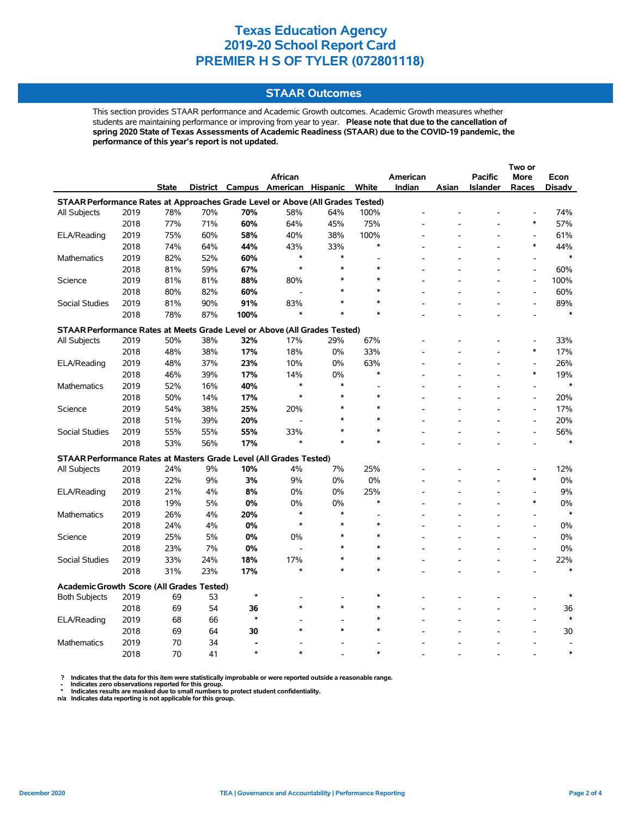### **STAAR Outcomes**

This section provides STAAR performance and Academic Growth outcomes. Academic Growth measures whether students are maintaining performance or improving from year to year. **Please note that due to the cancellation of spring 2020 State of Texas Assessments of Academic Readiness (STAAR) due to the COVID-19 pandemic, the performance of this year's report is not updated.**

|                                                                                |              |            |          |          |                |                                   |               |          |       |                 | Two or                           |               |
|--------------------------------------------------------------------------------|--------------|------------|----------|----------|----------------|-----------------------------------|---------------|----------|-------|-----------------|----------------------------------|---------------|
|                                                                                |              |            |          |          | African        |                                   |               | American |       | <b>Pacific</b>  | <b>More</b>                      | Econ          |
|                                                                                |              | State      |          |          |                | District Campus American Hispanic | White         | Indian   | Asian | <b>Islander</b> | Races                            | <b>Disadv</b> |
| STAAR Performance Rates at Approaches Grade Level or Above (All Grades Tested) |              |            |          |          |                |                                   |               |          |       |                 |                                  |               |
| All Subjects                                                                   | 2019         | 78%        | 70%      | 70%      | 58%            | 64%                               | 100%          |          |       |                 |                                  | 74%           |
|                                                                                | 2018         | 77%        | 71%      | 60%      | 64%            | 45%                               | 75%           |          |       |                 | *                                | 57%           |
| ELA/Reading                                                                    | 2019         | 75%        | 60%      | 58%      | 40%            | 38%                               | 100%          |          |       |                 |                                  | 61%           |
|                                                                                | 2018         | 74%        | 64%      | 44%      | 43%            | 33%                               | $\ast$        |          |       |                 | *                                | 44%           |
| <b>Mathematics</b>                                                             | 2019         | 82%        | 52%      | 60%      | $\ast$         | $\ast$                            |               |          |       |                 |                                  | $\ast$        |
|                                                                                | 2018         | 81%        | 59%      | 67%      | $\ast$         | $\ast$                            |               |          |       |                 | $\overline{\phantom{a}}$         | 60%           |
| Science                                                                        | 2019         | 81%        | 81%      | 88%      | 80%            | $\ast$                            | $\ast$        |          |       |                 | $\overline{a}$                   | 100%          |
|                                                                                | 2018         | 80%        | 82%      | 60%      |                | $\ast$                            | $\ast$        |          |       |                 | $\overline{a}$                   | 60%           |
| <b>Social Studies</b>                                                          | 2019         | 81%        | 90%      | 91%      | 83%            | $\ast$                            |               |          |       |                 | $\overline{a}$                   | 89%           |
|                                                                                | 2018         | 78%        | 87%      | 100%     | $\ast$         | $\ast$                            |               |          |       |                 |                                  | $\ast$        |
| STAAR Performance Rates at Meets Grade Level or Above (All Grades Tested)      |              |            |          |          |                |                                   |               |          |       |                 |                                  |               |
| All Subjects                                                                   | 2019         | 50%        | 38%      | 32%      | 17%            | 29%                               | 67%           |          |       |                 |                                  | 33%           |
|                                                                                | 2018         | 48%        | 38%      | 17%      | 18%            | 0%                                | 33%           |          |       |                 | $\ast$                           | 17%           |
| ELA/Reading                                                                    | 2019         | 48%        | 37%      | 23%      | 10%            | 0%                                | 63%           |          |       |                 | $\overline{a}$                   | 26%           |
|                                                                                | 2018         | 46%        | 39%      | 17%      | 14%            | 0%                                | $\ast$        |          |       |                 | $\ast$                           | 19%           |
| <b>Mathematics</b>                                                             | 2019         | 52%        | 16%      | 40%      | $\ast$         | $\ast$                            |               |          |       |                 |                                  | $\ast$        |
|                                                                                | 2018         | 50%        | 14%      | 17%      | $\ast$         | $\ast$                            | $\ast$        |          |       |                 | $\overline{\phantom{a}}$         | 20%           |
| Science                                                                        | 2019         | 54%        | 38%      | 25%      | 20%            | $\ast$                            | $\ast$        |          |       |                 | $\overline{\phantom{a}}$         | 17%           |
|                                                                                | 2018         | 51%        | 39%      | 20%      |                | $\ast$                            |               |          |       |                 | $\overline{\phantom{a}}$         | 20%           |
| <b>Social Studies</b>                                                          | 2019         | 55%        | 55%      | 55%      | 33%            | $\ast$                            | $\ast$        |          |       |                 | $\overline{a}$                   | 56%           |
|                                                                                | 2018         | 53%        | 56%      | 17%      |                | $\ast$                            |               |          |       |                 |                                  | $\ast$        |
|                                                                                |              |            |          |          |                |                                   |               |          |       |                 |                                  |               |
| STAAR Performance Rates at Masters Grade Level (All Grades Tested)             |              |            |          |          |                |                                   |               |          |       |                 |                                  |               |
| All Subjects                                                                   | 2019         | 24%<br>22% | 9%<br>9% | 10%      | 4%             | 7%                                | 25%<br>0%     |          |       |                 | $\overline{a}$<br>$\ast$         | 12%<br>0%     |
|                                                                                | 2018         |            |          | 3%       | 9%             | 0%                                |               |          |       |                 |                                  |               |
| ELA/Reading                                                                    | 2019         | 21%        | 4%       | 8%       | 0%             | 0%                                | 25%<br>$\ast$ |          |       |                 | $\ast$                           | 9%            |
|                                                                                | 2018         | 19%        | 5%       | 0%       | 0%<br>$\ast$   | 0%<br>$\ast$                      |               |          |       |                 |                                  | 0%<br>$\ast$  |
| <b>Mathematics</b>                                                             | 2019         | 26%        | 4%       | 20%      | $\ast$         | $\ast$                            | $\ast$        |          |       |                 |                                  |               |
|                                                                                | 2018<br>2019 | 24%<br>25% | 4%<br>5% | 0%<br>0% | 0%             | $\ast$                            | $\ast$        |          |       |                 | $\overline{a}$                   | 0%<br>0%      |
| Science                                                                        |              |            |          |          |                | $\ast$                            |               |          |       |                 |                                  |               |
|                                                                                | 2018         | 23%        | 7%       | 0%       | $\overline{a}$ | $\ast$                            | $\ast$        |          |       |                 | $\overline{a}$<br>$\overline{a}$ | $0\%$<br>22%  |
| Social Studies                                                                 | 2019         | 33%        | 24%      | 18%      | 17%<br>$\ast$  | $\ast$                            | $\ast$        |          |       |                 |                                  | $\ast$        |
|                                                                                | 2018         | 31%        | 23%      | 17%      |                |                                   |               |          |       |                 |                                  |               |
| <b>Academic Growth Score (All Grades Tested)</b>                               |              |            |          |          |                |                                   |               |          |       |                 |                                  |               |
| <b>Both Subjects</b>                                                           | 2019         | 69         | 53       | $\star$  |                |                                   |               |          |       |                 |                                  |               |
|                                                                                | 2018         | 69         | 54       | 36       |                | $\ast$                            |               |          |       |                 |                                  | 36            |
| ELA/Reading                                                                    | 2019         | 68         | 66       | $\star$  |                |                                   |               |          |       |                 |                                  | $\ast$        |
|                                                                                | 2018         | 69         | 64       | 30       |                | $\ast$                            |               |          |       |                 |                                  | 30            |
| <b>Mathematics</b>                                                             | 2019         | 70         | 34       |          |                |                                   |               |          |       |                 |                                  |               |
|                                                                                | 2018         | 70         | 41       | ÷        |                |                                   |               |          |       |                 |                                  | $\ast$        |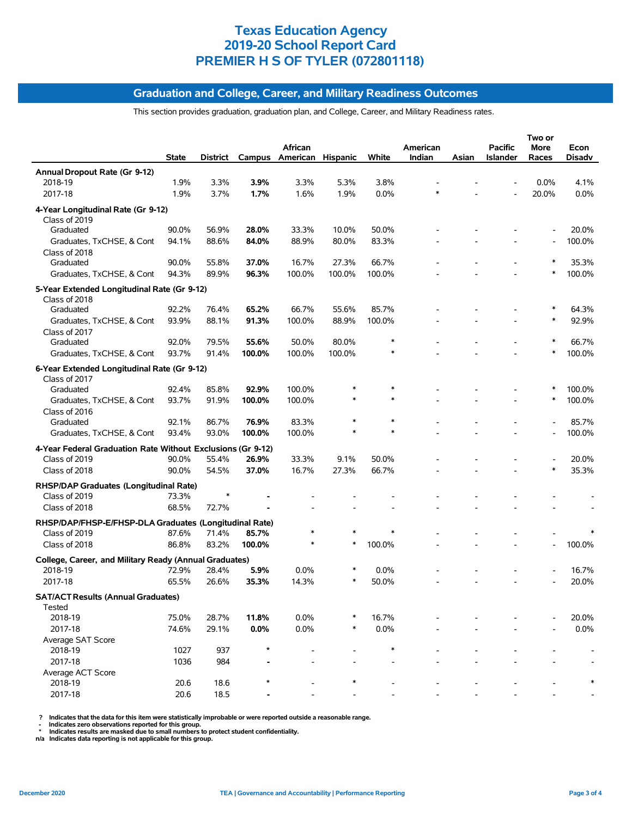### **Graduation and College, Career, and Military Readiness Outcomes**

This section provides graduation, graduation plan, and College, Career, and Military Readiness rates.

|                                                              | <b>State</b> | District |         | African<br>Campus American Hispanic |        | White  | American<br>Indian | Asian | <b>Pacific</b><br>Islander | Two or<br>More<br>Races  | Econ<br>Disadv |
|--------------------------------------------------------------|--------------|----------|---------|-------------------------------------|--------|--------|--------------------|-------|----------------------------|--------------------------|----------------|
| Annual Dropout Rate (Gr 9-12)                                |              |          |         |                                     |        |        |                    |       |                            |                          |                |
| 2018-19                                                      | 1.9%         | 3.3%     | 3.9%    | 3.3%                                | 5.3%   | 3.8%   |                    |       |                            | 0.0%                     | 4.1%           |
| 2017-18                                                      | 1.9%         | 3.7%     | 1.7%    | 1.6%                                | 1.9%   | 0.0%   |                    |       |                            | 20.0%                    | 0.0%           |
| 4-Year Longitudinal Rate (Gr 9-12)                           |              |          |         |                                     |        |        |                    |       |                            |                          |                |
| Class of 2019<br>Graduated                                   | 90.0%        | 56.9%    | 28.0%   | 33.3%                               | 10.0%  | 50.0%  |                    |       |                            |                          | 20.0%          |
| Graduates, TxCHSE, & Cont                                    | 94.1%        | 88.6%    | 84.0%   | 88.9%                               | 80.0%  | 83.3%  |                    |       |                            |                          | 100.0%         |
| Class of 2018                                                |              |          |         |                                     |        | 66.7%  |                    |       |                            | $\ast$                   | 35.3%          |
| Graduated                                                    | 90.0%        | 55.8%    | 37.0%   | 16.7%                               | 27.3%  |        |                    |       |                            | $\ast$                   |                |
| Graduates, TxCHSE, & Cont                                    | 94.3%        | 89.9%    | 96.3%   | 100.0%                              | 100.0% | 100.0% |                    |       |                            |                          | 100.0%         |
| 5-Year Extended Longitudinal Rate (Gr 9-12)<br>Class of 2018 |              |          |         |                                     |        |        |                    |       |                            |                          |                |
| Graduated                                                    | 92.2%        | 76.4%    | 65.2%   | 66.7%                               | 55.6%  | 85.7%  |                    |       |                            |                          | 64.3%          |
| Graduates, TxCHSE, & Cont                                    | 93.9%        | 88.1%    | 91.3%   | 100.0%                              | 88.9%  | 100.0% |                    |       |                            | $\ast$                   | 92.9%          |
| Class of 2017                                                |              |          |         |                                     |        | $\ast$ |                    |       |                            | ∗                        |                |
| Graduated                                                    | 92.0%        | 79.5%    | 55.6%   | 50.0%                               | 80.0%  |        |                    |       |                            |                          | 66.7%          |
| Graduates, TxCHSE, & Cont                                    | 93.7%        | 91.4%    | 100.0%  | 100.0%                              | 100.0% |        |                    |       |                            |                          | 100.0%         |
| 6-Year Extended Longitudinal Rate (Gr 9-12)<br>Class of 2017 |              |          |         |                                     |        |        |                    |       |                            |                          |                |
| Graduated                                                    | 92.4%        | 85.8%    | 92.9%   | 100.0%                              |        |        |                    |       |                            |                          | 100.0%         |
| Graduates, TxCHSE, & Cont<br>Class of 2016                   | 93.7%        | 91.9%    | 100.0%  | 100.0%                              |        | $\ast$ |                    |       |                            | $\ast$                   | 100.0%         |
| Graduated                                                    | 92.1%        | 86.7%    | 76.9%   | 83.3%                               |        |        |                    |       |                            |                          | 85.7%          |
| Graduates, TxCHSE, & Cont                                    | 93.4%        | 93.0%    | 100.0%  | 100.0%                              |        | $\ast$ |                    |       |                            |                          | 100.0%         |
| 4-Year Federal Graduation Rate Without Exclusions (Gr 9-12)  |              |          |         |                                     |        |        |                    |       |                            |                          |                |
| Class of 2019                                                | 90.0%        | 55.4%    | 26.9%   | 33.3%                               | 9.1%   | 50.0%  |                    |       |                            |                          | 20.0%          |
| Class of 2018                                                | 90.0%        | 54.5%    | 37.0%   | 16.7%                               | 27.3%  | 66.7%  |                    |       |                            | $\ast$                   | 35.3%          |
| RHSP/DAP Graduates (Longitudinal Rate)                       |              |          |         |                                     |        |        |                    |       |                            |                          |                |
| Class of 2019                                                | 73.3%        |          |         |                                     |        |        |                    |       |                            |                          |                |
| Class of 2018                                                | 68.5%        | 72.7%    |         |                                     |        |        |                    |       |                            |                          |                |
| RHSP/DAP/FHSP-E/FHSP-DLA Graduates (Longitudinal Rate)       |              |          |         |                                     |        |        |                    |       |                            |                          |                |
| Class of 2019                                                | 87.6%        | 71.4%    | 85.7%   |                                     |        |        |                    |       |                            |                          |                |
| Class of 2018                                                | 86.8%        | 83.2%    | 100.0%  |                                     | $\ast$ | 100.0% |                    |       |                            |                          | 100.0%         |
| College, Career, and Military Ready (Annual Graduates)       |              |          |         |                                     |        |        |                    |       |                            |                          |                |
| 2018-19                                                      | 72.9%        | 28.4%    | 5.9%    | 0.0%                                |        | 0.0%   |                    |       |                            | $\overline{\phantom{a}}$ | 16.7%          |
| 2017-18                                                      | 65.5%        | 26.6%    | 35.3%   | 14.3%                               |        | 50.0%  |                    |       |                            |                          | 20.0%          |
| <b>SAT/ACT Results (Annual Graduates)</b><br>Tested          |              |          |         |                                     |        |        |                    |       |                            |                          |                |
| 2018-19                                                      | 75.0%        | 28.7%    | 11.8%   | 0.0%                                |        | 16.7%  |                    |       |                            |                          | 20.0%          |
| 2017-18                                                      | 74.6%        | 29.1%    | 0.0%    | 0.0%                                |        | 0.0%   |                    |       |                            |                          | 0.0%           |
| Average SAT Score                                            |              |          |         |                                     |        |        |                    |       |                            |                          |                |
| 2018-19                                                      | 1027         | 937      | $\star$ |                                     |        | ∗      |                    |       |                            |                          |                |
| 2017-18                                                      | 1036         | 984      |         |                                     |        |        |                    |       |                            |                          |                |
| Average ACT Score                                            |              |          |         |                                     |        |        |                    |       |                            |                          |                |
| 2018-19                                                      | 20.6         | 18.6     |         |                                     |        |        |                    |       |                            |                          |                |
| 2017-18                                                      | 20.6         | 18.5     |         |                                     |        |        |                    |       |                            |                          |                |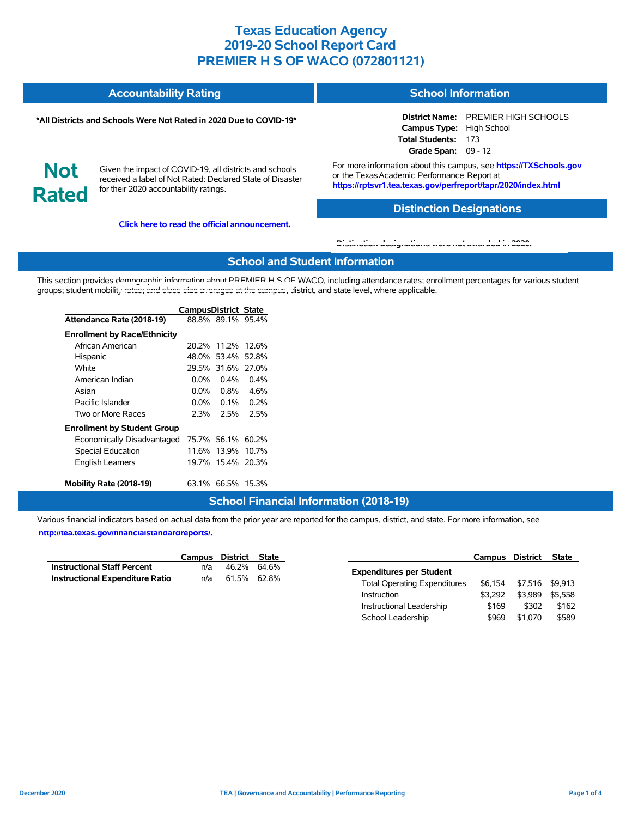| <b>Accountability Rating</b>                                       | <b>School Information</b>           |
|--------------------------------------------------------------------|-------------------------------------|
| *All Districts and Schools Were Not Rated in 2020 Due to COVID-19* | District Name: PREMIER HIGH SCHOOLS |

**Campus Type:** High School **Total Students:** 173 **Grade Span:** 09 - 12



Given the impact of COVID-19, all districts and schools received a label of Not Rated: Declared State of Disaster for their 2020 accountability ratings.

For more information about this campus, see **https://TXSchools.gov** or the Texas Academic Performance Report at **https://rptsvr1.tea.texas.gov/perfreport/tapr/2020/index.html**

### **Distinction Designations**

#### **Click here to read the official announcement.**

#### **[Distinction designations were not awarded in 2020.](https://rptsvr1.tea.texas.gov/perfreport/tapr/2020/index.html)**

#### **School and Student Information**

This section provides demographic information about PREMIER H S OF WACO, including attendance rates; enrollment percentages for various student groups; student mobilit[y rates; and class size averages at the campus, d](https://tea.texas.gov/about-tea/news-and-multimedia/correspondence/taa-letters/every-student-succeeds-act-essa-waiver-approval-2020-state-academic-accountability)istrict, and state level, where applicable.

|                                     | <b>CampusDistrict State</b> |                   |         |
|-------------------------------------|-----------------------------|-------------------|---------|
| Attendance Rate (2018-19)           |                             | 88.8% 89.1% 95.4% |         |
| <b>Enrollment by Race/Ethnicity</b> |                             |                   |         |
| African American                    |                             | 20.2% 11.2% 12.6% |         |
| Hispanic                            | 48.0%                       | 53.4%             | 52.8%   |
| White                               | 29.5%                       | 31.6%             | 27.0%   |
| American Indian                     | $0.0\%$                     | $0.4\%$           | $0.4\%$ |
| Asian                               | $0.0\%$                     | 0.8%              | 4.6%    |
| Pacific Islander                    | 0.0%                        | $0.1\%$           | 0.2%    |
| Two or More Races                   | 2.3%                        | 2.5%              | 2.5%    |
| <b>Enrollment by Student Group</b>  |                             |                   |         |
| Economically Disadvantaged          |                             | 75.7% 56.1% 60.2% |         |
| Special Education                   | 11.6%                       | 13.9% 10.7%       |         |
| English Learners                    |                             | 19.7% 15.4% 20.3% |         |
| Mobility Rate (2018-19)             |                             | 63.1% 66.5% 15.3% |         |

### **School Financial Information (2018-19)**

|                                        | Campus District State |             |  |
|----------------------------------------|-----------------------|-------------|--|
| <b>Instructional Staff Percent</b>     | n/a                   | 46.2% 64.6% |  |
| <b>Instructional Expenditure Ratio</b> | n/a                   | 61.5% 62.8% |  |

|                                     | Campus District |         | State   |
|-------------------------------------|-----------------|---------|---------|
| <b>Expenditures per Student</b>     |                 |         |         |
| <b>Total Operating Expenditures</b> | \$6.154         | \$7.516 | \$9.913 |
| Instruction                         | \$3.292         | \$3.989 | \$5.558 |
| Instructional Leadership            | \$169           | \$302   | \$162   |
| School Leadership                   | \$969           | \$1,070 | \$589   |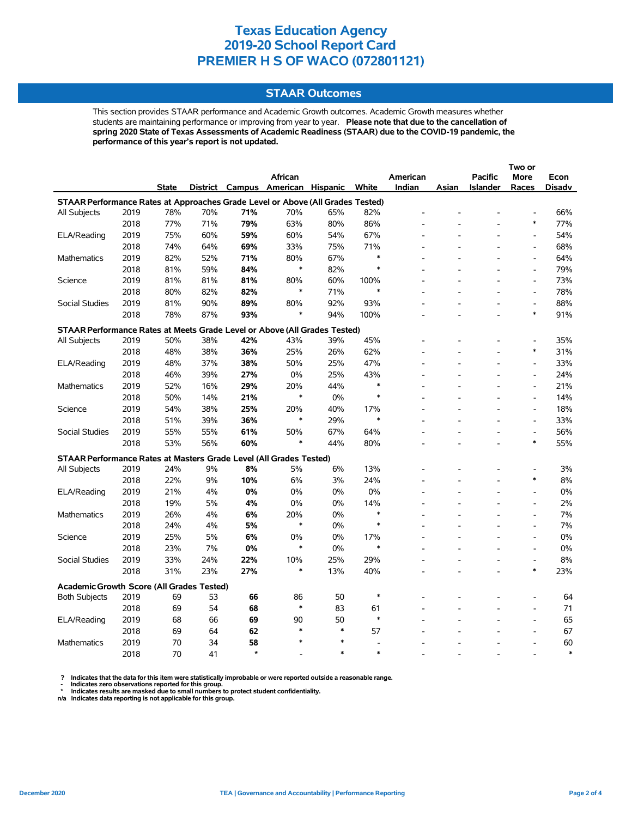### **STAAR Outcomes**

This section provides STAAR performance and Academic Growth outcomes. Academic Growth measures whether students are maintaining performance or improving from year to year. **Please note that due to the cancellation of spring 2020 State of Texas Assessments of Academic Readiness (STAAR) due to the COVID-19 pandemic, the performance of this year's report is not updated.**

|                                                                                |      |       |     |         |                                   |        |        |          |                |                 | Two or                       |        |
|--------------------------------------------------------------------------------|------|-------|-----|---------|-----------------------------------|--------|--------|----------|----------------|-----------------|------------------------------|--------|
|                                                                                |      |       |     |         | <b>African</b>                    |        |        | American |                | <b>Pacific</b>  | <b>More</b>                  | Econ   |
|                                                                                |      | State |     |         | District Campus American Hispanic |        | White  | Indian   | Asian          | <b>Islander</b> | Races                        | Disadv |
| STAAR Performance Rates at Approaches Grade Level or Above (All Grades Tested) |      |       |     |         |                                   |        |        |          |                |                 |                              |        |
| All Subjects                                                                   | 2019 | 78%   | 70% | 71%     | 70%                               | 65%    | 82%    |          |                |                 |                              | 66%    |
|                                                                                | 2018 | 77%   | 71% | 79%     | 63%                               | 80%    | 86%    |          |                |                 | $\ast$                       | 77%    |
| ELA/Reading                                                                    | 2019 | 75%   | 60% | 59%     | 60%                               | 54%    | 67%    |          |                |                 |                              | 54%    |
|                                                                                | 2018 | 74%   | 64% | 69%     | 33%                               | 75%    | 71%    |          |                |                 | $\frac{1}{2}$                | 68%    |
| <b>Mathematics</b>                                                             | 2019 | 82%   | 52% | 71%     | 80%                               | 67%    | ∗      |          |                |                 | $\overline{\phantom{a}}$     | 64%    |
|                                                                                | 2018 | 81%   | 59% | 84%     | $\ast$                            | 82%    | $\ast$ |          |                |                 | $\overline{\phantom{a}}$     | 79%    |
| Science                                                                        | 2019 | 81%   | 81% | 81%     | 80%                               | 60%    | 100%   |          |                |                 | $\frac{1}{2}$                | 73%    |
|                                                                                | 2018 | 80%   | 82% | 82%     | $\ast$                            | 71%    | $\ast$ |          |                |                 | $\frac{1}{2}$                | 78%    |
| <b>Social Studies</b>                                                          | 2019 | 81%   | 90% | 89%     | 80%                               | 92%    | 93%    |          |                |                 | $\qquad \qquad \blacksquare$ | 88%    |
|                                                                                | 2018 | 78%   | 87% | 93%     | $\ast$                            | 94%    | 100%   |          |                |                 | $\ast$                       | 91%    |
| STAAR Performance Rates at Meets Grade Level or Above (All Grades Tested)      |      |       |     |         |                                   |        |        |          |                |                 |                              |        |
| All Subjects                                                                   | 2019 | 50%   | 38% | 42%     | 43%                               | 39%    | 45%    |          |                |                 | $\overline{a}$               | 35%    |
|                                                                                | 2018 | 48%   | 38% | 36%     | 25%                               | 26%    | 62%    |          |                |                 | $\ast$                       | 31%    |
| ELA/Reading                                                                    | 2019 | 48%   | 37% | 38%     | 50%                               | 25%    | 47%    |          |                |                 | $\overline{\phantom{a}}$     | 33%    |
|                                                                                | 2018 | 46%   | 39% | 27%     | 0%                                | 25%    | 43%    |          |                |                 | $\overline{a}$               | 24%    |
| <b>Mathematics</b>                                                             | 2019 | 52%   | 16% | 29%     | 20%                               | 44%    | $\ast$ |          |                |                 | $\overline{\phantom{a}}$     | 21%    |
|                                                                                | 2018 | 50%   | 14% | 21%     | $\ast$                            | 0%     | $\ast$ |          |                |                 | $\overline{\phantom{a}}$     | 14%    |
| Science                                                                        | 2019 | 54%   | 38% | 25%     | 20%                               | 40%    | 17%    |          |                |                 | $\overline{a}$               | 18%    |
|                                                                                | 2018 | 51%   | 39% | 36%     | $\ast$                            | 29%    | $\ast$ |          |                |                 | $\overline{a}$               | 33%    |
| <b>Social Studies</b>                                                          | 2019 | 55%   | 55% | 61%     | 50%                               | 67%    | 64%    |          |                |                 | $\overline{a}$               | 56%    |
|                                                                                | 2018 | 53%   | 56% | 60%     | $\ast$                            | 44%    | 80%    |          |                |                 | $\ast$                       | 55%    |
| STAAR Performance Rates at Masters Grade Level (All Grades Tested)             |      |       |     |         |                                   |        |        |          |                |                 |                              |        |
| All Subjects                                                                   | 2019 | 24%   | 9%  | 8%      | 5%                                | 6%     | 13%    |          |                |                 | $\overline{a}$               | 3%     |
|                                                                                | 2018 | 22%   | 9%  | 10%     | 6%                                | 3%     | 24%    |          |                |                 | $\ast$                       | 8%     |
| ELA/Reading                                                                    | 2019 | 21%   | 4%  | 0%      | 0%                                | 0%     | 0%     |          |                |                 | $\overline{a}$               | 0%     |
|                                                                                | 2018 | 19%   | 5%  | 4%      | 0%                                | 0%     | 14%    |          |                |                 | $\overline{\phantom{a}}$     | 2%     |
| <b>Mathematics</b>                                                             | 2019 | 26%   | 4%  | 6%      | 20%                               | 0%     | $\ast$ |          |                |                 | L,                           | 7%     |
|                                                                                | 2018 | 24%   | 4%  | 5%      | $\ast$                            | 0%     | $\ast$ |          |                |                 | L,                           | 7%     |
| Science                                                                        | 2019 | 25%   | 5%  | 6%      | 0%                                | 0%     | 17%    |          |                |                 | $\overline{\phantom{a}}$     | 0%     |
|                                                                                | 2018 | 23%   | 7%  | 0%      | $\ast$                            | 0%     | $\ast$ |          |                |                 | $\qquad \qquad \blacksquare$ | 0%     |
| Social Studies                                                                 | 2019 | 33%   | 24% | 22%     | 10%                               | 25%    | 29%    |          |                |                 | $\overline{\phantom{a}}$     | 8%     |
|                                                                                | 2018 | 31%   | 23% | 27%     | $\ast$                            | 13%    | 40%    |          | $\overline{a}$ |                 | $\ast$                       | 23%    |
| <b>Academic Growth Score (All Grades Tested)</b>                               |      |       |     |         |                                   |        |        |          |                |                 |                              |        |
| <b>Both Subjects</b>                                                           | 2019 | 69    | 53  | 66      | 86                                | 50     | $\ast$ |          |                |                 |                              | 64     |
|                                                                                | 2018 | 69    | 54  | 68      | $\ast$                            | 83     | 61     |          |                |                 | $\overline{\phantom{a}}$     | 71     |
| ELA/Reading                                                                    | 2019 | 68    | 66  | 69      | 90                                | 50     | $\ast$ |          |                |                 | $\overline{a}$               | 65     |
|                                                                                | 2018 | 69    | 64  | 62      | $\ast$                            | $\ast$ | 57     |          |                |                 | $\overline{a}$               | 67     |
| <b>Mathematics</b>                                                             | 2019 | 70    | 34  | 58      | $\ast$                            | $\ast$ |        |          |                |                 | $\overline{\phantom{a}}$     | 60     |
|                                                                                | 2018 | 70    | 41  | $\star$ |                                   | $\ast$ | $\ast$ |          |                |                 |                              | $\ast$ |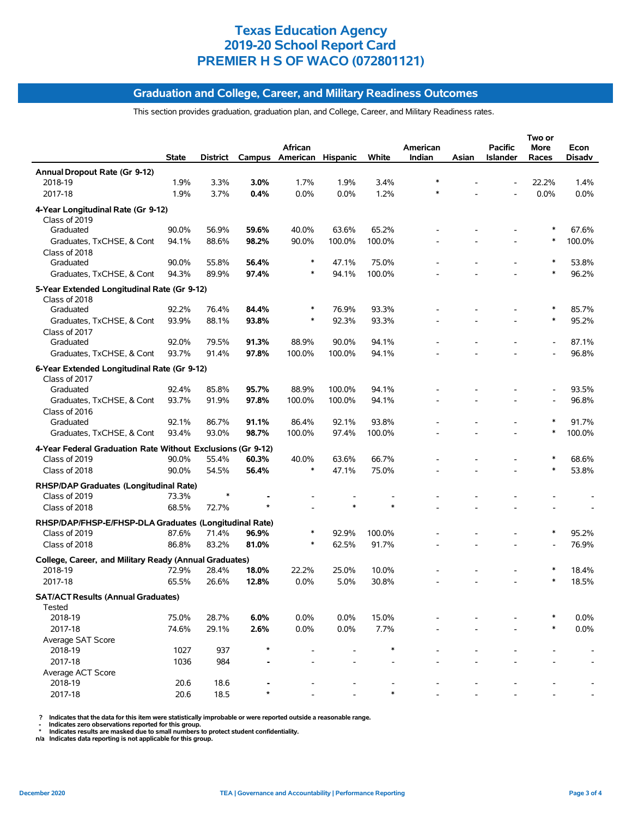### **Graduation and College, Career, and Military Readiness Outcomes**

This section provides graduation, graduation plan, and College, Career, and Military Readiness rates.

|                                                              | <b>State</b> | District |         | African<br>Campus American Hispanic |        | White  | American<br>Indian | Asian | <b>Pacific</b><br>Islander | Two or<br>More<br>Races | Econ<br>Disadv |
|--------------------------------------------------------------|--------------|----------|---------|-------------------------------------|--------|--------|--------------------|-------|----------------------------|-------------------------|----------------|
| Annual Dropout Rate (Gr 9-12)                                |              |          |         |                                     |        |        |                    |       |                            |                         |                |
| 2018-19                                                      | 1.9%         | 3.3%     | 3.0%    | 1.7%                                | 1.9%   | 3.4%   | $\ast$             |       |                            | 22.2%                   | 1.4%           |
| 2017-18                                                      | 1.9%         | 3.7%     | 0.4%    | 0.0%                                | 0.0%   | 1.2%   |                    |       |                            | 0.0%                    | 0.0%           |
| 4-Year Longitudinal Rate (Gr 9-12)<br>Class of 2019          |              |          |         |                                     |        |        |                    |       |                            |                         |                |
| Graduated                                                    | 90.0%        | 56.9%    | 59.6%   | 40.0%                               | 63.6%  | 65.2%  |                    |       |                            |                         | 67.6%          |
| Graduates, TxCHSE, & Cont                                    | 94.1%        | 88.6%    | 98.2%   | 90.0%                               | 100.0% | 100.0% |                    |       |                            | $\ast$                  | 100.0%         |
| Class of 2018<br>Graduated                                   | 90.0%        | 55.8%    | 56.4%   | $\ast$                              | 47.1%  | 75.0%  |                    |       |                            | $\ast$                  | 53.8%          |
| Graduates, TxCHSE, & Cont                                    | 94.3%        | 89.9%    | 97.4%   | $\ast$                              | 94.1%  | 100.0% |                    |       |                            | $\ast$                  | 96.2%          |
| 5-Year Extended Longitudinal Rate (Gr 9-12)                  |              |          |         |                                     |        |        |                    |       |                            |                         |                |
| Class of 2018<br>Graduated                                   | 92.2%        | 76.4%    | 84.4%   |                                     | 76.9%  | 93.3%  |                    |       |                            |                         | 85.7%          |
| Graduates, TxCHSE, & Cont                                    | 93.9%        | 88.1%    | 93.8%   |                                     | 92.3%  | 93.3%  |                    |       |                            | $\ast$                  | 95.2%          |
| Class of 2017                                                |              |          |         |                                     |        |        |                    |       |                            |                         |                |
| Graduated                                                    | 92.0%        | 79.5%    | 91.3%   | 88.9%                               | 90.0%  | 94.1%  |                    |       |                            |                         | 87.1%          |
| Graduates, TxCHSE, & Cont                                    | 93.7%        | 91.4%    | 97.8%   | 100.0%                              | 100.0% | 94.1%  |                    |       |                            |                         | 96.8%          |
| 6-Year Extended Longitudinal Rate (Gr 9-12)<br>Class of 2017 |              |          |         |                                     |        |        |                    |       |                            |                         |                |
| Graduated                                                    | 92.4%        | 85.8%    | 95.7%   | 88.9%                               | 100.0% | 94.1%  |                    |       |                            |                         | 93.5%          |
| Graduates, TxCHSE, & Cont                                    | 93.7%        | 91.9%    | 97.8%   | 100.0%                              | 100.0% | 94.1%  |                    |       |                            |                         | 96.8%          |
| Class of 2016                                                |              |          |         |                                     |        |        |                    |       |                            |                         |                |
| Graduated                                                    | 92.1%        | 86.7%    | 91.1%   | 86.4%                               | 92.1%  | 93.8%  |                    |       |                            |                         | 91.7%          |
| Graduates, TxCHSE, & Cont                                    | 93.4%        | 93.0%    | 98.7%   | 100.0%                              | 97.4%  | 100.0% |                    |       |                            |                         | 100.0%         |
| 4-Year Federal Graduation Rate Without Exclusions (Gr 9-12)  |              |          |         |                                     |        |        |                    |       |                            |                         |                |
| Class of 2019                                                | 90.0%        | 55.4%    | 60.3%   | 40.0%                               | 63.6%  | 66.7%  |                    |       |                            |                         | 68.6%          |
| Class of 2018                                                | 90.0%        | 54.5%    | 56.4%   | $\ast$                              | 47.1%  | 75.0%  |                    |       |                            | $\ast$                  | 53.8%          |
| RHSP/DAP Graduates (Longitudinal Rate)<br>Class of 2019      | 73.3%        |          |         |                                     |        |        |                    |       |                            |                         |                |
| Class of 2018                                                | 68.5%        | 72.7%    |         |                                     |        | $\ast$ |                    |       |                            |                         |                |
|                                                              |              |          |         |                                     |        |        |                    |       |                            |                         |                |
| RHSP/DAP/FHSP-E/FHSP-DLA Graduates (Longitudinal Rate)       |              |          |         |                                     |        |        |                    |       |                            |                         |                |
| Class of 2019                                                | 87.6%        | 71.4%    | 96.9%   |                                     | 92.9%  | 100.0% |                    |       |                            | $\ast$                  | 95.2%          |
| Class of 2018                                                | 86.8%        | 83.2%    | 81.0%   | $\ast$                              | 62.5%  | 91.7%  |                    |       |                            |                         | 76.9%          |
| College, Career, and Military Ready (Annual Graduates)       |              |          |         |                                     |        |        |                    |       |                            |                         |                |
| 2018-19                                                      | 72.9%        | 28.4%    | 18.0%   | 22.2%                               | 25.0%  | 10.0%  |                    |       |                            | ∗                       | 18.4%          |
| 2017-18                                                      | 65.5%        | 26.6%    | 12.8%   | 0.0%                                | 5.0%   | 30.8%  |                    |       |                            |                         | 18.5%          |
| <b>SAT/ACT Results (Annual Graduates)</b><br>Tested          |              |          |         |                                     |        |        |                    |       |                            |                         |                |
| 2018-19                                                      | 75.0%        | 28.7%    | 6.0%    | 0.0%                                | 0.0%   | 15.0%  |                    |       |                            |                         | 0.0%           |
| 2017-18                                                      | 74.6%        | 29.1%    | 2.6%    | 0.0%                                | 0.0%   | 7.7%   |                    |       |                            | $\ast$                  | 0.0%           |
| Average SAT Score<br>2018-19                                 | 1027         | 937      | $\star$ |                                     |        |        |                    |       |                            |                         |                |
| 2017-18                                                      | 1036         | 984      |         |                                     |        |        |                    |       |                            |                         |                |
| Average ACT Score                                            |              |          |         |                                     |        |        |                    |       |                            |                         |                |
| 2018-19                                                      | 20.6         | 18.6     |         |                                     |        |        |                    |       |                            |                         |                |
| 2017-18                                                      | 20.6         | 18.5     |         |                                     |        |        |                    |       |                            |                         |                |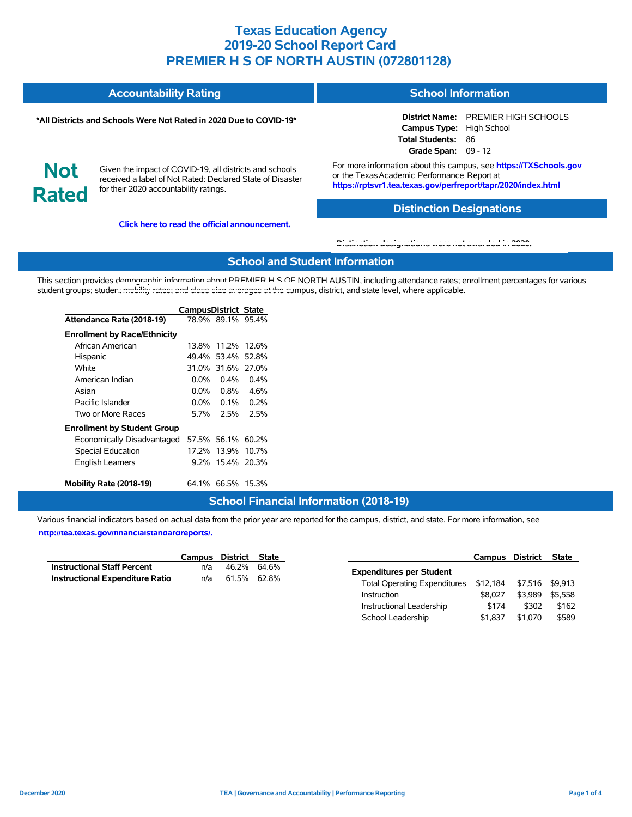| <b>Accountability Rating</b> | <b>School Information</b>        |
|------------------------------|----------------------------------|
|                              | Blake Marco, BBEMER HIGH COHOOLO |

#### **\*All Districts and Schools Were Not Rated in 2020 Due to COVID-19\***

**District Name:** PREMIER HIGH SCHOOLS **Campus Type:** High School **Total Students:** 86 **Grade Span:** 09 - 12

**Not Rated**

Given the impact of COVID-19, all districts and schools received a label of Not Rated: Declared State of Disaster for their 2020 accountability ratings.

For more information about this campus, see **https://TXSchools.gov** or the Texas Academic Performance Report at **https://rptsvr1.tea.texas.gov/perfreport/tapr/2020/index.html**

### **Distinction Designations**

#### **Click here to read the official announcement.**

#### **[Distinction designations were not awarded in 2020.](https://rptsvr1.tea.texas.gov/perfreport/tapr/2020/index.html)**

#### **School and Student Information**

This section provides demographic information about PREMIER H S OF NORTH AUSTIN, including attendance rates; enrollment percentages for various student groups; stude[nt mobility rates; and class size averages at the ca](https://tea.texas.gov/about-tea/news-and-multimedia/correspondence/taa-letters/every-student-succeeds-act-essa-waiver-approval-2020-state-academic-accountability)mpus, district, and state level, where applicable.

|                                     | <b>CampusDistrict State</b> |                   |         |
|-------------------------------------|-----------------------------|-------------------|---------|
| Attendance Rate (2018-19)           |                             | 78.9% 89.1% 95.4% |         |
| <b>Enrollment by Race/Ethnicity</b> |                             |                   |         |
| African American                    |                             | 13.8% 11.2% 12.6% |         |
| Hispanic                            | 49.4%                       | 53.4%             | 52.8%   |
| White                               | 31.0%                       | 31.6%             | 27.0%   |
| American Indian                     | $0.0\%$                     | $0.4\%$           | $0.4\%$ |
| Asian                               | $0.0\%$                     | 0 8%              | 4.6%    |
| Pacific Islander                    | 0.0%                        | $0.1\%$           | $0.2\%$ |
| Two or More Races                   | 5.7%                        | 2.5%              | 2.5%    |
| <b>Enrollment by Student Group</b>  |                             |                   |         |
| Economically Disadvantaged          |                             | 57.5% 56.1% 60.2% |         |
| Special Education                   | 17.2%                       | 13.9% 10.7%       |         |
| <b>English Learners</b>             | $9.2\%$                     | 15.4% 20.3%       |         |
| Mobility Rate (2018-19)             |                             | 64.1% 66.5% 15.3% |         |

### **School Financial Information (2018-19)**

|                                        | Campus District State |             |  |
|----------------------------------------|-----------------------|-------------|--|
| <b>Instructional Staff Percent</b>     | n/a                   | 46.2% 64.6% |  |
| <b>Instructional Expenditure Ratio</b> | n/a                   | 61.5% 62.8% |  |

|                                     | Campus District |         | State   |
|-------------------------------------|-----------------|---------|---------|
| <b>Expenditures per Student</b>     |                 |         |         |
| <b>Total Operating Expenditures</b> | \$12.184        | \$7.516 | \$9.913 |
| Instruction                         | \$8.027         | \$3.989 | \$5,558 |
| Instructional Leadership            | \$174           | \$302   | \$162   |
| School Leadership                   | \$1.837         | \$1.070 | \$589   |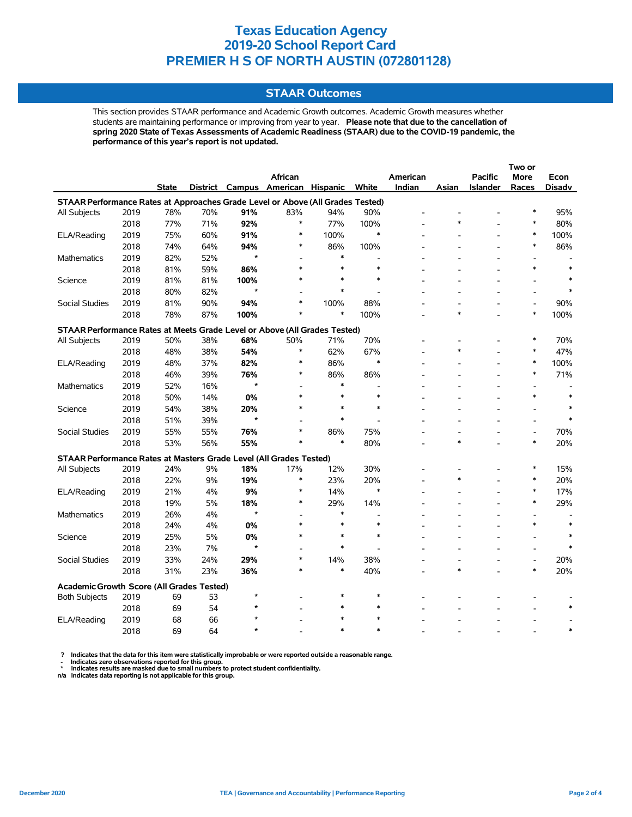#### **STAAR Outcomes**

This section provides STAAR performance and Academic Growth outcomes. Academic Growth measures whether students are maintaining performance or improving from year to year. **Please note that due to the cancellation of spring 2020 State of Texas Assessments of Academic Readiness (STAAR) due to the COVID-19 pandemic, the performance of this year's report is not updated.**

|                                                                                |      |              |     |         |                          |                 |        |          |        |                 | Two or         |               |
|--------------------------------------------------------------------------------|------|--------------|-----|---------|--------------------------|-----------------|--------|----------|--------|-----------------|----------------|---------------|
|                                                                                |      |              |     |         | African                  |                 |        | American |        | <b>Pacific</b>  | More           | Econ          |
|                                                                                |      | <b>State</b> |     |         | District Campus American | <b>Hispanic</b> | White  | Indian   | Asian  | <b>Islander</b> | Races          | <b>Disadv</b> |
| STAAR Performance Rates at Approaches Grade Level or Above (All Grades Tested) |      |              |     |         |                          |                 |        |          |        |                 |                |               |
| All Subjects                                                                   | 2019 | 78%          | 70% | 91%     | 83%                      | 94%             | 90%    |          |        |                 | *              | 95%           |
|                                                                                | 2018 | 77%          | 71% | 92%     | $\ast$                   | 77%             | 100%   |          | $\ast$ |                 | $\ast$         | 80%           |
| ELA/Reading                                                                    | 2019 | 75%          | 60% | 91%     | $\ast$                   | 100%            | $\ast$ |          |        |                 | $\ast$         | 100%          |
|                                                                                | 2018 | 74%          | 64% | 94%     | ∗                        | 86%             | 100%   |          |        |                 | ∗              | 86%           |
| <b>Mathematics</b>                                                             | 2019 | 82%          | 52% | ÷       |                          | $\ast$          |        |          |        |                 |                |               |
|                                                                                | 2018 | 81%          | 59% | 86%     | $\ast$                   | $\ast$          | $\ast$ |          |        |                 | $\ast$         | $\ast$        |
| Science                                                                        | 2019 | 81%          | 81% | 100%    | $\ast$                   | $\ast$          | $\ast$ |          |        |                 |                |               |
|                                                                                | 2018 | 80%          | 82% | ÷       |                          | $\ast$          |        |          |        |                 |                |               |
| Social Studies                                                                 | 2019 | 81%          | 90% | 94%     |                          | 100%            | 88%    |          |        |                 | $\overline{a}$ | 90%           |
|                                                                                | 2018 | 78%          | 87% | 100%    | $\ast$                   | $\ast$          | 100%   |          | $\ast$ |                 | $\ast$         | 100%          |
| STAAR Performance Rates at Meets Grade Level or Above (All Grades Tested)      |      |              |     |         |                          |                 |        |          |        |                 |                |               |
| All Subjects                                                                   | 2019 | 50%          | 38% | 68%     | 50%                      | 71%             | 70%    |          |        |                 | ∗              | 70%           |
|                                                                                | 2018 | 48%          | 38% | 54%     | $\ast$                   | 62%             | 67%    |          | *      |                 | $\ast$         | 47%           |
| ELA/Reading                                                                    | 2019 | 48%          | 37% | 82%     | $\ast$                   | 86%             | $\ast$ |          |        |                 | $\ast$         | 100%          |
|                                                                                | 2018 | 46%          | 39% | 76%     | $\ast$                   | 86%             | 86%    |          |        |                 | $\ast$         | 71%           |
| <b>Mathematics</b>                                                             | 2019 | 52%          | 16% | $\star$ |                          | $\ast$          |        |          |        |                 |                |               |
|                                                                                | 2018 | 50%          | 14% | 0%      | $\ast$                   | $\ast$          | $\ast$ |          |        |                 | $\ast$         | $\ast$        |
| Science                                                                        | 2019 | 54%          | 38% | 20%     | $\ast$                   | $\ast$          | $\ast$ |          |        |                 |                | $\ast$        |
|                                                                                | 2018 | 51%          | 39% | $\star$ |                          | $\ast$          |        |          |        |                 |                | $\ast$        |
| Social Studies                                                                 | 2019 | 55%          | 55% | 76%     |                          | 86%             | 75%    |          |        |                 |                | 70%           |
|                                                                                | 2018 | 53%          | 56% | 55%     |                          | $\ast$          | 80%    |          | $\ast$ |                 | $\ast$         | 20%           |
| STAAR Performance Rates at Masters Grade Level (All Grades Tested)             |      |              |     |         |                          |                 |        |          |        |                 |                |               |
| All Subjects                                                                   | 2019 | 24%          | 9%  | 18%     | 17%                      | 12%             | 30%    |          |        |                 | *              | 15%           |
|                                                                                | 2018 | 22%          | 9%  | 19%     | *                        | 23%             | 20%    |          | $\ast$ |                 | *              | 20%           |
| ELA/Reading                                                                    | 2019 | 21%          | 4%  | 9%      | $\ast$                   | 14%             | $\ast$ |          |        |                 | $\ast$         | 17%           |
|                                                                                | 2018 | 19%          | 5%  | 18%     | $\ast$                   | 29%             | 14%    |          |        |                 | $\ast$         | 29%           |
| <b>Mathematics</b>                                                             | 2019 | 26%          | 4%  | $\star$ |                          | $\ast$          |        |          |        |                 |                |               |
|                                                                                | 2018 | 24%          | 4%  | 0%      | $\ast$                   | $\ast$          | $\ast$ |          |        |                 | $\ast$         | $\ast$        |
| Science                                                                        | 2019 | 25%          | 5%  | 0%      | $\ast$                   | $\ast$          | $\ast$ |          |        |                 |                |               |
|                                                                                | 2018 | 23%          | 7%  | $\star$ |                          | $\ast$          |        |          |        |                 |                | $\ast$        |
| Social Studies                                                                 | 2019 | 33%          | 24% | 29%     | $\ast$                   | 14%             | 38%    |          |        |                 |                | 20%           |
|                                                                                | 2018 | 31%          | 23% | 36%     | $\ast$                   | $\ast$          | 40%    |          | $\ast$ |                 | $\ast$         | 20%           |
| Academic Growth Score (All Grades Tested)                                      |      |              |     |         |                          |                 |        |          |        |                 |                |               |
| <b>Both Subjects</b>                                                           | 2019 | 69           | 53  | ÷       |                          | $\ast$          | $\ast$ |          |        |                 |                |               |
|                                                                                | 2018 | 69           | 54  |         |                          | $\ast$          | $\ast$ |          |        |                 |                |               |
| ELA/Reading                                                                    | 2019 | 68           | 66  |         |                          | $\ast$          |        |          |        |                 |                |               |
|                                                                                | 2018 | 69           | 64  |         |                          | $\ast$          |        |          |        |                 |                | $\ast$        |

 **? Indicates that the data for this item were statistically improbable or were reported outside a reasonable range.**

- Indicates zero observations reported for this group.<br>\* Indicates results are masked due to small numbers to protect student confidentiality.<br>n/a Indicates data reporting is not applicable for this group.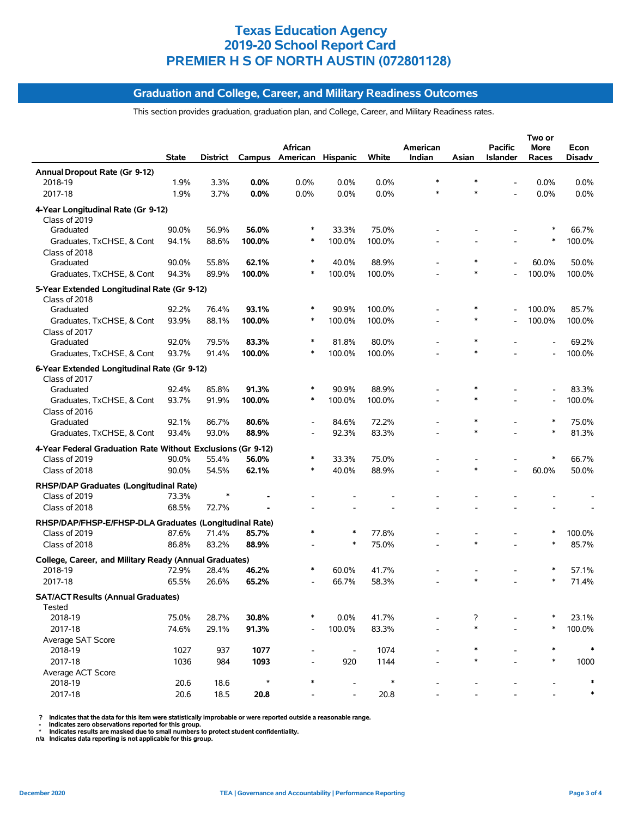### **Graduation and College, Career, and Military Readiness Outcomes**

This section provides graduation, graduation plan, and College, Career, and Military Readiness rates.

|                                                                         | State        | District     | Campus          | African<br>American Hispanic |                          | White   | American<br>Indian | Asian  | <b>Pacific</b><br>Islander | Two or<br>More<br>Races | Econ<br>Disadv  |
|-------------------------------------------------------------------------|--------------|--------------|-----------------|------------------------------|--------------------------|---------|--------------------|--------|----------------------------|-------------------------|-----------------|
| Annual Dropout Rate (Gr 9-12)                                           |              |              |                 |                              |                          |         |                    |        |                            |                         |                 |
| 2018-19                                                                 | 1.9%         | 3.3%         | 0.0%            | 0.0%                         | 0.0%                     | $0.0\%$ |                    | $\ast$ |                            | $0.0\%$                 | $0.0\%$         |
| 2017-18                                                                 | 1.9%         | 3.7%         | 0.0%            | 0.0%                         | 0.0%                     | 0.0%    |                    | $\ast$ |                            | 0.0%                    | 0.0%            |
| 4-Year Longitudinal Rate (Gr 9-12)<br>Class of 2019                     |              |              |                 |                              |                          |         |                    |        |                            |                         |                 |
| Graduated                                                               | 90.0%        | 56.9%        | 56.0%           |                              | 33.3%                    | 75.0%   |                    |        |                            |                         | 66.7%           |
| Graduates, TxCHSE, & Cont                                               | 94.1%        | 88.6%        | 100.0%          | *                            | 100.0%                   | 100.0%  |                    |        |                            | $\ast$                  | 100.0%          |
| Class of 2018<br>Graduated                                              | 90.0%        | 55.8%        | 62.1%           | $\ast$                       | 40.0%                    | 88.9%   |                    | $\ast$ |                            | 60.0%                   | 50.0%           |
| Graduates, TxCHSE, & Cont                                               | 94.3%        | 89.9%        | 100.0%          |                              | 100.0%                   | 100.0%  |                    | $\ast$ |                            | 100.0%                  | 100.0%          |
| 5-Year Extended Longitudinal Rate (Gr 9-12)<br>Class of 2018            |              |              |                 |                              |                          |         |                    |        |                            |                         |                 |
| Graduated                                                               | 92.2%        | 76.4%        | 93.1%           |                              | 90.9%                    | 100.0%  |                    |        |                            | 100.0%                  | 85.7%           |
| Graduates, TxCHSE, & Cont                                               | 93.9%        | 88.1%        | 100.0%          | *                            | 100.0%                   | 100.0%  |                    | $\ast$ |                            | 100.0%                  | 100.0%          |
| Class of 2017                                                           | 92.0%        |              |                 |                              |                          | 80.0%   |                    | $\ast$ |                            |                         |                 |
| Graduated                                                               | 93.7%        | 79.5%        | 83.3%<br>100.0% |                              | 81.8%<br>100.0%          | 100.0%  |                    | $\ast$ |                            |                         | 69.2%<br>100.0% |
| Graduates, TxCHSE, & Cont                                               |              | 91.4%        |                 |                              |                          |         |                    |        |                            |                         |                 |
| 6-Year Extended Longitudinal Rate (Gr 9-12)<br>Class of 2017            |              |              |                 |                              |                          |         |                    |        |                            |                         |                 |
| Graduated                                                               | 92.4%        | 85.8%        | 91.3%           |                              | 90.9%                    | 88.9%   |                    |        |                            |                         | 83.3%           |
| Graduates, TxCHSE, & Cont<br>Class of 2016                              | 93.7%        | 91.9%        | 100.0%          | *                            | 100.0%                   | 100.0%  |                    | $\ast$ |                            |                         | 100.0%          |
| Graduated                                                               | 92.1%        | 86.7%        | 80.6%           |                              | 84.6%                    | 72.2%   |                    |        |                            | ∗                       | 75.0%           |
| Graduates, TxCHSE, & Cont                                               | 93.4%        | 93.0%        | 88.9%           |                              | 92.3%                    | 83.3%   |                    | $\ast$ |                            | $\ast$                  | 81.3%           |
| 4-Year Federal Graduation Rate Without Exclusions (Gr 9-12)             |              |              |                 |                              |                          |         |                    |        |                            |                         |                 |
| Class of 2019                                                           | 90.0%        | 55.4%        | 56.0%           | *                            | 33.3%                    | 75.0%   |                    |        |                            |                         | 66.7%           |
| Class of 2018                                                           | 90.0%        | 54.5%        | 62.1%           |                              | 40.0%                    | 88.9%   |                    | $\ast$ |                            | 60.0%                   | 50.0%           |
| RHSP/DAP Graduates (Longitudinal Rate)<br>Class of 2019                 | 73.3%        |              |                 |                              |                          |         |                    |        |                            |                         |                 |
| Class of 2018                                                           | 68.5%        | 72.7%        |                 |                              |                          |         |                    |        |                            |                         |                 |
|                                                                         |              |              |                 |                              |                          |         |                    |        |                            |                         |                 |
| RHSP/DAP/FHSP-E/FHSP-DLA Graduates (Longitudinal Rate)<br>Class of 2019 | 87.6%        | 71.4%        | 85.7%           |                              | $\ast$                   | 77.8%   |                    |        |                            |                         | 100.0%          |
| Class of 2018                                                           | 86.8%        | 83.2%        | 88.9%           |                              | ∗                        | 75.0%   |                    | $\ast$ |                            |                         | 85.7%           |
|                                                                         |              |              |                 |                              |                          |         |                    |        |                            |                         |                 |
| College, Career, and Military Ready (Annual Graduates)                  |              |              |                 |                              |                          |         |                    |        |                            |                         |                 |
| 2018-19                                                                 | 72.9%        | 28.4%        | 46.2%           | $\ast$                       | 60.0%                    | 41.7%   |                    |        |                            |                         | 57.1%           |
| 2017-18                                                                 | 65.5%        | 26.6%        | 65.2%           |                              | 66.7%                    | 58.3%   |                    |        |                            |                         | 71.4%           |
| <b>SAT/ACT Results (Annual Graduates)</b><br>Tested                     |              |              |                 |                              |                          |         |                    |        |                            |                         |                 |
| 2018-19                                                                 | 75.0%        | 28.7%        | 30.8%           |                              | 0.0%                     | 41.7%   |                    | ?      |                            |                         | 23.1%           |
| 2017-18                                                                 | 74.6%        | 29.1%        | 91.3%           |                              | 100.0%                   | 83.3%   |                    | $\ast$ |                            | $\ast$                  | 100.0%          |
| Average SAT Score                                                       |              |              |                 |                              |                          |         |                    |        |                            |                         |                 |
| 2018-19                                                                 | 1027         | 937          | 1077            | $\overline{\phantom{m}}$     | $\overline{\phantom{a}}$ | 1074    |                    |        |                            | ∗                       | $\ast$          |
| 2017-18                                                                 | 1036         | 984          | 1093            |                              | 920                      | 1144    |                    | $\ast$ |                            | $\ast$                  | 1000            |
| Average ACT Score                                                       |              |              | $\ast$          | $\ast$                       | $\blacksquare$           | $\ast$  |                    |        |                            |                         |                 |
| 2018-19<br>2017-18                                                      | 20.6<br>20.6 | 18.6<br>18.5 | 20.8            |                              | $\overline{\phantom{a}}$ | 20.8    |                    |        |                            |                         |                 |
|                                                                         |              |              |                 |                              |                          |         |                    |        |                            |                         |                 |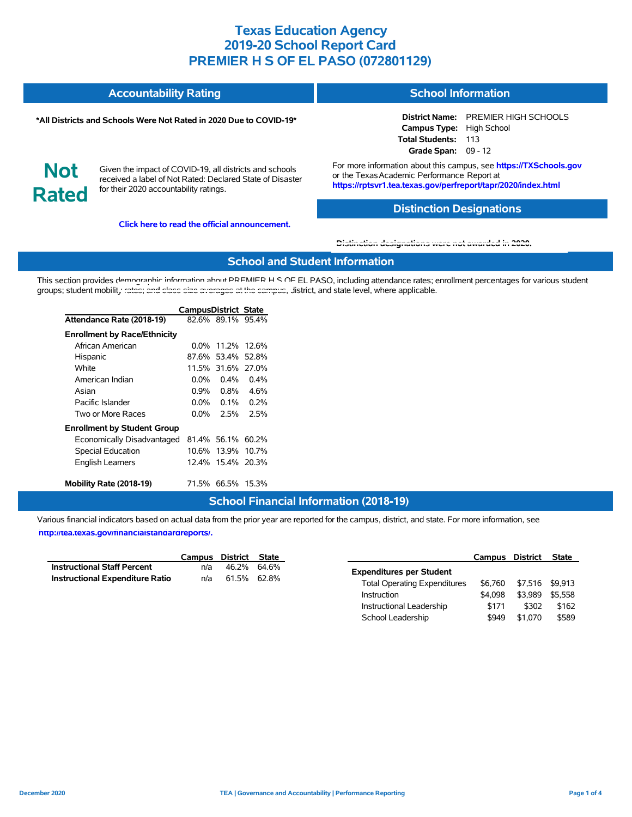| <b>Accountability Rating</b>                                       | <b>School Information</b>                  |
|--------------------------------------------------------------------|--------------------------------------------|
| *All Districts and Schools Were Not Rated in 2020 Due to COVID-19* | <b>District Name:</b> PREMIER HIGH SCHOOLS |

**Campus Type:** High School **Total Students:** 113 **Grade Span:** 09 - 12



Given the impact of COVID-19, all districts and schools received a label of Not Rated: Declared State of Disaster for their 2020 accountability ratings.

For more information about this campus, see **https://TXSchools.gov** or the Texas Academic Performance Report at **https://rptsvr1.tea.texas.gov/perfreport/tapr/2020/index.html**

### **Distinction Designations**

#### **Click here to read the official announcement.**

#### **[Distinction designations were not awarded in 2020.](https://rptsvr1.tea.texas.gov/perfreport/tapr/2020/index.html)**

#### **School and Student Information**

This section provides demographic information about PREMIER H S OF EL PASO, including attendance rates; enrollment percentages for various student groups; student mobilit[y rates; and class size averages at the campus, d](https://tea.texas.gov/about-tea/news-and-multimedia/correspondence/taa-letters/every-student-succeeds-act-essa-waiver-approval-2020-state-academic-accountability)istrict, and state level, where applicable.

|                                     | <b>CampusDistrict State</b> |                   |         |
|-------------------------------------|-----------------------------|-------------------|---------|
| Attendance Rate (2018-19)           |                             | 82.6% 89.1% 95.4% |         |
| <b>Enrollment by Race/Ethnicity</b> |                             |                   |         |
| African American                    | 0 ዐ%                        | 11 2% 12 6%       |         |
| Hispanic                            | 87.6%                       | 53.4%             | 52.8%   |
| White                               | 11.5%                       | 31.6%             | 27.0%   |
| American Indian                     | $0.0\%$                     | $0.4\%$           | $0.4\%$ |
| Asian                               | 0.9%                        | 0.8%              | 4.6%    |
| Pacific Islander                    | 0.0%                        | $0.1\%$           | 0.2%    |
| Two or More Races                   | $0.0\%$                     | $2.5\%$           | 2.5%    |
| <b>Enrollment by Student Group</b>  |                             |                   |         |
| Economically Disadvantaged          |                             | 81.4% 56.1% 60.2% |         |
| Special Education                   | 10.6%                       | 13.9% 10.7%       |         |
| English Learners                    |                             | 12.4% 15.4% 20.3% |         |
| Mobility Rate (2018-19)             | 71.5%                       | 66.5%             | 15.3%   |

### **School Financial Information (2018-19)**

|                                        | Campus District State |             |  |
|----------------------------------------|-----------------------|-------------|--|
| <b>Instructional Staff Percent</b>     | n/a                   | 46.2% 64.6% |  |
| <b>Instructional Expenditure Ratio</b> | n/a                   | 61.5% 62.8% |  |

|                                     | Campus District |         | State   |
|-------------------------------------|-----------------|---------|---------|
| <b>Expenditures per Student</b>     |                 |         |         |
| <b>Total Operating Expenditures</b> | \$6,760         | \$7.516 | \$9.913 |
| Instruction                         | \$4.098         | \$3.989 | \$5.558 |
| Instructional Leadership            | \$171           | \$302   | \$162   |
| School Leadership                   | \$949           | \$1.070 | \$589   |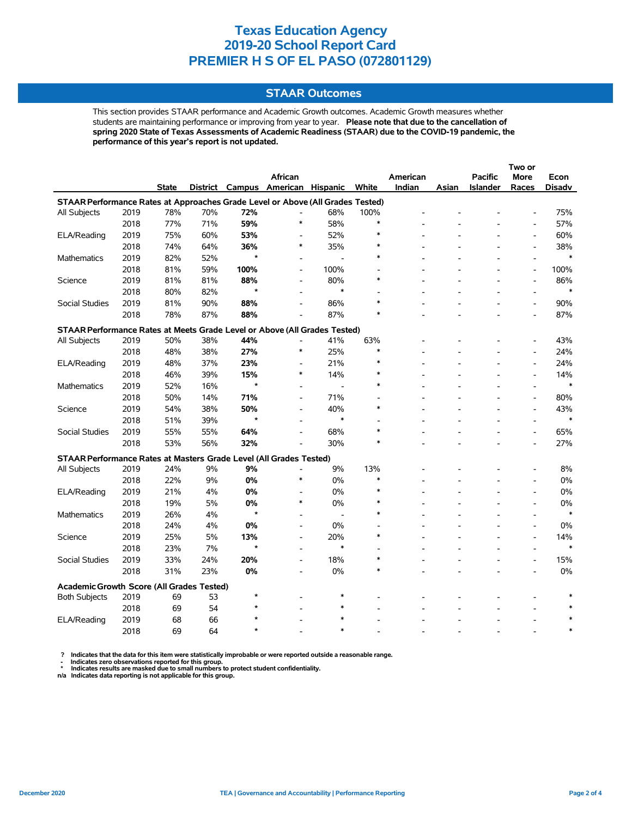### **STAAR Outcomes**

This section provides STAAR performance and Academic Growth outcomes. Academic Growth measures whether students are maintaining performance or improving from year to year. **Please note that due to the cancellation of spring 2020 State of Texas Assessments of Academic Readiness (STAAR) due to the COVID-19 pandemic, the performance of this year's report is not updated.**

|                                                                                |      |              |     |         |                          |                          |        |          |       |                 | Two or                   |               |
|--------------------------------------------------------------------------------|------|--------------|-----|---------|--------------------------|--------------------------|--------|----------|-------|-----------------|--------------------------|---------------|
|                                                                                |      |              |     |         | African                  |                          |        | American |       | <b>Pacific</b>  | More                     | Econ          |
|                                                                                |      | <b>State</b> |     |         | District Campus American | <b>Hispanic</b>          | White  | Indian   | Asian | <b>Islander</b> | Races                    | <b>Disadv</b> |
| STAAR Performance Rates at Approaches Grade Level or Above (All Grades Tested) |      |              |     |         |                          |                          |        |          |       |                 |                          |               |
| All Subjects                                                                   | 2019 | 78%          | 70% | 72%     |                          | 68%                      | 100%   |          |       |                 |                          | 75%           |
|                                                                                | 2018 | 77%          | 71% | 59%     | $\ast$                   | 58%                      | $\ast$ |          |       |                 | $\overline{a}$           | 57%           |
| ELA/Reading                                                                    | 2019 | 75%          | 60% | 53%     |                          | 52%                      | $\ast$ |          |       |                 | $\overline{a}$           | 60%           |
|                                                                                | 2018 | 74%          | 64% | 36%     | *                        | 35%                      |        |          |       |                 | $\overline{a}$           | 38%           |
| <b>Mathematics</b>                                                             | 2019 | 82%          | 52% | $\star$ |                          |                          |        |          |       |                 |                          | $\ast$        |
|                                                                                | 2018 | 81%          | 59% | 100%    | $\overline{a}$           | 100%                     |        |          |       |                 | ÷.                       | 100%          |
| Science                                                                        | 2019 | 81%          | 81% | 88%     | $\overline{a}$           | 80%                      | $\ast$ |          |       |                 | $\overline{\phantom{a}}$ | 86%           |
|                                                                                | 2018 | 80%          | 82% | $\star$ |                          | $\ast$                   |        |          |       |                 |                          | $\ast$        |
| <b>Social Studies</b>                                                          | 2019 | 81%          | 90% | 88%     |                          | 86%                      |        |          |       |                 | $\overline{a}$           | 90%           |
|                                                                                | 2018 | 78%          | 87% | 88%     |                          | 87%                      |        |          |       |                 |                          | 87%           |
| STAAR Performance Rates at Meets Grade Level or Above (All Grades Tested)      |      |              |     |         |                          |                          |        |          |       |                 |                          |               |
| All Subjects                                                                   | 2019 | 50%          | 38% | 44%     |                          | 41%                      | 63%    |          |       |                 |                          | 43%           |
|                                                                                | 2018 | 48%          | 38% | 27%     | $\ast$                   | 25%                      | $\ast$ |          |       |                 |                          | 24%           |
| ELA/Reading                                                                    | 2019 | 48%          | 37% | 23%     |                          | 21%                      | $\ast$ |          |       |                 | $\overline{a}$           | 24%           |
|                                                                                | 2018 | 46%          | 39% | 15%     | *                        | 14%                      | $\ast$ |          |       |                 |                          | 14%           |
| <b>Mathematics</b>                                                             | 2019 | 52%          | 16% | $\star$ | $\overline{\phantom{a}}$ | $\overline{\phantom{a}}$ |        |          |       |                 | $\overline{a}$           |               |
|                                                                                | 2018 | 50%          | 14% | 71%     | $\overline{\phantom{a}}$ | 71%                      |        |          |       |                 | $\overline{a}$           | 80%           |
| Science                                                                        | 2019 | 54%          | 38% | 50%     | $\overline{a}$           | 40%                      | $\ast$ |          |       |                 |                          | 43%           |
|                                                                                | 2018 | 51%          | 39% | $\star$ | $\overline{a}$           | $\ast$                   |        |          |       |                 | $\overline{a}$           | $\ast$        |
| Social Studies                                                                 | 2019 | 55%          | 55% | 64%     |                          | 68%                      |        |          |       |                 |                          | 65%           |
|                                                                                | 2018 | 53%          | 56% | 32%     | L,                       | 30%                      |        |          |       |                 | $\overline{a}$           | 27%           |
| STAAR Performance Rates at Masters Grade Level (All Grades Tested)             |      |              |     |         |                          |                          |        |          |       |                 |                          |               |
| All Subjects                                                                   | 2019 | 24%          | 9%  | 9%      | L,                       | 9%                       | 13%    |          |       |                 |                          | 8%            |
|                                                                                | 2018 | 22%          | 9%  | 0%      | *                        | 0%                       | $\ast$ |          |       |                 |                          | $0\%$         |
| ELA/Reading                                                                    | 2019 | 21%          | 4%  | 0%      | L,                       | 0%                       | $\ast$ |          |       |                 |                          | 0%            |
|                                                                                | 2018 | 19%          | 5%  | 0%      | *                        | 0%                       | $\ast$ |          |       |                 |                          | 0%            |
| <b>Mathematics</b>                                                             | 2019 | 26%          | 4%  | $\star$ |                          | $\overline{\phantom{a}}$ | $\ast$ |          |       |                 |                          | $\ast$        |
|                                                                                | 2018 | 24%          | 4%  | 0%      | $\overline{\phantom{a}}$ | 0%                       |        |          |       |                 | $\overline{a}$           | 0%            |
| Science                                                                        | 2019 | 25%          | 5%  | 13%     | $\overline{a}$           | 20%                      | $\ast$ |          |       |                 | $\overline{a}$           | 14%           |
|                                                                                | 2018 | 23%          | 7%  | $\star$ | $\overline{a}$           | $\ast$                   |        |          |       |                 |                          | $\ast$        |
| Social Studies                                                                 | 2019 | 33%          | 24% | 20%     | $\overline{\phantom{a}}$ | 18%                      | $\ast$ |          |       |                 | $\blacksquare$           | 15%           |
|                                                                                | 2018 | 31%          | 23% | 0%      |                          | 0%                       | $\ast$ |          |       |                 |                          | $0\%$         |
| Academic Growth Score (All Grades Tested)                                      |      |              |     |         |                          |                          |        |          |       |                 |                          |               |
| <b>Both Subjects</b>                                                           | 2019 | 69           | 53  | $\star$ |                          | $\ast$                   |        |          |       |                 |                          |               |
|                                                                                | 2018 | 69           | 54  |         |                          | $\ast$                   |        |          |       |                 |                          |               |
| ELA/Reading                                                                    | 2019 | 68           | 66  |         |                          | $\ast$                   |        |          |       |                 |                          |               |
|                                                                                | 2018 | 69           | 64  |         |                          | $\ast$                   |        |          |       |                 |                          | *             |

 **? Indicates that the data for this item were statistically improbable or were reported outside a reasonable range.**

- Indicates zero observations reported for this group.<br>\* Indicates results are masked due to small numbers to protect student confidentiality.<br>n/a Indicates data reporting is not applicable for this group.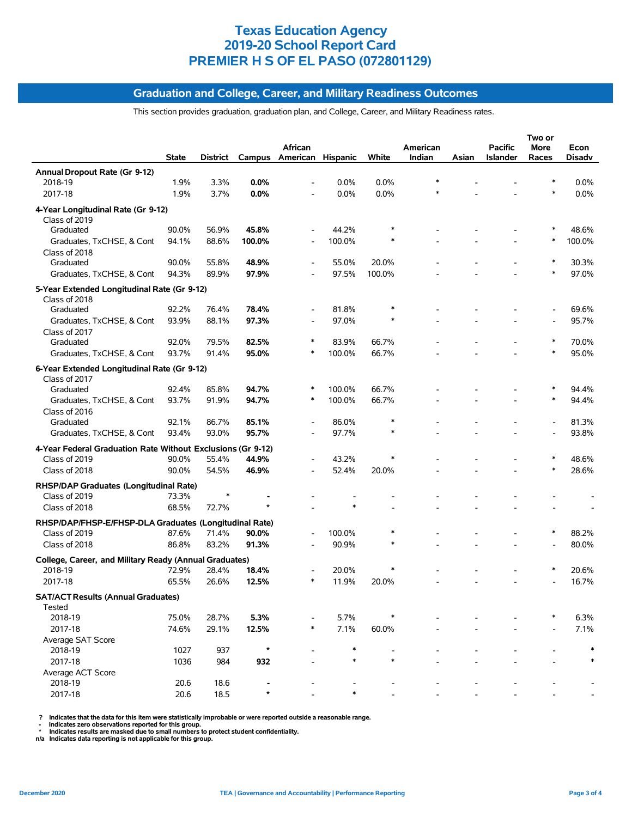### **Graduation and College, Career, and Military Readiness Outcomes**

This section provides graduation, graduation plan, and College, Career, and Military Readiness rates.

|                                                             |       |          |         |                   |        |        |          |       |                 | Two or |         |
|-------------------------------------------------------------|-------|----------|---------|-------------------|--------|--------|----------|-------|-----------------|--------|---------|
|                                                             |       |          |         | African           |        |        | American |       | <b>Pacific</b>  | More   | Econ    |
|                                                             | State | District | Campus  | American Hispanic |        | White  | Indian   | Asian | <b>Islander</b> | Races  | Disadv  |
| Annual Dropout Rate (Gr 9-12)                               |       |          |         |                   |        |        |          |       |                 |        |         |
| 2018-19                                                     | 1.9%  | 3.3%     | 0.0%    |                   | 0.0%   | 0.0%   | $\ast$   |       |                 |        | $0.0\%$ |
| 2017-18                                                     | 1.9%  | 3.7%     | 0.0%    |                   | 0.0%   | 0.0%   |          |       |                 | $\ast$ | 0.0%    |
| 4-Year Longitudinal Rate (Gr 9-12)                          |       |          |         |                   |        |        |          |       |                 |        |         |
| Class of 2019                                               |       |          |         |                   |        |        |          |       |                 |        |         |
| Graduated                                                   | 90.0% | 56.9%    | 45.8%   |                   | 44.2%  |        |          |       |                 |        | 48.6%   |
| Graduates, TxCHSE, & Cont                                   | 94.1% | 88.6%    | 100.0%  |                   | 100.0% | $\ast$ |          |       |                 | $\ast$ | 100.0%  |
| Class of 2018                                               |       |          |         |                   |        |        |          |       |                 |        |         |
| Graduated                                                   | 90.0% | 55.8%    | 48.9%   |                   | 55.0%  | 20.0%  |          |       |                 | ∗      | 30.3%   |
| Graduates, TxCHSE, & Cont                                   | 94.3% | 89.9%    | 97.9%   |                   | 97.5%  | 100.0% |          |       |                 | $\ast$ | 97.0%   |
| 5-Year Extended Longitudinal Rate (Gr 9-12)                 |       |          |         |                   |        |        |          |       |                 |        |         |
| Class of 2018                                               |       |          |         |                   |        |        |          |       |                 |        |         |
| Graduated                                                   | 92.2% | 76.4%    | 78.4%   |                   | 81.8%  |        |          |       |                 |        | 69.6%   |
| Graduates, TxCHSE, & Cont                                   | 93.9% | 88.1%    | 97.3%   |                   | 97.0%  |        |          |       |                 |        | 95.7%   |
| Class of 2017                                               |       |          |         |                   |        |        |          |       |                 |        |         |
| Graduated                                                   | 92.0% | 79.5%    | 82.5%   | $\ast$            | 83.9%  | 66.7%  |          |       |                 | ∗      | 70.0%   |
| Graduates, TxCHSE, & Cont                                   | 93.7% | 91.4%    | 95.0%   | $\ast$            | 100.0% | 66.7%  |          |       |                 | $\ast$ | 95.0%   |
| 6-Year Extended Longitudinal Rate (Gr 9-12)                 |       |          |         |                   |        |        |          |       |                 |        |         |
| Class of 2017                                               |       |          |         |                   |        |        |          |       |                 |        |         |
| Graduated                                                   | 92.4% | 85.8%    | 94.7%   |                   | 100.0% | 66.7%  |          |       |                 |        | 94.4%   |
| Graduates, TxCHSE, & Cont                                   | 93.7% | 91.9%    | 94.7%   | *                 | 100.0% | 66.7%  |          |       |                 | $\ast$ | 94.4%   |
| Class of 2016                                               |       |          |         |                   |        |        |          |       |                 |        |         |
| Graduated                                                   | 92.1% | 86.7%    | 85.1%   |                   | 86.0%  | $\ast$ |          |       |                 |        | 81.3%   |
| Graduates, TxCHSE, & Cont                                   | 93.4% | 93.0%    | 95.7%   |                   | 97.7%  | $\ast$ |          |       |                 |        | 93.8%   |
| 4-Year Federal Graduation Rate Without Exclusions (Gr 9-12) |       |          |         |                   |        |        |          |       |                 |        |         |
| Class of 2019                                               | 90.0% | 55.4%    | 44.9%   |                   | 43.2%  |        |          |       |                 |        | 48.6%   |
| Class of 2018                                               | 90.0% | 54.5%    | 46.9%   |                   | 52.4%  | 20.0%  |          |       |                 | $\ast$ | 28.6%   |
|                                                             |       |          |         |                   |        |        |          |       |                 |        |         |
| RHSP/DAP Graduates (Longitudinal Rate)                      |       |          |         |                   |        |        |          |       |                 |        |         |
| Class of 2019                                               | 73.3% |          |         |                   |        |        |          |       |                 |        |         |
| Class of 2018                                               | 68.5% | 72.7%    |         |                   |        |        |          |       |                 |        |         |
| RHSP/DAP/FHSP-E/FHSP-DLA Graduates (Longitudinal Rate)      |       |          |         |                   |        |        |          |       |                 |        |         |
| Class of 2019                                               | 87.6% | 71.4%    | 90.0%   |                   | 100.0% |        |          |       |                 | ∗      | 88.2%   |
| Class of 2018                                               | 86.8% | 83.2%    | 91.3%   |                   | 90.9%  | $\ast$ |          |       |                 |        | 80.0%   |
| College, Career, and Military Ready (Annual Graduates)      |       |          |         |                   |        |        |          |       |                 |        |         |
| 2018-19                                                     | 72.9% | 28.4%    | 18.4%   |                   | 20.0%  |        |          |       |                 | ∗      | 20.6%   |
| 2017-18                                                     | 65.5% | 26.6%    | 12.5%   |                   | 11.9%  | 20.0%  |          |       |                 |        | 16.7%   |
|                                                             |       |          |         |                   |        |        |          |       |                 |        |         |
| <b>SAT/ACT Results (Annual Graduates)</b><br>Tested         |       |          |         |                   |        |        |          |       |                 |        |         |
| 2018-19                                                     | 75.0% | 28.7%    | 5.3%    |                   | 5.7%   |        |          |       |                 |        | 6.3%    |
| 2017-18                                                     | 74.6% | 29.1%    | 12.5%   | *                 | 7.1%   | 60.0%  |          |       |                 |        | 7.1%    |
| Average SAT Score                                           |       |          |         |                   |        |        |          |       |                 |        |         |
| 2018-19                                                     | 1027  | 937      | $\ast$  |                   | ∗      |        |          |       |                 |        | $\ast$  |
| 2017-18                                                     | 1036  | 984      | 932     |                   | $\ast$ | $\ast$ |          |       |                 |        | $\ast$  |
| Average ACT Score                                           |       |          |         |                   |        |        |          |       |                 |        |         |
| 2018-19                                                     | 20.6  | 18.6     |         |                   |        |        |          |       |                 |        |         |
| 2017-18                                                     | 20.6  | 18.5     | $\star$ |                   |        |        |          |       |                 |        |         |
|                                                             |       |          |         |                   |        |        |          |       |                 |        |         |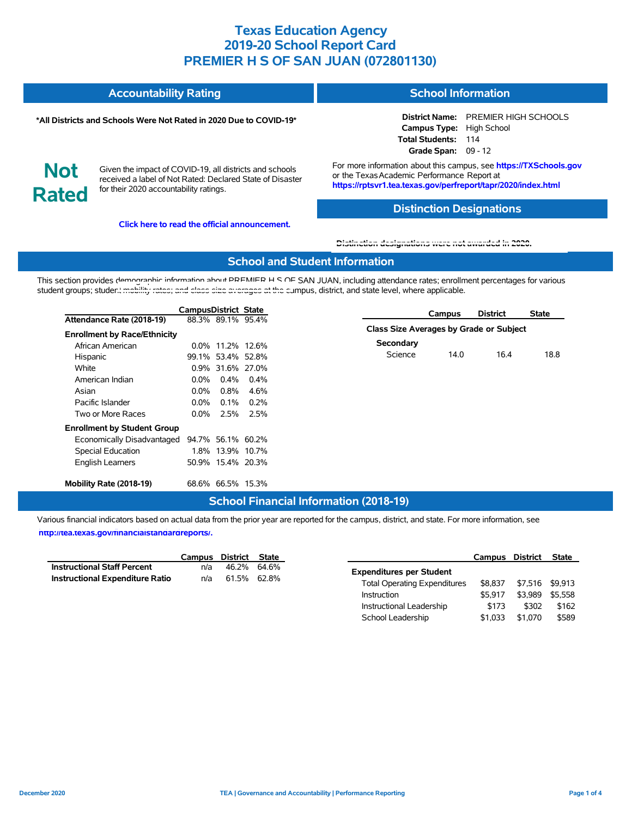| <b>Accountability Rating</b> | <b>School Information</b> |
|------------------------------|---------------------------|
|                              |                           |

#### **\*All Districts and Schools Were Not Rated in 2020 Due to COVID-19\***

**District Name:** PREMIER HIGH SCHOOLS **Campus Type:** High School **Total Students:** 114 **Grade Span:** 09 - 12

**Not Rated**

Given the impact of COVID-19, all districts and schools received a label of Not Rated: Declared State of Disaster for their 2020 accountability ratings.

**Click here to read the official announcement.**

For more information about this campus, see **https://TXSchools.gov** or the Texas Academic Performance Report at **https://rptsvr1.tea.texas.gov/perfreport/tapr/2020/index.html**

### **Distinction Designations**

#### **[Distinction designations were not awarded in 2020.](https://rptsvr1.tea.texas.gov/perfreport/tapr/2020/index.html)**

#### **School and Student Information**

This section provides demographic information about PREMIER H S OF SAN JUAN, including attendance rates; enrollment percentages for various student groups; stude[nt mobility rates; and class size averages at the ca](https://tea.texas.gov/about-tea/news-and-multimedia/correspondence/taa-letters/every-student-succeeds-act-essa-waiver-approval-2020-state-academic-accountability)mpus, district, and state level, where applicable.

|                                     | CampusDistrict State |                   |                  | <b>District</b><br>Campus               | <b>State</b> |
|-------------------------------------|----------------------|-------------------|------------------|-----------------------------------------|--------------|
| Attendance Rate (2018-19)           |                      | 88.3% 89.1% 95.4% |                  |                                         |              |
| <b>Enrollment by Race/Ethnicity</b> |                      |                   |                  | Class Size Averages by Grade or Subject |              |
| African American                    |                      |                   | 0.0% 11.2% 12.6% | Secondary                               |              |
| Hispanic                            |                      | 99.1% 53.4% 52.8% |                  | Science<br>16.4<br>14.0                 | 18.8         |
| White                               |                      | 0.9% 31.6% 27.0%  |                  |                                         |              |
| American Indian                     | $0.0\%$              | $0.4\%$           | $0.4\%$          |                                         |              |
| Asian                               | $0.0\%$              | 0.8%              | 4.6%             |                                         |              |
| Pacific Islander                    | $0.0\%$              | $0.1\%$           | 0.2%             |                                         |              |
| Two or More Races                   | 0.0%                 |                   | 2.5% 2.5%        |                                         |              |
| <b>Enrollment by Student Group</b>  |                      |                   |                  |                                         |              |
| Economically Disadvantaged          |                      | 94.7% 56.1% 60.2% |                  |                                         |              |
| Special Education                   |                      | 1.8% 13.9% 10.7%  |                  |                                         |              |
| English Learners                    |                      | 50.9% 15.4% 20.3% |                  |                                         |              |
| Mobility Rate (2018-19)             |                      | 68.6% 66.5% 15.3% |                  |                                         |              |

### **School Financial Information (2018-19)**

|                                        | Campus District State |             |  |
|----------------------------------------|-----------------------|-------------|--|
| <b>Instructional Staff Percent</b>     | n/a                   | 46.2% 64.6% |  |
| <b>Instructional Expenditure Ratio</b> | n/a                   | 61.5% 62.8% |  |

|                                     | Campus District |         | <b>State</b> |
|-------------------------------------|-----------------|---------|--------------|
| <b>Expenditures per Student</b>     |                 |         |              |
| <b>Total Operating Expenditures</b> | \$8.837         | \$7.516 | \$9.913      |
| Instruction                         | \$5.917         | \$3.989 | \$5.558      |
| Instructional Leadership            | \$173           | \$302   | \$162        |
| School Leadership                   | \$1.033         | \$1.070 | \$589        |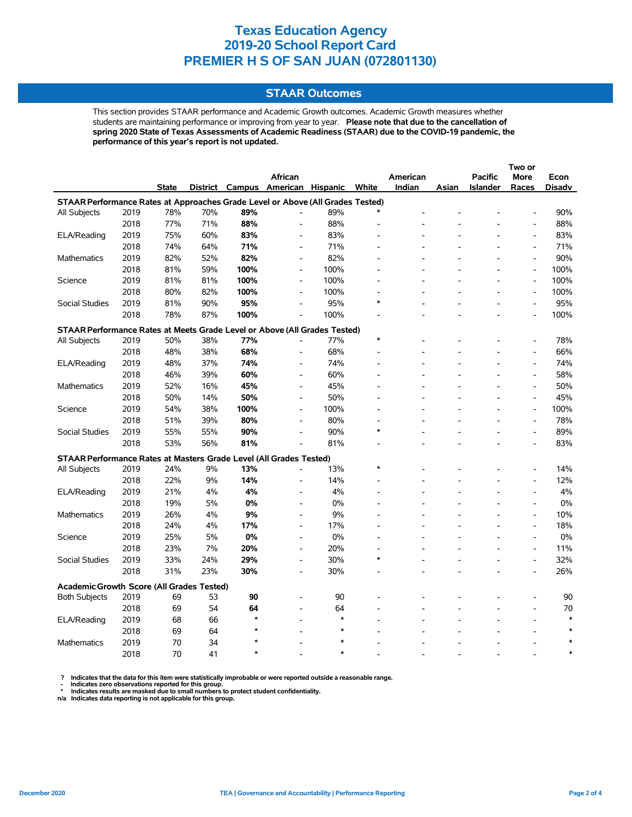### **STAAR Outcomes**

This section provides STAAR performance and Academic Growth outcomes. Academic Growth measures whether students are maintaining performance or improving from year to year. **Please note that due to the cancellation of spring 2020 State of Texas Assessments of Academic Readiness (STAAR) due to the COVID-19 pandemic, the performance of this year's report is not updated.**

|                                                                                |      |       |     |               | African                           |              |        | American |       | <b>Pacific</b>  | <b>More</b>                  | Econ          |
|--------------------------------------------------------------------------------|------|-------|-----|---------------|-----------------------------------|--------------|--------|----------|-------|-----------------|------------------------------|---------------|
|                                                                                |      | State |     |               | District Campus American Hispanic |              | White  | Indian   | Asian | <b>Islander</b> | Races                        | <b>Disadv</b> |
| STAAR Performance Rates at Approaches Grade Level or Above (All Grades Tested) |      |       |     |               |                                   |              |        |          |       |                 |                              |               |
| All Subjects                                                                   | 2019 | 78%   | 70% | 89%           | $\overline{a}$                    | 89%          | $\ast$ |          |       |                 |                              | 90%           |
|                                                                                | 2018 | 77%   | 71% | 88%           | $\qquad \qquad \blacksquare$      | 88%          |        |          |       |                 | $\overline{a}$               | 88%           |
| ELA/Reading                                                                    | 2019 | 75%   | 60% | 83%           |                                   | 83%          |        |          |       |                 |                              | 83%           |
|                                                                                | 2018 | 74%   | 64% | 71%           | $\blacksquare$                    | 71%          |        |          |       |                 | $\overline{a}$               | 71%           |
| <b>Mathematics</b>                                                             | 2019 | 82%   | 52% | 82%           | $\blacksquare$                    | 82%          |        |          |       |                 | $\overline{a}$               | 90%           |
|                                                                                | 2018 | 81%   | 59% | 100%          | $\overline{\phantom{0}}$          | 100%         |        |          |       |                 | $\overline{a}$               | 100%          |
| Science                                                                        | 2019 | 81%   | 81% | 100%          | $\overline{\phantom{a}}$          | 100%         |        |          |       |                 | $\overline{a}$               | 100%          |
|                                                                                | 2018 | 80%   | 82% | 100%          | $\overline{a}$                    | 100%         |        |          |       |                 | $\overline{a}$               | 100%          |
| Social Studies                                                                 | 2019 | 81%   | 90% | 95%           | L,                                | 95%          |        |          |       |                 | $\overline{a}$               | 95%           |
|                                                                                | 2018 | 78%   | 87% | 100%          |                                   | 100%         |        |          |       |                 |                              | 100%          |
| STAAR Performance Rates at Meets Grade Level or Above (All Grades Tested)      |      |       |     |               |                                   |              |        |          |       |                 |                              |               |
| All Subjects                                                                   | 2019 | 50%   | 38% | 77%           |                                   | 77%          | $\ast$ |          |       |                 |                              | 78%           |
|                                                                                | 2018 | 48%   | 38% | 68%           | $\overline{a}$                    | 68%          |        |          |       |                 | $\overline{a}$               | 66%           |
| ELA/Reading                                                                    | 2019 | 48%   | 37% | 74%           | $\overline{\phantom{a}}$          | 74%          |        |          |       |                 | $\overline{a}$               | 74%           |
|                                                                                | 2018 | 46%   | 39% | 60%           | $\blacksquare$                    | 60%          |        |          |       |                 |                              | 58%           |
| <b>Mathematics</b>                                                             | 2019 | 52%   | 16% | 45%           | $\overline{\phantom{0}}$          | 45%          |        |          |       |                 | $\overline{a}$               | 50%           |
|                                                                                | 2018 | 50%   | 14% | 50%           | $\overline{\phantom{a}}$          | 50%          |        |          |       |                 | $\overline{a}$               | 45%           |
| Science                                                                        | 2019 | 54%   | 38% | 100%          | $\blacksquare$                    | 100%         |        |          |       |                 | $\overline{a}$               | 100%          |
|                                                                                | 2018 | 51%   | 39% | 80%           |                                   | 80%          |        |          |       |                 | $\overline{\phantom{a}}$     | 78%           |
| <b>Social Studies</b>                                                          | 2019 | 55%   | 55% | 90%           | $\blacksquare$                    | 90%          | $\ast$ |          |       |                 | $\overline{a}$               | 89%           |
|                                                                                | 2018 | 53%   | 56% | 81%           | $\blacksquare$                    | 81%          |        |          |       |                 | $\overline{a}$               | 83%           |
| STAAR Performance Rates at Masters Grade Level (All Grades Tested)             |      |       |     |               |                                   |              |        |          |       |                 |                              |               |
| All Subjects                                                                   | 2019 | 24%   | 9%  | 13%           | $\overline{a}$                    | 13%          |        |          |       |                 | $\overline{a}$               | 14%           |
|                                                                                | 2018 | 22%   | 9%  | 14%           | $\blacksquare$                    | 14%          |        |          |       |                 |                              | 12%           |
| ELA/Reading                                                                    | 2019 | 21%   | 4%  | 4%            | $\blacksquare$                    | 4%           |        |          |       |                 | $\overline{\phantom{a}}$     | 4%            |
|                                                                                | 2018 | 19%   | 5%  | 0%            | $\overline{\phantom{a}}$          | 0%           |        |          |       |                 | $\overline{a}$               | 0%            |
| <b>Mathematics</b>                                                             | 2019 | 26%   | 4%  | 9%            | L,                                | 9%           |        |          |       |                 | $\overline{a}$               | 10%           |
|                                                                                | 2018 | 24%   | 4%  | 17%           | L,                                | 17%          |        |          |       |                 | $\overline{a}$               | 18%           |
| Science                                                                        | 2019 | 25%   | 5%  | 0%            | $\qquad \qquad \blacksquare$      | 0%           |        |          |       |                 | $\blacksquare$               | 0%            |
|                                                                                | 2018 | 23%   | 7%  | 20%           | $\overline{a}$                    | 20%          |        |          |       |                 | $\qquad \qquad \blacksquare$ | 11%           |
| Social Studies                                                                 | 2019 | 33%   | 24% | 29%           | $\overline{a}$                    | 30%          | $\ast$ |          |       |                 | $\overline{a}$               | 32%           |
|                                                                                | 2018 | 31%   | 23% | 30%           | $\overline{a}$                    | 30%          |        |          |       |                 | $\overline{a}$               | 26%           |
|                                                                                |      |       |     |               |                                   |              |        |          |       |                 |                              |               |
| <b>Academic Growth Score (All Grades Tested)</b>                               |      |       |     |               |                                   |              |        |          |       |                 |                              |               |
| <b>Both Subjects</b>                                                           | 2019 | 69    | 53  | 90            |                                   | 90           |        |          |       |                 |                              | 90            |
|                                                                                | 2018 | 69    | 54  | 64<br>$\star$ |                                   | 64<br>$\ast$ |        |          |       |                 |                              | 70<br>$\ast$  |
| ELA/Reading                                                                    | 2019 | 68    | 66  |               |                                   | $\ast$       |        |          |       |                 |                              | $\ast$        |
|                                                                                | 2018 | 69    | 64  |               |                                   | $\ast$       |        |          |       |                 |                              | $\ast$        |
| <b>Mathematics</b>                                                             | 2019 | 70    | 34  |               |                                   |              |        |          |       |                 |                              |               |
|                                                                                | 2018 | 70    | 41  |               |                                   | $\ast$       |        |          |       |                 |                              | $\ast$        |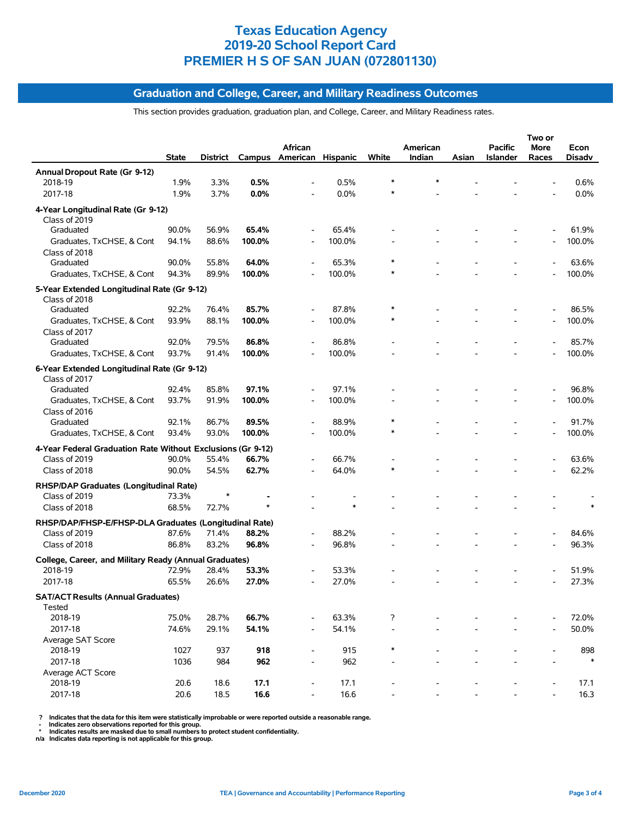### **Graduation and College, Career, and Military Readiness Outcomes**

This section provides graduation, graduation plan, and College, Career, and Military Readiness rates.

|                                                              |              |          |        |                          |        |                          |          |       |                 | Two or |        |
|--------------------------------------------------------------|--------------|----------|--------|--------------------------|--------|--------------------------|----------|-------|-----------------|--------|--------|
|                                                              |              |          |        | African                  |        |                          | American |       | <b>Pacific</b>  | More   | Econ   |
|                                                              | <b>State</b> | District |        | Campus American Hispanic |        | White                    | Indian   | Asian | <b>Islander</b> | Races  | Disadv |
| Annual Dropout Rate (Gr 9-12)                                |              |          |        |                          |        |                          |          |       |                 |        |        |
| 2018-19                                                      | 1.9%         | 3.3%     | 0.5%   |                          | 0.5%   | $\ast$                   |          |       |                 |        | 0.6%   |
| 2017-18                                                      | 1.9%         | 3.7%     | 0.0%   |                          | 0.0%   | $\ast$                   |          |       |                 |        | 0.0%   |
| 4-Year Longitudinal Rate (Gr 9-12)                           |              |          |        |                          |        |                          |          |       |                 |        |        |
| Class of 2019                                                |              |          |        |                          |        |                          |          |       |                 |        |        |
| Graduated                                                    | 90.0%        | 56.9%    | 65.4%  |                          | 65.4%  |                          |          |       |                 |        | 61.9%  |
| Graduates, TxCHSE, & Cont                                    | 94.1%        | 88.6%    | 100.0% |                          | 100.0% |                          |          |       |                 |        | 100.0% |
| Class of 2018                                                |              |          |        |                          |        |                          |          |       |                 |        |        |
| Graduated                                                    | 90.0%        | 55.8%    | 64.0%  |                          | 65.3%  |                          |          |       |                 |        | 63.6%  |
| Graduates, TxCHSE, & Cont                                    | 94.3%        | 89.9%    | 100.0% |                          | 100.0% |                          |          |       |                 |        | 100.0% |
| 5-Year Extended Longitudinal Rate (Gr 9-12)                  |              |          |        |                          |        |                          |          |       |                 |        |        |
| Class of 2018                                                |              |          |        |                          |        |                          |          |       |                 |        |        |
| Graduated                                                    | 92.2%        | 76.4%    | 85.7%  |                          | 87.8%  |                          |          |       |                 |        | 86.5%  |
| Graduates, TxCHSE, & Cont                                    | 93.9%        | 88.1%    | 100.0% |                          | 100.0% |                          |          |       |                 |        | 100.0% |
| Class of 2017                                                |              |          |        |                          |        |                          |          |       |                 |        |        |
| Graduated                                                    | 92.0%        | 79.5%    | 86.8%  |                          | 86.8%  |                          |          |       |                 |        | 85.7%  |
| Graduates, TxCHSE, & Cont                                    | 93.7%        | 91.4%    | 100.0% |                          | 100.0% |                          |          |       |                 |        | 100.0% |
|                                                              |              |          |        |                          |        |                          |          |       |                 |        |        |
| 6-Year Extended Longitudinal Rate (Gr 9-12)<br>Class of 2017 |              |          |        |                          |        |                          |          |       |                 |        |        |
| Graduated                                                    | 92.4%        | 85.8%    | 97.1%  |                          | 97.1%  |                          |          |       |                 |        | 96.8%  |
| Graduates, TxCHSE, & Cont                                    | 93.7%        | 91.9%    | 100.0% |                          | 100.0% |                          |          |       |                 |        | 100.0% |
| Class of 2016                                                |              |          |        |                          |        |                          |          |       |                 |        |        |
| Graduated                                                    | 92.1%        | 86.7%    | 89.5%  |                          | 88.9%  |                          |          |       |                 |        | 91.7%  |
| Graduates, TxCHSE, & Cont                                    | 93.4%        | 93.0%    | 100.0% |                          | 100.0% |                          |          |       |                 |        | 100.0% |
|                                                              |              |          |        |                          |        |                          |          |       |                 |        |        |
| 4-Year Federal Graduation Rate Without Exclusions (Gr 9-12)  |              |          |        |                          |        |                          |          |       |                 |        |        |
| Class of 2019                                                | 90.0%        | 55.4%    | 66.7%  |                          | 66.7%  | $\ast$                   |          |       |                 |        | 63.6%  |
| Class of 2018                                                | 90.0%        | 54.5%    | 62.7%  |                          | 64.0%  |                          |          |       |                 |        | 62.2%  |
| RHSP/DAP Graduates (Longitudinal Rate)                       |              |          |        |                          |        |                          |          |       |                 |        |        |
| Class of 2019                                                | 73.3%        |          |        |                          |        |                          |          |       |                 |        |        |
| Class of 2018                                                | 68.5%        | 72.7%    |        |                          |        |                          |          |       |                 |        |        |
| RHSP/DAP/FHSP-E/FHSP-DLA Graduates (Longitudinal Rate)       |              |          |        |                          |        |                          |          |       |                 |        |        |
| Class of 2019                                                | 87.6%        | 71.4%    | 88.2%  |                          | 88.2%  |                          |          |       |                 |        | 84.6%  |
| Class of 2018                                                | 86.8%        | 83.2%    | 96.8%  |                          | 96.8%  |                          |          |       |                 |        | 96.3%  |
|                                                              |              |          |        |                          |        |                          |          |       |                 |        |        |
| College, Career, and Military Ready (Annual Graduates)       |              |          |        |                          |        |                          |          |       |                 |        |        |
| 2018-19                                                      | 72.9%        | 28.4%    | 53.3%  |                          | 53.3%  |                          |          |       |                 |        | 51.9%  |
| 2017-18                                                      | 65.5%        | 26.6%    | 27.0%  |                          | 27.0%  |                          |          |       |                 |        | 27.3%  |
| <b>SAT/ACT Results (Annual Graduates)</b>                    |              |          |        |                          |        |                          |          |       |                 |        |        |
| Tested                                                       |              |          |        |                          |        |                          |          |       |                 |        |        |
| 2018-19                                                      | 75.0%        | 28.7%    | 66.7%  |                          | 63.3%  | ?                        |          |       |                 |        | 72.0%  |
| 2017-18                                                      | 74.6%        | 29.1%    | 54.1%  |                          | 54.1%  | $\overline{\phantom{a}}$ |          |       |                 |        | 50.0%  |
| Average SAT Score                                            |              |          |        |                          |        |                          |          |       |                 |        |        |
| 2018-19                                                      | 1027         | 937      | 918    | $\overline{\phantom{a}}$ | 915    | $\ast$                   |          |       |                 |        | 898    |
| 2017-18                                                      | 1036         | 984      | 962    | $\overline{a}$           | 962    |                          |          |       |                 |        | $\ast$ |
| Average ACT Score                                            |              |          |        |                          |        |                          |          |       |                 |        |        |
| 2018-19                                                      | 20.6         | 18.6     | 17.1   |                          | 17.1   |                          |          |       |                 |        | 17.1   |
| 2017-18                                                      | 20.6         | 18.5     | 16.6   |                          | 16.6   |                          |          |       |                 |        | 16.3   |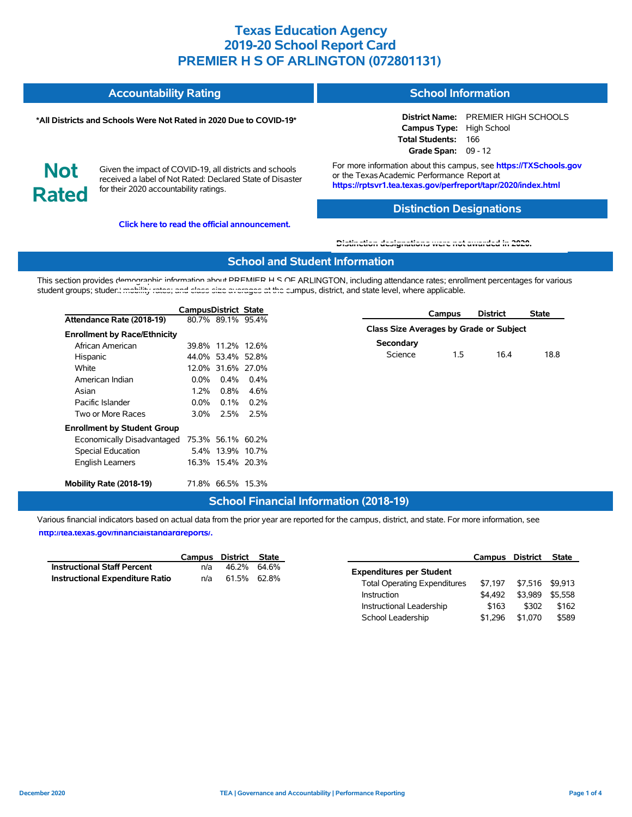| <b>Accountability Rating</b> | <b>School Information</b> |
|------------------------------|---------------------------|
|                              |                           |

#### **\*All Districts and Schools Were Not Rated in 2020 Due to COVID-19\***

#### **District Name:** PREMIER HIGH SCHOOLS **Campus Type:** High School **Total Students:** 166 **Grade Span:** 09 - 12

**Not Rated**

Given the impact of COVID-19, all districts and schools received a label of Not Rated: Declared State of Disaster for their 2020 accountability ratings.

**Click here to read the official announcement.**

For more information about this campus, see **https://TXSchools.gov** or the Texas Academic Performance Report at **https://rptsvr1.tea.texas.gov/perfreport/tapr/2020/index.html**

#### **Distinction Designations**

#### **[Distinction designations were not awarded in 2020.](https://rptsvr1.tea.texas.gov/perfreport/tapr/2020/index.html)**

#### **School and Student Information**

This section provides demographic information about PREMIER H S OF ARLINGTON, including attendance rates; enrollment percentages for various student groups; stude[nt mobility rates; and class size averages at the ca](https://tea.texas.gov/about-tea/news-and-multimedia/correspondence/taa-letters/every-student-succeeds-act-essa-waiver-approval-2020-state-academic-accountability)mpus, district, and state level, where applicable.

|                                     | <b>CampusDistrict State</b> |                   |         | <b>District</b><br><b>Campus</b>        | <b>State</b> |
|-------------------------------------|-----------------------------|-------------------|---------|-----------------------------------------|--------------|
| Attendance Rate (2018-19)           |                             | 80.7% 89.1% 95.4% |         |                                         |              |
| <b>Enrollment by Race/Ethnicity</b> |                             |                   |         | Class Size Averages by Grade or Subject |              |
| African American                    |                             | 39.8% 11.2% 12.6% |         | Secondary                               |              |
| Hispanic                            |                             | 44.0% 53.4% 52.8% |         | 1.5<br>Science<br>16.4                  | 18.8         |
| White                               |                             | 12.0% 31.6% 27.0% |         |                                         |              |
| American Indian                     | $0.0\%$                     | $0.4\%$           | $0.4\%$ |                                         |              |
| Asian                               | 1.2%                        | $0.8\%$           | 4.6%    |                                         |              |
| Pacific Islander                    | $0.0\%$                     | $0.1\%$           | $0.2\%$ |                                         |              |
| Two or More Races                   | 3.0%                        | 2.5%              | 2.5%    |                                         |              |
| <b>Enrollment by Student Group</b>  |                             |                   |         |                                         |              |
| Economically Disadvantaged          |                             | 75.3% 56.1% 60.2% |         |                                         |              |
| Special Education                   |                             | 5.4% 13.9% 10.7%  |         |                                         |              |
| English Learners                    |                             | 16.3% 15.4% 20.3% |         |                                         |              |
| Mobility Rate (2018-19)             |                             | 71.8% 66.5% 15.3% |         |                                         |              |

#### **School Financial Information (2018-19)**

|                                        | Campus District State |             |  |
|----------------------------------------|-----------------------|-------------|--|
| <b>Instructional Staff Percent</b>     | n/a                   | 46.2% 64.6% |  |
| <b>Instructional Expenditure Ratio</b> | n/a                   | 61.5% 62.8% |  |

|                                     | Campus District |         | <b>State</b> |
|-------------------------------------|-----------------|---------|--------------|
| <b>Expenditures per Student</b>     |                 |         |              |
| <b>Total Operating Expenditures</b> | \$7.197         | \$7.516 | \$9.913      |
| Instruction                         | \$4.492         | \$3.989 | \$5.558      |
| Instructional Leadership            | \$163           | \$302   | \$162        |
| School Leadership                   | \$1.296         | \$1.070 | \$589        |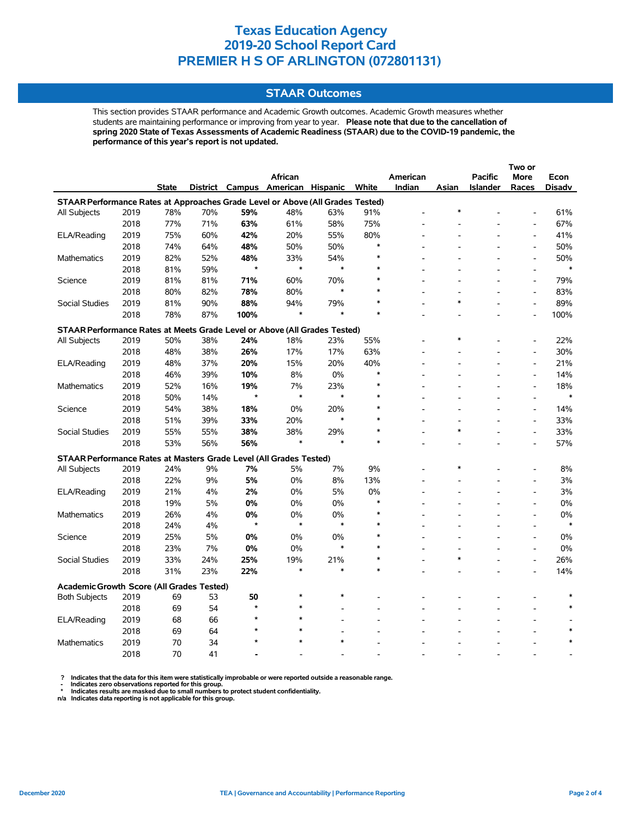### **STAAR Outcomes**

This section provides STAAR performance and Academic Growth outcomes. Academic Growth measures whether students are maintaining performance or improving from year to year. **Please note that due to the cancellation of spring 2020 State of Texas Assessments of Academic Readiness (STAAR) due to the COVID-19 pandemic, the performance of this year's report is not updated.**

|                                                                                |      |       |     |               |                                   |               |              |          |        |                 | Two or                   |               |
|--------------------------------------------------------------------------------|------|-------|-----|---------------|-----------------------------------|---------------|--------------|----------|--------|-----------------|--------------------------|---------------|
|                                                                                |      |       |     |               | African                           |               |              | American |        | <b>Pacific</b>  | <b>More</b>              | Econ          |
|                                                                                |      | State |     |               | District Campus American Hispanic |               | White        | Indian   | Asian  | <b>Islander</b> | Races                    | <b>Disadv</b> |
| STAAR Performance Rates at Approaches Grade Level or Above (All Grades Tested) |      |       |     |               |                                   |               |              |          |        |                 |                          |               |
| All Subjects                                                                   | 2019 | 78%   | 70% | 59%           | 48%                               | 63%           | 91%          |          | $\ast$ |                 |                          | 61%           |
|                                                                                | 2018 | 77%   | 71% | 63%           | 61%                               | 58%           | 75%          |          |        |                 | $\overline{a}$           | 67%           |
| ELA/Reading                                                                    | 2019 | 75%   | 60% | 42%           | 20%                               | 55%           | 80%          |          |        |                 |                          | 41%           |
|                                                                                | 2018 | 74%   | 64% | 48%           | 50%                               | 50%           | $\ast$       |          |        |                 | $\overline{a}$           | 50%           |
| <b>Mathematics</b>                                                             | 2019 | 82%   | 52% | 48%           | 33%                               | 54%           | $\ast$       |          |        |                 | $\overline{a}$           | 50%           |
|                                                                                | 2018 | 81%   | 59% | $\star$       | $\ast$                            | $\ast$        |              |          |        |                 | $\overline{\phantom{a}}$ | $\ast$        |
| Science                                                                        | 2019 | 81%   | 81% | 71%           | 60%                               | 70%           |              |          |        |                 | $\overline{a}$           | 79%           |
|                                                                                | 2018 | 80%   | 82% | 78%           | 80%                               | $\ast$        | $\ast$       |          |        |                 | $\overline{a}$           | 83%           |
| Social Studies                                                                 | 2019 | 81%   | 90% | 88%           | 94%                               | 79%           |              |          | $\ast$ |                 | $\overline{a}$           | 89%           |
|                                                                                | 2018 | 78%   | 87% | 100%          | $\ast$                            | $\ast$        |              |          |        |                 |                          | 100%          |
| STAAR Performance Rates at Meets Grade Level or Above (All Grades Tested)      |      |       |     |               |                                   |               |              |          |        |                 |                          |               |
| All Subjects                                                                   | 2019 | 50%   | 38% | 24%           | 18%                               | 23%           | 55%          |          | $\ast$ |                 |                          | 22%           |
|                                                                                | 2018 | 48%   | 38% | 26%           | 17%                               | 17%           | 63%          |          |        |                 | $\overline{a}$           | 30%           |
| ELA/Reading                                                                    | 2019 | 48%   | 37% | 20%           | 15%                               | 20%           | 40%          |          |        |                 | $\overline{a}$           | 21%           |
|                                                                                | 2018 | 46%   | 39% | 10%           | $8\%$                             | 0%            | $\ast$       |          |        |                 |                          | 14%           |
| <b>Mathematics</b>                                                             | 2019 | 52%   | 16% | 19%           | 7%                                | 23%           |              |          |        |                 | $\overline{a}$           | 18%           |
|                                                                                | 2018 | 50%   | 14% | $\star$       | $\ast$                            | $\ast$        | $\ast$       |          |        |                 | $\overline{a}$           | $\ast$        |
| Science                                                                        | 2019 | 54%   | 38% | 18%           | 0%                                | 20%           |              |          |        |                 | $\overline{\phantom{a}}$ | 14%           |
|                                                                                | 2018 | 51%   | 39% | 33%           | 20%                               | $\ast$        |              |          |        |                 | $\overline{\phantom{a}}$ | 33%           |
| <b>Social Studies</b>                                                          | 2019 | 55%   | 55% | 38%           | 38%                               | 29%           |              |          | $\ast$ |                 | $\overline{a}$           | 33%           |
|                                                                                | 2018 | 53%   | 56% | 56%           | $\ast$                            | $\ast$        | $\ast$       |          |        |                 | $\overline{a}$           | 57%           |
|                                                                                |      |       |     |               |                                   |               |              |          |        |                 |                          |               |
| STAAR Performance Rates at Masters Grade Level (All Grades Tested)             |      |       |     |               |                                   |               |              |          |        |                 |                          |               |
| All Subjects                                                                   | 2019 | 24%   | 9%  | 7%            | 5%                                | 7%            | 9%           |          |        |                 |                          | 8%            |
|                                                                                | 2018 | 22%   | 9%  | 5%            | 0%                                | 8%            | 13%          |          |        |                 |                          | 3%            |
| ELA/Reading                                                                    | 2019 | 21%   | 4%  | 2%            | 0%                                | 5%            | 0%<br>$\ast$ |          |        |                 | $\overline{a}$           | 3%            |
|                                                                                | 2018 | 19%   | 5%  | 0%            | 0%                                | 0%            |              |          |        |                 | $\overline{a}$           | 0%            |
| <b>Mathematics</b>                                                             | 2019 | 26%   | 4%  | 0%<br>$\star$ | 0%<br>$\ast$                      | 0%<br>$\ast$  |              |          |        |                 |                          | 0%<br>$\ast$  |
|                                                                                | 2018 | 24%   | 4%  |               |                                   |               | $\ast$       |          |        |                 |                          |               |
| Science                                                                        | 2019 | 25%   | 5%  | 0%            | 0%                                | 0%<br>$\ast$  |              |          |        |                 | $\overline{a}$           | 0%            |
|                                                                                | 2018 | 23%   | 7%  | 0%            | 0%                                |               | $\ast$       |          | *      |                 | $\overline{a}$           | $0\%$         |
| Social Studies                                                                 | 2019 | 33%   | 24% | 25%           | 19%<br>$\ast$                     | 21%<br>$\ast$ | $\ast$       |          |        |                 | $\overline{a}$           | 26%           |
|                                                                                | 2018 | 31%   | 23% | 22%           |                                   |               |              |          |        |                 |                          | 14%           |
| <b>Academic Growth Score (All Grades Tested)</b>                               |      |       |     |               |                                   |               |              |          |        |                 |                          |               |
| <b>Both Subjects</b>                                                           | 2019 | 69    | 53  | 50            | $\ast$                            | $\ast$        |              |          |        |                 |                          |               |
|                                                                                | 2018 | 69    | 54  | $\star$       |                                   |               |              |          |        |                 |                          |               |
| ELA/Reading                                                                    | 2019 | 68    | 66  |               |                                   |               |              |          |        |                 |                          |               |
|                                                                                | 2018 | 69    | 64  |               |                                   |               |              |          |        |                 |                          |               |
| <b>Mathematics</b>                                                             | 2019 | 70    | 34  |               |                                   | $\ast$        |              |          |        |                 |                          |               |
|                                                                                | 2018 | 70    | 41  |               |                                   |               |              |          |        |                 |                          |               |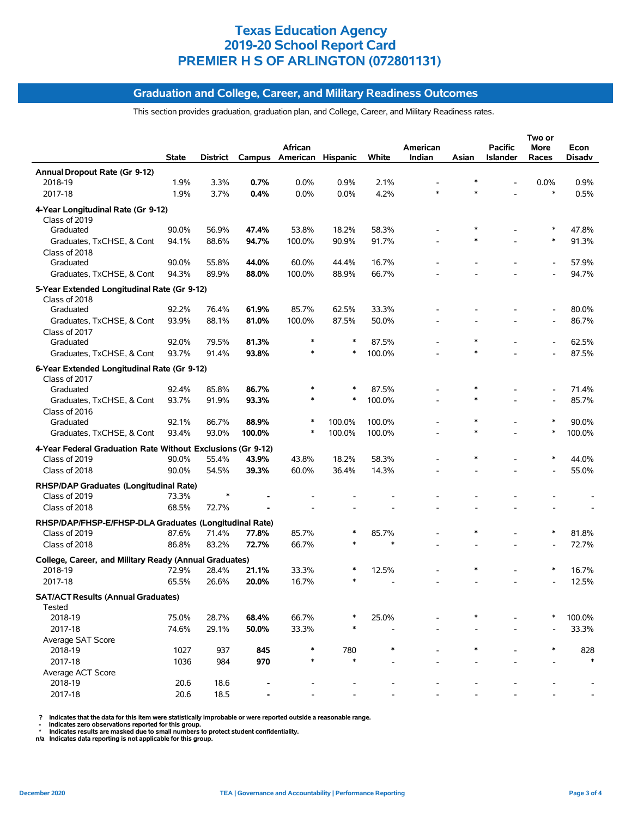### **Graduation and College, Career, and Military Readiness Outcomes**

This section provides graduation, graduation plan, and College, Career, and Military Readiness rates.

|                                                              | <b>State</b> | District |        | African<br>Campus American Hispanic |        | White  | American<br>Indian | Asian  | <b>Pacific</b><br>Islander | Two or<br>More<br>Races | Econ<br>Disadv |
|--------------------------------------------------------------|--------------|----------|--------|-------------------------------------|--------|--------|--------------------|--------|----------------------------|-------------------------|----------------|
| Annual Dropout Rate (Gr 9-12)                                |              |          |        |                                     |        |        |                    |        |                            |                         |                |
| 2018-19                                                      | 1.9%         | 3.3%     | 0.7%   | 0.0%                                | 0.9%   | 2.1%   |                    |        |                            | $0.0\%$                 | 0.9%           |
| 2017-18                                                      | 1.9%         | 3.7%     | 0.4%   | 0.0%                                | 0.0%   | 4.2%   |                    | $\ast$ |                            | $\ast$                  | 0.5%           |
| 4-Year Longitudinal Rate (Gr 9-12)<br>Class of 2019          |              |          |        |                                     |        |        |                    |        |                            |                         |                |
| Graduated                                                    | 90.0%        | 56.9%    | 47.4%  | 53.8%                               | 18.2%  | 58.3%  |                    |        |                            |                         | 47.8%          |
| Graduates, TxCHSE, & Cont                                    | 94.1%        | 88.6%    | 94.7%  | 100.0%                              | 90.9%  | 91.7%  |                    | $\ast$ |                            | $\ast$                  | 91.3%          |
| Class of 2018<br>Graduated                                   | 90.0%        | 55.8%    | 44.0%  | 60.0%                               | 44.4%  | 16.7%  |                    |        |                            |                         | 57.9%          |
| Graduates, TxCHSE, & Cont                                    | 94.3%        | 89.9%    | 88.0%  | 100.0%                              | 88.9%  | 66.7%  |                    |        |                            |                         | 94.7%          |
| 5-Year Extended Longitudinal Rate (Gr 9-12)                  |              |          |        |                                     |        |        |                    |        |                            |                         |                |
| Class of 2018<br>Graduated                                   | 92.2%        | 76.4%    | 61.9%  | 85.7%                               | 62.5%  | 33.3%  |                    |        |                            |                         | 80.0%          |
| Graduates, TxCHSE, & Cont                                    | 93.9%        | 88.1%    | 81.0%  | 100.0%                              | 87.5%  | 50.0%  |                    |        |                            |                         | 86.7%          |
| Class of 2017                                                |              |          |        |                                     |        |        |                    |        |                            |                         |                |
| Graduated                                                    | 92.0%        | 79.5%    | 81.3%  | $\ast$                              | $\ast$ | 87.5%  |                    | $\ast$ |                            |                         | 62.5%          |
| Graduates, TxCHSE, & Cont                                    | 93.7%        | 91.4%    | 93.8%  |                                     | $\ast$ | 100.0% |                    | $\ast$ |                            |                         | 87.5%          |
|                                                              |              |          |        |                                     |        |        |                    |        |                            |                         |                |
| 6-Year Extended Longitudinal Rate (Gr 9-12)<br>Class of 2017 |              |          |        |                                     |        |        |                    |        |                            |                         |                |
| Graduated                                                    | 92.4%        | 85.8%    | 86.7%  |                                     |        | 87.5%  |                    | $\ast$ |                            |                         | 71.4%          |
| Graduates, TxCHSE, & Cont                                    | 93.7%        | 91.9%    | 93.3%  | $\ast$                              | $\ast$ | 100.0% |                    | $\ast$ |                            |                         | 85.7%          |
| Class of 2016                                                |              |          |        |                                     |        |        |                    |        |                            |                         |                |
| Graduated                                                    | 92.1%        | 86.7%    | 88.9%  | $\ast$                              | 100.0% | 100.0% |                    | $\ast$ |                            |                         | 90.0%          |
| Graduates, TxCHSE, & Cont                                    | 93.4%        | 93.0%    | 100.0% |                                     | 100.0% | 100.0% |                    | $\ast$ |                            |                         | 100.0%         |
| 4-Year Federal Graduation Rate Without Exclusions (Gr 9-12)  |              |          |        |                                     |        |        |                    |        |                            |                         |                |
| Class of 2019                                                | 90.0%        | 55.4%    | 43.9%  | 43.8%                               | 18.2%  | 58.3%  |                    |        |                            |                         | 44.0%          |
| Class of 2018                                                | 90.0%        | 54.5%    | 39.3%  | 60.0%                               | 36.4%  | 14.3%  |                    |        |                            |                         | 55.0%          |
|                                                              |              |          |        |                                     |        |        |                    |        |                            |                         |                |
| RHSP/DAP Graduates (Longitudinal Rate)<br>Class of 2019      | 73.3%        |          |        |                                     |        |        |                    |        |                            |                         |                |
|                                                              |              | 72.7%    |        |                                     |        |        |                    |        |                            |                         |                |
| Class of 2018                                                | 68.5%        |          |        |                                     |        |        |                    |        |                            |                         |                |
| RHSP/DAP/FHSP-E/FHSP-DLA Graduates (Longitudinal Rate)       |              |          |        |                                     |        |        |                    |        |                            |                         |                |
| Class of 2019                                                | 87.6%        | 71.4%    | 77.8%  | 85.7%                               |        | 85.7%  |                    | $\ast$ |                            | $\ast$                  | 81.8%          |
| Class of 2018                                                | 86.8%        | 83.2%    | 72.7%  | 66.7%                               |        | $\ast$ |                    |        |                            |                         | 72.7%          |
| College, Career, and Military Ready (Annual Graduates)       |              |          |        |                                     |        |        |                    |        |                            |                         |                |
| 2018-19                                                      | 72.9%        | 28.4%    | 21.1%  | 33.3%                               |        | 12.5%  |                    | $\ast$ |                            | $\ast$                  | 16.7%          |
| 2017-18                                                      | 65.5%        | 26.6%    | 20.0%  | 16.7%                               |        |        |                    |        |                            |                         | 12.5%          |
| <b>SAT/ACT Results (Annual Graduates)</b><br>Tested          |              |          |        |                                     |        |        |                    |        |                            |                         |                |
| 2018-19                                                      | 75.0%        | 28.7%    | 68.4%  | 66.7%                               |        | 25.0%  |                    |        |                            |                         | 100.0%         |
| 2017-18                                                      | 74.6%        | 29.1%    | 50.0%  | 33.3%                               | $\ast$ |        |                    |        |                            |                         | 33.3%          |
| Average SAT Score<br>2018-19                                 | 1027         | 937      | 845    |                                     | 780    |        |                    |        |                            |                         | 828            |
| 2017-18                                                      | 1036         | 984      | 970    | $\ast$                              | $\ast$ |        |                    |        |                            |                         | $\ast$         |
| Average ACT Score                                            |              |          |        |                                     |        |        |                    |        |                            |                         |                |
| 2018-19                                                      | 20.6         | 18.6     |        |                                     |        |        |                    |        |                            |                         |                |
| 2017-18                                                      | 20.6         | 18.5     |        |                                     |        |        |                    |        |                            |                         |                |
|                                                              |              |          |        |                                     |        |        |                    |        |                            |                         |                |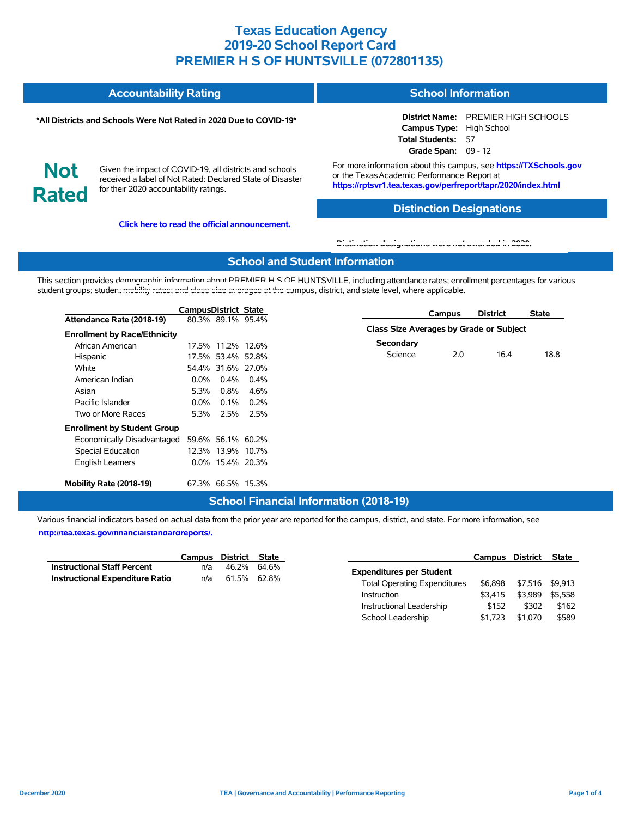| <b>Accountability Rating</b> | <b>School Information</b> |
|------------------------------|---------------------------|
|                              |                           |

#### **\*All Districts and Schools Were Not Rated in 2020 Due to COVID-19\***

# **District Name:** PREMIER HIGH SCHOOLS

**Campus Type:** High School **Total Students:** 57 **Grade Span:** 09 - 12

**Not Rated**

Given the impact of COVID-19, all districts and schools received a label of Not Rated: Declared State of Disaster for their 2020 accountability ratings.

**Click here to read the official announcement.**

For more information about this campus, see **https://TXSchools.gov** or the Texas Academic Performance Report at **https://rptsvr1.tea.texas.gov/perfreport/tapr/2020/index.html**

### **Distinction Designations**

### **[Distinction designations were not awarded in 2020.](https://rptsvr1.tea.texas.gov/perfreport/tapr/2020/index.html)**

#### **School and Student Information**

This section provides demographic information about PREMIER H S OF HUNTSVILLE, including attendance rates; enrollment percentages for various student groups; stude[nt mobility rates; and class size averages at the ca](https://tea.texas.gov/about-tea/news-and-multimedia/correspondence/taa-letters/every-student-succeeds-act-essa-waiver-approval-2020-state-academic-accountability)mpus, district, and state level, where applicable.

|                                     | CampusDistrict State |                   |         |                                         | Campus | <b>District</b> | <b>State</b> |
|-------------------------------------|----------------------|-------------------|---------|-----------------------------------------|--------|-----------------|--------------|
| Attendance Rate (2018-19)           |                      | 80.3% 89.1% 95.4% |         |                                         |        |                 |              |
| <b>Enrollment by Race/Ethnicity</b> |                      |                   |         | Class Size Averages by Grade or Subject |        |                 |              |
| African American                    |                      | 17.5% 11.2% 12.6% |         | Secondary                               |        |                 |              |
| Hispanic                            |                      | 17.5% 53.4% 52.8% |         | Science                                 | 2.0    | 16.4            | 18.8         |
| White                               |                      | 54.4% 31.6% 27.0% |         |                                         |        |                 |              |
| American Indian                     | $0.0\%$              | $0.4\%$           | $0.4\%$ |                                         |        |                 |              |
| Asian                               | 5.3%                 | 0.8%              | 4.6%    |                                         |        |                 |              |
| Pacific Islander                    | $0.0\%$              | 0.1%              | 0.2%    |                                         |        |                 |              |
| Two or More Races                   | 5.3%                 | 2.5%              | 2.5%    |                                         |        |                 |              |
| <b>Enrollment by Student Group</b>  |                      |                   |         |                                         |        |                 |              |
| Economically Disadvantaged          |                      | 59.6% 56.1% 60.2% |         |                                         |        |                 |              |
| Special Education                   |                      | 12.3% 13.9% 10.7% |         |                                         |        |                 |              |
| English Learners                    |                      | 0.0% 15.4% 20.3%  |         |                                         |        |                 |              |
| Mobility Rate (2018-19)             |                      | 67.3% 66.5% 15.3% |         |                                         |        |                 |              |

#### **School Financial Information (2018-19)**

|                                        | Campus District State |             |  |
|----------------------------------------|-----------------------|-------------|--|
| <b>Instructional Staff Percent</b>     | n/a                   | 46.2% 64.6% |  |
| <b>Instructional Expenditure Ratio</b> | n/a                   | 61.5% 62.8% |  |

|                                     | Campus District |         | <b>State</b> |
|-------------------------------------|-----------------|---------|--------------|
| <b>Expenditures per Student</b>     |                 |         |              |
| <b>Total Operating Expenditures</b> | \$6.898         | \$7.516 | \$9.913      |
| Instruction                         | \$3.415         | \$3.989 | \$5,558      |
| Instructional Leadership            | \$152           | \$302   | \$162        |
| School Leadership                   | \$1.723         | \$1.070 | \$589        |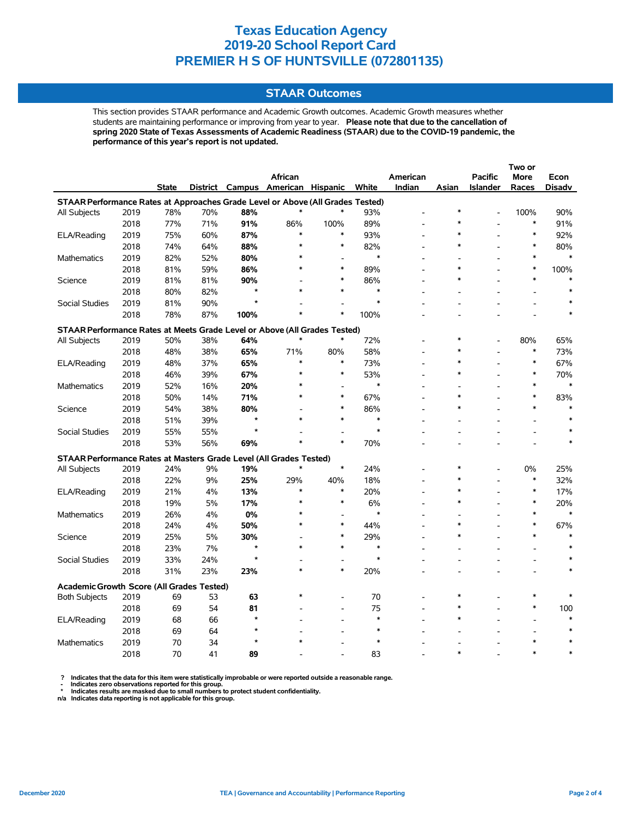### **STAAR Outcomes**

This section provides STAAR performance and Academic Growth outcomes. Academic Growth measures whether students are maintaining performance or improving from year to year. **Please note that due to the cancellation of spring 2020 State of Texas Assessments of Academic Readiness (STAAR) due to the COVID-19 pandemic, the performance of this year's report is not updated.**

|                                                                                |      |       |     |         |                                         |                          |        |          |        |                 | Two or      |               |
|--------------------------------------------------------------------------------|------|-------|-----|---------|-----------------------------------------|--------------------------|--------|----------|--------|-----------------|-------------|---------------|
|                                                                                |      |       |     |         | African                                 |                          |        | American |        | <b>Pacific</b>  | <b>More</b> | Econ          |
|                                                                                |      | State |     |         | District Campus American Hispanic White |                          |        | Indian   | Asian  | <b>Islander</b> | Races       | <b>Disadv</b> |
| STAAR Performance Rates at Approaches Grade Level or Above (All Grades Tested) |      |       |     |         |                                         |                          |        |          |        |                 |             |               |
| All Subjects                                                                   | 2019 | 78%   | 70% | 88%     | ∗                                       | $\ast$                   | 93%    |          | $\ast$ |                 | 100%        | 90%           |
|                                                                                | 2018 | 77%   | 71% | 91%     | 86%                                     | 100%                     | 89%    |          | *      |                 | $\ast$      | 91%           |
| ELA/Reading                                                                    | 2019 | 75%   | 60% | 87%     | $\ast$                                  | $\ast$                   | 93%    |          | $\ast$ |                 | $\ast$      | 92%           |
|                                                                                | 2018 | 74%   | 64% | 88%     | $\ast$                                  | $\ast$                   | 82%    |          | $\ast$ |                 | $\ast$      | 80%           |
| <b>Mathematics</b>                                                             | 2019 | 82%   | 52% | 80%     | $\ast$                                  | L,                       | $\ast$ |          |        |                 | $\ast$      | *             |
|                                                                                | 2018 | 81%   | 59% | 86%     | $\ast$                                  | $\ast$                   | 89%    |          | $\ast$ |                 | $\ast$      | 100%          |
| Science                                                                        | 2019 | 81%   | 81% | 90%     |                                         | $\ast$                   | 86%    |          | $\ast$ |                 | $\ast$      | $\ast$        |
|                                                                                | 2018 | 80%   | 82% | $\star$ | $\ast$                                  | $\ast$                   | $\ast$ |          |        |                 |             | $\ast$        |
| Social Studies                                                                 | 2019 | 81%   | 90% |         |                                         |                          | $\ast$ |          |        |                 |             |               |
|                                                                                | 2018 | 78%   | 87% | 100%    | $\ast$                                  | $\ast$                   | 100%   |          |        |                 |             |               |
| STAAR Performance Rates at Meets Grade Level or Above (All Grades Tested)      |      |       |     |         |                                         |                          |        |          |        |                 |             |               |
| All Subjects                                                                   | 2019 | 50%   | 38% | 64%     | $\ast$                                  | $\ast$                   | 72%    |          | *      |                 | 80%         | 65%           |
|                                                                                | 2018 | 48%   | 38% | 65%     | 71%                                     | 80%                      | 58%    |          | *      |                 | $\ast$      | 73%           |
| ELA/Reading                                                                    | 2019 | 48%   | 37% | 65%     | $\ast$                                  | $\ast$                   | 73%    |          | $\ast$ |                 | $\ast$      | 67%           |
|                                                                                | 2018 | 46%   | 39% | 67%     | $\ast$                                  | $\ast$                   | 53%    |          | $\ast$ |                 | $\ast$      | 70%           |
| Mathematics                                                                    | 2019 | 52%   | 16% | 20%     | $\ast$                                  |                          | $\ast$ |          |        |                 | $\ast$      | $\ast$        |
|                                                                                | 2018 | 50%   | 14% | 71%     | $\ast$                                  | $\ast$                   | 67%    |          | $\ast$ |                 | $\ast$      | 83%           |
| Science                                                                        | 2019 | 54%   | 38% | 80%     |                                         | $\ast$                   | 86%    |          | $\ast$ |                 | $\ast$      | ×             |
|                                                                                | 2018 | 51%   | 39% | $\star$ | $\ast$                                  | $\ast$                   | $\ast$ |          |        |                 |             | $\ast$        |
| <b>Social Studies</b>                                                          | 2019 | 55%   | 55% | $\star$ |                                         |                          | $\ast$ |          |        |                 |             |               |
|                                                                                | 2018 | 53%   | 56% | 69%     |                                         | $\ast$                   | 70%    |          |        |                 |             |               |
| STAAR Performance Rates at Masters Grade Level (All Grades Tested)             |      |       |     |         |                                         |                          |        |          |        |                 |             |               |
| All Subjects                                                                   | 2019 | 24%   | 9%  | 19%     | $\ast$                                  | $\ast$                   | 24%    |          |        | $\overline{a}$  | 0%          | 25%           |
|                                                                                | 2018 | 22%   | 9%  | 25%     | 29%                                     | 40%                      | 18%    |          | $\ast$ |                 | $\ast$      | 32%           |
| ELA/Reading                                                                    | 2019 | 21%   | 4%  | 13%     | $\ast$                                  | $\ast$                   | 20%    |          | $\ast$ |                 | $\ast$      | 17%           |
|                                                                                | 2018 | 19%   | 5%  | 17%     | $\ast$                                  | $\ast$                   | 6%     |          | $\ast$ |                 | $\ast$      | 20%           |
| Mathematics                                                                    | 2019 | 26%   | 4%  | 0%      | $\ast$                                  |                          | $\ast$ |          |        |                 | $\ast$      | $\ast$        |
|                                                                                | 2018 | 24%   | 4%  | 50%     | $\ast$                                  | $\ast$                   | 44%    |          | $\ast$ |                 | $\ast$      | 67%           |
| Science                                                                        | 2019 | 25%   | 5%  | 30%     |                                         | $\ast$                   | 29%    |          | $\ast$ |                 | $\ast$      |               |
|                                                                                | 2018 | 23%   | 7%  | $\star$ | $\ast$                                  | $\ast$                   | $\ast$ |          |        |                 |             |               |
| Social Studies                                                                 | 2019 | 33%   | 24% | *       |                                         | $\overline{\phantom{a}}$ | $\ast$ |          |        |                 |             |               |
|                                                                                | 2018 | 31%   | 23% | 23%     | $\ast$                                  | $\ast$                   | 20%    |          |        |                 |             |               |
| <b>Academic Growth Score (All Grades Tested)</b>                               |      |       |     |         |                                         |                          |        |          |        |                 |             |               |
| <b>Both Subjects</b>                                                           | 2019 | 69    | 53  | 63      | $\ast$                                  |                          | 70     |          |        |                 | $\ast$      |               |
|                                                                                | 2018 | 69    | 54  | 81      |                                         |                          | 75     |          |        |                 | $\ast$      | 100           |
| ELA/Reading                                                                    | 2019 | 68    | 66  | $\star$ |                                         |                          | $\ast$ |          | $\ast$ |                 |             |               |
|                                                                                | 2018 | 69    | 64  |         |                                         |                          | $\ast$ |          |        |                 |             |               |
| <b>Mathematics</b>                                                             | 2019 | 70    | 34  |         |                                         |                          |        |          |        |                 |             |               |
|                                                                                | 2018 | 70    | 41  | 89      |                                         |                          | 83     |          |        |                 | $\ast$      | $\ast$        |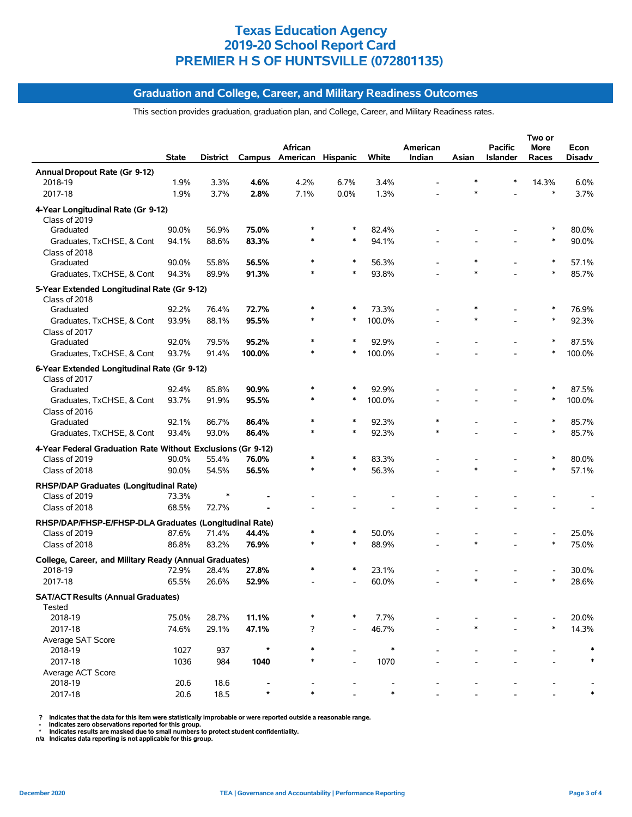### **Graduation and College, Career, and Military Readiness Outcomes**

This section provides graduation, graduation plan, and College, Career, and Military Readiness rates.

|                                                              | <b>State</b> | District |         | African<br>Campus American Hispanic |        | White  | American<br>Indian | Asian  | <b>Pacific</b><br>Islander | Two or<br>More<br>Races | Econ<br>Disadv |
|--------------------------------------------------------------|--------------|----------|---------|-------------------------------------|--------|--------|--------------------|--------|----------------------------|-------------------------|----------------|
| Annual Dropout Rate (Gr 9-12)                                |              |          |         |                                     |        |        |                    |        |                            |                         |                |
| 2018-19                                                      | 1.9%         | 3.3%     | 4.6%    | 4.2%                                | 6.7%   | 3.4%   |                    |        |                            | 14.3%                   | 6.0%           |
| 2017-18                                                      | 1.9%         | 3.7%     | 2.8%    | 7.1%                                | 0.0%   | 1.3%   |                    |        |                            | $\ast$                  | 3.7%           |
| 4-Year Longitudinal Rate (Gr 9-12)<br>Class of 2019          |              |          |         |                                     |        |        |                    |        |                            |                         |                |
| Graduated                                                    | 90.0%        | 56.9%    | 75.0%   |                                     | $\ast$ | 82.4%  |                    |        |                            |                         | 80.0%          |
| Graduates, TxCHSE, & Cont                                    | 94.1%        | 88.6%    | 83.3%   |                                     | $\ast$ | 94.1%  |                    |        |                            | $\ast$                  | 90.0%          |
| Class of 2018<br>Graduated                                   | 90.0%        | 55.8%    | 56.5%   |                                     | $\ast$ | 56.3%  |                    | $\ast$ |                            | $\ast$                  | 57.1%          |
| Graduates, TxCHSE, & Cont                                    | 94.3%        | 89.9%    | 91.3%   |                                     | $\ast$ | 93.8%  |                    | $\ast$ |                            | $\ast$                  | 85.7%          |
| 5-Year Extended Longitudinal Rate (Gr 9-12)                  |              |          |         |                                     |        |        |                    |        |                            |                         |                |
| Class of 2018<br>Graduated                                   | 92.2%        | 76.4%    | 72.7%   |                                     |        | 73.3%  |                    |        |                            |                         | 76.9%          |
| Graduates, TxCHSE, & Cont                                    | 93.9%        | 88.1%    | 95.5%   |                                     | $\ast$ | 100.0% |                    | $\ast$ |                            | $\ast$                  | 92.3%          |
| Class of 2017<br>Graduated                                   | 92.0%        | 79.5%    | 95.2%   |                                     | $\ast$ | 92.9%  |                    |        |                            |                         | 87.5%          |
| Graduates, TxCHSE, & Cont                                    | 93.7%        | 91.4%    | 100.0%  |                                     | $\ast$ | 100.0% |                    |        |                            |                         | 100.0%         |
|                                                              |              |          |         |                                     |        |        |                    |        |                            |                         |                |
| 6-Year Extended Longitudinal Rate (Gr 9-12)<br>Class of 2017 |              |          |         |                                     |        |        |                    |        |                            |                         |                |
| Graduated                                                    | 92.4%        | 85.8%    | 90.9%   |                                     |        | 92.9%  |                    |        |                            |                         | 87.5%          |
| Graduates, TxCHSE, & Cont<br>Class of 2016                   | 93.7%        | 91.9%    | 95.5%   | $\ast$                              | $\ast$ | 100.0% |                    |        |                            | $\ast$                  | 100.0%         |
| Graduated                                                    | 92.1%        | 86.7%    | 86.4%   |                                     | $\ast$ | 92.3%  |                    |        |                            | ∗                       | 85.7%          |
| Graduates, TxCHSE, & Cont                                    | 93.4%        | 93.0%    | 86.4%   |                                     | ∗      | 92.3%  |                    |        |                            | $\ast$                  | 85.7%          |
| 4-Year Federal Graduation Rate Without Exclusions (Gr 9-12)  |              |          |         |                                     |        |        |                    |        |                            |                         |                |
| Class of 2019                                                | 90.0%        | 55.4%    | 76.0%   |                                     | $\ast$ | 83.3%  |                    |        |                            |                         | 80.0%          |
| Class of 2018                                                | 90.0%        | 54.5%    | 56.5%   |                                     | $\ast$ | 56.3%  |                    | $\ast$ |                            | $\ast$                  | 57.1%          |
| RHSP/DAP Graduates (Longitudinal Rate)<br>Class of 2019      | 73.3%        |          |         |                                     |        |        |                    |        |                            |                         |                |
| Class of 2018                                                | 68.5%        | 72.7%    |         |                                     |        |        |                    |        |                            |                         |                |
|                                                              |              |          |         |                                     |        |        |                    |        |                            |                         |                |
| RHSP/DAP/FHSP-E/FHSP-DLA Graduates (Longitudinal Rate)       |              |          |         |                                     |        |        |                    |        |                            |                         |                |
| Class of 2019                                                | 87.6%        | 71.4%    | 44.4%   |                                     | $\ast$ | 50.0%  |                    |        |                            |                         | 25.0%          |
| Class of 2018                                                | 86.8%        | 83.2%    | 76.9%   |                                     | ∗      | 88.9%  |                    | $\ast$ |                            | $\ast$                  | 75.0%          |
| College, Career, and Military Ready (Annual Graduates)       |              |          |         |                                     | $\ast$ |        |                    |        |                            |                         |                |
| 2018-19                                                      | 72.9%        | 28.4%    | 27.8%   |                                     |        | 23.1%  |                    | $\ast$ |                            |                         | 30.0%          |
| 2017-18                                                      | 65.5%        | 26.6%    | 52.9%   |                                     |        | 60.0%  |                    |        |                            |                         | 28.6%          |
| <b>SAT/ACT Results (Annual Graduates)</b><br>Tested          |              |          |         |                                     |        |        |                    |        |                            |                         |                |
| 2018-19                                                      | 75.0%        | 28.7%    | 11.1%   | $\ast$                              |        | 7.7%   |                    |        |                            |                         | 20.0%          |
| 2017-18                                                      | 74.6%        | 29.1%    | 47.1%   | ?                                   |        | 46.7%  |                    | $\ast$ |                            | $\ast$                  | 14.3%          |
| Average SAT Score                                            |              |          |         |                                     |        |        |                    |        |                            |                         |                |
| 2018-19                                                      | 1027         | 937      | $\star$ |                                     |        | $\ast$ |                    |        |                            |                         | $\ast$         |
| 2017-18                                                      | 1036         | 984      | 1040    | $\ast$                              |        | 1070   |                    |        |                            |                         | *              |
| Average ACT Score                                            |              |          |         |                                     |        |        |                    |        |                            |                         |                |
| 2018-19                                                      | 20.6         | 18.6     |         |                                     |        |        |                    |        |                            |                         |                |
| 2017-18                                                      | 20.6         | 18.5     | $\star$ |                                     |        |        |                    |        |                            |                         |                |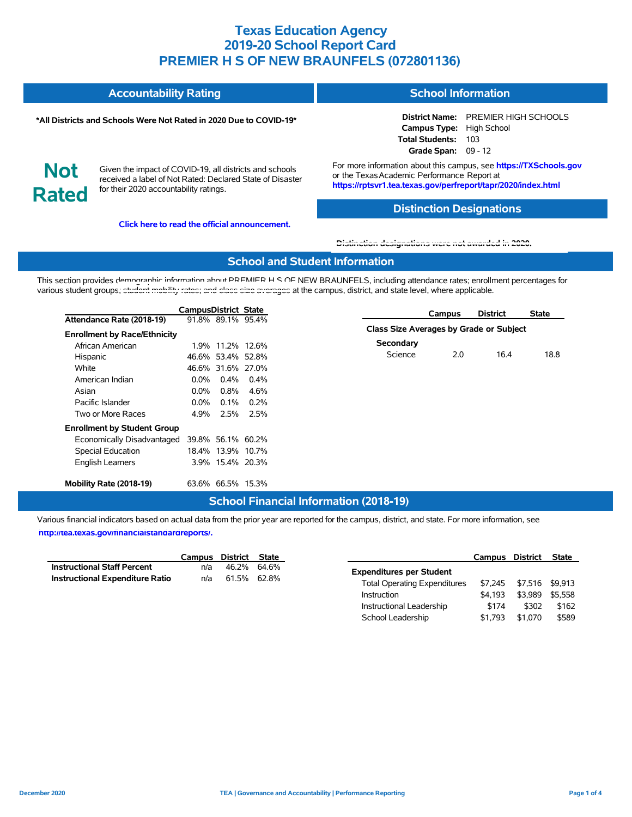| <b>Accountability Rating</b> | <b>School Information</b> |
|------------------------------|---------------------------|
|                              |                           |

#### **\*All Districts and Schools Were Not Rated in 2020 Due to COVID-19\***

#### **District Name:** PREMIER HIGH SCHOOLS **Campus Type:** High School **Total Students:** 103 **Grade Span:** 09 - 12

**Not Rated**

Given the impact of COVID-19, all districts and schools received a label of Not Rated: Declared State of Disaster for their 2020 accountability ratings.

For more information about this campus, see **https://TXSchools.gov** or the Texas Academic Performance Report at **https://rptsvr1.tea.texas.gov/perfreport/tapr/2020/index.html**

#### **Distinction Designations**

### **Click here to read the official announcement.**

#### **[Distinction designations were not awarded in 2020.](https://rptsvr1.tea.texas.gov/perfreport/tapr/2020/index.html)**

#### **School and Student Information**

This section provides demographic information about PREMIER H S OF NEW BRAUNFELS, including attendance rates; enrollment percentages for various student group[s; student mobility rates; and class size averages](https://tea.texas.gov/about-tea/news-and-multimedia/correspondence/taa-letters/every-student-succeeds-act-essa-waiver-approval-2020-state-academic-accountability) at the campus, district, and state level, where applicable.

|                                     | CampusDistrict State |                   |           | <b>Campus</b>                           |     | <b>District</b> | <b>State</b> |
|-------------------------------------|----------------------|-------------------|-----------|-----------------------------------------|-----|-----------------|--------------|
| Attendance Rate (2018-19)           |                      | 91.8% 89.1% 95.4% |           |                                         |     |                 |              |
| <b>Enrollment by Race/Ethnicity</b> |                      |                   |           | Class Size Averages by Grade or Subject |     |                 |              |
| African American                    |                      | 1.9% 11.2% 12.6%  |           | Secondary                               |     |                 |              |
| Hispanic                            |                      | 46.6% 53.4% 52.8% |           | Science                                 | 2.0 | 16.4            | 18.8         |
| White                               |                      | 46.6% 31.6% 27.0% |           |                                         |     |                 |              |
| American Indian                     | $0.0\%$              | $0.4\%$           | $0.4\%$   |                                         |     |                 |              |
| Asian                               | $0.0\%$              | 0.8%              | 4.6%      |                                         |     |                 |              |
| Pacific Islander                    | $0.0\%$              | $0.1\%$           | $0.2\%$   |                                         |     |                 |              |
| Two or More Races                   | 4.9%                 |                   | 2.5% 2.5% |                                         |     |                 |              |
| <b>Enrollment by Student Group</b>  |                      |                   |           |                                         |     |                 |              |
| Economically Disadvantaged          |                      | 39.8% 56.1% 60.2% |           |                                         |     |                 |              |
| Special Education                   |                      | 18.4% 13.9% 10.7% |           |                                         |     |                 |              |
| <b>English Learners</b>             |                      | 3.9% 15.4% 20.3%  |           |                                         |     |                 |              |
| Mobility Rate (2018-19)             |                      | 63.6% 66.5% 15.3% |           |                                         |     |                 |              |

#### **School Financial Information (2018-19)**

|                                        | Campus District State |             |  |
|----------------------------------------|-----------------------|-------------|--|
| <b>Instructional Staff Percent</b>     | n/a                   | 46.2% 64.6% |  |
| <b>Instructional Expenditure Ratio</b> | n/a                   | 61.5% 62.8% |  |

|                                     | Campus District |         | <b>State</b> |
|-------------------------------------|-----------------|---------|--------------|
| <b>Expenditures per Student</b>     |                 |         |              |
| <b>Total Operating Expenditures</b> | \$7.245         | \$7.516 | \$9.913      |
| Instruction                         | \$4.193         | \$3.989 | \$5.558      |
| Instructional Leadership            | \$174           | \$302   | \$162        |
| School Leadership                   | \$1.793         | \$1.070 | \$589        |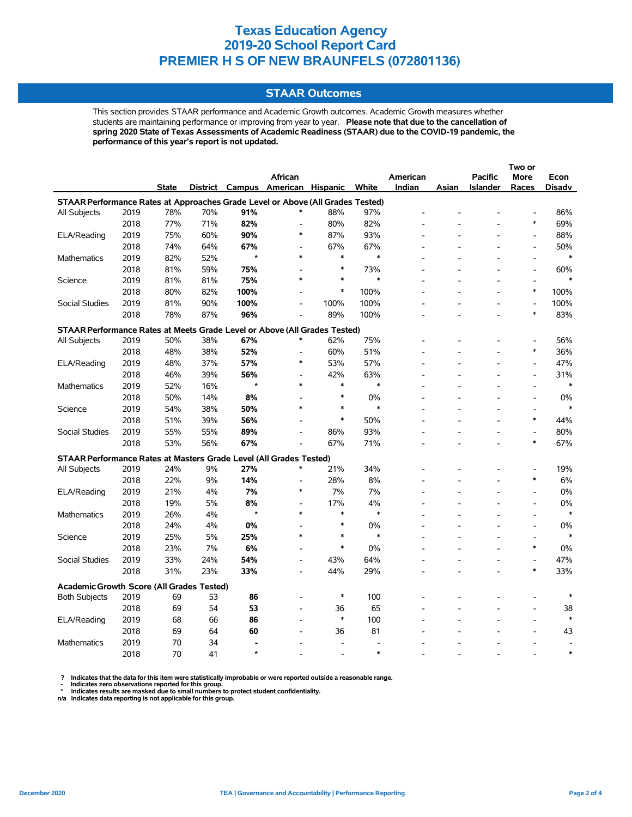#### **STAAR Outcomes**

This section provides STAAR performance and Academic Growth outcomes. Academic Growth measures whether students are maintaining performance or improving from year to year. **Please note that due to the cancellation of spring 2020 State of Texas Assessments of Academic Readiness (STAAR) due to the COVID-19 pandemic, the performance of this year's report is not updated.**

|                                                                                |              |            |          |               |                                   |                          |              |          |       |                 | Two or                   |               |
|--------------------------------------------------------------------------------|--------------|------------|----------|---------------|-----------------------------------|--------------------------|--------------|----------|-------|-----------------|--------------------------|---------------|
|                                                                                |              |            |          |               | African                           |                          |              | American |       | <b>Pacific</b>  | <b>More</b>              | Econ          |
|                                                                                |              | State      |          |               | District Campus American Hispanic |                          | White        | Indian   | Asian | <b>Islander</b> | Races                    | <b>Disadv</b> |
| STAAR Performance Rates at Approaches Grade Level or Above (All Grades Tested) |              |            |          |               |                                   |                          |              |          |       |                 |                          |               |
| All Subjects                                                                   | 2019         | 78%        | 70%      | 91%           | $\ast$                            | 88%                      | 97%          |          |       |                 |                          | 86%           |
|                                                                                | 2018         | 77%        | 71%      | 82%           | $\overline{\phantom{a}}$          | 80%                      | 82%          |          |       |                 | $\ast$                   | 69%           |
| ELA/Reading                                                                    | 2019         | 75%        | 60%      | 90%           | $\ast$                            | 87%                      | 93%          |          |       |                 |                          | 88%           |
|                                                                                | 2018         | 74%        | 64%      | 67%           |                                   | 67%                      | 67%          |          |       |                 | $\blacksquare$           | 50%           |
| <b>Mathematics</b>                                                             | 2019         | 82%        | 52%      | ÷             | $\ast$                            | $\ast$                   | $\ast$       |          |       |                 | L,                       | $\ast$        |
|                                                                                | 2018         | 81%        | 59%      | 75%           |                                   | $\ast$                   | 73%          |          |       |                 | $\overline{a}$           | 60%           |
| Science                                                                        | 2019         | 81%        | 81%      | 75%           | $\ast$                            | $\ast$                   | $\ast$       |          |       |                 | $\overline{a}$           | $\ast$        |
|                                                                                | 2018         | 80%        | 82%      | 100%          |                                   | $\ast$                   | 100%         |          |       |                 | $\ast$                   | 100%          |
| <b>Social Studies</b>                                                          | 2019         | 81%        | 90%      | 100%          | $\overline{a}$                    | 100%                     | 100%         |          |       |                 | $\overline{a}$           | 100%          |
|                                                                                | 2018         | 78%        | 87%      | 96%           |                                   | 89%                      | 100%         |          |       |                 | $\ast$                   | 83%           |
| STAAR Performance Rates at Meets Grade Level or Above (All Grades Tested)      |              |            |          |               |                                   |                          |              |          |       |                 |                          |               |
| All Subjects                                                                   | 2019         | 50%        | 38%      | 67%           | $\ast$                            | 62%                      | 75%          |          |       |                 |                          | 56%           |
|                                                                                | 2018         | 48%        | 38%      | 52%           | $\overline{a}$                    | 60%                      | 51%          |          |       |                 | $\ast$                   | 36%           |
| ELA/Reading                                                                    | 2019         | 48%        | 37%      | 57%           | $\ast$                            | 53%                      | 57%          |          |       |                 | $\overline{a}$           | 47%           |
|                                                                                | 2018         | 46%        | 39%      | 56%           | ÷,                                | 42%                      | 63%          |          |       |                 | L,                       | 31%           |
| <b>Mathematics</b>                                                             | 2019         | 52%        | 16%      | $\star$       | $\ast$                            | $\ast$                   | $\ast$       |          |       |                 |                          | $\ast$        |
|                                                                                | 2018         | 50%        | 14%      | 8%            |                                   | $\ast$                   | 0%           |          |       |                 | $\overline{a}$           | 0%            |
| Science                                                                        | 2019         | 54%        | 38%      | 50%           | $\ast$                            | $\ast$                   | $\ast$       |          |       |                 | $\overline{a}$           | $\ast$        |
|                                                                                | 2018         | 51%        | 39%      | 56%           |                                   | $\ast$                   | 50%          |          |       |                 | $\ast$                   | 44%           |
| <b>Social Studies</b>                                                          | 2019         | 55%        | 55%      | 89%           |                                   | 86%                      | 93%          |          |       |                 | $\overline{a}$           | 80%           |
|                                                                                | 2018         | 53%        | 56%      | 67%           | $\overline{a}$                    | 67%                      | 71%          |          |       |                 | $\ast$                   | 67%           |
|                                                                                |              |            |          |               |                                   |                          |              |          |       |                 |                          |               |
| STAAR Performance Rates at Masters Grade Level (All Grades Tested)             |              |            |          | 27%           | ∗                                 |                          |              |          |       |                 |                          | 19%           |
| All Subjects                                                                   | 2019<br>2018 | 24%<br>22% | 9%<br>9% | 14%           | $\overline{a}$                    | 21%<br>28%               | 34%<br>8%    |          |       |                 | $\overline{a}$<br>$\ast$ | 6%            |
|                                                                                |              | 21%        |          | 7%            | $\ast$                            | 7%                       | 7%           |          |       |                 | L,                       | 0%            |
| ELA/Reading                                                                    | 2019         | 19%        | 4%       |               |                                   |                          |              |          |       |                 | $\overline{a}$           |               |
|                                                                                | 2018         |            | 5%       | 8%<br>$\star$ | $\overline{a}$<br>$\ast$          | 17%<br>$\ast$            | 4%<br>$\ast$ |          |       |                 |                          | 0%<br>$\ast$  |
| <b>Mathematics</b>                                                             | 2019<br>2018 | 26%        | 4%       | 0%            |                                   | $\ast$                   | 0%           |          |       |                 |                          | 0%            |
|                                                                                | 2019         | 24%<br>25% | 4%<br>5% | 25%           | $\ast$                            | $\ast$                   | $\ast$       |          |       |                 | $\overline{a}$           | $\ast$        |
| Science                                                                        |              | 23%        | 7%       | 6%            |                                   | $\ast$                   | 0%           |          |       |                 | $\ast$                   | 0%            |
|                                                                                | 2018         |            |          |               | $\overline{a}$                    |                          |              |          |       |                 |                          |               |
| Social Studies                                                                 | 2019         | 33%        | 24%      | 54%           | $\overline{a}$                    | 43%                      | 64%          |          |       |                 | $\overline{a}$<br>$\ast$ | 47%           |
|                                                                                | 2018         | 31%        | 23%      | 33%           |                                   | 44%                      | 29%          |          |       |                 |                          | 33%           |
| <b>Academic Growth Score (All Grades Tested)</b>                               |              |            |          |               |                                   |                          |              |          |       |                 |                          |               |
| <b>Both Subjects</b>                                                           | 2019         | 69         | 53       | 86            |                                   | $\ast$                   | 100          |          |       |                 |                          | *             |
|                                                                                | 2018         | 69         | 54       | 53            | $\overline{a}$                    | 36                       | 65           |          |       |                 |                          | 38            |
| ELA/Reading                                                                    | 2019         | 68         | 66       | 86            | $\overline{a}$                    | $\ast$                   | 100          |          |       |                 |                          | $\ast$        |
|                                                                                | 2018         | 69         | 64       | 60            |                                   | 36                       | 81           |          |       |                 |                          | 43            |
| <b>Mathematics</b>                                                             | 2019         | 70         | 34       |               |                                   | $\overline{\phantom{a}}$ |              |          |       |                 |                          |               |
|                                                                                | 2018         | 70         | 41       | $\star$       |                                   |                          | $\ast$       |          |       |                 |                          | $\ast$        |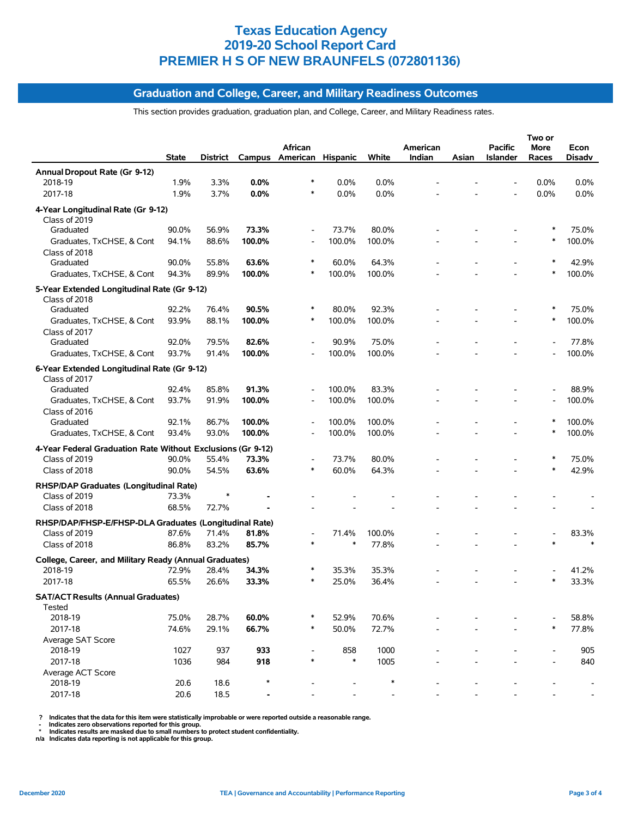### **Graduation and College, Career, and Military Readiness Outcomes**

This section provides graduation, graduation plan, and College, Career, and Military Readiness rates.

|                                                                         | State          | District | Campus          | African<br>American Hispanic |                 | White           | American<br>Indian | Asian | <b>Pacific</b><br>Islander | Two or<br>More<br>Races | Econ<br><b>Disadv</b> |
|-------------------------------------------------------------------------|----------------|----------|-----------------|------------------------------|-----------------|-----------------|--------------------|-------|----------------------------|-------------------------|-----------------------|
| Annual Dropout Rate (Gr 9-12)                                           |                |          |                 |                              |                 |                 |                    |       |                            |                         |                       |
| 2018-19                                                                 | 1.9%           | 3.3%     | 0.0%            |                              | 0.0%            | $0.0\%$         |                    |       |                            | 0.0%                    | $0.0\%$               |
| 2017-18                                                                 | 1.9%           | 3.7%     | 0.0%            | $\ast$                       | 0.0%            | 0.0%            |                    |       |                            | 0.0%                    | 0.0%                  |
| 4-Year Longitudinal Rate (Gr 9-12)<br>Class of 2019                     |                |          |                 |                              |                 |                 |                    |       |                            |                         |                       |
| Graduated                                                               | 90.0%          | 56.9%    | 73.3%           |                              | 73.7%           | 80.0%           |                    |       |                            |                         | 75.0%                 |
| Graduates, TxCHSE, & Cont                                               | 94.1%          | 88.6%    | 100.0%          |                              | 100.0%          | 100.0%          |                    |       |                            | $\ast$                  | 100.0%                |
| Class of 2018<br>Graduated                                              | 90.0%          | 55.8%    | 63.6%           | $\ast$                       | 60.0%           | 64.3%           |                    |       |                            |                         | 42.9%                 |
| Graduates, TxCHSE, & Cont                                               | 94.3%          | 89.9%    | 100.0%          |                              | 100.0%          | 100.0%          |                    |       |                            | $\ast$                  | 100.0%                |
| 5-Year Extended Longitudinal Rate (Gr 9-12)<br>Class of 2018            |                |          |                 |                              |                 |                 |                    |       |                            |                         |                       |
| Graduated                                                               | 92.2%          | 76.4%    | 90.5%           |                              | 80.0%           | 92.3%           |                    |       |                            |                         | 75.0%                 |
| Graduates, TxCHSE, & Cont                                               | 93.9%          | 88.1%    | 100.0%          | *                            | 100.0%          | 100.0%          |                    |       |                            | $\ast$                  | 100.0%                |
| Class of 2017                                                           |                |          |                 |                              |                 |                 |                    |       |                            |                         |                       |
| Graduated                                                               | 92.0%<br>93.7% | 79.5%    | 82.6%<br>100.0% |                              | 90.9%<br>100.0% | 75.0%<br>100.0% |                    |       |                            |                         | 77.8%<br>100.0%       |
| Graduates, TxCHSE, & Cont                                               |                | 91.4%    |                 |                              |                 |                 |                    |       |                            |                         |                       |
| 6-Year Extended Longitudinal Rate (Gr 9-12)<br>Class of 2017            |                |          |                 |                              |                 |                 |                    |       |                            |                         |                       |
| Graduated                                                               | 92.4%          | 85.8%    | 91.3%           |                              | 100.0%          | 83.3%           |                    |       |                            |                         | 88.9%                 |
| Graduates, TxCHSE, & Cont<br>Class of 2016                              | 93.7%          | 91.9%    | 100.0%          |                              | 100.0%          | 100.0%          |                    |       |                            |                         | 100.0%                |
| Graduated                                                               | 92.1%          | 86.7%    | 100.0%          | $\overline{\phantom{a}}$     | 100.0%          | 100.0%          |                    |       |                            |                         | 100.0%                |
| Graduates, TxCHSE, & Cont                                               | 93.4%          | 93.0%    | 100.0%          |                              | 100.0%          | 100.0%          |                    |       |                            |                         | 100.0%                |
| 4-Year Federal Graduation Rate Without Exclusions (Gr 9-12)             |                |          |                 |                              |                 |                 |                    |       |                            |                         |                       |
| Class of 2019                                                           | 90.0%          | 55.4%    | 73.3%           |                              | 73.7%           | 80.0%           |                    |       |                            |                         | 75.0%                 |
| Class of 2018                                                           | 90.0%          | 54.5%    | 63.6%           | $\ast$                       | 60.0%           | 64.3%           |                    |       |                            |                         | 42.9%                 |
| RHSP/DAP Graduates (Longitudinal Rate)<br>Class of 2019                 | 73.3%          |          |                 |                              |                 |                 |                    |       |                            |                         |                       |
| Class of 2018                                                           | 68.5%          | 72.7%    |                 |                              |                 |                 |                    |       |                            |                         |                       |
|                                                                         |                |          |                 |                              |                 |                 |                    |       |                            |                         |                       |
| RHSP/DAP/FHSP-E/FHSP-DLA Graduates (Longitudinal Rate)<br>Class of 2019 | 87.6%          | 71.4%    | 81.8%           |                              | 71.4%           | 100.0%          |                    |       |                            |                         | 83.3%                 |
| Class of 2018                                                           | 86.8%          | 83.2%    | 85.7%           |                              | ∗               | 77.8%           |                    |       |                            |                         |                       |
|                                                                         |                |          |                 |                              |                 |                 |                    |       |                            |                         |                       |
| College, Career, and Military Ready (Annual Graduates)                  |                |          |                 |                              |                 |                 |                    |       |                            |                         |                       |
| 2018-19                                                                 | 72.9%          | 28.4%    | 34.3%           | ∗                            | 35.3%           | 35.3%           |                    |       |                            |                         | 41.2%                 |
| 2017-18                                                                 | 65.5%          | 26.6%    | 33.3%           |                              | 25.0%           | 36.4%           |                    |       |                            |                         | 33.3%                 |
| <b>SAT/ACT Results (Annual Graduates)</b><br>Tested                     |                |          |                 |                              |                 |                 |                    |       |                            |                         |                       |
| 2018-19                                                                 | 75.0%          | 28.7%    | 60.0%           |                              | 52.9%           | 70.6%           |                    |       |                            |                         | 58.8%                 |
| 2017-18                                                                 | 74.6%          | 29.1%    | 66.7%           | $\ast$                       | 50.0%           | 72.7%           |                    |       |                            | $\ast$                  | 77.8%                 |
| Average SAT Score<br>2018-19                                            | 1027           | 937      | 933             |                              | 858             | 1000            |                    |       |                            |                         | 905                   |
| 2017-18                                                                 | 1036           | 984      | 918             | $\ast$                       | $\ast$          | 1005            |                    |       |                            |                         | 840                   |
| Average ACT Score<br>2018-19                                            | 20.6           | 18.6     | $\star$         |                              |                 | $\ast$          |                    |       |                            |                         |                       |
| 2017-18                                                                 | 20.6           | 18.5     |                 |                              |                 |                 |                    |       |                            |                         |                       |
|                                                                         |                |          |                 |                              |                 |                 |                    |       |                            |                         |                       |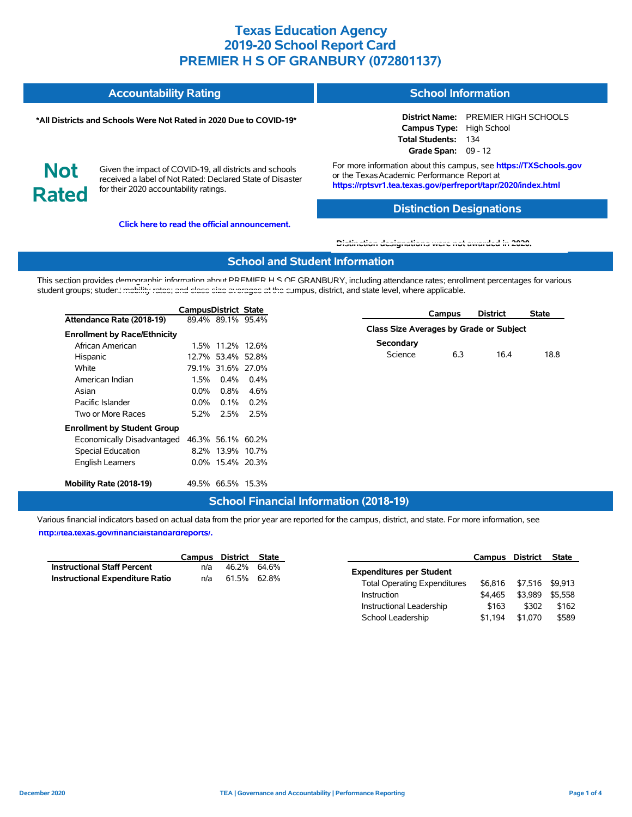| <b>Accountability Rating</b> | <b>School Information</b> |
|------------------------------|---------------------------|
|                              |                           |

#### **\*All Districts and Schools Were Not Rated in 2020 Due to COVID-19\***

#### **District Name:** PREMIER HIGH SCHOOLS **Campus Type:** High School **Total Students:** 134 **Grade Span:** 09 - 12



Given the impact of COVID-19, all districts and schools received a label of Not Rated: Declared State of Disaster for their 2020 accountability ratings.

For more information about this campus, see **https://TXSchools.gov** or the Texas Academic Performance Report at **https://rptsvr1.tea.texas.gov/perfreport/tapr/2020/index.html**

#### **Distinction Designations**

### **Click here to read the official announcement.**

#### **[Distinction designations were not awarded in 2020.](https://rptsvr1.tea.texas.gov/perfreport/tapr/2020/index.html)**

#### **School and Student Information**

This section provides demographic information about PREMIER H S OF GRANBURY, including attendance rates; enrollment percentages for various student groups; stude[nt mobility rates; and class size averages at the ca](https://tea.texas.gov/about-tea/news-and-multimedia/correspondence/taa-letters/every-student-succeeds-act-essa-waiver-approval-2020-state-academic-accountability)mpus, district, and state level, where applicable.

|                                     | <b>CampusDistrict State</b> |                   |         | <b>District</b><br><b>State</b><br>Campus |
|-------------------------------------|-----------------------------|-------------------|---------|-------------------------------------------|
| Attendance Rate (2018-19)           |                             | 89.4% 89.1% 95.4% |         |                                           |
| <b>Enrollment by Race/Ethnicity</b> |                             |                   |         | Class Size Averages by Grade or Subject   |
| African American                    |                             | 1.5% 11.2% 12.6%  |         | Secondary                                 |
| Hispanic                            |                             | 12.7% 53.4% 52.8% |         | 6.3<br>16.4<br>18.8<br>Science            |
| White                               |                             | 79.1% 31.6% 27.0% |         |                                           |
| American Indian                     | 1.5%                        | $0.4\%$           | $0.4\%$ |                                           |
| Asian                               | $0.0\%$                     | $0.8\%$           | 4.6%    |                                           |
| Pacific Islander                    | $0.0\%$                     | $0.1\%$           | $0.2\%$ |                                           |
| Two or More Races                   | $5.2\%$                     | 2.5% 2.5%         |         |                                           |
| <b>Enrollment by Student Group</b>  |                             |                   |         |                                           |
| Economically Disadvantaged          |                             | 46.3% 56.1% 60.2% |         |                                           |
| Special Education                   |                             | 8.2% 13.9% 10.7%  |         |                                           |
| <b>English Learners</b>             |                             | 0.0% 15.4% 20.3%  |         |                                           |
| Mobility Rate (2018-19)             |                             | 49.5% 66.5% 15.3% |         |                                           |

#### **School Financial Information (2018-19)**

|                                        | Campus District State |             |  |
|----------------------------------------|-----------------------|-------------|--|
| <b>Instructional Staff Percent</b>     | n/a                   | 46.2% 64.6% |  |
| <b>Instructional Expenditure Ratio</b> | n/a                   | 61.5% 62.8% |  |

|                                     | Campus District |         | <b>State</b> |
|-------------------------------------|-----------------|---------|--------------|
| <b>Expenditures per Student</b>     |                 |         |              |
| <b>Total Operating Expenditures</b> | \$6.816         | \$7.516 | \$9.913      |
| Instruction                         | \$4.465         | \$3.989 | \$5.558      |
| Instructional Leadership            | \$163           | \$302   | \$162        |
| School Leadership                   | \$1.194         | \$1.070 | \$589        |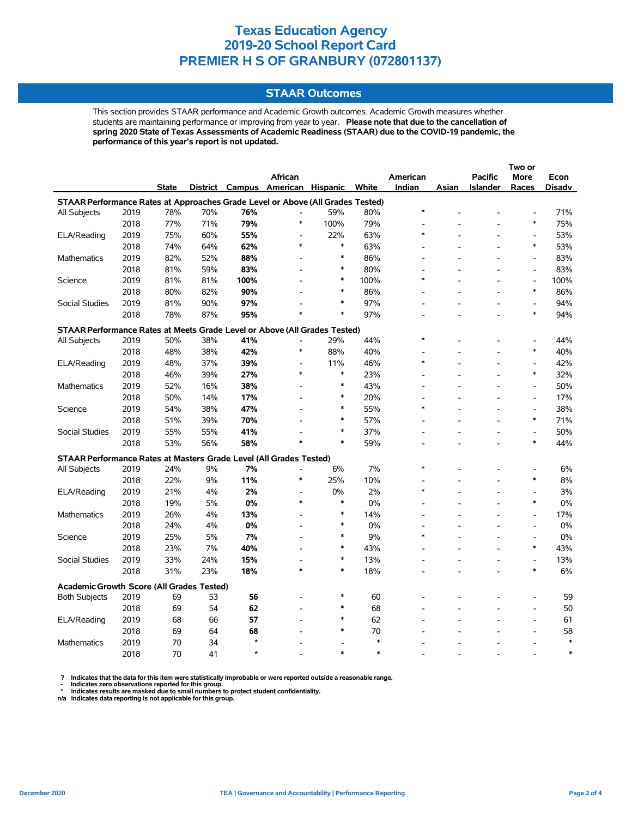#### **STAAR Outcomes**

This section provides STAAR performance and Academic Growth outcomes. Academic Growth measures whether students are maintaining performance or improving from year to year. **Please note that due to the cancellation of spring 2020 State of Texas Assessments of Academic Readiness (STAAR) due to the COVID-19 pandemic, the performance of this year's report is not updated.**

|                                                                                    |      |              |     |         |                                   |        |        |                |       |                          | Two or                   |               |
|------------------------------------------------------------------------------------|------|--------------|-----|---------|-----------------------------------|--------|--------|----------------|-------|--------------------------|--------------------------|---------------|
|                                                                                    |      |              |     |         | African                           |        |        | American       |       | <b>Pacific</b>           | <b>More</b>              | Econ          |
|                                                                                    |      | <b>State</b> |     |         | District Campus American Hispanic |        | White  | Indian         | Asian | <b>Islander</b>          | Races                    | <b>Disadv</b> |
| STAAR Performance Rates at Approaches Grade Level or Above (All Grades Tested)     |      |              |     |         |                                   |        |        |                |       |                          |                          |               |
| All Subjects                                                                       | 2019 | 78%          | 70% | 76%     | $\overline{a}$                    | 59%    | 80%    | $\ast$         |       |                          |                          | 71%           |
|                                                                                    | 2018 | 77%          | 71% | 79%     | $\ast$                            | 100%   | 79%    | $\overline{a}$ |       |                          | $\ast$                   | 75%           |
| ELA/Reading                                                                        | 2019 | 75%          | 60% | 55%     |                                   | 22%    | 63%    | $\ast$         |       |                          | Ĭ.                       | 53%           |
|                                                                                    | 2018 | 74%          | 64% | 62%     | $\ast$                            | $\ast$ | 63%    |                |       |                          | $\ast$                   | 53%           |
| <b>Mathematics</b>                                                                 | 2019 | 82%          | 52% | 88%     | $\overline{a}$                    | $\ast$ | 86%    |                |       |                          | $\overline{\phantom{a}}$ | 83%           |
|                                                                                    | 2018 | 81%          | 59% | 83%     | $\overline{a}$                    | $\ast$ | 80%    |                |       |                          | $\blacksquare$           | 83%           |
| Science                                                                            | 2019 | 81%          | 81% | 100%    |                                   | $\ast$ | 100%   | $\ast$         |       |                          | $\overline{a}$           | 100%          |
|                                                                                    | 2018 | 80%          | 82% | 90%     |                                   | $\ast$ | 86%    |                |       |                          | $\ast$                   | 86%           |
| Social Studies                                                                     | 2019 | 81%          | 90% | 97%     |                                   | $\ast$ | 97%    |                |       |                          | $\overline{\phantom{a}}$ | 94%           |
|                                                                                    | 2018 | 78%          | 87% | 95%     | $\ast$                            | $\ast$ | 97%    |                |       |                          | $\ast$                   | 94%           |
| STAAR Performance Rates at Meets Grade Level or Above (All Grades Tested)          |      |              |     |         |                                   |        |        |                |       |                          |                          |               |
| All Subjects                                                                       | 2019 | 50%          | 38% | 41%     |                                   | 29%    | 44%    | $\ast$         |       |                          |                          | 44%           |
|                                                                                    | 2018 | 48%          | 38% | 42%     | $\ast$                            | 88%    | 40%    |                |       |                          | $\ast$                   | 40%           |
| ELA/Reading                                                                        | 2019 | 48%          | 37% | 39%     | $\overline{\phantom{a}}$          | 11%    | 46%    | $\ast$         |       |                          | $\overline{\phantom{a}}$ | 42%           |
|                                                                                    | 2018 | 46%          | 39% | 27%     | $\ast$                            | $\ast$ | 23%    |                |       |                          | $\ast$                   | 32%           |
| Mathematics                                                                        | 2019 | 52%          | 16% | 38%     |                                   | $\ast$ | 43%    |                |       |                          | $\blacksquare$           | 50%           |
|                                                                                    | 2018 | 50%          | 14% | 17%     | L,                                | $\ast$ | 20%    |                |       |                          | $\overline{\phantom{a}}$ | 17%           |
| Science                                                                            | 2019 | 54%          | 38% | 47%     | $\overline{\phantom{a}}$          | $\ast$ | 55%    | $\ast$         |       |                          | $\overline{\phantom{a}}$ | 38%           |
|                                                                                    | 2018 | 51%          | 39% | 70%     |                                   | $\ast$ | 57%    |                |       |                          | $\ast$                   | 71%           |
| <b>Social Studies</b>                                                              | 2019 | 55%          | 55% | 41%     |                                   | $\ast$ | 37%    |                |       |                          | $\sim$                   | 50%           |
|                                                                                    | 2018 | 53%          | 56% | 58%     | ×,                                | $\ast$ | 59%    |                |       |                          | $\ast$                   | 44%           |
|                                                                                    |      |              |     |         |                                   |        |        |                |       |                          |                          |               |
| STAAR Performance Rates at Masters Grade Level (All Grades Tested)<br>All Subjects | 2019 | 24%          | 9%  | 7%      | $\overline{a}$                    | 6%     | 7%     | $\ast$         |       |                          | Ĭ.                       | 6%            |
|                                                                                    | 2018 | 22%          | 9%  | 11%     | $\ast$                            | 25%    | 10%    |                |       |                          | $\ast$                   | 8%            |
| ELA/Reading                                                                        | 2019 | 21%          | 4%  | 2%      | $\overline{\phantom{a}}$          | 0%     | 2%     | $\ast$         |       |                          | $\overline{a}$           | 3%            |
|                                                                                    | 2018 | 19%          | 5%  | 0%      | $\ast$                            | $\ast$ | 0%     |                |       |                          | $\ast$                   | 0%            |
| <b>Mathematics</b>                                                                 | 2019 | 26%          | 4%  | 13%     |                                   | $\ast$ | 14%    |                |       |                          | $\overline{a}$           | 17%           |
|                                                                                    | 2018 | 24%          | 4%  | 0%      |                                   | $\ast$ | 0%     |                |       |                          | $\blacksquare$           | 0%            |
| Science                                                                            | 2019 | 25%          | 5%  | 7%      |                                   | $\ast$ | 9%     | $\ast$         |       |                          | $\overline{\phantom{a}}$ | 0%            |
|                                                                                    | 2018 | 23%          | 7%  | 40%     |                                   | $\ast$ | 43%    |                |       |                          | $\ast$                   | 43%           |
| Social Studies                                                                     | 2019 | 33%          | 24% | 15%     |                                   | $\ast$ | 13%    |                |       |                          | $\overline{\phantom{a}}$ | 13%           |
|                                                                                    | 2018 | 31%          | 23% | 18%     | $\ast$                            | $\ast$ | 18%    |                | L.    | $\overline{\phantom{a}}$ | $\ast$                   | 6%            |
|                                                                                    |      |              |     |         |                                   |        |        |                |       |                          |                          |               |
| <b>Academic Growth Score (All Grades Tested)</b>                                   |      |              |     |         |                                   |        |        |                |       |                          |                          |               |
| <b>Both Subjects</b>                                                               | 2019 | 69           | 53  | 56      |                                   | $\ast$ | 60     |                |       |                          |                          | 59            |
|                                                                                    | 2018 | 69           | 54  | 62      |                                   | $\ast$ | 68     |                |       |                          | $\blacksquare$           | 50            |
| ELA/Reading                                                                        | 2019 | 68           | 66  | 57      |                                   | $\ast$ | 62     |                |       |                          | L.                       | 61            |
|                                                                                    | 2018 | 69           | 64  | 68      |                                   | $\ast$ | 70     |                |       |                          |                          | 58            |
| <b>Mathematics</b>                                                                 | 2019 | 70           | 34  | $\star$ |                                   |        | $\ast$ |                |       |                          |                          | $\ast$        |
|                                                                                    | 2018 | 70           | 41  | $\star$ |                                   | $\ast$ | $\ast$ |                |       |                          |                          | $\ast$        |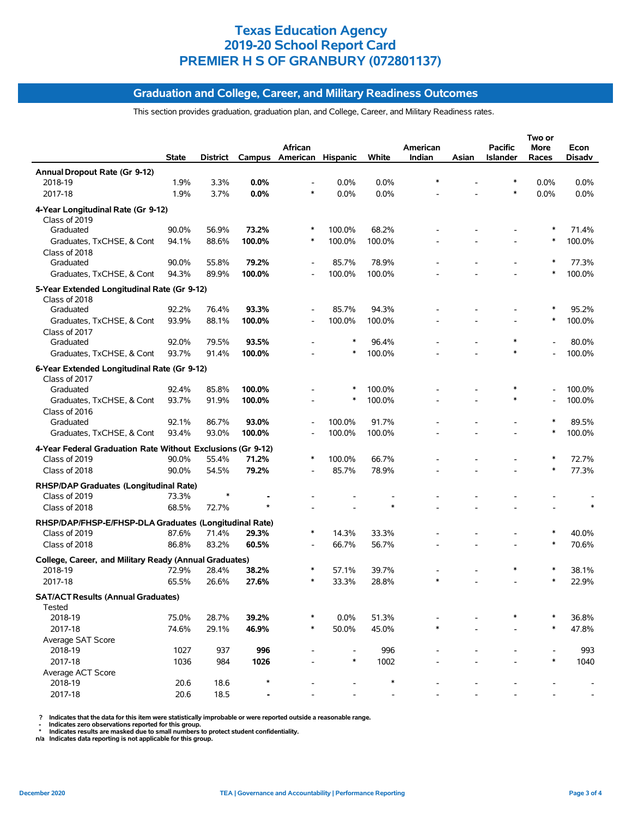### **Graduation and College, Career, and Military Readiness Outcomes**

This section provides graduation, graduation plan, and College, Career, and Military Readiness rates.

|                                                              | <b>State</b> | District       |        | African<br>Campus American Hispanic |                          | White          | American<br>Indian | Asian | <b>Pacific</b><br>Islander | Two or<br>More<br>Races | Econ<br>Disadv |
|--------------------------------------------------------------|--------------|----------------|--------|-------------------------------------|--------------------------|----------------|--------------------|-------|----------------------------|-------------------------|----------------|
| Annual Dropout Rate (Gr 9-12)                                |              |                |        |                                     |                          |                |                    |       |                            |                         |                |
| 2018-19                                                      | 1.9%         | 3.3%           | 0.0%   |                                     | 0.0%                     | 0.0%           |                    |       |                            | $0.0\%$                 | $0.0\%$        |
| 2017-18                                                      | 1.9%         | 3.7%           | 0.0%   |                                     | 0.0%                     | 0.0%           |                    |       |                            | 0.0%                    | 0.0%           |
| 4-Year Longitudinal Rate (Gr 9-12)<br>Class of 2019          |              |                |        |                                     |                          |                |                    |       |                            |                         |                |
| Graduated                                                    | 90.0%        | 56.9%          | 73.2%  |                                     | 100.0%                   | 68.2%          |                    |       |                            |                         | 71.4%          |
| Graduates, TxCHSE, & Cont                                    | 94.1%        | 88.6%          | 100.0% | ∗                                   | 100.0%                   | 100.0%         |                    |       |                            | $\ast$                  | 100.0%         |
| Class of 2018<br>Graduated                                   | 90.0%        | 55.8%          | 79.2%  |                                     | 85.7%                    | 78.9%          |                    |       |                            |                         | 77.3%          |
| Graduates, TxCHSE, & Cont                                    | 94.3%        | 89.9%          | 100.0% |                                     | 100.0%                   | 100.0%         |                    |       |                            | $\ast$                  | 100.0%         |
| 5-Year Extended Longitudinal Rate (Gr 9-12)<br>Class of 2018 |              |                |        |                                     |                          |                |                    |       |                            |                         |                |
| Graduated                                                    | 92.2%        | 76.4%          | 93.3%  |                                     | 85.7%                    | 94.3%          |                    |       |                            |                         | 95.2%          |
| Graduates, TxCHSE, & Cont                                    | 93.9%        | 88.1%          | 100.0% |                                     | 100.0%                   | 100.0%         |                    |       |                            |                         | 100.0%         |
| Class of 2017<br>Graduated                                   | 92.0%        | 79.5%          | 93.5%  |                                     | $\ast$                   | 96.4%          |                    |       |                            |                         | 80.0%          |
| Graduates, TxCHSE, & Cont                                    | 93.7%        | 91.4%          | 100.0% |                                     | $\ast$                   | 100.0%         |                    |       |                            |                         | 100.0%         |
|                                                              |              |                |        |                                     |                          |                |                    |       |                            |                         |                |
| 6-Year Extended Longitudinal Rate (Gr 9-12)<br>Class of 2017 |              |                |        |                                     |                          |                |                    |       |                            |                         |                |
| Graduated                                                    | 92.4%        | 85.8%          | 100.0% |                                     | ∗                        | 100.0%         |                    |       |                            |                         | 100.0%         |
| Graduates, TxCHSE, & Cont<br>Class of 2016                   | 93.7%        | 91.9%          | 100.0% |                                     | $\ast$                   | 100.0%         |                    |       |                            |                         | 100.0%         |
| Graduated                                                    | 92.1%        | 86.7%          | 93.0%  |                                     | 100.0%                   | 91.7%          |                    |       |                            |                         | 89.5%          |
| Graduates, TxCHSE, & Cont                                    | 93.4%        | 93.0%          | 100.0% |                                     | 100.0%                   | 100.0%         |                    |       |                            |                         | 100.0%         |
| 4-Year Federal Graduation Rate Without Exclusions (Gr 9-12)  |              |                |        |                                     |                          |                |                    |       |                            |                         |                |
| Class of 2019                                                | 90.0%        | 55.4%          | 71.2%  |                                     | 100.0%                   | 66.7%          |                    |       |                            |                         | 72.7%          |
| Class of 2018                                                | 90.0%        | 54.5%          | 79.2%  |                                     | 85.7%                    | 78.9%          |                    |       |                            | $\ast$                  | 77.3%          |
| RHSP/DAP Graduates (Longitudinal Rate)<br>Class of 2019      | 73.3%        |                |        |                                     |                          |                |                    |       |                            |                         |                |
| Class of 2018                                                | 68.5%        | 72.7%          |        |                                     |                          |                |                    |       |                            |                         |                |
|                                                              |              |                |        |                                     |                          |                |                    |       |                            |                         |                |
| RHSP/DAP/FHSP-E/FHSP-DLA Graduates (Longitudinal Rate)       |              |                |        |                                     |                          |                |                    |       |                            |                         |                |
| Class of 2019<br>Class of 2018                               | 87.6%        | 71.4%<br>83.2% | 29.3%  |                                     | 14.3%<br>66.7%           | 33.3%<br>56.7% |                    |       |                            | $\ast$                  | 40.0%<br>70.6% |
|                                                              | 86.8%        |                | 60.5%  |                                     |                          |                |                    |       |                            |                         |                |
| College, Career, and Military Ready (Annual Graduates)       |              |                |        |                                     |                          |                |                    |       |                            |                         |                |
| 2018-19                                                      | 72.9%        | 28.4%          | 38.2%  | ∗                                   | 57.1%                    | 39.7%          |                    |       |                            |                         | 38.1%          |
| 2017-18                                                      | 65.5%        | 26.6%          | 27.6%  |                                     | 33.3%                    | 28.8%          |                    |       |                            |                         | 22.9%          |
| <b>SAT/ACT Results (Annual Graduates)</b><br>Tested          |              |                |        |                                     |                          |                |                    |       |                            |                         |                |
| 2018-19                                                      | 75.0%        | 28.7%          | 39.2%  |                                     | 0.0%                     | 51.3%          |                    |       |                            |                         | 36.8%          |
| 2017-18                                                      | 74.6%        | 29.1%          | 46.9%  | $\ast$                              | 50.0%                    | 45.0%          |                    |       |                            | $\ast$                  | 47.8%          |
| Average SAT Score                                            |              |                |        |                                     |                          |                |                    |       |                            |                         |                |
| 2018-19                                                      | 1027         | 937            | 996    |                                     | $\overline{\phantom{a}}$ | 996            |                    |       |                            |                         | 993            |
| 2017-18                                                      | 1036         | 984            | 1026   |                                     | $\ast$                   | 1002           |                    |       |                            | $\ast$                  | 1040           |
| Average ACT Score                                            |              |                |        |                                     |                          |                |                    |       |                            |                         |                |
| 2018-19                                                      | 20.6         | 18.6           |        |                                     |                          | $\ast$         |                    |       |                            |                         |                |
| 2017-18                                                      | 20.6         | 18.5           |        |                                     |                          |                |                    |       |                            |                         |                |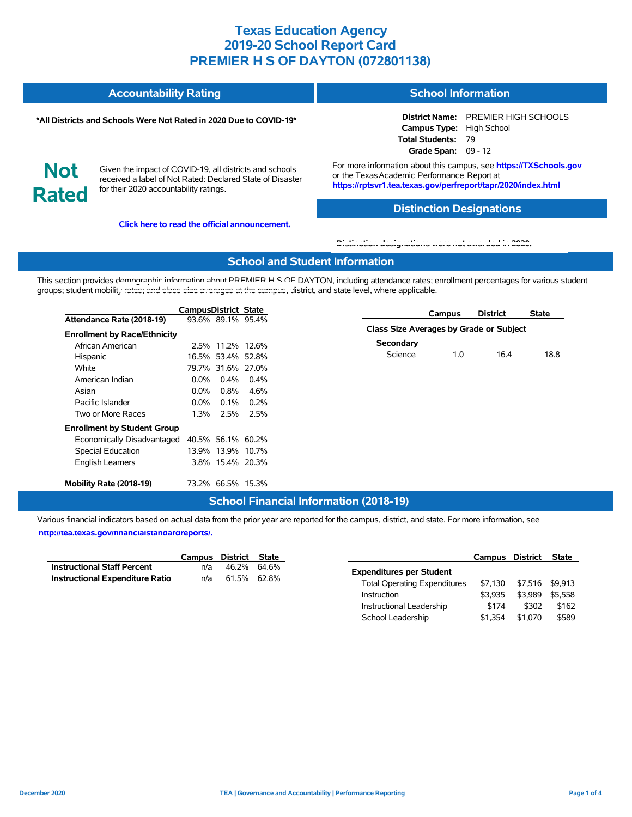| <b>Accountability Rating</b> | <b>School Information</b> |
|------------------------------|---------------------------|
|                              |                           |

#### **\*All Districts and Schools Were Not Rated in 2020 Due to COVID-19\***

#### **District Name:** PREMIER HIGH SCHOOLS **Campus Type:** High School **Total Students:** 79 **Grade Span:** 09 - 12



Given the impact of COVID-19, all districts and schools received a label of Not Rated: Declared State of Disaster for their 2020 accountability ratings.

**Click here to read the official announcement.**

For more information about this campus, see **https://TXSchools.gov** or the Texas Academic Performance Report at **https://rptsvr1.tea.texas.gov/perfreport/tapr/2020/index.html**

#### **Distinction Designations**

#### **[Distinction designations were not awarded in 2020.](https://rptsvr1.tea.texas.gov/perfreport/tapr/2020/index.html)**

#### **School and Student Information**

This section provides demographic information about PREMIER H S OF DAYTON, including attendance rates; enrollment percentages for various student groups; student mobilit[y rates; and class size averages at the campus, d](https://tea.texas.gov/about-tea/news-and-multimedia/correspondence/taa-letters/every-student-succeeds-act-essa-waiver-approval-2020-state-academic-accountability)istrict, and state level, where applicable.

|                                     | <b>CampusDistrict State</b> |                   |         | <b>Campus</b>                           |     | <b>District</b> | <b>State</b> |
|-------------------------------------|-----------------------------|-------------------|---------|-----------------------------------------|-----|-----------------|--------------|
| Attendance Rate (2018-19)           |                             | 93.6% 89.1% 95.4% |         |                                         |     |                 |              |
| <b>Enrollment by Race/Ethnicity</b> |                             |                   |         | Class Size Averages by Grade or Subject |     |                 |              |
| African American                    |                             | 2.5% 11.2% 12.6%  |         | Secondary                               |     |                 |              |
| Hispanic                            |                             | 16.5% 53.4% 52.8% |         | Science                                 | 1.0 | 16.4            | 18.8         |
| White                               |                             | 79.7% 31.6% 27.0% |         |                                         |     |                 |              |
| American Indian                     | $0.0\%$                     | $0.4\%$           | $0.4\%$ |                                         |     |                 |              |
| Asian                               | $0.0\%$                     | $0.8\%$           | 4.6%    |                                         |     |                 |              |
| Pacific Islander                    | $0.0\%$                     | $0.1\%$           | 0.2%    |                                         |     |                 |              |
| Two or More Races                   | 1.3%                        | 2.5%              | 2.5%    |                                         |     |                 |              |
| <b>Enrollment by Student Group</b>  |                             |                   |         |                                         |     |                 |              |
| Economically Disadvantaged          |                             | 40.5% 56.1% 60.2% |         |                                         |     |                 |              |
| Special Education                   |                             | 13.9% 13.9% 10.7% |         |                                         |     |                 |              |
| <b>English Learners</b>             |                             | 3.8% 15.4% 20.3%  |         |                                         |     |                 |              |
| Mobility Rate (2018-19)             |                             | 73.2% 66.5% 15.3% |         |                                         |     |                 |              |

#### **School Financial Information (2018-19)**

|                                        | Campus District State |             |  |
|----------------------------------------|-----------------------|-------------|--|
| <b>Instructional Staff Percent</b>     | n/a                   | 46.2% 64.6% |  |
| <b>Instructional Expenditure Ratio</b> | n/a                   | 61.5% 62.8% |  |

|                                     | Campus District |         | <b>State</b> |
|-------------------------------------|-----------------|---------|--------------|
| <b>Expenditures per Student</b>     |                 |         |              |
| <b>Total Operating Expenditures</b> | \$7.130         | \$7.516 | \$9.913      |
| Instruction                         | \$3.935         | \$3.989 | \$5.558      |
| Instructional Leadership            | \$174           | \$302   | \$162        |
| School Leadership                   | \$1.354         | \$1,070 | \$589        |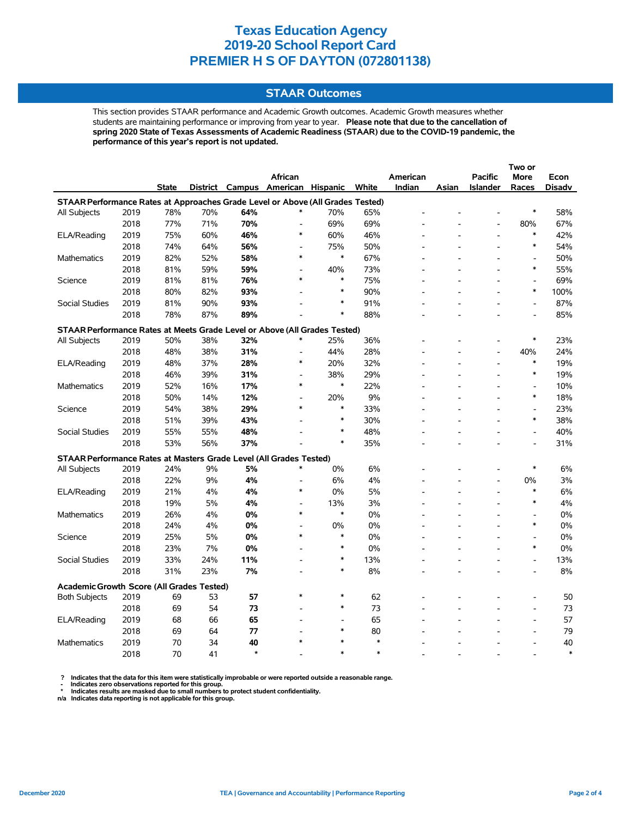#### **STAAR Outcomes**

This section provides STAAR performance and Academic Growth outcomes. Academic Growth measures whether students are maintaining performance or improving from year to year. **Please note that due to the cancellation of spring 2020 State of Texas Assessments of Academic Readiness (STAAR) due to the COVID-19 pandemic, the performance of this year's report is not updated.**

|                                                                                    |      |              |     |         |                                   |        |        |          |       |                          | Two or                   |               |
|------------------------------------------------------------------------------------|------|--------------|-----|---------|-----------------------------------|--------|--------|----------|-------|--------------------------|--------------------------|---------------|
|                                                                                    |      |              |     |         | African                           |        |        | American |       | <b>Pacific</b>           | <b>More</b>              | Econ          |
|                                                                                    |      | <b>State</b> |     |         | District Campus American Hispanic |        | White  | Indian   | Asian | <b>Islander</b>          | Races                    | <b>Disadv</b> |
| STAAR Performance Rates at Approaches Grade Level or Above (All Grades Tested)     |      |              |     |         |                                   |        |        |          |       |                          |                          |               |
| All Subjects                                                                       | 2019 | 78%          | 70% | 64%     | $\ast$                            | 70%    | 65%    |          |       |                          | $\ast$                   | 58%           |
|                                                                                    | 2018 | 77%          | 71% | 70%     | $\overline{\phantom{a}}$          | 69%    | 69%    |          |       | $\overline{a}$           | 80%                      | 67%           |
| ELA/Reading                                                                        | 2019 | 75%          | 60% | 46%     | $\ast$                            | 60%    | 46%    |          |       |                          | $\ast$                   | 42%           |
|                                                                                    | 2018 | 74%          | 64% | 56%     | L,                                | 75%    | 50%    |          |       |                          | $\ast$                   | 54%           |
| <b>Mathematics</b>                                                                 | 2019 | 82%          | 52% | 58%     | $\ast$                            | $\ast$ | 67%    |          |       |                          | $\overline{\phantom{a}}$ | 50%           |
|                                                                                    | 2018 | 81%          | 59% | 59%     | $\overline{a}$                    | 40%    | 73%    |          |       | $\overline{\phantom{a}}$ | $\ast$                   | 55%           |
| Science                                                                            | 2019 | 81%          | 81% | 76%     | $\ast$                            | $\ast$ | 75%    |          |       |                          | $\overline{\phantom{a}}$ | 69%           |
|                                                                                    | 2018 | 80%          | 82% | 93%     |                                   | $\ast$ | 90%    |          |       |                          | $\ast$                   | 100%          |
| Social Studies                                                                     | 2019 | 81%          | 90% | 93%     |                                   | $\ast$ | 91%    |          |       |                          | $\overline{\phantom{a}}$ | 87%           |
|                                                                                    | 2018 | 78%          | 87% | 89%     |                                   | $\ast$ | 88%    |          |       |                          | Ĭ.                       | 85%           |
| STAAR Performance Rates at Meets Grade Level or Above (All Grades Tested)          |      |              |     |         |                                   |        |        |          |       |                          |                          |               |
| All Subjects                                                                       | 2019 | 50%          | 38% | 32%     | $\ast$                            | 25%    | 36%    |          |       |                          | $\ast$                   | 23%           |
|                                                                                    | 2018 | 48%          | 38% | 31%     | $\overline{a}$                    | 44%    | 28%    |          |       |                          | 40%                      | 24%           |
| ELA/Reading                                                                        | 2019 | 48%          | 37% | 28%     | $\ast$                            | 20%    | 32%    |          |       | $\overline{a}$           | $\ast$                   | 19%           |
|                                                                                    | 2018 | 46%          | 39% | 31%     | $\overline{a}$                    | 38%    | 29%    |          |       |                          | $\ast$                   | 19%           |
| <b>Mathematics</b>                                                                 | 2019 | 52%          | 16% | 17%     | $\ast$                            | $\ast$ | 22%    |          |       |                          | $\blacksquare$           | 10%           |
|                                                                                    | 2018 | 50%          | 14% | 12%     | $\overline{a}$                    | 20%    | 9%     |          |       |                          | $\ast$                   | 18%           |
| Science                                                                            | 2019 | 54%          | 38% | 29%     | $\ast$                            | $\ast$ | 33%    |          |       |                          | $\overline{\phantom{a}}$ | 23%           |
|                                                                                    | 2018 | 51%          | 39% | 43%     |                                   | $\ast$ | 30%    |          |       |                          | $\ast$                   | 38%           |
| <b>Social Studies</b>                                                              | 2019 | 55%          | 55% | 48%     |                                   | $\ast$ | 48%    |          |       |                          | $\sim$                   | 40%           |
|                                                                                    | 2018 | 53%          | 56% | 37%     |                                   | $\ast$ | 35%    |          |       |                          | $\overline{a}$           | 31%           |
|                                                                                    |      |              |     |         |                                   |        |        |          |       |                          |                          |               |
| STAAR Performance Rates at Masters Grade Level (All Grades Tested)<br>All Subjects | 2019 | 24%          | 9%  | 5%      | ∗                                 | 0%     | 6%     |          |       | $\overline{a}$           | $\ast$                   | 6%            |
|                                                                                    | 2018 | 22%          | 9%  | 4%      | $\overline{a}$                    | 6%     | 4%     |          |       | $\overline{a}$           | 0%                       | 3%            |
|                                                                                    | 2019 | 21%          | 4%  | 4%      | $\ast$                            | 0%     | 5%     |          |       | $\overline{\phantom{a}}$ | $\ast$                   | 6%            |
| ELA/Reading                                                                        | 2018 | 19%          | 5%  | 4%      | $\blacksquare$                    | 13%    | 3%     |          |       |                          | $\ast$                   | 4%            |
| <b>Mathematics</b>                                                                 | 2019 | 26%          | 4%  | 0%      | $\ast$                            | $\ast$ | 0%     |          |       |                          | Ĭ.                       | 0%            |
|                                                                                    | 2018 | 24%          | 4%  | 0%      | $\overline{a}$                    | 0%     | 0%     |          |       |                          | $\ast$                   | 0%            |
| Science                                                                            | 2019 | 25%          | 5%  | 0%      | $\ast$                            | $\ast$ | 0%     |          |       |                          | $\overline{\phantom{a}}$ | 0%            |
|                                                                                    | 2018 | 23%          | 7%  | 0%      |                                   | $\ast$ | 0%     |          |       |                          | $\ast$                   | 0%            |
| Social Studies                                                                     | 2019 | 33%          | 24% | 11%     | $\overline{\phantom{a}}$          | $\ast$ | 13%    |          |       |                          | $\overline{\phantom{a}}$ | 13%           |
|                                                                                    | 2018 | 31%          | 23% | 7%      |                                   | $\ast$ | 8%     |          | L.    |                          | $\overline{a}$           | 8%            |
|                                                                                    |      |              |     |         |                                   |        |        |          |       |                          |                          |               |
| <b>Academic Growth Score (All Grades Tested)</b>                                   |      |              |     |         |                                   |        |        |          |       |                          |                          |               |
| <b>Both Subjects</b>                                                               | 2019 | 69           | 53  | 57      | $\ast$                            | $\ast$ | 62     |          |       |                          |                          | 50            |
|                                                                                    | 2018 | 69           | 54  | 73      |                                   | $\ast$ | 73     |          |       |                          | $\overline{a}$           | 73            |
| ELA/Reading                                                                        | 2019 | 68           | 66  | 65      |                                   |        | 65     |          |       |                          | $\overline{a}$           | 57            |
|                                                                                    | 2018 | 69           | 64  | 77      |                                   | $\ast$ | 80     |          |       |                          | L.                       | 79            |
| <b>Mathematics</b>                                                                 | 2019 | 70           | 34  | 40      | $\ast$                            | $\ast$ | $\ast$ |          |       |                          |                          | 40            |
|                                                                                    | 2018 | 70           | 41  | $\star$ |                                   | $\ast$ | $\ast$ |          |       |                          |                          | $\ast$        |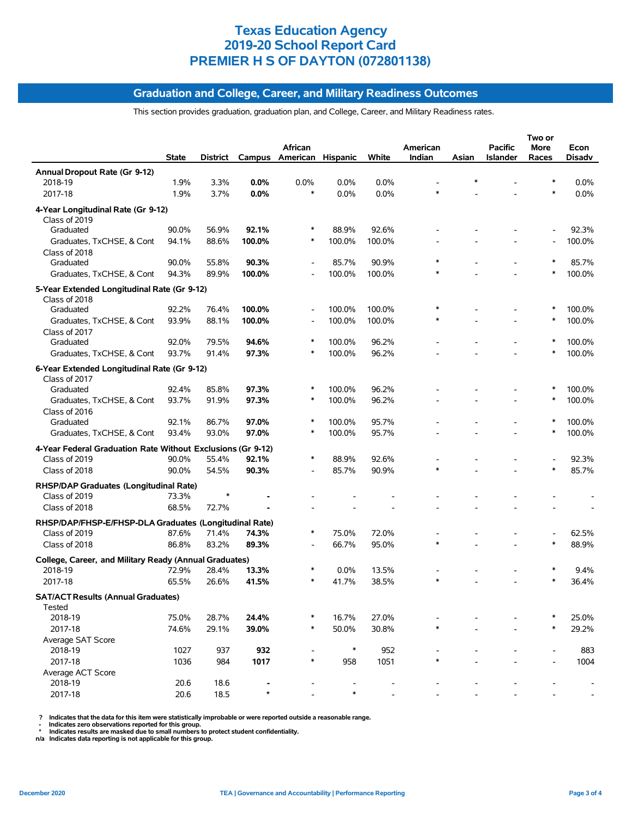### **Graduation and College, Career, and Military Readiness Outcomes**

This section provides graduation, graduation plan, and College, Career, and Military Readiness rates.

|                                                              |              |          |         |                          |        |        |          |       |                | Two or |         |
|--------------------------------------------------------------|--------------|----------|---------|--------------------------|--------|--------|----------|-------|----------------|--------|---------|
|                                                              |              |          |         | African                  |        |        | American |       | <b>Pacific</b> | More   | Econ    |
|                                                              | <b>State</b> | District |         | Campus American Hispanic |        | White  | Indian   | Asian | Islander       | Races  | Disadv  |
| Annual Dropout Rate (Gr 9-12)                                |              |          |         |                          |        |        |          |       |                |        |         |
| 2018-19                                                      | 1.9%         | 3.3%     | 0.0%    | 0.0%<br>$\ast$           | 0.0%   | 0.0%   |          |       |                | $\ast$ | $0.0\%$ |
| 2017-18                                                      | 1.9%         | 3.7%     | 0.0%    |                          | 0.0%   | 0.0%   |          |       |                |        | 0.0%    |
| 4-Year Longitudinal Rate (Gr 9-12)                           |              |          |         |                          |        |        |          |       |                |        |         |
| Class of 2019                                                |              |          |         |                          |        |        |          |       |                |        |         |
| Graduated                                                    | 90.0%        | 56.9%    | 92.1%   | $\ast$                   | 88.9%  | 92.6%  |          |       |                |        | 92.3%   |
| Graduates, TxCHSE, & Cont<br>Class of 2018                   | 94.1%        | 88.6%    | 100.0%  |                          | 100.0% | 100.0% |          |       |                |        | 100.0%  |
| Graduated                                                    | 90.0%        | 55.8%    | 90.3%   |                          | 85.7%  | 90.9%  |          |       |                | $\ast$ | 85.7%   |
| Graduates, TxCHSE, & Cont                                    | 94.3%        | 89.9%    | 100.0%  |                          | 100.0% | 100.0% |          |       |                | $\ast$ | 100.0%  |
|                                                              |              |          |         |                          |        |        |          |       |                |        |         |
| 5-Year Extended Longitudinal Rate (Gr 9-12)<br>Class of 2018 |              |          |         |                          |        |        |          |       |                |        |         |
| Graduated                                                    | 92.2%        | 76.4%    | 100.0%  |                          | 100.0% | 100.0% |          |       |                |        | 100.0%  |
| Graduates, TxCHSE, & Cont                                    | 93.9%        | 88.1%    | 100.0%  |                          | 100.0% | 100.0% |          |       |                | $\ast$ | 100.0%  |
| Class of 2017                                                |              |          |         |                          |        |        |          |       |                |        |         |
| Graduated                                                    | 92.0%        | 79.5%    | 94.6%   | $\ast$                   | 100.0% | 96.2%  |          |       |                |        | 100.0%  |
| Graduates, TxCHSE, & Cont                                    | 93.7%        | 91.4%    | 97.3%   |                          | 100.0% | 96.2%  |          |       |                |        | 100.0%  |
| 6-Year Extended Longitudinal Rate (Gr 9-12)                  |              |          |         |                          |        |        |          |       |                |        |         |
| Class of 2017                                                |              |          |         |                          |        |        |          |       |                |        |         |
| Graduated                                                    | 92.4%        | 85.8%    | 97.3%   |                          | 100.0% | 96.2%  |          |       |                |        | 100.0%  |
| Graduates, TxCHSE, & Cont                                    | 93.7%        | 91.9%    | 97.3%   | $\ast$                   | 100.0% | 96.2%  |          |       |                | $\ast$ | 100.0%  |
| Class of 2016                                                |              |          |         |                          |        |        |          |       |                |        |         |
| Graduated                                                    | 92.1%        | 86.7%    | 97.0%   |                          | 100.0% | 95.7%  |          |       |                |        | 100.0%  |
| Graduates, TxCHSE, & Cont                                    | 93.4%        | 93.0%    | 97.0%   |                          | 100.0% | 95.7%  |          |       |                |        | 100.0%  |
| 4-Year Federal Graduation Rate Without Exclusions (Gr 9-12)  |              |          |         |                          |        |        |          |       |                |        |         |
| Class of 2019                                                | 90.0%        | 55.4%    | 92.1%   |                          | 88.9%  | 92.6%  |          |       |                |        | 92.3%   |
| Class of 2018                                                | 90.0%        | 54.5%    | 90.3%   |                          | 85.7%  | 90.9%  |          |       |                | $\ast$ | 85.7%   |
| RHSP/DAP Graduates (Longitudinal Rate)                       |              |          |         |                          |        |        |          |       |                |        |         |
| Class of 2019                                                | 73.3%        |          |         |                          |        |        |          |       |                |        |         |
| Class of 2018                                                | 68.5%        | 72.7%    |         |                          |        |        |          |       |                |        |         |
| RHSP/DAP/FHSP-E/FHSP-DLA Graduates (Longitudinal Rate)       |              |          |         |                          |        |        |          |       |                |        |         |
| Class of 2019                                                | 87.6%        | 71.4%    | 74.3%   | $\ast$                   | 75.0%  | 72.0%  |          |       |                |        | 62.5%   |
| Class of 2018                                                | 86.8%        | 83.2%    | 89.3%   |                          | 66.7%  | 95.0%  |          |       |                | $\ast$ | 88.9%   |
| College, Career, and Military Ready (Annual Graduates)       |              |          |         |                          |        |        |          |       |                |        |         |
| 2018-19                                                      | 72.9%        | 28.4%    | 13.3%   |                          | 0.0%   | 13.5%  |          |       |                |        | 9.4%    |
| 2017-18                                                      | 65.5%        | 26.6%    | 41.5%   |                          | 41.7%  | 38.5%  |          |       |                |        | 36.4%   |
|                                                              |              |          |         |                          |        |        |          |       |                |        |         |
| <b>SAT/ACT Results (Annual Graduates)</b><br>Tested          |              |          |         |                          |        |        |          |       |                |        |         |
| 2018-19                                                      | 75.0%        | 28.7%    | 24.4%   |                          | 16.7%  | 27.0%  |          |       |                |        | 25.0%   |
| 2017-18                                                      | 74.6%        | 29.1%    | 39.0%   | $\ast$                   | 50.0%  | 30.8%  |          |       |                | $\ast$ | 29.2%   |
| Average SAT Score                                            |              |          |         |                          |        |        |          |       |                |        |         |
| 2018-19                                                      | 1027         | 937      | 932     |                          | $\ast$ | 952    |          |       |                |        | 883     |
| 2017-18                                                      | 1036         | 984      | 1017    | $\ast$                   | 958    | 1051   |          |       |                |        | 1004    |
| Average ACT Score                                            |              |          |         |                          |        |        |          |       |                |        |         |
| 2018-19                                                      | 20.6         | 18.6     |         |                          |        |        |          |       |                |        |         |
| 2017-18                                                      | 20.6         | 18.5     | $\star$ |                          | $\ast$ |        |          |       |                |        |         |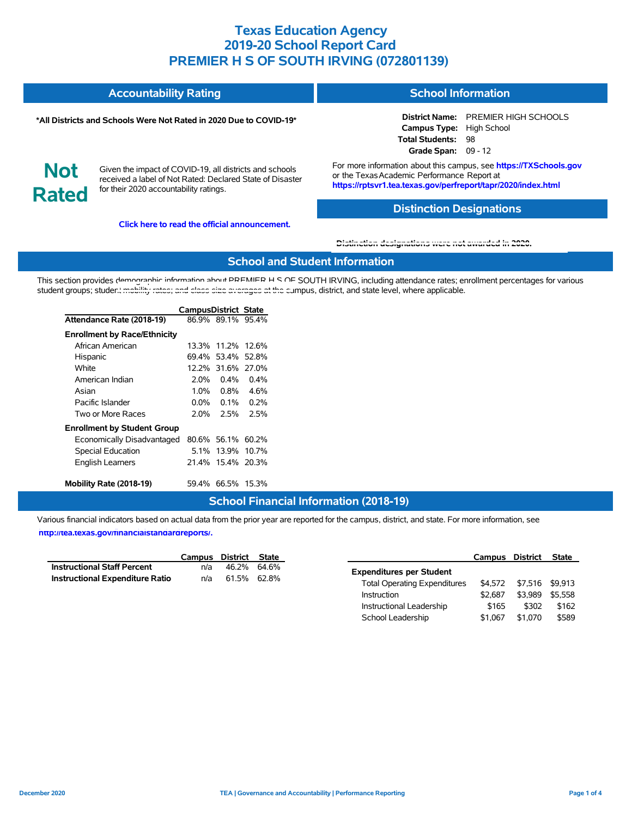| <b>Accountability Rating</b>                                       | <b>School Information</b>                  |  |  |  |  |
|--------------------------------------------------------------------|--------------------------------------------|--|--|--|--|
| *All Districts and Schools Were Not Rated in 2020 Due to COVID-19* | <b>District Name:</b> PREMIER HIGH SCHOOLS |  |  |  |  |

### **Campus Type:** High School **Total Students:** 98

**Grade Span:** 09 - 12

**Not Rated**

Given the impact of COVID-19, all districts and schools received a label of Not Rated: Declared State of Disaster for their 2020 accountability ratings.

For more information about this campus, see **https://TXSchools.gov** or the Texas Academic Performance Report at **https://rptsvr1.tea.texas.gov/perfreport/tapr/2020/index.html**

### **Distinction Designations**

#### **Click here to read the official announcement.**

#### **[Distinction designations were not awarded in 2020.](https://rptsvr1.tea.texas.gov/perfreport/tapr/2020/index.html)**

#### **School and Student Information**

This section provides demographic information about PREMIER H S OF SOUTH IRVING, including attendance rates; enrollment percentages for various student groups; stude[nt mobility rates; and class size averages at the ca](https://tea.texas.gov/about-tea/news-and-multimedia/correspondence/taa-letters/every-student-succeeds-act-essa-waiver-approval-2020-state-academic-accountability)mpus, district, and state level, where applicable.

|                                     | <b>CampusDistrict State</b> |                   |             |
|-------------------------------------|-----------------------------|-------------------|-------------|
| Attendance Rate (2018-19)           |                             | 86.9% 89.1% 95.4% |             |
| <b>Enrollment by Race/Ethnicity</b> |                             |                   |             |
| African American                    |                             | 13.3% 11.2% 12.6% |             |
| Hispanic                            | 69.4%                       | 53.4%             | 52.8%       |
| White                               |                             | 12.2% 31.6% 27.0% |             |
| American Indian                     | 2.0%                        | $0.4\%$           | 0.4%        |
| Asian                               | 1.0%                        | 0.8%              | 4.6%        |
| Pacific Islander                    | 0.0%                        | $0.1\%$           | 0.2%        |
| Two or More Races                   | 20%                         | 2.5%              | 2.5%        |
| <b>Enrollment by Student Group</b>  |                             |                   |             |
| Economically Disadvantaged          |                             | 80.6% 56.1%       | 60.2%       |
| Special Education                   | 5.1%                        |                   | 13.9% 10.7% |
| <b>English Learners</b>             |                             | 21.4% 15.4% 20.3% |             |
| Mobility Rate (2018-19)             | 59.4%                       | 66.5% 15.3%       |             |

### **School Financial Information (2018-19)**

|                                        | Campus District State |             |  |
|----------------------------------------|-----------------------|-------------|--|
| <b>Instructional Staff Percent</b>     | n/a                   | 46.2% 64.6% |  |
| <b>Instructional Expenditure Ratio</b> | n/a                   | 61.5% 62.8% |  |

|                                     | Campus District |         | <b>State</b> |
|-------------------------------------|-----------------|---------|--------------|
| <b>Expenditures per Student</b>     |                 |         |              |
| <b>Total Operating Expenditures</b> | \$4.572         | \$7.516 | \$9.913      |
| Instruction                         | \$2.687         | \$3.989 | \$5.558      |
| Instructional Leadership            | \$165           | \$302   | \$162        |
| School Leadership                   | \$1.067         | \$1.070 | \$589        |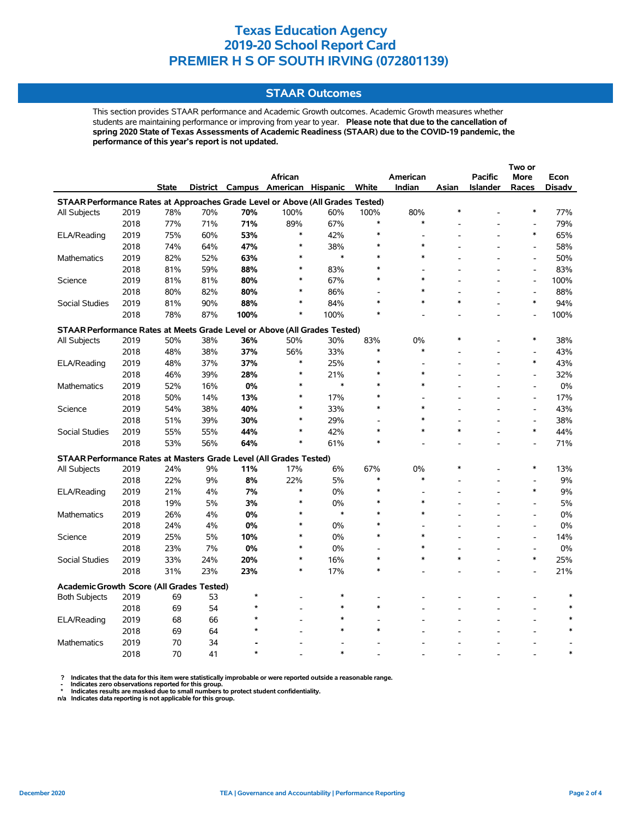#### **STAAR Outcomes**

This section provides STAAR performance and Academic Growth outcomes. Academic Growth measures whether students are maintaining performance or improving from year to year. **Please note that due to the cancellation of spring 2020 State of Texas Assessments of Academic Readiness (STAAR) due to the COVID-19 pandemic, the performance of this year's report is not updated.**

|                                                                                |      |          |          |       |                                   |        |        |              |        |                 | Two or                       |        |
|--------------------------------------------------------------------------------|------|----------|----------|-------|-----------------------------------|--------|--------|--------------|--------|-----------------|------------------------------|--------|
|                                                                                |      |          |          |       | African                           |        |        | American     |        | <b>Pacific</b>  | <b>More</b>                  | Econ   |
|                                                                                |      | State    |          |       | District Campus American Hispanic |        | White  | Indian       | Asian  | <b>Islander</b> | Races                        | Disadv |
| STAAR Performance Rates at Approaches Grade Level or Above (All Grades Tested) |      |          |          |       |                                   |        |        |              |        |                 |                              |        |
| All Subjects                                                                   | 2019 | 78%      | 70%      | 70%   | 100%                              | 60%    | 100%   | 80%          | *      |                 | $\ast$                       | 77%    |
|                                                                                | 2018 | 77%      | 71%      | 71%   | 89%                               | 67%    |        | $\ast$       |        |                 | $\overline{a}$               | 79%    |
| ELA/Reading                                                                    | 2019 | 75%      | 60%      | 53%   | $\ast$                            | 42%    |        |              |        |                 | $\ast$                       | 65%    |
|                                                                                | 2018 | 74%      | 64%      | 47%   | $\ast$                            | 38%    |        | $\ast$       |        |                 | $\overline{\phantom{a}}$     | 58%    |
| <b>Mathematics</b>                                                             | 2019 | 82%      | 52%      | 63%   | $\ast$                            | $\ast$ |        | $\ast$       |        |                 | $\overline{a}$               | 50%    |
|                                                                                | 2018 | 81%      | 59%      | 88%   | $\ast$                            | 83%    |        |              |        |                 | $\overline{\phantom{a}}$     | 83%    |
| Science                                                                        | 2019 | 81%      | 81%      | 80%   | $\ast$                            | 67%    |        |              |        |                 | $\overline{a}$               | 100%   |
|                                                                                | 2018 | 80%      | 82%      | 80%   | $\ast$                            | 86%    |        | $\mathbf{r}$ |        |                 | $\overline{a}$               | 88%    |
| <b>Social Studies</b>                                                          | 2019 | 81%      | 90%      | 88%   | $\ast$                            | 84%    |        |              | $\ast$ |                 | $\ast$                       | 94%    |
|                                                                                | 2018 | 78%      | 87%      | 100%  | $\ast$                            | 100%   |        |              |        |                 |                              | 100%   |
| STAAR Performance Rates at Meets Grade Level or Above (All Grades Tested)      |      |          |          |       |                                   |        |        |              |        |                 |                              |        |
| All Subjects                                                                   | 2019 | 50%      | 38%      | 36%   | 50%                               | 30%    | 83%    | 0%           | $\ast$ |                 | $\ast$                       | 38%    |
|                                                                                | 2018 | 48%      | 38%      | 37%   | 56%                               | 33%    | $\ast$ | $\ast$       |        |                 | $\overline{a}$               | 43%    |
| ELA/Reading                                                                    | 2019 | 48%      | 37%      | 37%   | $\ast$                            | 25%    |        |              |        |                 | $\ast$                       | 43%    |
|                                                                                | 2018 | 46%      | 39%      | 28%   | $\ast$                            | 21%    |        | $\ast$       |        |                 | L,                           | 32%    |
| <b>Mathematics</b>                                                             | 2019 | 52%      | 16%      | $0\%$ | $\ast$                            | $\ast$ |        | $\ast$       |        |                 | $\overline{a}$               | 0%     |
|                                                                                | 2018 | 50%      | 14%      | 13%   | $\ast$                            | 17%    |        |              |        |                 | L,                           | 17%    |
| Science                                                                        | 2019 | 54%      | 38%      | 40%   | $\ast$                            | 33%    |        | $\ast$       |        |                 | $\overline{a}$               | 43%    |
|                                                                                | 2018 | 51%      | 39%      | 30%   | $\ast$                            | 29%    |        | $\ast$       |        |                 | $\overline{\phantom{a}}$     | 38%    |
| <b>Social Studies</b>                                                          | 2019 | 55%      | 55%      | 44%   | $\ast$                            | 42%    |        | $\ast$       | $\ast$ |                 | $\ast$                       | 44%    |
|                                                                                | 2018 | 53%      | 56%      | 64%   | $\ast$                            | 61%    |        |              |        |                 | $\overline{a}$               | 71%    |
| STAAR Performance Rates at Masters Grade Level (All Grades Tested)             |      |          |          |       |                                   |        |        |              |        |                 |                              |        |
| All Subjects                                                                   | 2019 | 24%      | 9%       | 11%   | 17%                               | 6%     | 67%    | 0%           | *      |                 | $\ast$                       | 13%    |
|                                                                                | 2018 | 22%      | 9%       | 8%    | 22%                               | 5%     | $\ast$ | $\ast$       |        |                 |                              | 9%     |
| ELA/Reading                                                                    | 2019 | 21%      | 4%       | 7%    | $\ast$                            | 0%     |        |              |        |                 | $\ast$                       | 9%     |
|                                                                                | 2018 | 19%      | 5%       | 3%    | $\ast$                            | 0%     |        | $\ast$       |        |                 | $\overline{a}$               | 5%     |
| Mathematics                                                                    | 2019 | 26%      | 4%       | 0%    | $\ast$                            | $\ast$ |        | $\ast$       |        |                 |                              | 0%     |
|                                                                                | 2018 | 24%      | 4%       | 0%    | $\ast$                            | 0%     |        |              |        |                 |                              | 0%     |
| Science                                                                        | 2019 | 25%      | 5%       | 10%   | $\ast$                            | 0%     |        | $\ast$       |        |                 | $\overline{\phantom{a}}$     | 14%    |
|                                                                                | 2018 | 23%      | 7%       | 0%    | $\ast$                            | 0%     |        |              |        |                 | $\qquad \qquad \blacksquare$ | 0%     |
| Social Studies                                                                 | 2019 | 33%      | 24%      | 20%   | $\ast$                            | 16%    | $\ast$ | $\ast$       | *      |                 | $\ast$                       | 25%    |
|                                                                                | 2018 | 31%      | 23%      | 23%   | $\ast$                            | 17%    | $\ast$ |              |        |                 |                              | 21%    |
|                                                                                |      |          |          |       |                                   |        |        |              |        |                 |                              |        |
| <b>Academic Growth Score (All Grades Tested)</b>                               |      |          |          |       |                                   | $\ast$ |        |              |        |                 |                              |        |
| <b>Both Subjects</b>                                                           | 2019 | 69       | 53       |       |                                   | $\ast$ |        |              |        |                 |                              |        |
|                                                                                | 2018 | 69       | 54       |       |                                   | $\ast$ |        |              |        |                 |                              |        |
| ELA/Reading                                                                    | 2019 | 68       | 66       |       |                                   | $\ast$ |        |              |        |                 |                              |        |
|                                                                                | 2018 | 69<br>70 | 64<br>34 |       |                                   |        |        |              |        |                 |                              |        |
| <b>Mathematics</b>                                                             | 2019 |          |          |       |                                   | $\ast$ |        |              |        |                 |                              | $\ast$ |
|                                                                                | 2018 | 70       | 41       |       |                                   |        |        |              |        |                 |                              |        |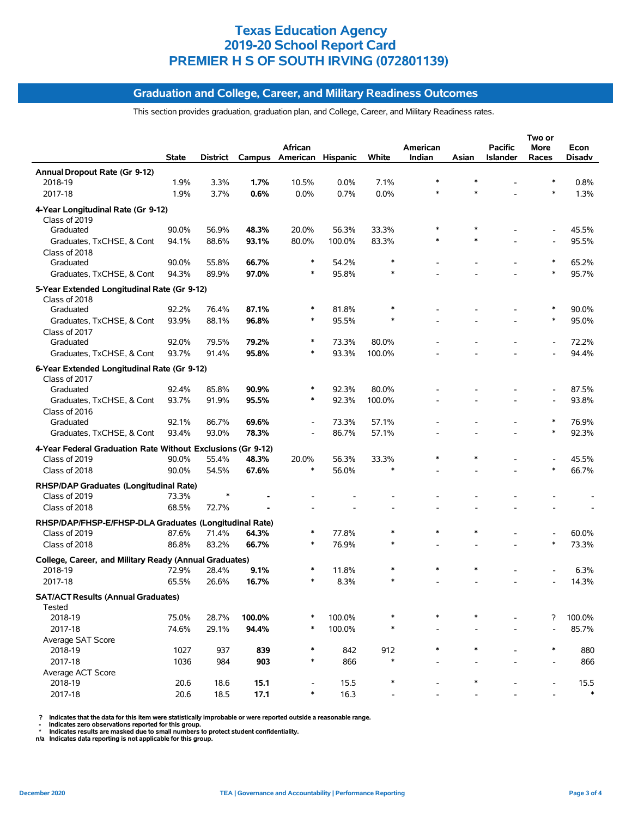### **Graduation and College, Career, and Military Readiness Outcomes**

This section provides graduation, graduation plan, and College, Career, and Military Readiness rates.

|                                                              |              |          |        |                          |        |        |          |        |                | Two or |        |
|--------------------------------------------------------------|--------------|----------|--------|--------------------------|--------|--------|----------|--------|----------------|--------|--------|
|                                                              |              |          |        | African                  |        |        | American |        | <b>Pacific</b> | More   | Econ   |
|                                                              | <b>State</b> | District |        | Campus American Hispanic |        | White  | Indian   | Asian  | Islander       | Races  | Disadv |
| Annual Dropout Rate (Gr 9-12)                                |              |          |        |                          |        |        |          |        |                |        |        |
| 2018-19                                                      | 1.9%         | 3.3%     | 1.7%   | 10.5%                    | 0.0%   | 7.1%   | $\ast$   | $\ast$ |                |        | 0.8%   |
| 2017-18                                                      | 1.9%         | 3.7%     | 0.6%   | 0.0%                     | 0.7%   | 0.0%   |          | $\ast$ |                | $\ast$ | 1.3%   |
| 4-Year Longitudinal Rate (Gr 9-12)                           |              |          |        |                          |        |        |          |        |                |        |        |
| Class of 2019                                                |              |          |        |                          |        |        |          |        |                |        |        |
| Graduated                                                    | 90.0%        | 56.9%    | 48.3%  | 20.0%                    | 56.3%  | 33.3%  |          |        |                |        | 45.5%  |
| Graduates, TxCHSE, & Cont                                    | 94.1%        | 88.6%    | 93.1%  | 80.0%                    | 100.0% | 83.3%  |          | $\ast$ |                |        | 95.5%  |
| Class of 2018                                                |              |          |        |                          |        |        |          |        |                |        |        |
| Graduated                                                    | 90.0%        | 55.8%    | 66.7%  | $\ast$                   | 54.2%  | $\ast$ |          |        |                | $\ast$ | 65.2%  |
| Graduates, TxCHSE, & Cont                                    | 94.3%        | 89.9%    | 97.0%  | $\ast$                   | 95.8%  | $\ast$ |          |        |                | $\ast$ | 95.7%  |
| 5-Year Extended Longitudinal Rate (Gr 9-12)                  |              |          |        |                          |        |        |          |        |                |        |        |
| Class of 2018                                                |              |          |        |                          |        |        |          |        |                |        |        |
| Graduated                                                    | 92.2%        | 76.4%    | 87.1%  |                          | 81.8%  |        |          |        |                |        | 90.0%  |
| Graduates, TxCHSE, & Cont                                    | 93.9%        | 88.1%    | 96.8%  |                          | 95.5%  |        |          |        |                | $\ast$ | 95.0%  |
| Class of 2017                                                |              |          |        |                          |        |        |          |        |                |        |        |
| Graduated                                                    | 92.0%        | 79.5%    | 79.2%  | $\ast$                   | 73.3%  | 80.0%  |          |        |                |        | 72.2%  |
| Graduates, TxCHSE, & Cont                                    | 93.7%        | 91.4%    | 95.8%  |                          | 93.3%  | 100.0% |          |        |                |        | 94.4%  |
|                                                              |              |          |        |                          |        |        |          |        |                |        |        |
| 6-Year Extended Longitudinal Rate (Gr 9-12)<br>Class of 2017 |              |          |        |                          |        |        |          |        |                |        |        |
| Graduated                                                    | 92.4%        | 85.8%    | 90.9%  |                          | 92.3%  | 80.0%  |          |        |                |        | 87.5%  |
| Graduates, TxCHSE, & Cont                                    | 93.7%        | 91.9%    | 95.5%  | $\ast$                   | 92.3%  | 100.0% |          |        |                |        | 93.8%  |
| Class of 2016                                                |              |          |        |                          |        |        |          |        |                |        |        |
| Graduated                                                    | 92.1%        | 86.7%    | 69.6%  | $\overline{a}$           | 73.3%  | 57.1%  |          |        |                | ∗      | 76.9%  |
| Graduates, TxCHSE, & Cont                                    | 93.4%        | 93.0%    | 78.3%  |                          | 86.7%  | 57.1%  |          |        |                |        | 92.3%  |
|                                                              |              |          |        |                          |        |        |          |        |                |        |        |
| 4-Year Federal Graduation Rate Without Exclusions (Gr 9-12)  |              |          |        |                          |        |        |          |        |                |        |        |
| Class of 2019                                                | 90.0%        | 55.4%    | 48.3%  | 20.0%                    | 56.3%  | 33.3%  |          | $\ast$ |                |        | 45.5%  |
| Class of 2018                                                | 90.0%        | 54.5%    | 67.6%  | $\ast$                   | 56.0%  | $\ast$ |          |        |                | $\ast$ | 66.7%  |
| RHSP/DAP Graduates (Longitudinal Rate)                       |              |          |        |                          |        |        |          |        |                |        |        |
| Class of 2019                                                | 73.3%        |          |        |                          |        |        |          |        |                |        |        |
| Class of 2018                                                | 68.5%        | 72.7%    |        |                          |        |        |          |        |                |        |        |
| RHSP/DAP/FHSP-E/FHSP-DLA Graduates (Longitudinal Rate)       |              |          |        |                          |        |        |          |        |                |        |        |
| Class of 2019                                                | 87.6%        | 71.4%    | 64.3%  |                          | 77.8%  |        |          | $\ast$ |                |        | 60.0%  |
| Class of 2018                                                | 86.8%        | 83.2%    | 66.7%  | $\ast$                   | 76.9%  |        |          |        |                | $\ast$ | 73.3%  |
|                                                              |              |          |        |                          |        |        |          |        |                |        |        |
| College, Career, and Military Ready (Annual Graduates)       |              |          |        |                          |        |        |          |        |                |        |        |
| 2018-19                                                      | 72.9%        | 28.4%    | 9.1%   |                          | 11.8%  |        |          | $\ast$ |                |        | 6.3%   |
| 2017-18                                                      | 65.5%        | 26.6%    | 16.7%  |                          | 8.3%   |        |          |        |                |        | 14.3%  |
| <b>SAT/ACT Results (Annual Graduates)</b>                    |              |          |        |                          |        |        |          |        |                |        |        |
| Tested                                                       |              |          |        |                          |        |        |          |        |                |        |        |
| 2018-19                                                      | 75.0%        | 28.7%    | 100.0% |                          | 100.0% | ∗      | $\ast$   |        |                | ?      | 100.0% |
| 2017-18                                                      | 74.6%        | 29.1%    | 94.4%  | $\ast$                   | 100.0% | $\ast$ |          |        |                |        | 85.7%  |
| Average SAT Score                                            |              |          |        |                          |        |        |          |        |                |        |        |
| 2018-19                                                      | 1027         | 937      | 839    | $\ast$                   | 842    | 912    |          | $\ast$ |                | $\ast$ | 880    |
| 2017-18                                                      | 1036         | 984      | 903    | $\ast$                   | 866    | $\ast$ |          |        |                |        | 866    |
| Average ACT Score                                            |              |          |        |                          |        |        |          |        |                |        |        |
| 2018-19                                                      | 20.6         | 18.6     | 15.1   |                          | 15.5   | $\ast$ |          | $\ast$ |                |        | 15.5   |
| 2017-18                                                      | 20.6         | 18.5     | 17.1   |                          | 16.3   |        |          |        |                |        |        |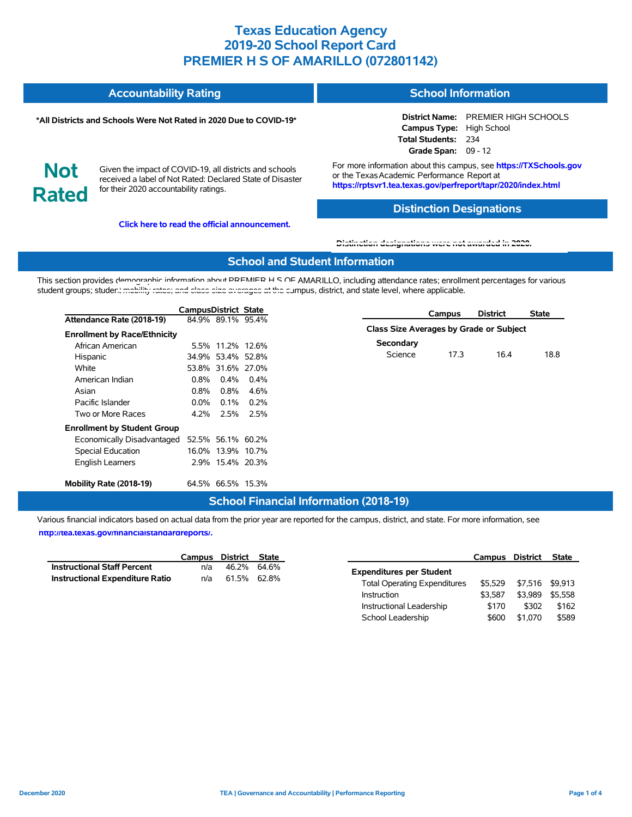| <b>Accountability Rating</b> | <b>School Information</b> |
|------------------------------|---------------------------|
|                              |                           |

#### **\*All Districts and Schools Were Not Rated in 2020 Due to COVID-19\***

#### **District Name:** PREMIER HIGH SCHOOLS **Campus Type:** High School **Total Students:** 234 **Grade Span:** 09 - 12



Given the impact of COVID-19, all districts and schools received a label of Not Rated: Declared State of Disaster for their 2020 accountability ratings.

For more information about this campus, see **https://TXSchools.gov** or the Texas Academic Performance Report at **https://rptsvr1.tea.texas.gov/perfreport/tapr/2020/index.html**

#### **Distinction Designations**

### **Click here to read the official announcement.**

#### **[Distinction designations were not awarded in 2020.](https://rptsvr1.tea.texas.gov/perfreport/tapr/2020/index.html)**

#### **School and Student Information**

This section provides demographic information about PREMIER H S OF AMARILLO, including attendance rates; enrollment percentages for various student groups; stude[nt mobility rates; and class size averages at the ca](https://tea.texas.gov/about-tea/news-and-multimedia/correspondence/taa-letters/every-student-succeeds-act-essa-waiver-approval-2020-state-academic-accountability)mpus, district, and state level, where applicable.

|                                     | <b>CampusDistrict State</b> |                   |         | <b>District</b><br><b>State</b><br><b>Campus</b> |      |
|-------------------------------------|-----------------------------|-------------------|---------|--------------------------------------------------|------|
| Attendance Rate (2018-19)           |                             | 84.9% 89.1% 95.4% |         |                                                  |      |
| <b>Enrollment by Race/Ethnicity</b> |                             |                   |         | Class Size Averages by Grade or Subject          |      |
| African American                    |                             | 5.5% 11.2% 12.6%  |         | Secondary                                        |      |
| Hispanic                            |                             | 34.9% 53.4% 52.8% |         | 17.3<br>Science<br>16.4                          | 18.8 |
| White                               |                             | 53.8% 31.6% 27.0% |         |                                                  |      |
| American Indian                     | 0.8%                        | $0.4\%$           | $0.4\%$ |                                                  |      |
| Asian                               | 0.8%                        | $0.8\%$           | 4.6%    |                                                  |      |
| Pacific Islander                    | $0.0\%$                     | $0.1\%$           | $0.2\%$ |                                                  |      |
| Two or More Races                   | 4.2%                        | 2.5%              | 2.5%    |                                                  |      |
| <b>Enrollment by Student Group</b>  |                             |                   |         |                                                  |      |
| Economically Disadvantaged          |                             | 52.5% 56.1% 60.2% |         |                                                  |      |
| Special Education                   |                             | 16.0% 13.9% 10.7% |         |                                                  |      |
| <b>English Learners</b>             |                             | 2.9% 15.4% 20.3%  |         |                                                  |      |
| Mobility Rate (2018-19)             |                             | 64.5% 66.5% 15.3% |         |                                                  |      |

#### **School Financial Information (2018-19)**

|                                        | Campus District State |             |  |
|----------------------------------------|-----------------------|-------------|--|
| <b>Instructional Staff Percent</b>     | n/a                   | 46.2% 64.6% |  |
| <b>Instructional Expenditure Ratio</b> | n/a                   | 61.5% 62.8% |  |

|                                     | Campus District |         | <b>State</b> |
|-------------------------------------|-----------------|---------|--------------|
| <b>Expenditures per Student</b>     |                 |         |              |
| <b>Total Operating Expenditures</b> | \$5.529         | \$7.516 | \$9.913      |
| Instruction                         | \$3.587         | \$3.989 | \$5.558      |
| Instructional Leadership            | \$170           | \$302   | \$162        |
| School Leadership                   | \$600           | \$1.070 | \$589        |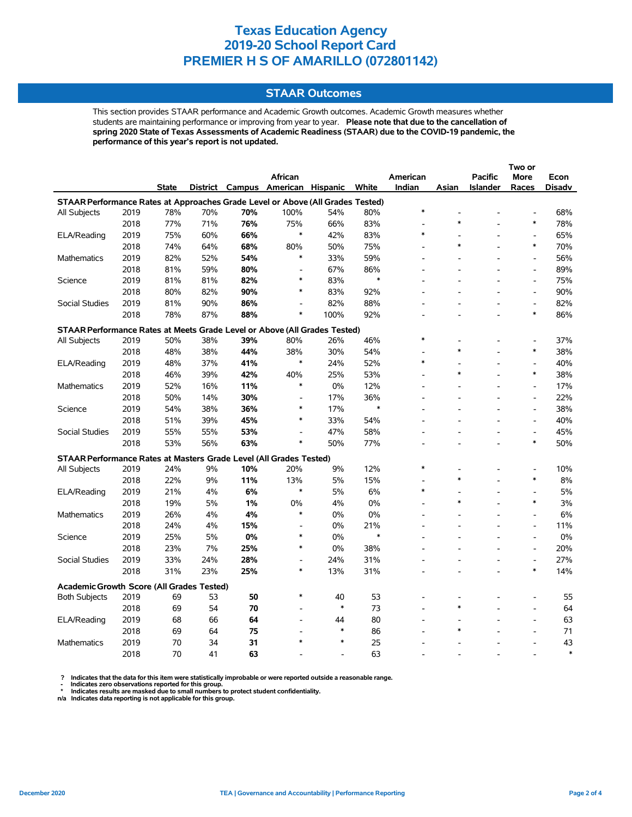#### **STAAR Outcomes**

This section provides STAAR performance and Academic Growth outcomes. Academic Growth measures whether students are maintaining performance or improving from year to year. **Please note that due to the cancellation of spring 2020 State of Texas Assessments of Academic Readiness (STAAR) due to the COVID-19 pandemic, the performance of this year's report is not updated.**

|                                                                                |              |              |          |            |                                    |          |           |                |                |                | Two or                                               |               |
|--------------------------------------------------------------------------------|--------------|--------------|----------|------------|------------------------------------|----------|-----------|----------------|----------------|----------------|------------------------------------------------------|---------------|
|                                                                                |              |              |          |            | African                            |          |           | American       |                | <b>Pacific</b> | <b>More</b>                                          | Econ          |
|                                                                                |              | <b>State</b> |          |            | District Campus American Hispanic  |          | White     | Indian         | Asian          | Islander       | Races                                                | <b>Disadv</b> |
| STAAR Performance Rates at Approaches Grade Level or Above (All Grades Tested) |              |              |          |            |                                    |          |           |                |                |                |                                                      |               |
| All Subjects                                                                   | 2019         | 78%          | 70%      | 70%        | 100%                               | 54%      | 80%       | $\ast$         |                |                | $\overline{a}$                                       | 68%           |
|                                                                                | 2018         | 77%          | 71%      | 76%        | 75%                                | 66%      | 83%       | $\overline{a}$ | $\ast$         |                | $\ast$                                               | 78%           |
| ELA/Reading                                                                    | 2019         | 75%          | 60%      | 66%        | $\ast$                             | 42%      | 83%       | $\ast$         |                |                | Ĭ.                                                   | 65%           |
|                                                                                | 2018         | 74%          | 64%      | 68%        | 80%                                | 50%      | 75%       |                | *              |                | $\ast$                                               | 70%           |
| <b>Mathematics</b>                                                             | 2019         | 82%          | 52%      | 54%        | $\ast$                             | 33%      | 59%       | L,             |                |                | $\overline{\phantom{a}}$                             | 56%           |
|                                                                                | 2018         | 81%          | 59%      | 80%        | $\overline{a}$                     | 67%      | 86%       |                |                |                | $\overline{\phantom{a}}$                             | 89%           |
| Science                                                                        | 2019         | 81%          | 81%      | 82%        | $\ast$                             | 83%      | $\ast$    |                |                |                | $\overline{\phantom{a}}$                             | 75%           |
|                                                                                | 2018         | 80%          | 82%      | 90%        | $\ast$                             | 83%      | 92%       |                |                |                | $\overline{\phantom{a}}$                             | 90%           |
| Social Studies                                                                 | 2019         | 81%          | 90%      | 86%        | $\overline{\phantom{a}}$           | 82%      | 88%       |                |                |                | $\overline{\phantom{a}}$                             | 82%           |
|                                                                                | 2018         | 78%          | 87%      | 88%        | $\ast$                             | 100%     | 92%       |                |                |                | $\ast$                                               | 86%           |
| STAAR Performance Rates at Meets Grade Level or Above (All Grades Tested)      |              |              |          |            |                                    |          |           |                |                |                |                                                      |               |
| All Subjects                                                                   | 2019         | 50%          | 38%      | 39%        | 80%                                | 26%      | 46%       | $\ast$         |                |                | ÷,                                                   | 37%           |
|                                                                                | 2018         | 48%          | 38%      | 44%        | 38%                                | 30%      | 54%       |                | $\ast$         |                | $\ast$                                               | 38%           |
| ELA/Reading                                                                    | 2019         | 48%          | 37%      | 41%        | $\ast$                             | 24%      | 52%       | $\ast$         |                |                | $\overline{\phantom{a}}$                             | 40%           |
|                                                                                | 2018         | 46%          | 39%      | 42%        | 40%                                | 25%      | 53%       |                | $\ast$         |                | $\ast$                                               | 38%           |
| Mathematics                                                                    | 2019         | 52%          | 16%      | 11%        | $\ast$                             | 0%       | 12%       |                |                |                | $\overline{\phantom{a}}$                             | 17%           |
|                                                                                | 2018         | 50%          | 14%      | 30%        | $\overline{\phantom{a}}$           | 17%      | 36%       |                |                |                | $\overline{\phantom{a}}$                             | 22%           |
| Science                                                                        | 2019         | 54%          | 38%      | 36%        | $\ast$                             | 17%      | $\ast$    |                |                |                | $\overline{\phantom{a}}$                             | 38%           |
|                                                                                | 2018         | 51%          | 39%      | 45%        | $\ast$                             | 33%      | 54%       |                |                |                | $\overline{a}$                                       | 40%           |
| <b>Social Studies</b>                                                          | 2019         | 55%          | 55%      | 53%        | $\overline{a}$                     | 47%      | 58%       |                |                |                | $\sim$                                               | 45%           |
|                                                                                | 2018         | 53%          | 56%      | 63%        | $\ast$                             | 50%      | 77%       |                |                |                | $\ast$                                               | 50%           |
|                                                                                |              |              |          |            |                                    |          |           |                |                |                |                                                      |               |
| STAAR Performance Rates at Masters Grade Level (All Grades Tested)             |              |              |          |            |                                    |          | 12%       | $\ast$         |                |                |                                                      |               |
| All Subjects                                                                   | 2019<br>2018 | 24%<br>22%   | 9%<br>9% | 10%<br>11% | 20%<br>13%                         | 9%<br>5% | 15%       |                | *              |                | $\overline{\phantom{a}}$<br>$\ast$                   | 10%<br>8%     |
|                                                                                |              | 21%          |          | 6%         | $\ast$                             |          | 6%        | $\ast$         |                |                | $\overline{a}$                                       | 5%            |
| ELA/Reading                                                                    | 2019         | 19%          | 4%       |            |                                    | 5%       | 0%        |                | $\ast$         |                | $\ast$                                               | 3%            |
|                                                                                | 2018         |              | 5%       | 1%         | 0%<br>$\ast$                       | 4%       |           |                |                |                | L.                                                   |               |
| <b>Mathematics</b>                                                             | 2019<br>2018 | 26%          | 4%       | 4%         |                                    | 0%       | 0%<br>21% |                |                |                |                                                      | 6%<br>11%     |
|                                                                                | 2019         | 24%<br>25%   | 4%<br>5% | 15%<br>0%  | $\overline{a}$<br>$\ast$           | 0%<br>0% | $\ast$    |                |                |                | $\overline{\phantom{a}}$<br>$\overline{\phantom{a}}$ | 0%            |
| Science                                                                        |              | 23%          |          | 25%        | ∗                                  | 0%       |           |                |                |                |                                                      | 20%           |
|                                                                                | 2018         |              | 7%       |            |                                    |          | 38%       |                |                |                | $\overline{\phantom{a}}$                             | 27%           |
| Social Studies                                                                 | 2019         | 33%          | 24%      | 28%        | $\overline{\phantom{a}}$<br>$\ast$ | 24%      | 31%       |                | $\overline{a}$ | $\overline{a}$ | $\overline{\phantom{a}}$<br>$\ast$                   |               |
|                                                                                | 2018         | 31%          | 23%      | 25%        |                                    | 13%      | 31%       |                |                |                |                                                      | 14%           |
| <b>Academic Growth Score (All Grades Tested)</b>                               |              |              |          |            |                                    |          |           |                |                |                |                                                      |               |
| <b>Both Subjects</b>                                                           | 2019         | 69           | 53       | 50         | $\ast$                             | 40       | 53        |                |                |                |                                                      | 55            |
|                                                                                | 2018         | 69           | 54       | 70         |                                    | $\ast$   | 73        |                | *              |                | $\overline{a}$                                       | 64            |
| ELA/Reading                                                                    | 2019         | 68           | 66       | 64         | $\overline{a}$                     | 44       | 80        |                |                |                | $\overline{a}$                                       | 63            |
|                                                                                | 2018         | 69           | 64       | 75         |                                    | $\ast$   | 86        |                | $\ast$         |                | L.                                                   | 71            |
| <b>Mathematics</b>                                                             | 2019         | 70           | 34       | 31         | $\ast$                             | $\ast$   | 25        |                |                |                | L,                                                   | 43            |
|                                                                                | 2018         | 70           | 41       | 63         |                                    |          | 63        |                |                |                |                                                      | $\ast$        |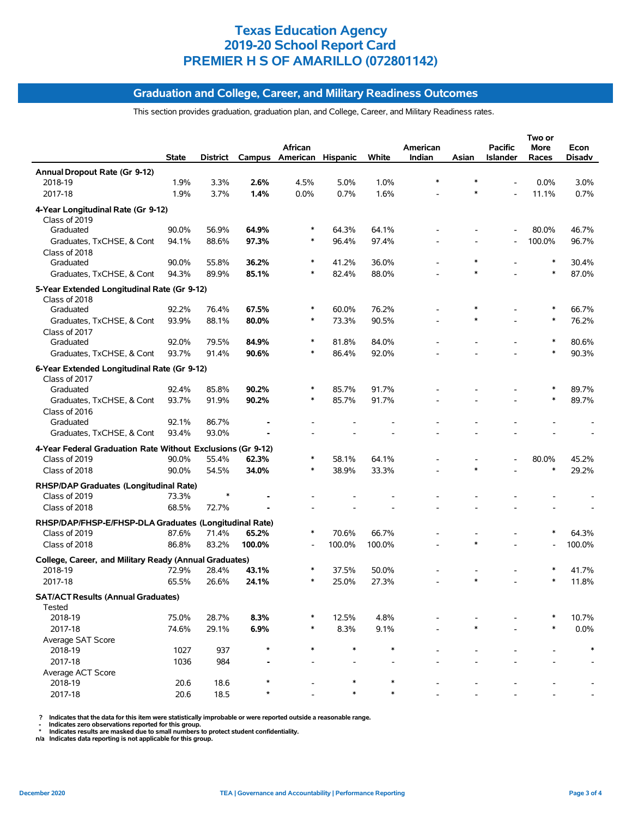### **Graduation and College, Career, and Military Readiness Outcomes**

This section provides graduation, graduation plan, and College, Career, and Military Readiness rates.

|                                                              | State |       |         | African<br>District Campus American Hispanic |        | White  | American<br>Indian | Asian  | <b>Pacific</b><br>Islander | Two or<br>More<br>Races | Econ<br>Disadv |
|--------------------------------------------------------------|-------|-------|---------|----------------------------------------------|--------|--------|--------------------|--------|----------------------------|-------------------------|----------------|
| Annual Dropout Rate (Gr 9-12)                                |       |       |         |                                              |        |        |                    |        |                            |                         |                |
| 2018-19                                                      | 1.9%  | 3.3%  | 2.6%    | 4.5%                                         | 5.0%   | 1.0%   | $\ast$             | $\ast$ |                            | $0.0\%$                 | 3.0%           |
| 2017-18                                                      | 1.9%  | 3.7%  | 1.4%    | 0.0%                                         | 0.7%   | 1.6%   |                    | $\ast$ |                            | 11.1%                   | 0.7%           |
| 4-Year Longitudinal Rate (Gr 9-12)<br>Class of 2019          |       |       |         |                                              |        |        |                    |        |                            |                         |                |
| Graduated                                                    | 90.0% | 56.9% | 64.9%   |                                              | 64.3%  | 64.1%  |                    |        |                            | 80.0%                   | 46.7%          |
| Graduates, TxCHSE, & Cont                                    | 94.1% | 88.6% | 97.3%   | $\ast$                                       | 96.4%  | 97.4%  |                    |        |                            | 100.0%                  | 96.7%          |
| Class of 2018                                                |       |       |         |                                              |        |        |                    |        |                            |                         |                |
| Graduated                                                    | 90.0% | 55.8% | 36.2%   | $\ast$                                       | 41.2%  | 36.0%  |                    | $\ast$ |                            | $\ast$                  | 30.4%          |
| Graduates, TxCHSE, & Cont                                    | 94.3% | 89.9% | 85.1%   | $\ast$                                       | 82.4%  | 88.0%  |                    | $\ast$ |                            | $\ast$                  | 87.0%          |
| 5-Year Extended Longitudinal Rate (Gr 9-12)<br>Class of 2018 |       |       |         |                                              |        |        |                    |        |                            |                         |                |
| Graduated                                                    | 92.2% | 76.4% | 67.5%   |                                              | 60.0%  | 76.2%  |                    |        |                            |                         | 66.7%          |
| Graduates, TxCHSE, & Cont                                    | 93.9% | 88.1% | 80.0%   | *                                            | 73.3%  | 90.5%  |                    | $\ast$ |                            | $\ast$                  | 76.2%          |
| Class of 2017                                                |       |       |         |                                              |        |        |                    |        |                            |                         |                |
| Graduated                                                    | 92.0% | 79.5% | 84.9%   | $\ast$                                       | 81.8%  | 84.0%  |                    |        |                            | ∗                       | 80.6%          |
| Graduates, TxCHSE, & Cont                                    | 93.7% | 91.4% | 90.6%   |                                              | 86.4%  | 92.0%  |                    |        |                            |                         | 90.3%          |
| 6-Year Extended Longitudinal Rate (Gr 9-12)<br>Class of 2017 |       |       |         |                                              |        |        |                    |        |                            |                         |                |
| Graduated                                                    | 92.4% | 85.8% | 90.2%   |                                              | 85.7%  | 91.7%  |                    |        |                            |                         | 89.7%          |
| Graduates, TxCHSE, & Cont                                    | 93.7% | 91.9% | 90.2%   | *                                            | 85.7%  | 91.7%  |                    |        |                            | $\ast$                  | 89.7%          |
| Class of 2016                                                |       |       |         |                                              |        |        |                    |        |                            |                         |                |
| Graduated                                                    | 92.1% | 86.7% |         |                                              |        |        |                    |        |                            |                         |                |
| Graduates, TxCHSE, & Cont                                    | 93.4% | 93.0% |         |                                              |        |        |                    |        |                            |                         |                |
| 4-Year Federal Graduation Rate Without Exclusions (Gr 9-12)  |       |       |         |                                              |        |        |                    |        |                            |                         |                |
| Class of 2019                                                | 90.0% | 55.4% | 62.3%   |                                              | 58.1%  | 64.1%  |                    |        |                            | 80.0%                   | 45.2%          |
| Class of 2018                                                | 90.0% | 54.5% | 34.0%   |                                              | 38.9%  | 33.3%  |                    | $\ast$ |                            | $\ast$                  | 29.2%          |
| RHSP/DAP Graduates (Longitudinal Rate)                       |       |       |         |                                              |        |        |                    |        |                            |                         |                |
| Class of 2019                                                | 73.3% |       |         |                                              |        |        |                    |        |                            |                         |                |
| Class of 2018                                                | 68.5% | 72.7% |         |                                              |        |        |                    |        |                            |                         |                |
| RHSP/DAP/FHSP-E/FHSP-DLA Graduates (Longitudinal Rate)       |       |       |         |                                              |        |        |                    |        |                            |                         |                |
| Class of 2019                                                | 87.6% | 71.4% | 65.2%   | $\ast$                                       | 70.6%  | 66.7%  |                    |        |                            |                         | 64.3%          |
| Class of 2018                                                | 86.8% | 83.2% | 100.0%  |                                              | 100.0% | 100.0% |                    | $\ast$ |                            |                         | 100.0%         |
| College, Career, and Military Ready (Annual Graduates)       |       |       |         |                                              |        |        |                    |        |                            |                         |                |
| 2018-19                                                      | 72.9% | 28.4% | 43.1%   | *                                            | 37.5%  | 50.0%  |                    |        |                            |                         | 41.7%          |
| 2017-18                                                      | 65.5% | 26.6% | 24.1%   |                                              | 25.0%  | 27.3%  |                    |        |                            |                         | 11.8%          |
| <b>SAT/ACT Results (Annual Graduates)</b><br>Tested          |       |       |         |                                              |        |        |                    |        |                            |                         |                |
| 2018-19                                                      | 75.0% | 28.7% | 8.3%    |                                              | 12.5%  | 4.8%   |                    |        |                            |                         | 10.7%          |
| 2017-18                                                      | 74.6% | 29.1% | 6.9%    | $\ast$                                       | 8.3%   | 9.1%   |                    |        |                            |                         | 0.0%           |
| Average SAT Score                                            |       |       |         |                                              |        |        |                    |        |                            |                         |                |
| 2018-19                                                      | 1027  | 937   | $\star$ | $\ast$                                       | $\ast$ | $\ast$ |                    |        |                            |                         | $\ast$         |
| 2017-18                                                      | 1036  | 984   |         |                                              |        |        |                    |        |                            |                         |                |
| Average ACT Score                                            |       |       |         |                                              |        |        |                    |        |                            |                         |                |
| 2018-19                                                      | 20.6  | 18.6  |         |                                              |        |        |                    |        |                            |                         |                |
| 2017-18                                                      | 20.6  | 18.5  |         |                                              |        |        |                    |        |                            |                         |                |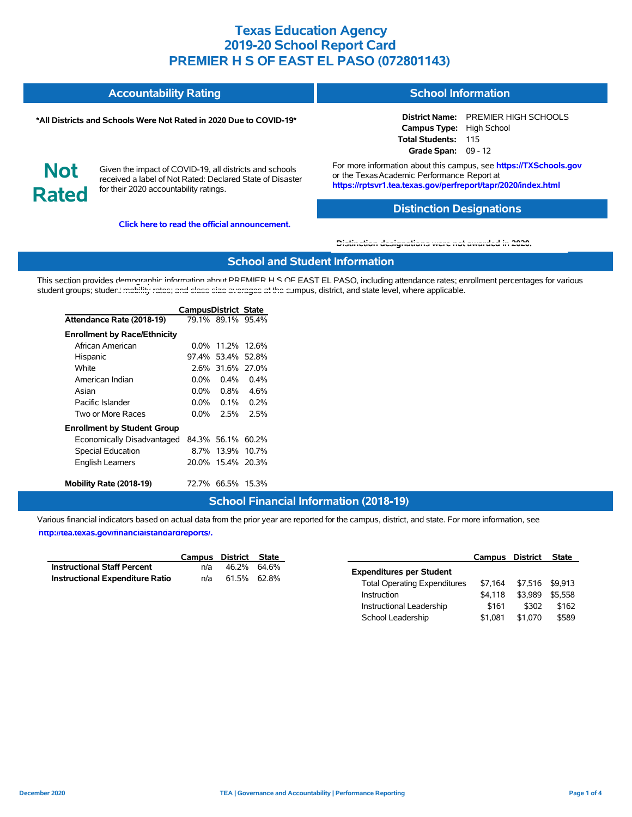| <b>Accountability Rating</b> | <b>School Information</b> |
|------------------------------|---------------------------|
|                              |                           |

### **\*All Districts and Schools Were Not Rated in 2020 Due to COVID-19\***

**District Name:** PREMIER HIGH SCHOOLS **Campus Type:** High School **Total Students:** 115 **Grade Span:** 09 - 12

**Not Rated**

Given the impact of COVID-19, all districts and schools received a label of Not Rated: Declared State of Disaster for their 2020 accountability ratings.

For more information about this campus, see **https://TXSchools.gov** or the Texas Academic Performance Report at **https://rptsvr1.tea.texas.gov/perfreport/tapr/2020/index.html**

### **Distinction Designations**

#### **Click here to read the official announcement.**

#### **[Distinction designations were not awarded in 2020.](https://rptsvr1.tea.texas.gov/perfreport/tapr/2020/index.html)**

#### **School and Student Information**

This section provides demographic information about PREMIER H S OF EAST EL PASO, including attendance rates; enrollment percentages for various student groups; stude[nt mobility rates; and class size averages at the ca](https://tea.texas.gov/about-tea/news-and-multimedia/correspondence/taa-letters/every-student-succeeds-act-essa-waiver-approval-2020-state-academic-accountability)mpus, district, and state level, where applicable.

|                                     | <b>CampusDistrict State</b> |                   |         |
|-------------------------------------|-----------------------------|-------------------|---------|
| Attendance Rate (2018-19)           |                             | 79.1% 89.1% 95.4% |         |
| <b>Enrollment by Race/Ethnicity</b> |                             |                   |         |
| African American                    | 0 ዐ%                        | 11 2% 12 6%       |         |
| Hispanic                            | 97.4%                       | 53.4%             | 52.8%   |
| White                               | 2.6%                        | 31.6% 27.0%       |         |
| American Indian                     | $0.0\%$                     | $0.4\%$           | $0.4\%$ |
| Asian                               | $0.0\%$                     | 0 8%              | 4.6%    |
| Pacific Islander                    | 0.0%                        | 0 1%              | 0.2%    |
| Two or More Races                   | $0.0\%$                     | 2.5%              | 2.5%    |
| <b>Enrollment by Student Group</b>  |                             |                   |         |
| Economically Disadvantaged          |                             | 84.3% 56.1% 60.2% |         |
| Special Education                   | 8.7%                        | 13.9% 10.7%       |         |
| English Learners                    |                             | 20.0% 15.4% 20.3% |         |
| Mobility Rate (2018-19)             |                             | 72.7% 66.5% 15.3% |         |

### **School Financial Information (2018-19)**

|                                        | Campus District State |             |  |
|----------------------------------------|-----------------------|-------------|--|
| <b>Instructional Staff Percent</b>     | n/a                   | 46.2% 64.6% |  |
| <b>Instructional Expenditure Ratio</b> | n/a                   | 61.5% 62.8% |  |

|                                     | Campus District |         | <b>State</b> |
|-------------------------------------|-----------------|---------|--------------|
| <b>Expenditures per Student</b>     |                 |         |              |
| <b>Total Operating Expenditures</b> | \$7.164         | \$7.516 | \$9.913      |
| Instruction                         | \$4.118         | \$3.989 | \$5.558      |
| Instructional Leadership            | \$161           | \$302   | \$162        |
| School Leadership                   | \$1.081         | \$1.070 | \$589        |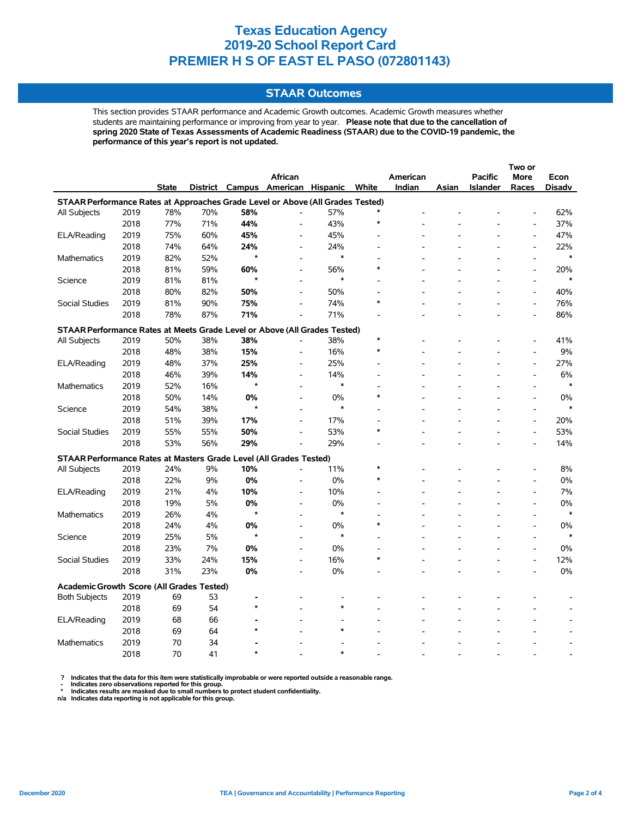### **STAAR Outcomes**

This section provides STAAR performance and Academic Growth outcomes. Academic Growth measures whether students are maintaining performance or improving from year to year. **Please note that due to the cancellation of spring 2020 State of Texas Assessments of Academic Readiness (STAAR) due to the COVID-19 pandemic, the performance of this year's report is not updated.**

|                                                                                    |              |       |          |         |                                         |        |        |          |       |                 | Two or                   |               |
|------------------------------------------------------------------------------------|--------------|-------|----------|---------|-----------------------------------------|--------|--------|----------|-------|-----------------|--------------------------|---------------|
|                                                                                    |              |       |          |         | African                                 |        |        | American |       | <b>Pacific</b>  | <b>More</b>              | Econ          |
|                                                                                    |              | State |          |         | District Campus American Hispanic White |        |        | Indian   | Asian | <b>Islander</b> | Races                    | <b>Disadv</b> |
| STAAR Performance Rates at Approaches Grade Level or Above (All Grades Tested)     |              |       |          |         |                                         |        |        |          |       |                 |                          |               |
| All Subjects                                                                       | 2019         | 78%   | 70%      | 58%     | $\frac{1}{2}$                           | 57%    | *      |          |       |                 |                          | 62%           |
|                                                                                    | 2018         | 77%   | 71%      | 44%     | $\overline{\phantom{a}}$                | 43%    | $\ast$ |          |       |                 | $\overline{\phantom{a}}$ | 37%           |
| ELA/Reading                                                                        | 2019         | 75%   | 60%      | 45%     |                                         | 45%    |        |          |       |                 | Ĭ.                       | 47%           |
|                                                                                    | 2018         | 74%   | 64%      | 24%     | $\overline{a}$                          | 24%    |        |          |       |                 | $\blacksquare$           | 22%           |
| <b>Mathematics</b>                                                                 | 2019         | 82%   | 52%      | $\star$ | L,                                      | $\ast$ |        |          |       |                 | $\blacksquare$           | $\ast$        |
|                                                                                    | 2018         | 81%   | 59%      | 60%     | $\overline{a}$                          | 56%    |        |          |       |                 | $\blacksquare$           | 20%           |
| Science                                                                            | 2019         | 81%   | 81%      | $\star$ | L,                                      | $\ast$ |        |          |       |                 | $\blacksquare$           | $\ast$        |
|                                                                                    | 2018         | 80%   | 82%      | 50%     | $\overline{a}$                          | 50%    |        |          |       |                 | $\overline{a}$           | 40%           |
| Social Studies                                                                     | 2019         | 81%   | 90%      | 75%     | $\overline{a}$                          | 74%    |        |          |       |                 | $\overline{\phantom{a}}$ | 76%           |
|                                                                                    | 2018         | 78%   | 87%      | 71%     |                                         | 71%    |        |          |       |                 |                          | 86%           |
| STAAR Performance Rates at Meets Grade Level or Above (All Grades Tested)          |              |       |          |         |                                         |        |        |          |       |                 |                          |               |
| All Subjects                                                                       | 2019         | 50%   | 38%      | 38%     |                                         | 38%    | $\ast$ |          |       |                 | ٠                        | 41%           |
|                                                                                    | 2018         | 48%   | 38%      | 15%     | $\overline{a}$                          | 16%    | $\ast$ |          |       |                 | $\overline{a}$           | 9%            |
| ELA/Reading                                                                        | 2019         | 48%   | 37%      | 25%     | $\overline{\phantom{a}}$                | 25%    |        |          |       |                 | $\overline{\phantom{a}}$ | 27%           |
|                                                                                    | 2018         | 46%   | 39%      | 14%     |                                         | 14%    |        |          |       |                 | L,                       | 6%            |
| Mathematics                                                                        | 2019         | 52%   | 16%      | $\star$ | L,                                      | $\ast$ |        |          |       |                 | L,                       | $\ast$        |
|                                                                                    | 2018         | 50%   | 14%      | 0%      | $\overline{a}$                          | 0%     |        |          |       |                 | ÷,                       | 0%            |
| Science                                                                            | 2019         | 54%   | 38%      | $\star$ | $\overline{\phantom{a}}$                | $\ast$ |        |          |       |                 | $\overline{\phantom{a}}$ | $\star$       |
|                                                                                    | 2018         | 51%   | 39%      | 17%     | $\overline{\phantom{0}}$                | 17%    |        |          |       |                 | $\overline{\phantom{a}}$ | 20%           |
| <b>Social Studies</b>                                                              | 2019         | 55%   | 55%      | 50%     | $\overline{\phantom{a}}$                | 53%    | $\ast$ |          |       |                 | $\sim$                   | 53%           |
|                                                                                    | 2018         | 53%   | 56%      | 29%     | $\overline{a}$                          | 29%    |        |          |       |                 | $\overline{a}$           | 14%           |
|                                                                                    |              |       |          |         |                                         |        |        |          |       |                 |                          |               |
| STAAR Performance Rates at Masters Grade Level (All Grades Tested)<br>All Subjects | 2019         | 24%   | 9%       | 10%     | $\overline{a}$                          | 11%    |        |          |       |                 | Ĭ.                       | 8%            |
|                                                                                    | 2018         | 22%   | 9%       | 0%      | $\overline{\phantom{a}}$                | 0%     | $\ast$ |          |       |                 | ÷,                       | 0%            |
|                                                                                    | 2019         | 21%   |          | 10%     | $\overline{a}$                          | 10%    |        |          |       |                 | $\blacksquare$           | 7%            |
| ELA/Reading                                                                        | 2018         | 19%   | 4%       | 0%      | $\overline{\phantom{a}}$                | 0%     |        |          |       |                 | $\blacksquare$           | 0%            |
|                                                                                    |              | 26%   | 5%       | $\star$ |                                         | $\ast$ |        |          |       |                 |                          | $\ast$        |
| Mathematics                                                                        | 2019<br>2018 | 24%   | 4%<br>4% | 0%      | $\overline{a}$                          | 0%     |        |          |       |                 | $\overline{a}$           | 0%            |
| Science                                                                            | 2019         | 25%   | 5%       | $\star$ | $\overline{a}$                          | $\ast$ |        |          |       |                 | $\blacksquare$           | $\ast$        |
|                                                                                    | 2018         | 23%   | 7%       | 0%      | $\overline{a}$                          | 0%     |        |          |       |                 | $\overline{a}$           | 0%            |
| Social Studies                                                                     | 2019         | 33%   | 24%      | 15%     | $\overline{a}$                          | 16%    | ∗      |          |       |                 | $\overline{\phantom{a}}$ | 12%           |
|                                                                                    | 2018         | 31%   | 23%      | 0%      | $\overline{\phantom{a}}$                |        |        |          |       |                 | L.                       | 0%            |
|                                                                                    |              |       |          |         |                                         | 0%     |        |          |       |                 |                          |               |
| <b>Academic Growth Score (All Grades Tested)</b>                                   |              |       |          |         |                                         |        |        |          |       |                 |                          |               |
| <b>Both Subjects</b>                                                               | 2019         | 69    | 53       |         |                                         |        |        |          |       |                 |                          |               |
|                                                                                    | 2018         | 69    | 54       | ÷       |                                         |        |        |          |       |                 |                          |               |
| ELA/Reading                                                                        | 2019         | 68    | 66       |         |                                         |        |        |          |       |                 |                          |               |
|                                                                                    | 2018         | 69    | 64       |         |                                         | $\ast$ |        |          |       |                 |                          |               |
| <b>Mathematics</b>                                                                 | 2019         | 70    | 34       |         |                                         |        |        |          |       |                 |                          |               |
|                                                                                    | 2018         | 70    | 41       | ÷       |                                         | $\ast$ |        |          |       |                 |                          |               |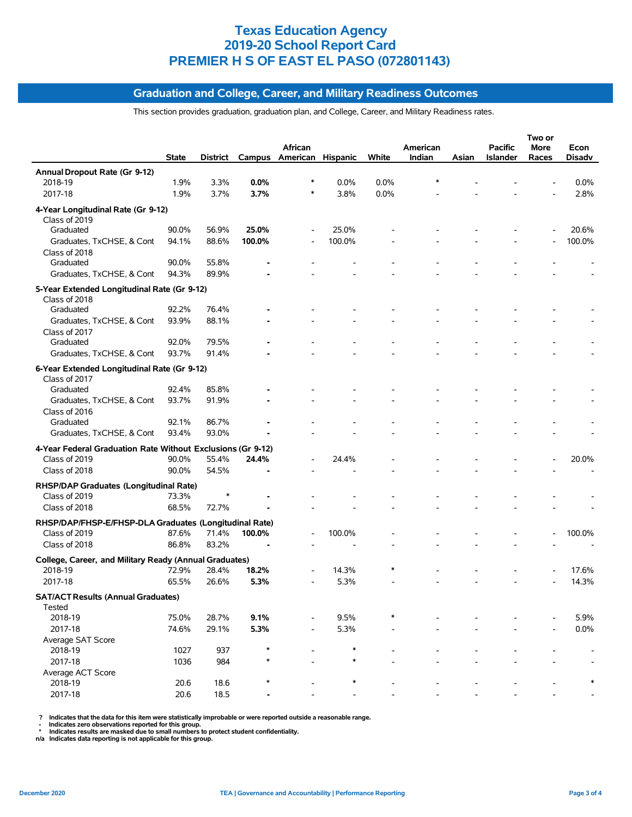### **Graduation and College, Career, and Military Readiness Outcomes**

This section provides graduation, graduation plan, and College, Career, and Military Readiness rates.

|                                                              |       |       |         | African                           |        |         | American |       | <b>Pacific</b>  | Two or<br>More           | Econ    |
|--------------------------------------------------------------|-------|-------|---------|-----------------------------------|--------|---------|----------|-------|-----------------|--------------------------|---------|
|                                                              | State |       |         | District Campus American Hispanic |        | White   | Indian   | Asian | <b>Islander</b> | Races                    | Disadv  |
| Annual Dropout Rate (Gr 9-12)                                |       |       |         |                                   |        |         |          |       |                 |                          |         |
| 2018-19                                                      | 1.9%  | 3.3%  | 0.0%    |                                   | 0.0%   | $0.0\%$ |          |       |                 |                          | $0.0\%$ |
| 2017-18                                                      | 1.9%  | 3.7%  | 3.7%    | $\ast$                            | 3.8%   | 0.0%    |          |       |                 |                          | 2.8%    |
| 4-Year Longitudinal Rate (Gr 9-12)                           |       |       |         |                                   |        |         |          |       |                 |                          |         |
| Class of 2019                                                |       |       |         |                                   |        |         |          |       |                 |                          |         |
| Graduated                                                    | 90.0% | 56.9% | 25.0%   |                                   | 25.0%  |         |          |       |                 |                          | 20.6%   |
| Graduates, TxCHSE, & Cont                                    | 94.1% | 88.6% | 100.0%  |                                   | 100.0% |         |          |       |                 |                          | 100.0%  |
| Class of 2018                                                |       |       |         |                                   |        |         |          |       |                 |                          |         |
| Graduated                                                    | 90.0% | 55.8% |         |                                   |        |         |          |       |                 |                          |         |
| Graduates, TxCHSE, & Cont                                    | 94.3% | 89.9% |         |                                   |        |         |          |       |                 |                          |         |
| 5-Year Extended Longitudinal Rate (Gr 9-12)<br>Class of 2018 |       |       |         |                                   |        |         |          |       |                 |                          |         |
| Graduated                                                    | 92.2% | 76.4% |         |                                   |        |         |          |       |                 |                          |         |
| Graduates, TxCHSE, & Cont                                    | 93.9% | 88.1% |         |                                   |        |         |          |       |                 |                          |         |
| Class of 2017                                                |       |       |         |                                   |        |         |          |       |                 |                          |         |
| Graduated                                                    | 92.0% | 79.5% |         |                                   |        |         |          |       |                 |                          |         |
| Graduates, TxCHSE, & Cont                                    | 93.7% | 91.4% |         |                                   |        |         |          |       |                 |                          |         |
| 6-Year Extended Longitudinal Rate (Gr 9-12)                  |       |       |         |                                   |        |         |          |       |                 |                          |         |
| Class of 2017                                                |       |       |         |                                   |        |         |          |       |                 |                          |         |
| Graduated                                                    | 92.4% | 85.8% |         |                                   |        |         |          |       |                 |                          |         |
| Graduates, TxCHSE, & Cont                                    | 93.7% | 91.9% |         |                                   |        |         |          |       |                 |                          |         |
| Class of 2016                                                |       |       |         |                                   |        |         |          |       |                 |                          |         |
| Graduated                                                    | 92.1% | 86.7% |         |                                   |        |         |          |       |                 |                          |         |
| Graduates, TxCHSE, & Cont                                    | 93.4% | 93.0% |         |                                   |        |         |          |       |                 |                          |         |
| 4-Year Federal Graduation Rate Without Exclusions (Gr 9-12)  |       |       |         |                                   |        |         |          |       |                 |                          |         |
| Class of 2019                                                | 90.0% | 55.4% | 24.4%   |                                   | 24.4%  |         |          |       |                 |                          | 20.0%   |
| Class of 2018                                                | 90.0% | 54.5% |         |                                   |        |         |          |       |                 |                          |         |
| RHSP/DAP Graduates (Longitudinal Rate)                       |       |       |         |                                   |        |         |          |       |                 |                          |         |
| Class of 2019                                                | 73.3% |       |         |                                   |        |         |          |       |                 |                          |         |
| Class of 2018                                                | 68.5% | 72.7% |         |                                   |        |         |          |       |                 |                          |         |
| RHSP/DAP/FHSP-E/FHSP-DLA Graduates (Longitudinal Rate)       |       |       |         |                                   |        |         |          |       |                 |                          |         |
| Class of 2019                                                | 87.6% | 71.4% | 100.0%  |                                   | 100.0% |         |          |       |                 |                          | 100.0%  |
| Class of 2018                                                | 86.8% | 83.2% |         |                                   |        |         |          |       |                 |                          |         |
| College, Career, and Military Ready (Annual Graduates)       |       |       |         |                                   |        |         |          |       |                 |                          |         |
| 2018-19                                                      | 72.9% | 28.4% | 18.2%   |                                   | 14.3%  |         |          |       |                 | $\overline{\phantom{a}}$ | 17.6%   |
| 2017-18                                                      | 65.5% | 26.6% | 5.3%    |                                   | 5.3%   |         |          |       |                 |                          | 14.3%   |
| <b>SAT/ACT Results (Annual Graduates)</b>                    |       |       |         |                                   |        |         |          |       |                 |                          |         |
| Tested                                                       |       |       |         |                                   |        |         |          |       |                 |                          |         |
| 2018-19                                                      | 75.0% | 28.7% | 9.1%    |                                   | 9.5%   |         |          |       |                 |                          | 5.9%    |
| 2017-18                                                      | 74.6% | 29.1% | 5.3%    |                                   | 5.3%   |         |          |       |                 |                          | 0.0%    |
| Average SAT Score<br>2018-19                                 | 1027  | 937   | $\ast$  |                                   | $\ast$ |         |          |       |                 |                          |         |
| 2017-18                                                      | 1036  | 984   | $\star$ |                                   | $\ast$ |         |          |       |                 |                          |         |
| Average ACT Score                                            |       |       |         |                                   |        |         |          |       |                 |                          |         |
| 2018-19                                                      | 20.6  | 18.6  |         |                                   | ∗      |         |          |       |                 |                          |         |
| 2017-18                                                      | 20.6  | 18.5  |         |                                   |        |         |          |       |                 |                          |         |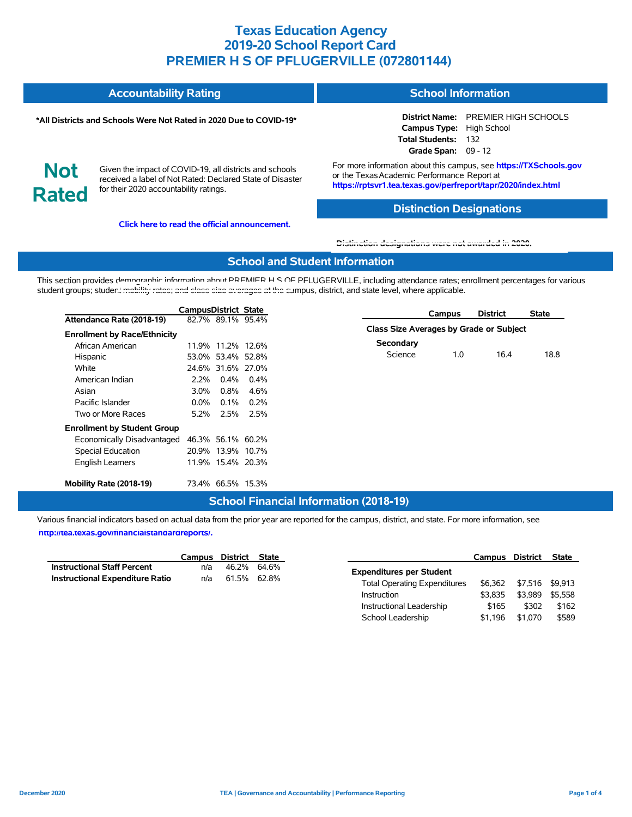| <b>Accountability Rating</b> | <b>School Information</b> |
|------------------------------|---------------------------|
|                              |                           |

#### **\*All Districts and Schools Were Not Rated in 2020 Due to COVID-19\***

**District Name:** PREMIER HIGH SCHOOLS **Campus Type:** High School **Total Students:** 132 **Grade Span:** 09 - 12

**Not Rated**

Given the impact of COVID-19, all districts and schools received a label of Not Rated: Declared State of Disaster for their 2020 accountability ratings.

For more information about this campus, see **https://TXSchools.gov** or the Texas Academic Performance Report at **https://rptsvr1.tea.texas.gov/perfreport/tapr/2020/index.html**

#### **Distinction Designations**

## **Click here to read the official announcement.**

#### **[Distinction designations were not awarded in 2020.](https://rptsvr1.tea.texas.gov/perfreport/tapr/2020/index.html)**

#### **School and Student Information**

This section provides demographic information about PREMIER H S OF PFLUGERVILLE, including attendance rates; enrollment percentages for various student groups; stude[nt mobility rates; and class size averages at the ca](https://tea.texas.gov/about-tea/news-and-multimedia/correspondence/taa-letters/every-student-succeeds-act-essa-waiver-approval-2020-state-academic-accountability)mpus, district, and state level, where applicable.

|                                     | <b>CampusDistrict State</b> |                   |         |                                         | Campus | <b>District</b> | <b>State</b> |
|-------------------------------------|-----------------------------|-------------------|---------|-----------------------------------------|--------|-----------------|--------------|
| Attendance Rate (2018-19)           |                             | 82.7% 89.1% 95.4% |         |                                         |        |                 |              |
| <b>Enrollment by Race/Ethnicity</b> |                             |                   |         | Class Size Averages by Grade or Subject |        |                 |              |
| African American                    |                             | 11.9% 11.2% 12.6% |         | Secondary                               |        |                 |              |
| Hispanic                            |                             | 53.0% 53.4% 52.8% |         | Science                                 | 1.0    | 16.4            | 18.8         |
| White                               |                             | 24.6% 31.6% 27.0% |         |                                         |        |                 |              |
| American Indian                     | $2.2\%$                     | $0.4\%$           | $0.4\%$ |                                         |        |                 |              |
| Asian                               | $3.0\%$                     | 0.8%              | 4.6%    |                                         |        |                 |              |
| Pacific Islander                    | $0.0\%$                     | 0.1%              | 0.2%    |                                         |        |                 |              |
| Two or More Races                   | 5.2%                        | 2.5%              | 2.5%    |                                         |        |                 |              |
| <b>Enrollment by Student Group</b>  |                             |                   |         |                                         |        |                 |              |
| Economically Disadvantaged          |                             | 46.3% 56.1% 60.2% |         |                                         |        |                 |              |
| Special Education                   |                             | 20.9% 13.9% 10.7% |         |                                         |        |                 |              |
| English Learners                    |                             | 11.9% 15.4% 20.3% |         |                                         |        |                 |              |
| Mobility Rate (2018-19)             |                             | 73.4% 66.5% 15.3% |         |                                         |        |                 |              |

#### **School Financial Information (2018-19)**

|                                        | Campus District State |             |  |
|----------------------------------------|-----------------------|-------------|--|
| <b>Instructional Staff Percent</b>     | n/a                   | 46.2% 64.6% |  |
| <b>Instructional Expenditure Ratio</b> | n/a                   | 61.5% 62.8% |  |

|                                     | Campus District |         | State   |
|-------------------------------------|-----------------|---------|---------|
| <b>Expenditures per Student</b>     |                 |         |         |
| <b>Total Operating Expenditures</b> | \$6.362         | \$7.516 | \$9.913 |
| Instruction                         | \$3.835         | \$3.989 | \$5.558 |
| Instructional Leadership            | \$165           | \$302   | \$162   |
| School Leadership                   | \$1.196         | \$1.070 | \$589   |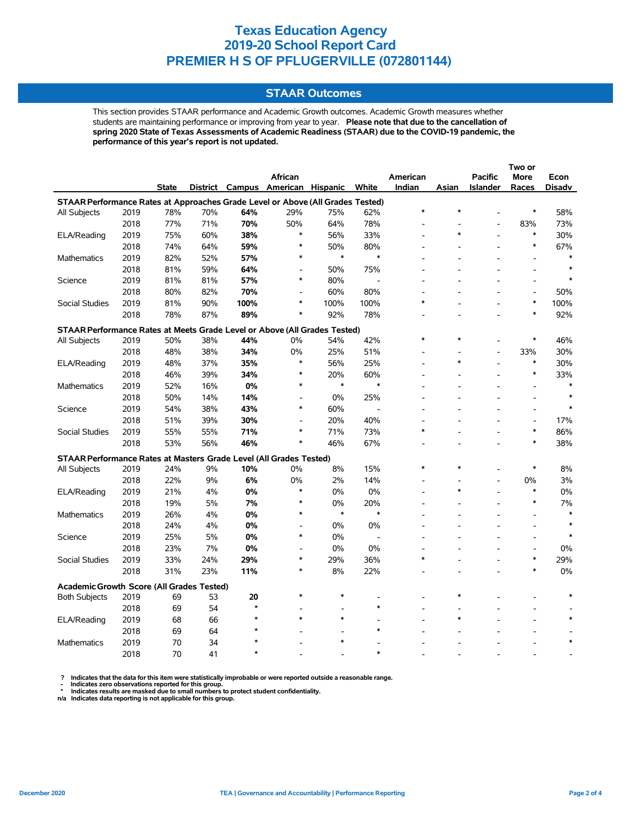#### **STAAR Outcomes**

This section provides STAAR performance and Academic Growth outcomes. Academic Growth measures whether students are maintaining performance or improving from year to year. **Please note that due to the cancellation of spring 2020 State of Texas Assessments of Academic Readiness (STAAR) due to the COVID-19 pandemic, the performance of this year's report is not updated.**

|                                                                                |      |       |     |         |                                   |        |        |          |        |                          | Two or                   |        |
|--------------------------------------------------------------------------------|------|-------|-----|---------|-----------------------------------|--------|--------|----------|--------|--------------------------|--------------------------|--------|
|                                                                                |      |       |     |         | African                           |        |        | American |        | <b>Pacific</b>           | <b>More</b>              | Econ   |
|                                                                                |      | State |     |         | District Campus American Hispanic |        | White  | Indian   | Asian  | <b>Islander</b>          | Races                    | Disadv |
| STAAR Performance Rates at Approaches Grade Level or Above (All Grades Tested) |      |       |     |         |                                   |        |        |          |        |                          |                          |        |
| All Subjects                                                                   | 2019 | 78%   | 70% | 64%     | 29%                               | 75%    | 62%    | $\ast$   | $\ast$ |                          | $\ast$                   | 58%    |
|                                                                                | 2018 | 77%   | 71% | 70%     | 50%                               | 64%    | 78%    |          |        |                          | 83%                      | 73%    |
| ELA/Reading                                                                    | 2019 | 75%   | 60% | 38%     | $\ast$                            | 56%    | 33%    |          | *      |                          | $\ast$                   | 30%    |
|                                                                                | 2018 | 74%   | 64% | 59%     | $\ast$                            | 50%    | 80%    |          |        |                          | $\ast$                   | 67%    |
| <b>Mathematics</b>                                                             | 2019 | 82%   | 52% | 57%     | $\ast$                            | $\ast$ | $\ast$ |          |        |                          |                          | $\ast$ |
|                                                                                | 2018 | 81%   | 59% | 64%     | $\overline{a}$                    | 50%    | 75%    |          |        |                          | $\overline{a}$           | $\ast$ |
| Science                                                                        | 2019 | 81%   | 81% | 57%     | $\ast$                            | 80%    |        |          |        |                          |                          | $\ast$ |
|                                                                                | 2018 | 80%   | 82% | 70%     | $\overline{a}$                    | 60%    | 80%    |          |        |                          | $\overline{a}$           | 50%    |
| <b>Social Studies</b>                                                          | 2019 | 81%   | 90% | 100%    | ∗                                 | 100%   | 100%   |          |        |                          | $\ast$                   | 100%   |
|                                                                                | 2018 | 78%   | 87% | 89%     | $\ast$                            | 92%    | 78%    |          |        |                          | $\ast$                   | 92%    |
| STAAR Performance Rates at Meets Grade Level or Above (All Grades Tested)      |      |       |     |         |                                   |        |        |          |        |                          |                          |        |
| All Subjects                                                                   | 2019 | 50%   | 38% | 44%     | 0%                                | 54%    | 42%    | $\ast$   | $\ast$ |                          | $\ast$                   | 46%    |
|                                                                                | 2018 | 48%   | 38% | 34%     | $0\%$                             | 25%    | 51%    |          |        |                          | 33%                      | 30%    |
| ELA/Reading                                                                    | 2019 | 48%   | 37% | 35%     | $\ast$                            | 56%    | 25%    |          | $\ast$ |                          | $\ast$                   | 30%    |
|                                                                                | 2018 | 46%   | 39% | 34%     | $\ast$                            | 20%    | 60%    |          |        |                          | $\ast$                   | 33%    |
| <b>Mathematics</b>                                                             | 2019 | 52%   | 16% | $0\%$   | $\ast$                            | $\ast$ | $\ast$ |          |        |                          |                          | $\ast$ |
|                                                                                | 2018 | 50%   | 14% | 14%     | $\overline{a}$                    | 0%     | 25%    |          |        |                          |                          | $\ast$ |
| Science                                                                        | 2019 | 54%   | 38% | 43%     | $\ast$                            | 60%    |        |          |        |                          | $\overline{\phantom{a}}$ | $\ast$ |
|                                                                                | 2018 | 51%   | 39% | 30%     | $\overline{\phantom{a}}$          | 20%    | 40%    |          |        |                          | $\overline{\phantom{0}}$ | 17%    |
| <b>Social Studies</b>                                                          | 2019 | 55%   | 55% | 71%     | $\ast$                            | 71%    | 73%    | $\ast$   |        |                          | $\ast$                   | 86%    |
|                                                                                | 2018 | 53%   | 56% | 46%     | $\ast$                            | 46%    | 67%    |          |        |                          | $\ast$                   | 38%    |
| STAAR Performance Rates at Masters Grade Level (All Grades Tested)             |      |       |     |         |                                   |        |        |          |        |                          |                          |        |
| All Subjects                                                                   | 2019 | 24%   | 9%  | 10%     | 0%                                | 8%     | 15%    |          | *      |                          | $\ast$                   | 8%     |
|                                                                                | 2018 | 22%   | 9%  | 6%      | 0%                                | 2%     | 14%    |          |        |                          | 0%                       | 3%     |
| ELA/Reading                                                                    | 2019 | 21%   | 4%  | 0%      | $\ast$                            | 0%     | 0%     |          | *      | $\overline{\phantom{a}}$ | $\ast$                   | 0%     |
|                                                                                | 2018 | 19%   | 5%  | 7%      | $\ast$                            | 0%     | 20%    |          |        |                          | $\ast$                   | 7%     |
| Mathematics                                                                    | 2019 | 26%   | 4%  | 0%      | $\ast$                            | $\ast$ | $\ast$ |          |        |                          |                          | $\ast$ |
|                                                                                | 2018 | 24%   | 4%  | 0%      | $\overline{a}$                    | 0%     | 0%     |          |        |                          |                          | $\ast$ |
| Science                                                                        | 2019 | 25%   | 5%  | 0%      | $\ast$                            | 0%     |        |          |        |                          |                          | $\ast$ |
|                                                                                | 2018 | 23%   | 7%  | 0%      | $\overline{a}$                    | 0%     | 0%     |          |        |                          | $\overline{a}$           | 0%     |
| Social Studies                                                                 | 2019 | 33%   | 24% | 29%     | $\ast$                            | 29%    | 36%    | $\ast$   |        |                          | *                        | 29%    |
|                                                                                | 2018 | 31%   | 23% | 11%     | $\ast$                            | 8%     | 22%    |          |        |                          | $\ast$                   | 0%     |
|                                                                                |      |       |     |         |                                   |        |        |          |        |                          |                          |        |
| <b>Academic Growth Score (All Grades Tested)</b>                               |      |       |     |         |                                   |        |        |          |        |                          |                          |        |
| <b>Both Subjects</b>                                                           | 2019 | 69    | 53  | 20      | $\ast$                            | $\ast$ |        |          | $\ast$ |                          |                          |        |
|                                                                                | 2018 | 69    | 54  | $\star$ |                                   |        |        |          |        |                          |                          |        |
| ELA/Reading                                                                    | 2019 | 68    | 66  |         | $\ast$                            | $\ast$ |        |          | $\ast$ |                          |                          | $\ast$ |
|                                                                                | 2018 | 69    | 64  |         |                                   |        |        |          |        |                          |                          |        |
| <b>Mathematics</b>                                                             | 2019 | 70    | 34  |         |                                   | $\ast$ |        |          |        |                          |                          |        |
|                                                                                | 2018 | 70    | 41  |         |                                   |        |        |          |        |                          |                          |        |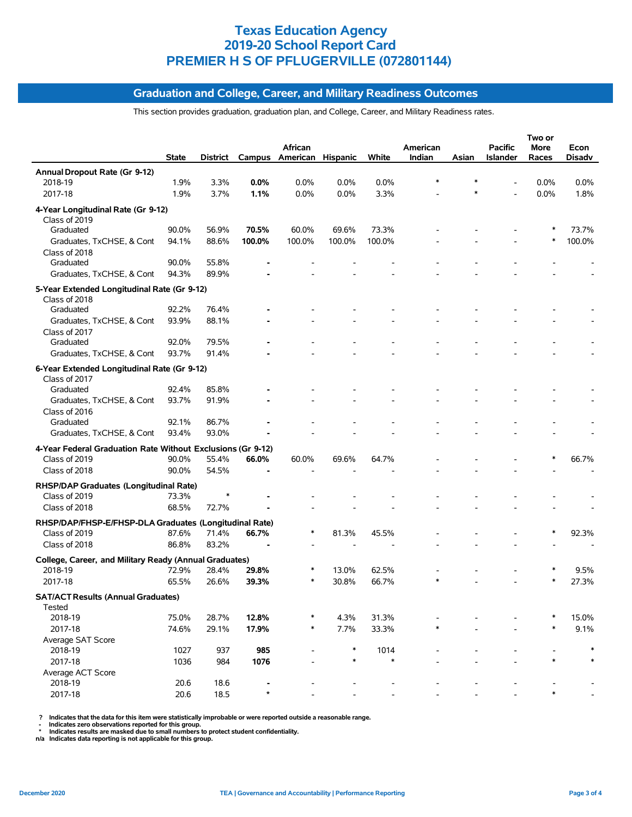### **Graduation and College, Career, and Military Readiness Outcomes**

This section provides graduation, graduation plan, and College, Career, and Military Readiness rates.

|                                                                         | <b>State</b> | District |         | African<br>Campus American Hispanic |        | White  | American<br>Indian | Asian | <b>Pacific</b><br><b>Islander</b> | Two or<br>More<br>Races | Econ<br>Disadv |
|-------------------------------------------------------------------------|--------------|----------|---------|-------------------------------------|--------|--------|--------------------|-------|-----------------------------------|-------------------------|----------------|
| Annual Dropout Rate (Gr 9-12)                                           |              |          |         |                                     |        |        |                    |       |                                   |                         |                |
| 2018-19                                                                 | 1.9%         | 3.3%     | 0.0%    | 0.0%                                | 0.0%   | 0.0%   | *                  |       |                                   | 0.0%                    | $0.0\%$        |
| 2017-18                                                                 | 1.9%         | 3.7%     | 1.1%    | 0.0%                                | 0.0%   | 3.3%   |                    |       |                                   | 0.0%                    | 1.8%           |
| 4-Year Longitudinal Rate (Gr 9-12)<br>Class of 2019                     |              |          |         |                                     |        |        |                    |       |                                   |                         |                |
| Graduated                                                               | 90.0%        | 56.9%    | 70.5%   | 60.0%                               | 69.6%  | 73.3%  |                    |       |                                   |                         | 73.7%          |
| Graduates, TxCHSE, & Cont                                               | 94.1%        | 88.6%    | 100.0%  | 100.0%                              | 100.0% | 100.0% |                    |       |                                   |                         | 100.0%         |
| Class of 2018<br>Graduated                                              | 90.0%        | 55.8%    |         |                                     |        |        |                    |       |                                   |                         |                |
| Graduates, TxCHSE, & Cont                                               | 94.3%        | 89.9%    |         |                                     |        |        |                    |       |                                   |                         |                |
| 5-Year Extended Longitudinal Rate (Gr 9-12)<br>Class of 2018            |              |          |         |                                     |        |        |                    |       |                                   |                         |                |
| Graduated                                                               | 92.2%        | 76.4%    |         |                                     |        |        |                    |       |                                   |                         |                |
| Graduates, TxCHSE, & Cont                                               | 93.9%        | 88.1%    |         |                                     |        |        |                    |       |                                   |                         |                |
| Class of 2017<br>Graduated                                              | 92.0%        | 79.5%    |         |                                     |        |        |                    |       |                                   |                         |                |
| Graduates, TxCHSE, & Cont                                               | 93.7%        | 91.4%    |         |                                     |        |        |                    |       |                                   |                         |                |
|                                                                         |              |          |         |                                     |        |        |                    |       |                                   |                         |                |
| 6-Year Extended Longitudinal Rate (Gr 9-12)<br>Class of 2017            |              |          |         |                                     |        |        |                    |       |                                   |                         |                |
| Graduated                                                               | 92.4%        | 85.8%    |         |                                     |        |        |                    |       |                                   |                         |                |
| Graduates, TxCHSE, & Cont<br>Class of 2016                              | 93.7%        | 91.9%    |         |                                     |        |        |                    |       |                                   |                         |                |
| Graduated                                                               | 92.1%        | 86.7%    |         |                                     |        |        |                    |       |                                   |                         |                |
| Graduates, TxCHSE, & Cont                                               | 93.4%        | 93.0%    |         |                                     |        |        |                    |       |                                   |                         |                |
| 4-Year Federal Graduation Rate Without Exclusions (Gr 9-12)             |              |          |         |                                     |        |        |                    |       |                                   |                         |                |
| Class of 2019                                                           | 90.0%        | 55.4%    | 66.0%   | 60.0%                               | 69.6%  | 64.7%  |                    |       |                                   |                         | 66.7%          |
| Class of 2018                                                           | 90.0%        | 54.5%    |         |                                     |        |        |                    |       |                                   |                         |                |
| RHSP/DAP Graduates (Longitudinal Rate)<br>Class of 2019                 | 73.3%        |          |         |                                     |        |        |                    |       |                                   |                         |                |
| Class of 2018                                                           | 68.5%        | 72.7%    |         |                                     |        |        |                    |       |                                   |                         |                |
|                                                                         |              |          |         |                                     |        |        |                    |       |                                   |                         |                |
| RHSP/DAP/FHSP-E/FHSP-DLA Graduates (Longitudinal Rate)<br>Class of 2019 | 87.6%        | 71.4%    | 66.7%   |                                     | 81.3%  | 45.5%  |                    |       |                                   |                         | 92.3%          |
| Class of 2018                                                           | 86.8%        | 83.2%    |         |                                     |        |        |                    |       |                                   |                         |                |
|                                                                         |              |          |         |                                     |        |        |                    |       |                                   |                         |                |
| College, Career, and Military Ready (Annual Graduates)                  |              |          |         |                                     |        |        |                    |       |                                   |                         |                |
| 2018-19                                                                 | 72.9%        | 28.4%    | 29.8%   |                                     | 13.0%  | 62.5%  |                    |       |                                   |                         | 9.5%           |
| 2017-18                                                                 | 65.5%        | 26.6%    | 39.3%   |                                     | 30.8%  | 66.7%  |                    |       |                                   |                         | 27.3%          |
| <b>SAT/ACT Results (Annual Graduates)</b><br>Tested                     |              |          |         |                                     |        |        |                    |       |                                   |                         |                |
| 2018-19                                                                 | 75.0%        | 28.7%    | 12.8%   |                                     | 4.3%   | 31.3%  |                    |       |                                   |                         | 15.0%          |
| 2017-18                                                                 | 74.6%        | 29.1%    | 17.9%   | $\ast$                              | 7.7%   | 33.3%  | $\ast$             |       |                                   |                         | 9.1%           |
| Average SAT Score                                                       |              |          |         |                                     |        |        |                    |       |                                   |                         |                |
| 2018-19                                                                 | 1027         | 937      | 985     |                                     | $\ast$ | 1014   |                    |       |                                   |                         | $\ast$         |
| 2017-18                                                                 | 1036         | 984      | 1076    |                                     | $\ast$ | $\ast$ |                    |       |                                   | $\ast$                  | $\ast$         |
| Average ACT Score                                                       |              |          |         |                                     |        |        |                    |       |                                   |                         |                |
| 2018-19<br>2017-18                                                      | 20.6         | 18.6     | $\star$ |                                     |        |        |                    |       |                                   | $\ast$                  |                |
|                                                                         | 20.6         | 18.5     |         |                                     |        |        |                    |       |                                   |                         |                |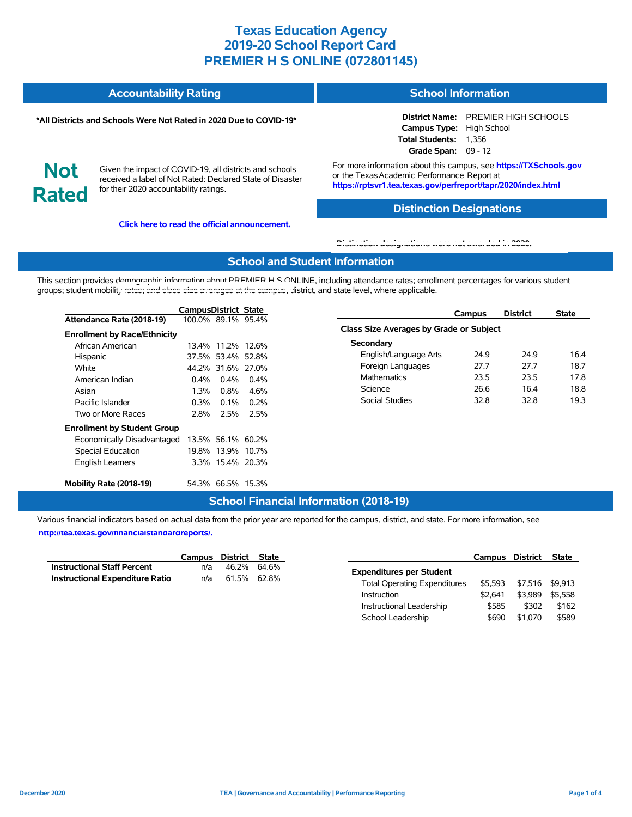| <b>Accountability Rating</b> | <b>School Information</b> |
|------------------------------|---------------------------|
|                              |                           |

#### **\*All Districts and Schools Were Not Rated in 2020 Due to COVID-19\***

# **District Name:** PREMIER HIGH SCHOOLS

**Not Rated**

Given the impact of COVID-19, all districts and schools received a label of Not Rated: Declared State of Disaster for their 2020 accountability ratings.

**Click here to read the official announcement.**

**Campus Type:** High School **Total Students:** 1,356 **Grade Span:** 09 - 12

For more information about this campus, see **https://TXSchools.gov** or the Texas Academic Performance Report at **https://rptsvr1.tea.texas.gov/perfreport/tapr/2020/index.html**

#### **Distinction Designations**

#### **[Distinction designations were not awarded in 2020.](https://rptsvr1.tea.texas.gov/perfreport/tapr/2020/index.html)**

#### **School and Student Information**

This section provides demographic information about PREMIER H S ONLINE, including attendance rates; enrollment percentages for various student groups; student mobilit[y rates; and class size averages at the campus, d](https://tea.texas.gov/about-tea/news-and-multimedia/correspondence/taa-letters/every-student-succeeds-act-essa-waiver-approval-2020-state-academic-accountability)istrict, and state level, where applicable.

|                                     | <b>CampusDistrict State</b> |                   |             |
|-------------------------------------|-----------------------------|-------------------|-------------|
| Attendance Rate (2018-19)           | 100.0% 89.1% 95.4%          |                   |             |
| <b>Enrollment by Race/Ethnicity</b> |                             |                   |             |
| African American                    |                             | 13.4% 11.2%       | 12 6%       |
| Hispanic                            | 37.5%                       | 53.4%             | 52.8%       |
| White                               |                             | 44.2% 31.6% 27.0% |             |
| American Indian                     | $0.4\%$                     | $0.4\%$           | $0.4\%$     |
| Asian                               | 1.3%                        | 0.8%              | 4.6%        |
| Pacific Islander                    | 0.3%                        | $0.1\%$           | $0.2\%$     |
| Two or More Races                   | 2 ጸ%                        | 2.5%              | 2.5%        |
| <b>Enrollment by Student Group</b>  |                             |                   |             |
| Economically Disadvantaged          |                             | 13.5% 56.1%       | 60.2%       |
| <b>Special Education</b>            | 19.8%                       |                   | 13.9% 10.7% |
| <b>English Learners</b>             | 3.3%                        |                   | 15.4% 20.3% |
| Mobility Rate (2018-19)             | 54.3%                       | 66.5%             | 15.3%       |

|                                         | Campus | <b>District</b> | <b>State</b> |  |  |  |  |  |  |
|-----------------------------------------|--------|-----------------|--------------|--|--|--|--|--|--|
| Class Size Averages by Grade or Subject |        |                 |              |  |  |  |  |  |  |
| Secondary                               |        |                 |              |  |  |  |  |  |  |
| English/Language Arts                   | 24.9   | 24.9            | 16.4         |  |  |  |  |  |  |
| Foreign Languages                       | 27.7   | 27.7            | 18.7         |  |  |  |  |  |  |
| <b>Mathematics</b>                      | 23.5   | 23.5            | 17.8         |  |  |  |  |  |  |
| Science                                 | 26.6   | 16.4            | 18.8         |  |  |  |  |  |  |
| Social Studies                          | 32.8   | 32.8            | 19.3         |  |  |  |  |  |  |
|                                         |        |                 |              |  |  |  |  |  |  |

#### **School Financial Information (2018-19)**

|                                        | Campus District State |             |  |
|----------------------------------------|-----------------------|-------------|--|
| <b>Instructional Staff Percent</b>     | n/a                   | 46.2% 64.6% |  |
| <b>Instructional Expenditure Ratio</b> | n/a                   | 61.5% 62.8% |  |

|                                     | Campus District |         | <b>State</b> |
|-------------------------------------|-----------------|---------|--------------|
| <b>Expenditures per Student</b>     |                 |         |              |
| <b>Total Operating Expenditures</b> | \$5.593         | \$7.516 | \$9.913      |
| Instruction                         | \$2.641         | \$3.989 | \$5.558      |
| Instructional Leadership            | \$585           | \$302   | \$162        |
| School Leadership                   | \$690           | \$1.070 | \$589        |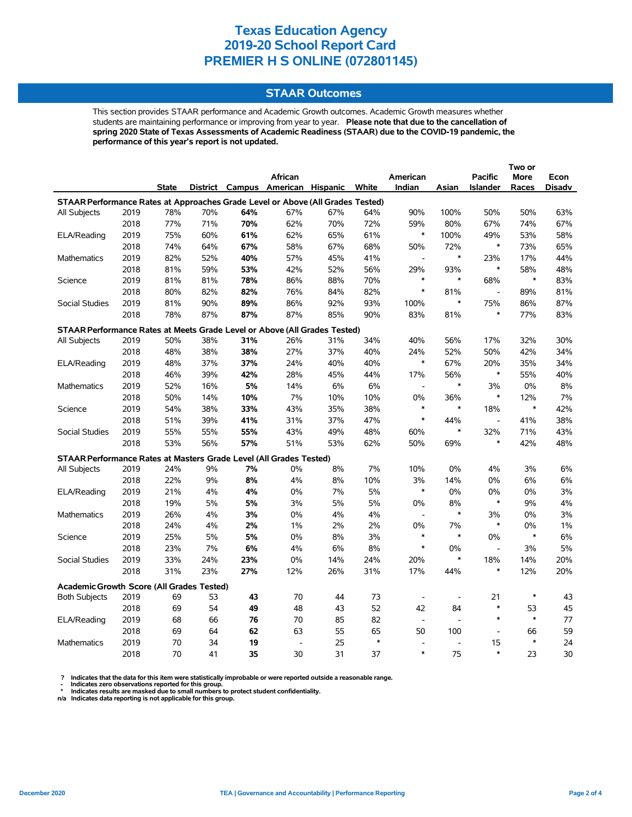### **STAAR Outcomes**

This section provides STAAR performance and Academic Growth outcomes. Academic Growth measures whether students are maintaining performance or improving from year to year. **Please note that due to the cancellation of spring 2020 State of Texas Assessments of Academic Readiness (STAAR) due to the COVID-19 pandemic, the performance of this year's report is not updated.**

|                                                                                |      |              |     |     |                          |                                   |        |                          |                |                          | Two or |               |
|--------------------------------------------------------------------------------|------|--------------|-----|-----|--------------------------|-----------------------------------|--------|--------------------------|----------------|--------------------------|--------|---------------|
|                                                                                |      |              |     |     | <b>African</b>           |                                   |        | American                 |                | <b>Pacific</b>           | More   | Econ          |
|                                                                                |      | <b>State</b> |     |     |                          | District Campus American Hispanic | White  | Indian                   | Asian          | <b>Islander</b>          | Races  | <b>Disadv</b> |
| STAAR Performance Rates at Approaches Grade Level or Above (All Grades Tested) |      |              |     |     |                          |                                   |        |                          |                |                          |        |               |
| All Subjects                                                                   | 2019 | 78%          | 70% | 64% | 67%                      | 67%                               | 64%    | 90%                      | 100%           | 50%                      | 50%    | 63%           |
|                                                                                | 2018 | 77%          | 71% | 70% | 62%                      | 70%                               | 72%    | 59%                      | 80%            | 67%                      | 74%    | 67%           |
| ELA/Reading                                                                    | 2019 | 75%          | 60% | 61% | 62%                      | 65%                               | 61%    | $\ast$                   | 100%           | 49%                      | 53%    | 58%           |
|                                                                                | 2018 | 74%          | 64% | 67% | 58%                      | 67%                               | 68%    | 50%                      | 72%            | $\ast$                   | 73%    | 65%           |
| <b>Mathematics</b>                                                             | 2019 | 82%          | 52% | 40% | 57%                      | 45%                               | 41%    | $\blacksquare$           | $\ast$         | 23%                      | 17%    | 44%           |
|                                                                                | 2018 | 81%          | 59% | 53% | 42%                      | 52%                               | 56%    | 29%                      | 93%            | $\ast$                   | 58%    | 48%           |
| Science                                                                        | 2019 | 81%          | 81% | 78% | 86%                      | 88%                               | 70%    | $\ast$                   | $\ast$         | 68%                      | $\ast$ | 83%           |
|                                                                                | 2018 | 80%          | 82% | 82% | 76%                      | 84%                               | 82%    | $\ast$                   | 81%            | $\overline{\phantom{a}}$ | 89%    | 81%           |
| Social Studies                                                                 | 2019 | 81%          | 90% | 89% | 86%                      | 92%                               | 93%    | 100%                     | $\ast$         | 75%                      | 86%    | 87%           |
|                                                                                | 2018 | 78%          | 87% | 87% | 87%                      | 85%                               | 90%    | 83%                      | 81%            | $\ast$                   | 77%    | 83%           |
| STAAR Performance Rates at Meets Grade Level or Above (All Grades Tested)      |      |              |     |     |                          |                                   |        |                          |                |                          |        |               |
| All Subjects                                                                   | 2019 | 50%          | 38% | 31% | 26%                      | 31%                               | 34%    | 40%                      | 56%            | 17%                      | 32%    | 30%           |
|                                                                                | 2018 | 48%          | 38% | 38% | 27%                      | 37%                               | 40%    | 24%                      | 52%            | 50%                      | 42%    | 34%           |
| ELA/Reading                                                                    | 2019 | 48%          | 37% | 37% | 24%                      | 40%                               | 40%    | $\ast$                   | 67%            | 20%                      | 35%    | 34%           |
|                                                                                | 2018 | 46%          | 39% | 42% | 28%                      | 45%                               | 44%    | 17%                      | 56%            | $\ast$                   | 55%    | 40%           |
| <b>Mathematics</b>                                                             | 2019 | 52%          | 16% | 5%  | 14%                      | 6%                                | 6%     | $\overline{a}$           | $\ast$         | 3%                       | 0%     | 8%            |
|                                                                                | 2018 | 50%          | 14% | 10% | 7%                       | 10%                               | 10%    | 0%                       | 36%            | $\ast$                   | 12%    | 7%            |
| Science                                                                        | 2019 | 54%          | 38% | 33% | 43%                      | 35%                               | 38%    | $\ast$                   | $\ast$         | 18%                      | $\ast$ | 42%           |
|                                                                                | 2018 | 51%          | 39% | 41% | 31%                      | 37%                               | 47%    | $\ast$                   | 44%            | $\overline{\phantom{a}}$ | 41%    | 38%           |
| <b>Social Studies</b>                                                          | 2019 | 55%          | 55% | 55% | 43%                      | 49%                               | 48%    | 60%                      | $\ast$         | 32%                      | 71%    | 43%           |
|                                                                                | 2018 | 53%          | 56% | 57% | 51%                      | 53%                               | 62%    | 50%                      | 69%            | $\ast$                   | 42%    | 48%           |
| STAAR Performance Rates at Masters Grade Level (All Grades Tested)             |      |              |     |     |                          |                                   |        |                          |                |                          |        |               |
| All Subjects                                                                   | 2019 | 24%          | 9%  | 7%  | 0%                       | 8%                                | 7%     | 10%                      | 0%             | 4%                       | 3%     | 6%            |
|                                                                                | 2018 | 22%          | 9%  | 8%  | 4%                       | 8%                                | 10%    | 3%                       | 14%            | 0%                       | 6%     | 6%            |
| ELA/Reading                                                                    | 2019 | 21%          | 4%  | 4%  | 0%                       | 7%                                | 5%     | $\ast$                   | $0\%$          | 0%                       | 0%     | 3%            |
|                                                                                | 2018 | 19%          | 5%  | 5%  | 3%                       | 5%                                | 5%     | $0\%$                    | 8%             | $\ast$                   | 9%     | 4%            |
| <b>Mathematics</b>                                                             | 2019 | 26%          | 4%  | 3%  | $0\%$                    | 4%                                | 4%     | $\blacksquare$           | $\ast$         | 3%                       | $0\%$  | 3%            |
|                                                                                | 2018 | 24%          | 4%  | 2%  | $1\%$                    | 2%                                | 2%     | 0%                       | 7%             | $\ast$                   | 0%     | 1%            |
| Science                                                                        | 2019 | 25%          | 5%  | 5%  | 0%                       | 8%                                | 3%     | $\ast$                   | $\ast$         | 0%                       | $\ast$ | 6%            |
|                                                                                | 2018 | 23%          | 7%  | 6%  | 4%                       | 6%                                | 8%     | $\ast$                   | 0%             | $\overline{a}$           | 3%     | 5%            |
| Social Studies                                                                 | 2019 | 33%          | 24% | 23% | 0%                       | 14%                               | 24%    | 20%                      | $\ast$         | 18%                      | 14%    | 20%           |
|                                                                                | 2018 | 31%          | 23% | 27% | 12%                      | 26%                               | 31%    | 17%                      | 44%            | $\ast$                   | 12%    | 20%           |
|                                                                                |      |              |     |     |                          |                                   |        |                          |                |                          |        |               |
| <b>Academic Growth Score (All Grades Tested)</b>                               |      |              |     |     |                          |                                   |        |                          |                |                          |        |               |
| <b>Both Subjects</b>                                                           | 2019 | 69           | 53  | 43  | 70                       | 44                                | 73     | $\overline{\phantom{a}}$ | $\blacksquare$ | 21                       | $\ast$ | 43            |
|                                                                                | 2018 | 69           | 54  | 49  | 48                       | 43                                | 52     | 42                       | 84             | $\ast$                   | 53     | 45            |
| ELA/Reading                                                                    | 2019 | 68           | 66  | 76  | 70                       | 85                                | 82     | $\blacksquare$           | $\overline{a}$ | $\ast$                   | $\ast$ | 77            |
|                                                                                | 2018 | 69           | 64  | 62  | 63                       | 55                                | 65     | 50                       | 100            | $\frac{1}{2}$            | 66     | 59            |
| Mathematics                                                                    | 2019 | 70           | 34  | 19  | $\overline{\phantom{a}}$ | 25                                | $\ast$ | $\overline{a}$           |                | 15                       | $\ast$ | 24            |
|                                                                                | 2018 | 70           | 41  | 35  | 30                       | 31                                | 37     | $\ast$                   | 75             | $\ast$                   | 23     | 30            |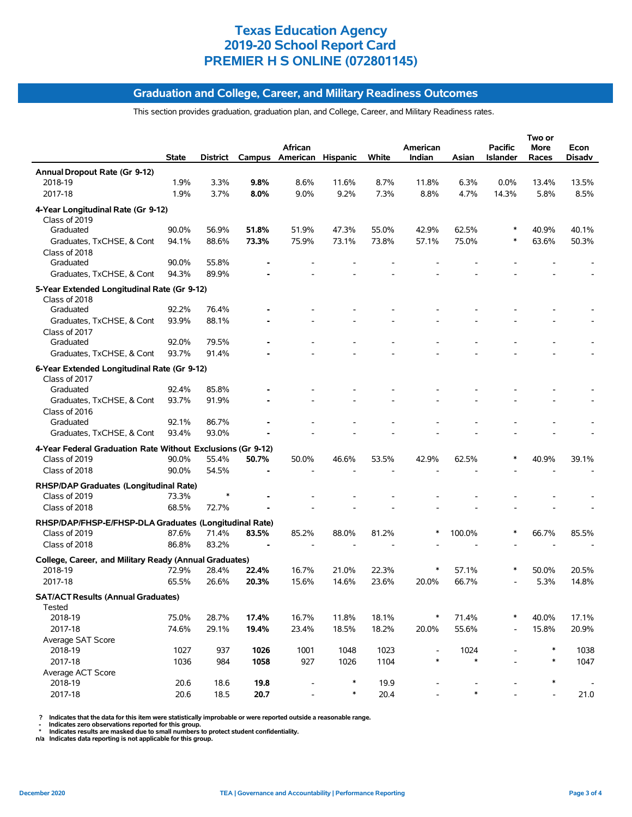#### **Graduation and College, Career, and Military Readiness Outcomes**

This section provides graduation, graduation plan, and College, Career, and Military Readiness rates.

|                                                              | <b>State</b> | District |       | African<br>Campus American Hispanic |                  | White | American<br>Indian       | Asian  | <b>Pacific</b><br><b>Islander</b> | Two or<br>More<br>Races | Econ<br>Disadv |
|--------------------------------------------------------------|--------------|----------|-------|-------------------------------------|------------------|-------|--------------------------|--------|-----------------------------------|-------------------------|----------------|
| Annual Dropout Rate (Gr 9-12)                                |              |          |       |                                     |                  |       |                          |        |                                   |                         |                |
| 2018-19                                                      | 1.9%         | 3.3%     | 9.8%  | 8.6%                                | 11.6%            | 8.7%  | 11.8%                    | 6.3%   | 0.0%                              | 13.4%                   | 13.5%          |
| 2017-18                                                      | 1.9%         | 3.7%     | 8.0%  | 9.0%                                | 9.2%             | 7.3%  | 8.8%                     | 4.7%   | 14.3%                             | 5.8%                    | 8.5%           |
| 4-Year Longitudinal Rate (Gr 9-12)<br>Class of 2019          |              |          |       |                                     |                  |       |                          |        |                                   |                         |                |
| Graduated                                                    | 90.0%        | 56.9%    | 51.8% | 51.9%                               | 47.3%            | 55.0% | 42.9%                    | 62.5%  |                                   | 40.9%                   | 40.1%          |
| Graduates, TxCHSE, & Cont<br>Class of 2018                   | 94.1%        | 88.6%    | 73.3% | 75.9%                               | 73.1%            | 73.8% | 57.1%                    | 75.0%  |                                   | 63.6%                   | 50.3%          |
| Graduated                                                    | 90.0%        | 55.8%    |       |                                     |                  |       |                          |        |                                   |                         |                |
| Graduates, TxCHSE, & Cont                                    | 94.3%        | 89.9%    |       |                                     |                  |       |                          |        |                                   |                         |                |
| 5-Year Extended Longitudinal Rate (Gr 9-12)<br>Class of 2018 |              |          |       |                                     |                  |       |                          |        |                                   |                         |                |
| Graduated                                                    | 92.2%        | 76.4%    |       |                                     |                  |       |                          |        |                                   |                         |                |
| Graduates, TxCHSE, & Cont                                    | 93.9%        | 88.1%    |       |                                     |                  |       |                          |        |                                   |                         |                |
| Class of 2017<br>Graduated                                   | 92.0%        | 79.5%    |       |                                     |                  |       |                          |        |                                   |                         |                |
| Graduates, TxCHSE, & Cont                                    | 93.7%        | 91.4%    |       |                                     |                  |       |                          |        |                                   |                         |                |
| 6-Year Extended Longitudinal Rate (Gr 9-12)                  |              |          |       |                                     |                  |       |                          |        |                                   |                         |                |
| Class of 2017                                                |              |          |       |                                     |                  |       |                          |        |                                   |                         |                |
| Graduated                                                    | 92.4%        | 85.8%    |       |                                     |                  |       |                          |        |                                   |                         |                |
| Graduates, TxCHSE, & Cont                                    | 93.7%        | 91.9%    |       |                                     |                  |       |                          |        |                                   |                         |                |
| Class of 2016                                                |              |          |       |                                     |                  |       |                          |        |                                   |                         |                |
| Graduated                                                    | 92.1%        | 86.7%    |       |                                     |                  |       |                          |        |                                   |                         |                |
| Graduates, TxCHSE, & Cont                                    | 93.4%        | 93.0%    |       |                                     |                  |       |                          |        |                                   |                         |                |
| 4-Year Federal Graduation Rate Without Exclusions (Gr 9-12)  |              |          |       |                                     |                  |       |                          |        |                                   |                         |                |
| Class of 2019                                                | 90.0%        | 55.4%    | 50.7% | 50.0%                               | 46.6%            | 53.5% | 42.9%                    | 62.5%  |                                   | 40.9%                   | 39.1%          |
| Class of 2018                                                | 90.0%        | 54.5%    |       |                                     |                  |       |                          |        |                                   |                         |                |
| RHSP/DAP Graduates (Longitudinal Rate)                       |              |          |       |                                     |                  |       |                          |        |                                   |                         |                |
| Class of 2019                                                | 73.3%        |          |       |                                     |                  |       |                          |        |                                   |                         |                |
| Class of 2018                                                | 68.5%        | 72.7%    |       |                                     |                  |       |                          |        |                                   |                         |                |
| RHSP/DAP/FHSP-E/FHSP-DLA Graduates (Longitudinal Rate)       |              |          |       |                                     |                  |       |                          |        |                                   |                         |                |
| Class of 2019                                                | 87.6%        | 71.4%    | 83.5% | 85.2%                               | 88.0%            | 81.2% | ∗                        | 100.0% |                                   | 66.7%                   | 85.5%          |
| Class of 2018                                                | 86.8%        | 83.2%    |       |                                     |                  |       |                          |        |                                   |                         |                |
| College, Career, and Military Ready (Annual Graduates)       |              |          |       |                                     |                  |       |                          |        |                                   |                         |                |
| 2018-19                                                      | 72.9%        | 28.4%    | 22.4% | 16.7%                               | 21.0%            | 22.3% | $\ast$                   | 57.1%  |                                   | 50.0%                   | 20.5%          |
| 2017-18                                                      | 65.5%        | 26.6%    | 20.3% | 15.6%                               | 14.6%            | 23.6% | 20.0%                    | 66.7%  |                                   | 5.3%                    | 14.8%          |
| <b>SAT/ACT Results (Annual Graduates)</b><br>Tested          |              |          |       |                                     |                  |       |                          |        |                                   |                         |                |
| 2018-19                                                      | 75.0%        | 28.7%    | 17.4% | 16.7%                               | 11.8%            | 18.1% | $\ast$                   | 71.4%  | ∗                                 | 40.0%                   | 17.1%          |
| 2017-18                                                      | 74.6%        | 29.1%    | 19.4% | 23.4%                               | 18.5%            | 18.2% | 20.0%                    | 55.6%  |                                   | 15.8%                   | 20.9%          |
| Average SAT Score                                            |              |          |       |                                     |                  |       |                          |        |                                   |                         |                |
| 2018-19                                                      | 1027         | 937      | 1026  | 1001                                | 1048             | 1023  | $\overline{\phantom{a}}$ | 1024   |                                   | $\ast$                  | 1038           |
| 2017-18                                                      | 1036         | 984      | 1058  | 927                                 | 1026             | 1104  | $\ast$                   | $\ast$ |                                   | $\ast$                  | 1047           |
| Average ACT Score                                            |              |          |       |                                     |                  |       |                          |        |                                   |                         |                |
| 2018-19                                                      | 20.6         | 18.6     | 19.8  |                                     | $\ast$<br>$\ast$ | 19.9  |                          | $\ast$ |                                   |                         |                |
| 2017-18                                                      | 20.6         | 18.5     | 20.7  | $\overline{a}$                      |                  | 20.4  |                          |        |                                   |                         | 21.0           |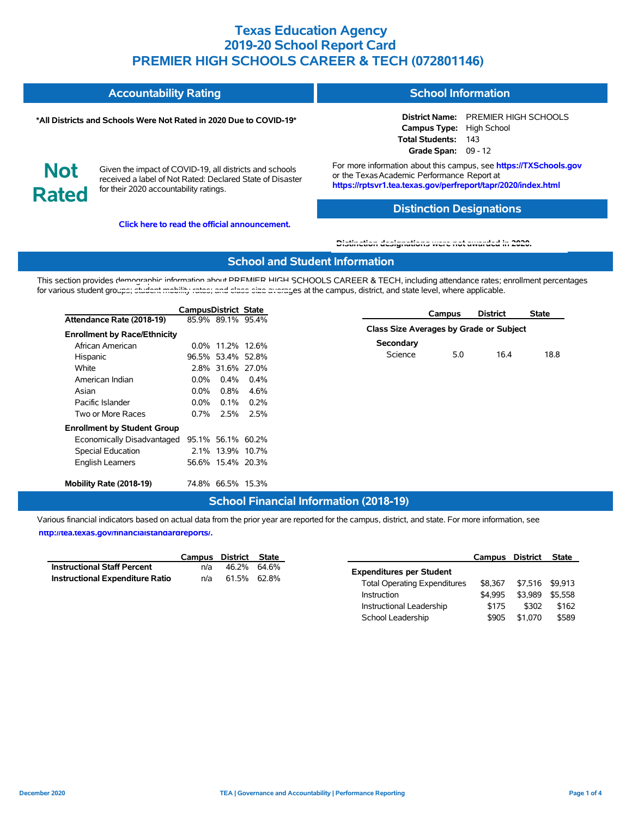| Accountability Rating | <b>School Information</b> |
|-----------------------|---------------------------|
|                       |                           |

#### **\*All Districts and Schools Were Not Rated in 2020 Due to COVID-19\***

**District Name:** PREMIER HIGH SCHOOLS **Campus Type:** High School **Total Students:** 143 **Grade Span:** 09 - 12

**Not Rated**

Given the impact of COVID-19, all districts and schools received a label of Not Rated: Declared State of Disaster for their 2020 accountability ratings.

For more information about this campus, see **https://TXSchools.gov** or the Texas Academic Performance Report at **https://rptsvr1.tea.texas.gov/perfreport/tapr/2020/index.html**

### **Distinction Designations**

#### **Click here to read the official announcement.**

#### **[Distinction designations were not awarded in 2020.](https://rptsvr1.tea.texas.gov/perfreport/tapr/2020/index.html)**

#### **School and Student Information**

This section provides demographic information about PREMIER HIGH SCHOOLS CAREER & TECH, including attendance rates; enrollment percentages for various student gro[ups; student mobility rates; and class size averag](https://tea.texas.gov/about-tea/news-and-multimedia/correspondence/taa-letters/every-student-succeeds-act-essa-waiver-approval-2020-state-academic-accountability)es at the campus, district, and state level, where applicable.

|                                     | <b>CampusDistrict State</b> |                   |         |                                         | <b>Campus</b> | <b>District</b> | <b>State</b> |
|-------------------------------------|-----------------------------|-------------------|---------|-----------------------------------------|---------------|-----------------|--------------|
| Attendance Rate (2018-19)           |                             | 85.9% 89.1% 95.4% |         |                                         |               |                 |              |
| <b>Enrollment by Race/Ethnicity</b> |                             |                   |         | Class Size Averages by Grade or Subject |               |                 |              |
| African American                    |                             | 0.0% 11.2% 12.6%  |         | Secondary                               |               |                 |              |
| Hispanic                            |                             | 96.5% 53.4% 52.8% |         | Science                                 | 5.0           | 16.4            | 18.8         |
| White                               |                             | 2.8% 31.6% 27.0%  |         |                                         |               |                 |              |
| American Indian                     | $0.0\%$                     | $0.4\%$           | $0.4\%$ |                                         |               |                 |              |
| Asian                               | $0.0\%$                     | $0.8\%$           | 4.6%    |                                         |               |                 |              |
| Pacific Islander                    | $0.0\%$                     | $0.1\%$           | 0.2%    |                                         |               |                 |              |
| Two or More Races                   | $0.7\%$                     | 2.5%              | 2.5%    |                                         |               |                 |              |
| <b>Enrollment by Student Group</b>  |                             |                   |         |                                         |               |                 |              |
| Economically Disadvantaged          |                             | 95.1% 56.1% 60.2% |         |                                         |               |                 |              |
| Special Education                   |                             | 2.1% 13.9% 10.7%  |         |                                         |               |                 |              |
| <b>English Learners</b>             |                             | 56.6% 15.4% 20.3% |         |                                         |               |                 |              |
| Mobility Rate (2018-19)             |                             | 74.8% 66.5% 15.3% |         |                                         |               |                 |              |

#### **School Financial Information (2018-19)**

|                                        | Campus District State |             |  |
|----------------------------------------|-----------------------|-------------|--|
| <b>Instructional Staff Percent</b>     | n/a                   | 46.2% 64.6% |  |
| <b>Instructional Expenditure Ratio</b> | n/a                   | 61.5% 62.8% |  |

|                                     | Campus District |         | <b>State</b> |
|-------------------------------------|-----------------|---------|--------------|
| <b>Expenditures per Student</b>     |                 |         |              |
| <b>Total Operating Expenditures</b> | \$8.367         | \$7.516 | \$9.913      |
| Instruction                         | \$4.995         | \$3.989 | \$5.558      |
| Instructional Leadership            | \$175           | \$302   | \$162        |
| School Leadership                   | \$905           | \$1.070 | \$589        |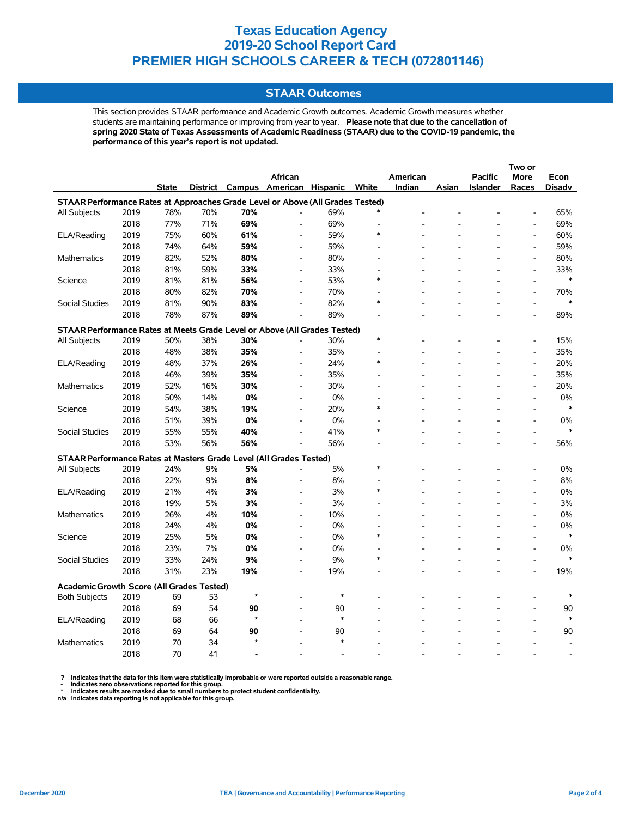#### **STAAR Outcomes**

This section provides STAAR performance and Academic Growth outcomes. Academic Growth measures whether students are maintaining performance or improving from year to year. **Please note that due to the cancellation of spring 2020 State of Texas Assessments of Academic Readiness (STAAR) due to the COVID-19 pandemic, the performance of this year's report is not updated.**

|                                                                                |      |              |     |         |                                   |        |        |          |       |                | Two or                           |              |
|--------------------------------------------------------------------------------|------|--------------|-----|---------|-----------------------------------|--------|--------|----------|-------|----------------|----------------------------------|--------------|
|                                                                                |      |              |     |         | African                           |        |        | American |       | <b>Pacific</b> | <b>More</b>                      | Econ         |
|                                                                                |      | <b>State</b> |     |         | District Campus American Hispanic |        | White  | Indian   | Asian | Islander       | Races                            | Disadv       |
| STAAR Performance Rates at Approaches Grade Level or Above (All Grades Tested) |      |              |     |         |                                   |        |        |          |       |                |                                  |              |
| All Subjects                                                                   | 2019 | 78%          | 70% | 70%     | $\frac{1}{2}$                     | 69%    | ∗      |          |       |                |                                  | 65%          |
|                                                                                | 2018 | 77%          | 71% | 69%     | $\qquad \qquad \blacksquare$      | 69%    |        |          |       |                | $\overline{\phantom{a}}$         | 69%          |
| ELA/Reading                                                                    | 2019 | 75%          | 60% | 61%     |                                   | 59%    |        |          |       |                | L,                               | 60%          |
|                                                                                | 2018 | 74%          | 64% | 59%     | $\blacksquare$                    | 59%    |        |          |       |                | $\overline{\phantom{a}}$         | 59%          |
| <b>Mathematics</b>                                                             | 2019 | 82%          | 52% | 80%     | $\blacksquare$                    | 80%    |        |          |       |                | $\overline{\phantom{a}}$         | 80%          |
|                                                                                | 2018 | 81%          | 59% | 33%     | $\overline{\phantom{a}}$          | 33%    |        |          |       |                | $\overline{\phantom{a}}$         | 33%          |
| Science                                                                        | 2019 | 81%          | 81% | 56%     | $\blacksquare$                    | 53%    | $\ast$ |          |       |                | L,                               |              |
|                                                                                | 2018 | 80%          | 82% | 70%     | $\blacksquare$                    | 70%    |        |          |       |                | L,                               | 70%          |
| <b>Social Studies</b>                                                          | 2019 | 81%          | 90% | 83%     | $\overline{a}$                    | 82%    |        |          |       |                | $\overline{\phantom{a}}$         |              |
|                                                                                | 2018 | 78%          | 87% | 89%     |                                   | 89%    |        |          |       |                |                                  | 89%          |
| STAAR Performance Rates at Meets Grade Level or Above (All Grades Tested)      |      |              |     |         |                                   |        |        |          |       |                |                                  |              |
| All Subjects                                                                   | 2019 | 50%          | 38% | 30%     | $\overline{a}$                    | 30%    | $\ast$ |          |       |                | ÷,                               | 15%          |
|                                                                                | 2018 | 48%          | 38% | 35%     | $\overline{a}$                    | 35%    |        |          |       |                | $\sim$                           | 35%          |
| ELA/Reading                                                                    | 2019 | 48%          | 37% | 26%     | $\overline{\phantom{a}}$          | 24%    | $\ast$ |          |       |                | $\overline{\phantom{a}}$         | 20%          |
|                                                                                | 2018 | 46%          | 39% | 35%     | $\overline{a}$                    | 35%    |        |          |       |                | L,                               | 35%          |
| Mathematics                                                                    | 2019 | 52%          | 16% | 30%     | $\overline{\phantom{a}}$          | 30%    |        |          |       |                | $\overline{\phantom{a}}$         | 20%          |
|                                                                                | 2018 | 50%          | 14% | 0%      | $\overline{\phantom{a}}$          | 0%     |        |          |       |                | L,                               | 0%           |
| Science                                                                        | 2019 | 54%          | 38% | 19%     | $\overline{\phantom{a}}$          | 20%    | $\ast$ |          |       |                | ÷                                | $\ast$       |
|                                                                                | 2018 | 51%          | 39% | 0%      | $\overline{\phantom{a}}$          | 0%     |        |          |       |                | ÷                                | 0%           |
| <b>Social Studies</b>                                                          | 2019 | 55%          | 55% | 40%     | ÷,                                | 41%    | $\ast$ |          |       |                | ÷,                               | $\ast$       |
|                                                                                | 2018 | 53%          | 56% | 56%     | $\overline{a}$                    | 56%    |        |          |       |                | $\overline{a}$                   | 56%          |
|                                                                                |      |              |     |         |                                   |        |        |          |       |                |                                  |              |
| STAAR Performance Rates at Masters Grade Level (All Grades Tested)             |      |              |     |         |                                   |        | $\ast$ |          |       |                |                                  |              |
| All Subjects                                                                   | 2019 | 24%          | 9%  | 5%      |                                   | 5%     |        |          |       |                | $\overline{a}$                   | 0%           |
|                                                                                | 2018 | 22%          | 9%  | 8%      | $\overline{\phantom{a}}$          | 8%     | $\ast$ |          |       |                | L,                               | 8%           |
| ELA/Reading                                                                    | 2019 | 21%          | 4%  | 3%      | $\blacksquare$                    | 3%     |        |          |       |                | $\overline{\phantom{a}}$         | 0%           |
|                                                                                | 2018 | 19%          | 5%  | 3%      | $\blacksquare$                    | 3%     |        |          |       |                | $\overline{\phantom{a}}$         | 3%           |
| Mathematics                                                                    | 2019 | 26%          | 4%  | 10%     | L,                                | 10%    |        |          |       |                | L,                               | 0%           |
|                                                                                | 2018 | 24%          | 4%  | 0%      | $\overline{a}$                    | 0%     | $\ast$ |          |       |                | L,                               | 0%<br>$\ast$ |
| Science                                                                        | 2019 | 25%          | 5%  | 0%      | $\blacksquare$                    | 0%     |        |          |       |                | L,                               |              |
|                                                                                | 2018 | 23%          | 7%  | 0%      | $\overline{a}$<br>$\overline{a}$  | 0%     | $\ast$ |          |       |                | $\overline{a}$<br>$\overline{a}$ | 0%<br>$\ast$ |
| Social Studies                                                                 | 2019 | 33%          | 24% | 9%      |                                   | 9%     |        |          |       |                |                                  |              |
|                                                                                | 2018 | 31%          | 23% | 19%     |                                   | 19%    |        |          |       |                | L.                               | 19%          |
| Academic Growth Score (All Grades Tested)                                      |      |              |     |         |                                   |        |        |          |       |                |                                  |              |
| <b>Both Subjects</b>                                                           | 2019 | 69           | 53  | $\star$ |                                   | $\ast$ |        |          |       |                |                                  |              |
|                                                                                | 2018 | 69           | 54  | 90      |                                   | 90     |        |          |       |                | $\overline{a}$                   | 90           |
| ELA/Reading                                                                    | 2019 | 68           | 66  | $\star$ |                                   | $\ast$ |        |          |       |                | L,                               | $\ast$       |
|                                                                                | 2018 | 69           | 64  | 90      |                                   | 90     |        |          |       |                |                                  | 90           |
| <b>Mathematics</b>                                                             | 2019 | 70           | 34  | $\star$ |                                   | $\ast$ |        |          |       |                |                                  |              |
|                                                                                | 2018 | 70           | 41  |         |                                   |        |        |          |       |                |                                  |              |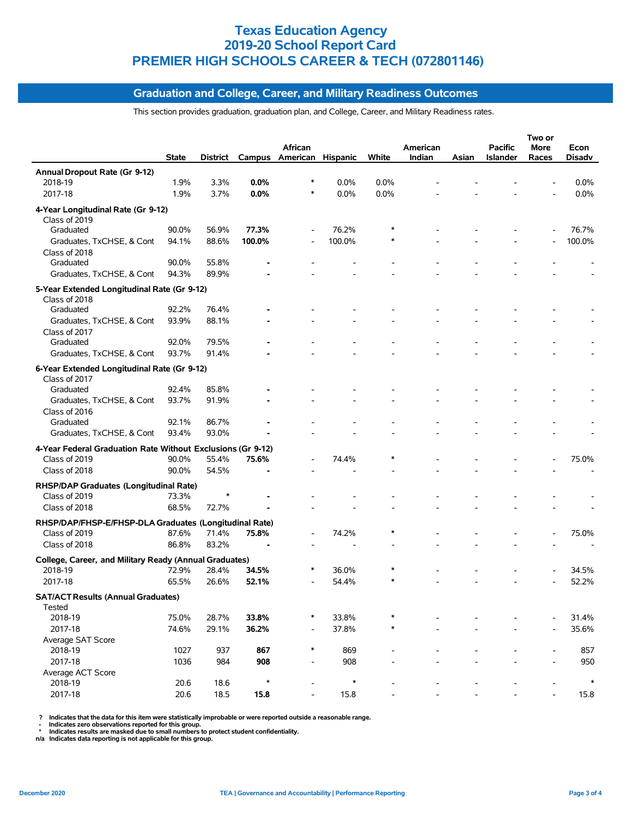### **Graduation and College, Career, and Military Readiness Outcomes**

This section provides graduation, graduation plan, and College, Career, and Military Readiness rates.

|                                                              | State          |                |         | African<br>District Campus American Hispanic |        | White   | American<br>Indian | Asian | <b>Pacific</b><br><b>Islander</b> | Two or<br>More<br>Races | Econ<br>Disadv |
|--------------------------------------------------------------|----------------|----------------|---------|----------------------------------------------|--------|---------|--------------------|-------|-----------------------------------|-------------------------|----------------|
| Annual Dropout Rate (Gr 9-12)                                |                |                |         |                                              |        |         |                    |       |                                   |                         |                |
| 2018-19                                                      | 1.9%           | 3.3%           | 0.0%    |                                              | 0.0%   | $0.0\%$ |                    |       |                                   |                         | $0.0\%$        |
| 2017-18                                                      | 1.9%           | 3.7%           | 0.0%    | $\ast$                                       | 0.0%   | 0.0%    |                    |       |                                   |                         | 0.0%           |
| 4-Year Longitudinal Rate (Gr 9-12)<br>Class of 2019          |                |                |         |                                              |        |         |                    |       |                                   |                         |                |
| Graduated                                                    | 90.0%          | 56.9%          | 77.3%   |                                              | 76.2%  |         |                    |       |                                   |                         | 76.7%          |
| Graduates, TxCHSE, & Cont                                    | 94.1%          | 88.6%          | 100.0%  |                                              | 100.0% |         |                    |       |                                   |                         | 100.0%         |
| Class of 2018<br>Graduated                                   | 90.0%          | 55.8%          |         |                                              |        |         |                    |       |                                   |                         |                |
| Graduates, TxCHSE, & Cont                                    | 94.3%          | 89.9%          |         |                                              |        |         |                    |       |                                   |                         |                |
| 5-Year Extended Longitudinal Rate (Gr 9-12)<br>Class of 2018 |                |                |         |                                              |        |         |                    |       |                                   |                         |                |
| Graduated                                                    | 92.2%          | 76.4%          |         |                                              |        |         |                    |       |                                   |                         |                |
| Graduates, TxCHSE, & Cont                                    | 93.9%          | 88.1%          |         |                                              |        |         |                    |       |                                   |                         |                |
| Class of 2017<br>Graduated                                   | 92.0%          | 79.5%          |         |                                              |        |         |                    |       |                                   |                         |                |
| Graduates, TxCHSE, & Cont                                    | 93.7%          | 91.4%          |         |                                              |        |         |                    |       |                                   |                         |                |
|                                                              |                |                |         |                                              |        |         |                    |       |                                   |                         |                |
| 6-Year Extended Longitudinal Rate (Gr 9-12)<br>Class of 2017 |                |                |         |                                              |        |         |                    |       |                                   |                         |                |
| Graduated                                                    | 92.4%          | 85.8%          |         |                                              |        |         |                    |       |                                   |                         |                |
| Graduates, TxCHSE, & Cont<br>Class of 2016                   | 93.7%          | 91.9%          |         |                                              |        |         |                    |       |                                   |                         |                |
| Graduated                                                    | 92.1%          | 86.7%          |         |                                              |        |         |                    |       |                                   |                         |                |
| Graduates, TxCHSE, & Cont                                    | 93.4%          | 93.0%          |         |                                              |        |         |                    |       |                                   |                         |                |
| 4-Year Federal Graduation Rate Without Exclusions (Gr 9-12)  |                |                |         |                                              |        |         |                    |       |                                   |                         |                |
| Class of 2019                                                | 90.0%          | 55.4%          | 75.6%   |                                              | 74.4%  |         |                    |       |                                   |                         | 75.0%          |
| Class of 2018                                                | 90.0%          | 54.5%          |         |                                              |        |         |                    |       |                                   |                         |                |
| RHSP/DAP Graduates (Longitudinal Rate)<br>Class of 2019      | 73.3%          |                |         |                                              |        |         |                    |       |                                   |                         |                |
| Class of 2018                                                | 68.5%          | 72.7%          |         |                                              |        |         |                    |       |                                   |                         |                |
|                                                              |                |                |         |                                              |        |         |                    |       |                                   |                         |                |
| RHSP/DAP/FHSP-E/FHSP-DLA Graduates (Longitudinal Rate)       |                |                |         |                                              |        |         |                    |       |                                   |                         |                |
| Class of 2019<br>Class of 2018                               | 87.6%<br>86.8% | 71.4%<br>83.2% | 75.8%   |                                              | 74.2%  |         |                    |       |                                   |                         | 75.0%          |
|                                                              |                |                |         |                                              |        |         |                    |       |                                   |                         |                |
| College, Career, and Military Ready (Annual Graduates)       |                |                |         |                                              |        |         |                    |       |                                   |                         |                |
| 2018-19                                                      | 72.9%          | 28.4%          | 34.5%   |                                              | 36.0%  |         |                    |       |                                   |                         | 34.5%          |
| 2017-18                                                      | 65.5%          | 26.6%          | 52.1%   |                                              | 54.4%  |         |                    |       |                                   |                         | 52.2%          |
| <b>SAT/ACT Results (Annual Graduates)</b><br>Tested          |                |                |         |                                              |        |         |                    |       |                                   |                         |                |
| 2018-19                                                      | 75.0%          | 28.7%          | 33.8%   | *                                            | 33.8%  | ∗       |                    |       |                                   |                         | 31.4%          |
| 2017-18                                                      | 74.6%          | 29.1%          | 36.2%   |                                              | 37.8%  | $\ast$  |                    |       |                                   | L,                      | 35.6%          |
| Average SAT Score                                            |                |                |         |                                              |        |         |                    |       |                                   |                         |                |
| 2018-19                                                      | 1027           | 937            | 867     | $\ast$                                       | 869    |         |                    |       |                                   |                         | 857            |
| 2017-18                                                      | 1036           | 984            | 908     | $\overline{a}$                               | 908    |         |                    |       |                                   |                         | 950            |
| Average ACT Score                                            |                |                |         |                                              |        |         |                    |       |                                   |                         |                |
| 2018-19                                                      | 20.6           | 18.6           | $\star$ |                                              | ∗      |         |                    |       |                                   |                         | $\ast$         |
| 2017-18                                                      | 20.6           | 18.5           | 15.8    | $\overline{a}$                               | 15.8   |         |                    |       |                                   |                         | 15.8           |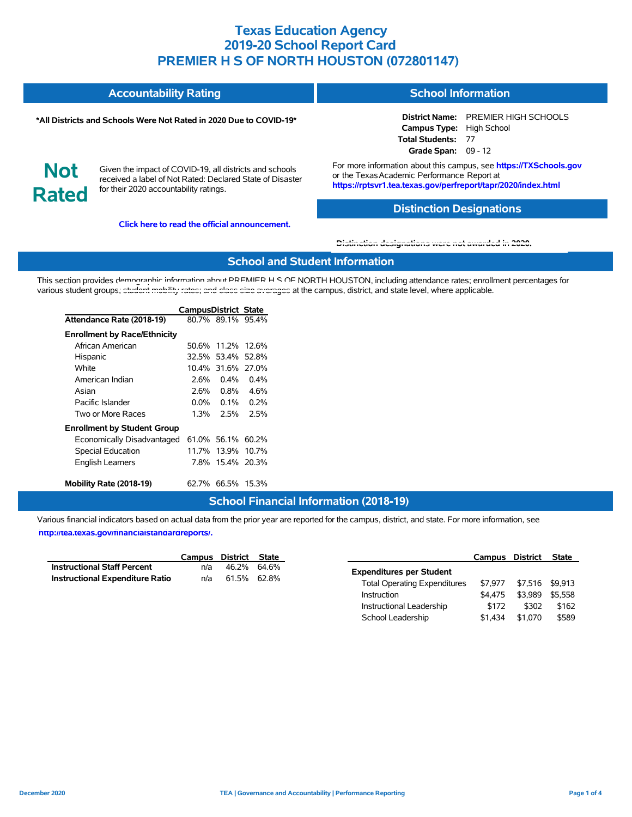| <b>Accountability Rating</b> | <b>School Information</b>           |
|------------------------------|-------------------------------------|
|                              | Dictrict Name: DDEMIED HIGH SCHOOLS |

#### **\*All Districts and Schools Were Not Rated in 2020 Due to COVID-19\***

**District Name:** PREMIER HIGH SCHOOLS **Campus Type:** High School **Total Students:** 77 **Grade Span:** 09 - 12



Given the impact of COVID-19, all districts and schools received a label of Not Rated: Declared State of Disaster for their 2020 accountability ratings.

For more information about this campus, see **https://TXSchools.gov** or the Texas Academic Performance Report at **https://rptsvr1.tea.texas.gov/perfreport/tapr/2020/index.html**

### **Distinction Designations**

#### **Click here to read the official announcement.**

#### **[Distinction designations were not awarded in 2020.](https://rptsvr1.tea.texas.gov/perfreport/tapr/2020/index.html)**

#### **School and Student Information**

This section provides demographic information about PREMIER H S OF NORTH HOUSTON, including attendance rates; enrollment percentages for various student group[s; student mobility rates; and class size averages](https://tea.texas.gov/about-tea/news-and-multimedia/correspondence/taa-letters/every-student-succeeds-act-essa-waiver-approval-2020-state-academic-accountability) at the campus, district, and state level, where applicable.

|                                     | <b>CampusDistrict State</b> |                   |         |
|-------------------------------------|-----------------------------|-------------------|---------|
| Attendance Rate (2018-19)           |                             | 80.7% 89.1% 95.4% |         |
| <b>Enrollment by Race/Ethnicity</b> |                             |                   |         |
| African American                    |                             | 50.6% 11.2% 12.6% |         |
| Hispanic                            | 32.5%                       | 53.4%             | 52.8%   |
| White                               |                             | 10.4% 31.6% 27.0% |         |
| American Indian                     | 2.6%                        | $0.4\%$           | $0.4\%$ |
| Asian                               | 2.6%                        | 0.8%              | 4.6%    |
| Pacific Islander                    | 0.0%                        | $0.1\%$           | 0.2%    |
| Two or More Races                   | 1.3%                        | 2.5%              | 2.5%    |
| <b>Enrollment by Student Group</b>  |                             |                   |         |
| Economically Disadvantaged          |                             | 61.0% 56.1% 60.2% |         |
| Special Education                   | 11.7%                       | 13.9% 10.7%       |         |
| <b>English Learners</b>             | 7.8%                        | 15.4% 20.3%       |         |
| Mobility Rate (2018-19)             |                             | 62.7% 66.5% 15.3% |         |

### **School Financial Information (2018-19)**

|                                        | Campus District State |             |  |
|----------------------------------------|-----------------------|-------------|--|
| <b>Instructional Staff Percent</b>     | n/a                   | 46.2% 64.6% |  |
| <b>Instructional Expenditure Ratio</b> | n/a                   | 61.5% 62.8% |  |

|                                     | Campus District |         | State   |
|-------------------------------------|-----------------|---------|---------|
| <b>Expenditures per Student</b>     |                 |         |         |
| <b>Total Operating Expenditures</b> | \$7.977         | \$7.516 | \$9.913 |
| Instruction                         | \$4.475         | \$3.989 | \$5.558 |
| Instructional Leadership            | \$172           | \$302   | \$162   |
| School Leadership                   | \$1.434         | \$1.070 | \$589   |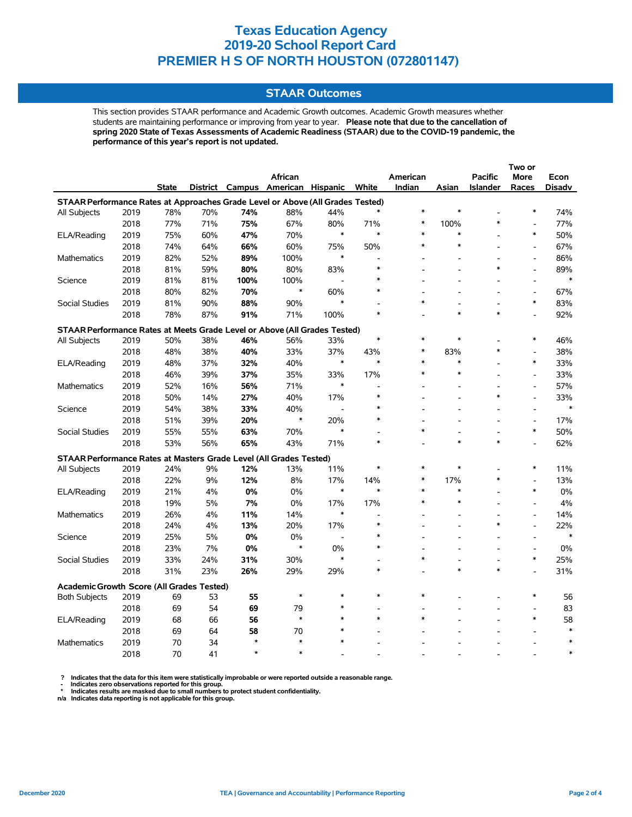#### **STAAR Outcomes**

This section provides STAAR performance and Academic Growth outcomes. Academic Growth measures whether students are maintaining performance or improving from year to year. **Please note that due to the cancellation of spring 2020 State of Texas Assessments of Academic Readiness (STAAR) due to the COVID-19 pandemic, the performance of this year's report is not updated.**

|                                                                                |      |              |     |         |                                   |                          |        |          |        |                          | Two or                   |        |
|--------------------------------------------------------------------------------|------|--------------|-----|---------|-----------------------------------|--------------------------|--------|----------|--------|--------------------------|--------------------------|--------|
|                                                                                |      |              |     |         | African                           |                          |        | American |        | <b>Pacific</b>           | More                     | Econ   |
|                                                                                |      | <b>State</b> |     |         | District Campus American Hispanic |                          | White  | Indian   | Asian  | <b>Islander</b>          | Races                    | Disadv |
| STAAR Performance Rates at Approaches Grade Level or Above (All Grades Tested) |      |              |     |         |                                   |                          |        |          |        |                          |                          |        |
| All Subjects                                                                   | 2019 | 78%          | 70% | 74%     | 88%                               | 44%                      |        | $\ast$   | *      |                          | $\ast$                   | 74%    |
|                                                                                | 2018 | 77%          | 71% | 75%     | 67%                               | 80%                      | 71%    | $\ast$   | 100%   | $\ast$                   | ÷.                       | 77%    |
| ELA/Reading                                                                    | 2019 | 75%          | 60% | 47%     | 70%                               | $\ast$                   | $\ast$ | $\ast$   | *      |                          | $\ast$                   | 50%    |
|                                                                                | 2018 | 74%          | 64% | 66%     | 60%                               | 75%                      | 50%    | $\ast$   | $\ast$ |                          | $\overline{a}$           | 67%    |
| <b>Mathematics</b>                                                             | 2019 | 82%          | 52% | 89%     | 100%                              | $\ast$                   |        |          |        |                          | ÷,                       | 86%    |
|                                                                                | 2018 | 81%          | 59% | 80%     | 80%                               | 83%                      | $\ast$ |          |        | $\ast$                   | L.                       | 89%    |
| Science                                                                        | 2019 | 81%          | 81% | 100%    | 100%                              |                          |        |          |        |                          | $\blacksquare$           |        |
|                                                                                | 2018 | 80%          | 82% | 70%     | $\ast$                            | 60%                      |        |          |        |                          | $\overline{\phantom{a}}$ | 67%    |
| Social Studies                                                                 | 2019 | 81%          | 90% | 88%     | 90%                               | $\ast$                   |        | $\ast$   |        |                          | $\ast$                   | 83%    |
|                                                                                | 2018 | 78%          | 87% | 91%     | 71%                               | 100%                     |        |          | $\ast$ | $\ast$                   | $\overline{a}$           | 92%    |
| STAAR Performance Rates at Meets Grade Level or Above (All Grades Tested)      |      |              |     |         |                                   |                          |        |          |        |                          |                          |        |
| All Subjects                                                                   | 2019 | 50%          | 38% | 46%     | 56%                               | 33%                      | $\ast$ | $\ast$   | $\ast$ |                          | $\ast$                   | 46%    |
|                                                                                | 2018 | 48%          | 38% | 40%     | 33%                               | 37%                      | 43%    | $\ast$   | 83%    | *                        | $\overline{a}$           | 38%    |
| ELA/Reading                                                                    | 2019 | 48%          | 37% | 32%     | 40%                               | $\ast$                   | $\ast$ | $\ast$   | $\ast$ |                          | $\ast$                   | 33%    |
|                                                                                | 2018 | 46%          | 39% | 37%     | 35%                               | 33%                      | 17%    | $\ast$   | $\ast$ |                          | $\overline{a}$           | 33%    |
| <b>Mathematics</b>                                                             | 2019 | 52%          | 16% | 56%     | 71%                               | $\ast$                   |        |          |        |                          | $\overline{\phantom{a}}$ | 57%    |
|                                                                                | 2018 | 50%          | 14% | 27%     | 40%                               | 17%                      |        |          |        | $\ast$                   | $\blacksquare$           | 33%    |
| Science                                                                        | 2019 | 54%          | 38% | 33%     | 40%                               | $\overline{a}$           |        |          |        |                          | L,                       | $\ast$ |
|                                                                                | 2018 | 51%          | 39% | 20%     | $\ast$                            | 20%                      |        |          |        |                          | $\overline{\phantom{a}}$ | 17%    |
| <b>Social Studies</b>                                                          | 2019 | 55%          | 55% | 63%     | 70%                               | $\ast$                   |        | $\ast$   |        | $\overline{\phantom{a}}$ | $\ast$                   | 50%    |
|                                                                                | 2018 | 53%          | 56% | 65%     | 43%                               | 71%                      |        |          | $\ast$ | $\ast$                   |                          | 62%    |
| STAAR Performance Rates at Masters Grade Level (All Grades Tested)             |      |              |     |         |                                   |                          |        |          |        |                          |                          |        |
| All Subjects                                                                   | 2019 | 24%          | 9%  | 12%     | 13%                               | 11%                      | $\ast$ | $\ast$   | $\ast$ |                          | $\ast$                   | 11%    |
|                                                                                | 2018 | 22%          | 9%  | 12%     | 8%                                | 17%                      | 14%    | $\ast$   | 17%    | $\ast$                   |                          | 13%    |
| ELA/Reading                                                                    | 2019 | 21%          | 4%  | 0%      | 0%                                | $\ast$                   | $\ast$ | $\ast$   | $\ast$ |                          | $\ast$                   | 0%     |
|                                                                                | 2018 | 19%          | 5%  | 7%      | 0%                                | 17%                      | 17%    |          | $\ast$ |                          | Ĭ.                       | 4%     |
| Mathematics                                                                    | 2019 | 26%          | 4%  | 11%     | 14%                               | $\ast$                   |        |          |        |                          | Ĭ.                       | 14%    |
|                                                                                | 2018 | 24%          | 4%  | 13%     | 20%                               | 17%                      | $\ast$ |          |        | $\ast$                   | $\overline{a}$           | 22%    |
| Science                                                                        | 2019 | 25%          | 5%  | 0%      | 0%                                | $\overline{\phantom{a}}$ | $\ast$ |          |        |                          | ٠                        | $\ast$ |
|                                                                                | 2018 | 23%          | 7%  | 0%      | $\ast$                            | 0%                       |        |          |        |                          | L.                       | 0%     |
| Social Studies                                                                 | 2019 | 33%          | 24% | 31%     | 30%                               | $\ast$                   |        | $\ast$   |        |                          | $\ast$                   | 25%    |
|                                                                                | 2018 | 31%          | 23% | 26%     | 29%                               | 29%                      | $\ast$ |          | $\ast$ | $\ast$                   |                          | 31%    |
| <b>Academic Growth Score (All Grades Tested)</b>                               |      |              |     |         |                                   |                          |        |          |        |                          |                          |        |
| <b>Both Subjects</b>                                                           | 2019 | 69           | 53  | 55      | $\ast$                            | $\ast$                   | $\ast$ | $\ast$   |        |                          | $\ast$                   | 56     |
|                                                                                | 2018 | 69           | 54  | 69      | 79                                |                          |        |          |        |                          |                          | 83     |
| ELA/Reading                                                                    | 2019 | 68           | 66  | 56      | $\ast$                            | $\ast$                   |        | $\ast$   |        |                          | $\ast$                   | 58     |
|                                                                                | 2018 | 69           | 64  | 58      | 70                                | $\ast$                   |        |          |        |                          |                          | $\ast$ |
| Mathematics                                                                    | 2019 | 70           | 34  | $\star$ | $\ast$                            |                          |        |          |        |                          |                          | $\ast$ |
|                                                                                | 2018 | 70           | 41  | $\star$ | $\ast$                            |                          |        |          |        |                          |                          | $\ast$ |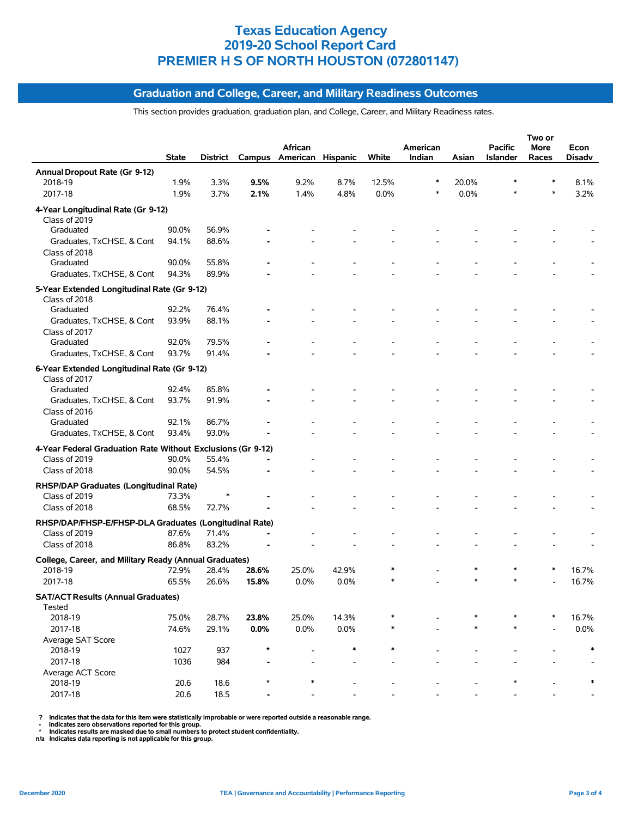### **Graduation and College, Career, and Military Readiness Outcomes**

This section provides graduation, graduation plan, and College, Career, and Military Readiness rates.

|                                                              |                |       |                  | African                           |        |        | American |       | <b>Pacific</b>  | Two or<br>More | Econ   |
|--------------------------------------------------------------|----------------|-------|------------------|-----------------------------------|--------|--------|----------|-------|-----------------|----------------|--------|
|                                                              | <b>State</b>   |       |                  | District Campus American Hispanic |        | White  | Indian   | Asian | <b>Islander</b> | Races          | Disadv |
| Annual Dropout Rate (Gr 9-12)                                |                |       |                  |                                   |        |        |          |       |                 |                |        |
| 2018-19                                                      | 1.9%           | 3.3%  | 9.5%             | 9.2%                              | 8.7%   | 12.5%  |          | 20.0% |                 |                | 8.1%   |
| 2017-18                                                      | 1.9%           | 3.7%  | 2.1%             | 1.4%                              | 4.8%   | 0.0%   | $\ast$   | 0.0%  |                 | $\ast$         | 3.2%   |
| 4-Year Longitudinal Rate (Gr 9-12)                           |                |       |                  |                                   |        |        |          |       |                 |                |        |
| Class of 2019                                                |                |       |                  |                                   |        |        |          |       |                 |                |        |
| Graduated                                                    | 90.0%          | 56.9% |                  |                                   |        |        |          |       |                 |                |        |
| Graduates, TxCHSE, & Cont<br>Class of 2018                   | 94.1%          | 88.6% |                  |                                   |        |        |          |       |                 |                |        |
| Graduated                                                    | 90.0%          | 55.8% |                  |                                   |        |        |          |       |                 |                |        |
| Graduates, TxCHSE, & Cont                                    | 94.3%          | 89.9% |                  |                                   |        |        |          |       |                 |                |        |
|                                                              |                |       |                  |                                   |        |        |          |       |                 |                |        |
| 5-Year Extended Longitudinal Rate (Gr 9-12)<br>Class of 2018 |                |       |                  |                                   |        |        |          |       |                 |                |        |
| Graduated                                                    | 92.2%          | 76.4% |                  |                                   |        |        |          |       |                 |                |        |
| Graduates, TxCHSE, & Cont                                    | 93.9%          | 88.1% |                  |                                   |        |        |          |       |                 |                |        |
| Class of 2017                                                |                |       |                  |                                   |        |        |          |       |                 |                |        |
| Graduated                                                    | 92.0%          | 79.5% |                  |                                   |        |        |          |       |                 |                |        |
| Graduates, TxCHSE, & Cont                                    | 93.7%          | 91.4% |                  |                                   |        |        |          |       |                 |                |        |
| 6-Year Extended Longitudinal Rate (Gr 9-12)                  |                |       |                  |                                   |        |        |          |       |                 |                |        |
| Class of 2017                                                |                |       |                  |                                   |        |        |          |       |                 |                |        |
| Graduated                                                    | 92.4%          | 85.8% |                  |                                   |        |        |          |       |                 |                |        |
| Graduates, TxCHSE, & Cont                                    | 93.7%          | 91.9% |                  |                                   |        |        |          |       |                 |                |        |
| Class of 2016<br>Graduated                                   |                | 86.7% |                  |                                   |        |        |          |       |                 |                |        |
|                                                              | 92.1%<br>93.4% | 93.0% |                  |                                   |        |        |          |       |                 |                |        |
| Graduates, TxCHSE, & Cont                                    |                |       |                  |                                   |        |        |          |       |                 |                |        |
| 4-Year Federal Graduation Rate Without Exclusions (Gr 9-12)  |                |       |                  |                                   |        |        |          |       |                 |                |        |
| Class of 2019                                                | 90.0%          | 55.4% |                  |                                   |        |        |          |       |                 |                |        |
| Class of 2018                                                | 90.0%          | 54.5% |                  |                                   |        |        |          |       |                 |                |        |
| RHSP/DAP Graduates (Longitudinal Rate)                       |                |       |                  |                                   |        |        |          |       |                 |                |        |
| Class of 2019                                                | 73.3%          |       |                  |                                   |        |        |          |       |                 |                |        |
| Class of 2018                                                | 68.5%          | 72.7% |                  |                                   |        |        |          |       |                 |                |        |
| RHSP/DAP/FHSP-E/FHSP-DLA Graduates (Longitudinal Rate)       |                |       |                  |                                   |        |        |          |       |                 |                |        |
| Class of 2019                                                | 87.6%          | 71.4% |                  |                                   |        |        |          |       |                 |                |        |
| Class of 2018                                                | 86.8%          | 83.2% |                  |                                   |        |        |          |       |                 |                |        |
| College, Career, and Military Ready (Annual Graduates)       |                |       |                  |                                   |        |        |          |       |                 |                |        |
| 2018-19                                                      | 72.9%          | 28.4% | 28.6%            | 25.0%                             | 42.9%  |        |          |       |                 | ∗              | 16.7%  |
| 2017-18                                                      | 65.5%          | 26.6% | 15.8%            | 0.0%                              | 0.0%   |        |          |       |                 |                | 16.7%  |
| <b>SAT/ACT Results (Annual Graduates)</b>                    |                |       |                  |                                   |        |        |          |       |                 |                |        |
| Tested                                                       |                |       |                  |                                   |        |        |          |       |                 |                |        |
| 2018-19                                                      | 75.0%          | 28.7% | 23.8%<br>$0.0\%$ | 25.0%<br>0.0%                     | 14.3%  | $\ast$ |          |       | $\ast$          |                | 16.7%  |
| 2017-18                                                      | 74.6%          | 29.1% |                  |                                   | 0.0%   |        |          |       |                 |                | 0.0%   |
| Average SAT Score<br>2018-19                                 | 1027           | 937   | $\star$          |                                   | $\ast$ |        |          |       |                 |                |        |
| 2017-18                                                      | 1036           | 984   |                  |                                   |        |        |          |       |                 |                |        |
| Average ACT Score                                            |                |       |                  |                                   |        |        |          |       |                 |                |        |
| 2018-19                                                      | 20.6           | 18.6  |                  |                                   |        |        |          |       |                 |                |        |
| 2017-18                                                      | 20.6           | 18.5  |                  |                                   |        |        |          |       |                 |                |        |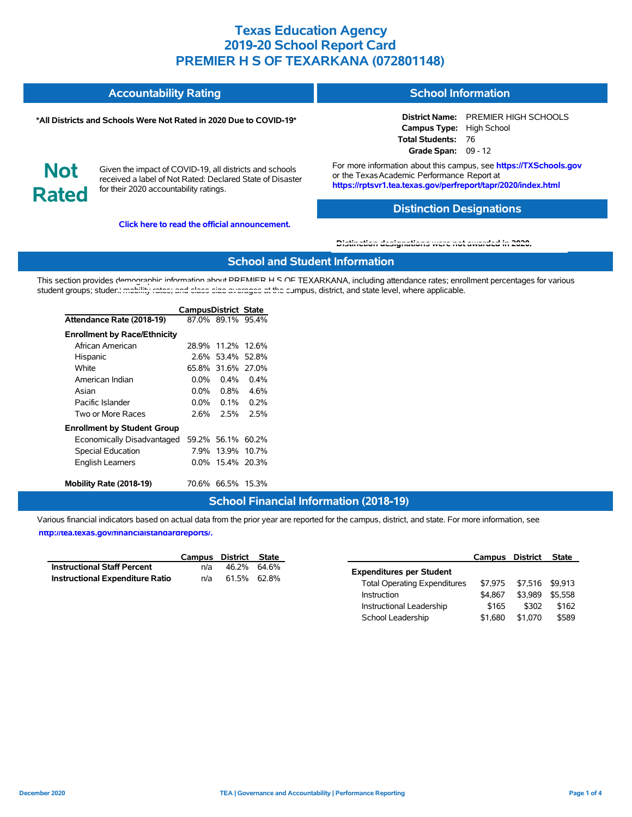| <b>Accountability Rating</b>                                       | <b>School Information</b>                  |
|--------------------------------------------------------------------|--------------------------------------------|
| *All Districts and Schools Were Not Rated in 2020 Due to COVID-19* | <b>District Name:</b> PREMIER HIGH SCHOOLS |

**District Name:** PREMIER HIGH SCHOOLS **Campus Type:** High School **Total Students:** 76 **Grade Span:** 09 - 12



Given the impact of COVID-19, all districts and schools received a label of Not Rated: Declared State of Disaster for their 2020 accountability ratings.

For more information about this campus, see **https://TXSchools.gov** or the Texas Academic Performance Report at **https://rptsvr1.tea.texas.gov/perfreport/tapr/2020/index.html**

### **Distinction Designations**

**Click here to read the official announcement.**

#### **[Distinction designations were not awarded in 2020.](https://rptsvr1.tea.texas.gov/perfreport/tapr/2020/index.html)**

#### **School and Student Information**

This section provides demographic information about PREMIER H S OF TEXARKANA, including attendance rates; enrollment percentages for various student groups; stude[nt mobility rates; and class size averages at the ca](https://tea.texas.gov/about-tea/news-and-multimedia/correspondence/taa-letters/every-student-succeeds-act-essa-waiver-approval-2020-state-academic-accountability)mpus, district, and state level, where applicable.

|                                     | <b>CampusDistrict State</b> |                   |             |
|-------------------------------------|-----------------------------|-------------------|-------------|
| Attendance Rate (2018-19)           |                             | 87.0% 89.1% 95.4% |             |
| <b>Enrollment by Race/Ethnicity</b> |                             |                   |             |
| African American                    |                             | 28.9% 11.2% 12.6% |             |
| Hispanic                            | 2.6%                        | 53.4%             | 52.8%       |
| White                               | 65.8%                       | 31.6%             | 27.0%       |
| American Indian                     | $0.0\%$                     | $0.4\%$           | $0.4\%$     |
| Asian                               | $0.0\%$                     | 0 8%              | 4.6%        |
| Pacific Islander                    | 0.0%                        | 0 1%              | 0.2%        |
| Two or More Races                   | 2.6%                        | 2.5%              | 2.5%        |
| <b>Enrollment by Student Group</b>  |                             |                   |             |
| Economically Disadvantaged          |                             | 59.2% 56.1% 60.2% |             |
| Special Education                   | 7.9%                        | 13.9% 10.7%       |             |
| English Learners                    | 0.0%                        |                   | 15.4% 20.3% |
| Mobility Rate (2018-19)             | 70.6%                       | 66.5%             | 15.3%       |

### **School Financial Information (2018-19)**

|                                        | Campus District State |             |  |
|----------------------------------------|-----------------------|-------------|--|
| <b>Instructional Staff Percent</b>     | n/a                   | 46.2% 64.6% |  |
| <b>Instructional Expenditure Ratio</b> | n/a                   | 61.5% 62.8% |  |

|                                     | Campus District |         | <b>State</b> |
|-------------------------------------|-----------------|---------|--------------|
| <b>Expenditures per Student</b>     |                 |         |              |
| <b>Total Operating Expenditures</b> | \$7.975         | \$7,516 | \$9.913      |
| Instruction                         | \$4.867         | \$3.989 | \$5.558      |
| Instructional Leadership            | \$165           | \$302   | \$162        |
| School Leadership                   | \$1.680         | \$1.070 | \$589        |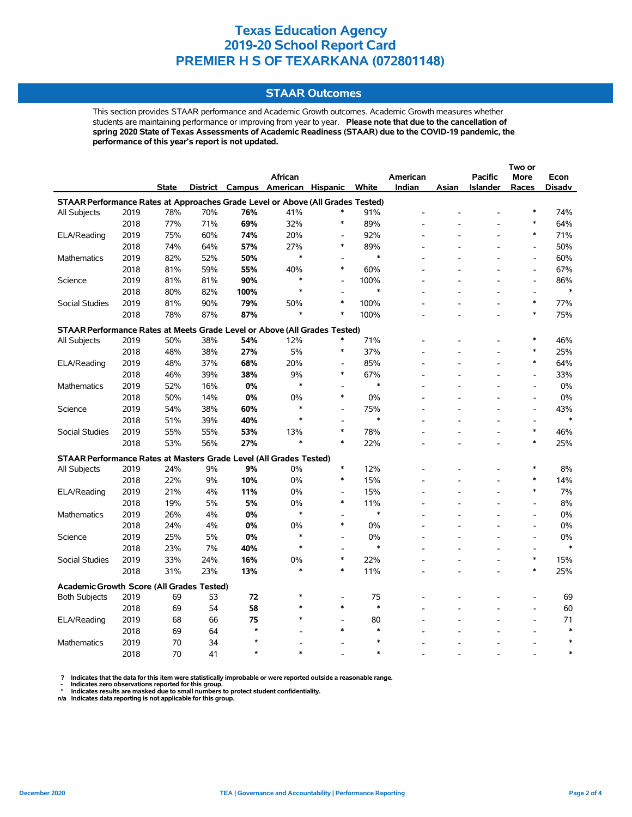#### **STAAR Outcomes**

This section provides STAAR performance and Academic Growth outcomes. Academic Growth measures whether students are maintaining performance or improving from year to year. **Please note that due to the cancellation of spring 2020 State of Texas Assessments of Academic Readiness (STAAR) due to the COVID-19 pandemic, the performance of this year's report is not updated.**

|                                                                                |      |              |     |         |                                   |                              |        |          |       |                          | Two or                   |        |
|--------------------------------------------------------------------------------|------|--------------|-----|---------|-----------------------------------|------------------------------|--------|----------|-------|--------------------------|--------------------------|--------|
|                                                                                |      |              |     |         | African                           |                              |        | American |       | <b>Pacific</b>           | More                     | Econ   |
|                                                                                |      | <b>State</b> |     |         | District Campus American Hispanic |                              | White  | Indian   | Asian | <b>Islander</b>          | Races                    | Disadv |
| STAAR Performance Rates at Approaches Grade Level or Above (All Grades Tested) |      |              |     |         |                                   |                              |        |          |       |                          |                          |        |
| All Subjects                                                                   | 2019 | 78%          | 70% | 76%     | 41%                               |                              | 91%    |          |       |                          | $\ast$                   | 74%    |
|                                                                                | 2018 | 77%          | 71% | 69%     | 32%                               | $\ast$                       | 89%    |          |       |                          | $\ast$                   | 64%    |
| ELA/Reading                                                                    | 2019 | 75%          | 60% | 74%     | 20%                               |                              | 92%    |          |       |                          | ∗                        | 71%    |
|                                                                                | 2018 | 74%          | 64% | 57%     | 27%                               | $\ast$                       | 89%    |          |       |                          | $\overline{a}$           | 50%    |
| <b>Mathematics</b>                                                             | 2019 | 82%          | 52% | 50%     | $\ast$                            |                              | $\ast$ |          |       |                          | $\overline{a}$           | 60%    |
|                                                                                | 2018 | 81%          | 59% | 55%     | 40%                               | $\ast$                       | 60%    |          |       |                          | $\overline{a}$           | 67%    |
| Science                                                                        | 2019 | 81%          | 81% | 90%     | $\ast$                            | $\overline{a}$               | 100%   |          |       |                          | $\overline{a}$           | 86%    |
|                                                                                | 2018 | 80%          | 82% | 100%    |                                   | $\qquad \qquad \blacksquare$ |        |          |       |                          | $\blacksquare$           |        |
| Social Studies                                                                 | 2019 | 81%          | 90% | 79%     | 50%                               | $\ast$                       | 100%   |          |       |                          | $\ast$                   | 77%    |
|                                                                                | 2018 | 78%          | 87% | 87%     | $\ast$                            | $\ast$                       | 100%   |          |       |                          | $\ast$                   | 75%    |
| STAAR Performance Rates at Meets Grade Level or Above (All Grades Tested)      |      |              |     |         |                                   |                              |        |          |       |                          |                          |        |
| All Subjects                                                                   | 2019 | 50%          | 38% | 54%     | 12%                               | $\ast$                       | 71%    |          |       |                          | $\ast$                   | 46%    |
|                                                                                | 2018 | 48%          | 38% | 27%     | 5%                                | $\ast$                       | 37%    |          |       | $\overline{\phantom{a}}$ | $\ast$                   | 25%    |
| ELA/Reading                                                                    | 2019 | 48%          | 37% | 68%     | 20%                               | ٠                            | 85%    |          |       |                          | $\ast$                   | 64%    |
|                                                                                | 2018 | 46%          | 39% | 38%     | 9%                                | $\ast$                       | 67%    |          |       |                          | $\blacksquare$           | 33%    |
| <b>Mathematics</b>                                                             | 2019 | 52%          | 16% | 0%      | $\ast$                            |                              | $\ast$ |          |       |                          | $\overline{a}$           | 0%     |
|                                                                                | 2018 | 50%          | 14% | 0%      | 0%                                | $\ast$                       | 0%     |          |       |                          | L,                       | 0%     |
| Science                                                                        | 2019 | 54%          | 38% | 60%     | $\ast$                            | ٠                            | 75%    |          |       |                          | $\overline{a}$           | 43%    |
|                                                                                | 2018 | 51%          | 39% | 40%     | $\ast$                            | ÷.                           | $\ast$ |          |       |                          | $\overline{\phantom{a}}$ | $\ast$ |
| <b>Social Studies</b>                                                          | 2019 | 55%          | 55% | 53%     | 13%                               | $\ast$                       | 78%    |          |       |                          | $\ast$                   | 46%    |
|                                                                                | 2018 | 53%          | 56% | 27%     | $\ast$                            | $\ast$                       | 22%    |          |       |                          | $\ast$                   | 25%    |
| STAAR Performance Rates at Masters Grade Level (All Grades Tested)             |      |              |     |         |                                   |                              |        |          |       |                          |                          |        |
| All Subjects                                                                   | 2019 | 24%          | 9%  | 9%      | 0%                                | $\ast$                       | 12%    |          |       |                          |                          | 8%     |
|                                                                                | 2018 | 22%          | 9%  | 10%     | 0%                                | $\ast$                       | 15%    |          |       |                          |                          | 14%    |
| ELA/Reading                                                                    | 2019 | 21%          | 4%  | 11%     | 0%                                | $\overline{a}$               | 15%    |          |       |                          | $\ast$                   | 7%     |
|                                                                                | 2018 | 19%          | 5%  | 5%      | 0%                                | ∗                            | 11%    |          |       |                          | $\overline{a}$           | 8%     |
| <b>Mathematics</b>                                                             | 2019 | 26%          | 4%  | 0%      | $\ast$                            |                              | $\ast$ |          |       |                          |                          | 0%     |
|                                                                                | 2018 | 24%          | 4%  | 0%      | 0%                                | $\ast$                       | 0%     |          |       |                          | $\overline{\phantom{a}}$ | 0%     |
| Science                                                                        | 2019 | 25%          | 5%  | 0%      | $\ast$                            | $\overline{\phantom{a}}$     | 0%     |          |       |                          | $\overline{a}$           | 0%     |
|                                                                                | 2018 | 23%          | 7%  | 40%     | $\ast$                            |                              | $\ast$ |          |       |                          |                          | $\ast$ |
| Social Studies                                                                 | 2019 | 33%          | 24% | 16%     | 0%                                | $\ast$                       | 22%    |          |       |                          | $\ast$                   | 15%    |
|                                                                                | 2018 | 31%          | 23% | 13%     | $\ast$                            | $\ast$                       | 11%    |          |       |                          | $\ast$                   | 25%    |
| Academic Growth Score (All Grades Tested)                                      |      |              |     |         |                                   |                              |        |          |       |                          |                          |        |
| <b>Both Subjects</b>                                                           | 2019 | 69           | 53  | 72      |                                   |                              | 75     |          |       |                          |                          | 69     |
|                                                                                | 2018 | 69           | 54  | 58      |                                   | $\ast$                       | $\ast$ |          |       |                          |                          | 60     |
| ELA/Reading                                                                    | 2019 | 68           | 66  | 75      | $\ast$                            |                              | 80     |          |       |                          |                          | 71     |
|                                                                                | 2018 | 69           | 64  | $\star$ |                                   | $\ast$                       | $\ast$ |          |       |                          |                          | $\ast$ |
| Mathematics                                                                    | 2019 | 70           | 34  |         |                                   |                              |        |          |       |                          |                          | $\ast$ |
|                                                                                | 2018 | 70           | 41  | $\star$ | $\ast$                            |                              | $\ast$ |          |       |                          |                          | $\ast$ |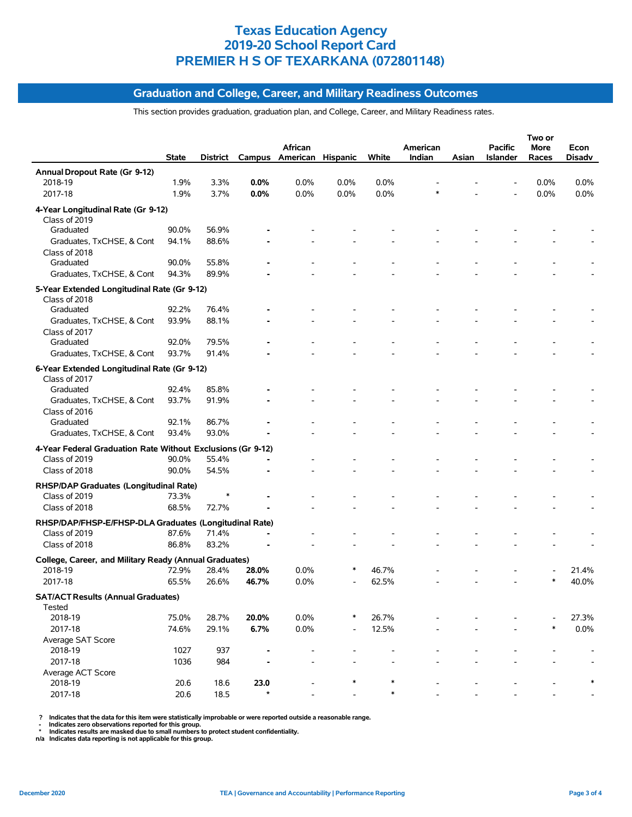### **Graduation and College, Career, and Military Readiness Outcomes**

This section provides graduation, graduation plan, and College, Career, and Military Readiness rates.

|                                                              | <b>State</b> |       |                | African<br>District Campus American Hispanic |        | White  | American<br>Indian | Asian | <b>Pacific</b><br><b>Islander</b> | Two or<br>More<br>Races | Econ<br>Disadv |
|--------------------------------------------------------------|--------------|-------|----------------|----------------------------------------------|--------|--------|--------------------|-------|-----------------------------------|-------------------------|----------------|
| Annual Dropout Rate (Gr 9-12)                                |              |       |                |                                              |        |        |                    |       |                                   |                         |                |
| 2018-19                                                      | 1.9%         | 3.3%  | 0.0%           | 0.0%                                         | 0.0%   | 0.0%   |                    |       |                                   | 0.0%                    | $0.0\%$        |
| 2017-18                                                      | 1.9%         | 3.7%  | 0.0%           | 0.0%                                         | 0.0%   | 0.0%   |                    |       |                                   | 0.0%                    | 0.0%           |
| 4-Year Longitudinal Rate (Gr 9-12)<br>Class of 2019          |              |       |                |                                              |        |        |                    |       |                                   |                         |                |
| Graduated                                                    | 90.0%        | 56.9% |                |                                              |        |        |                    |       |                                   |                         |                |
| Graduates, TxCHSE, & Cont                                    | 94.1%        | 88.6% |                |                                              |        |        |                    |       |                                   |                         |                |
| Class of 2018<br>Graduated                                   | 90.0%        | 55.8% |                |                                              |        |        |                    |       |                                   |                         |                |
| Graduates, TxCHSE, & Cont                                    | 94.3%        | 89.9% |                |                                              |        |        |                    |       |                                   |                         |                |
| 5-Year Extended Longitudinal Rate (Gr 9-12)<br>Class of 2018 |              |       |                |                                              |        |        |                    |       |                                   |                         |                |
| Graduated                                                    | 92.2%        | 76.4% |                |                                              |        |        |                    |       |                                   |                         |                |
| Graduates, TxCHSE, & Cont                                    | 93.9%        | 88.1% |                |                                              |        |        |                    |       |                                   |                         |                |
| Class of 2017<br>Graduated                                   | 92.0%        | 79.5% |                |                                              |        |        |                    |       |                                   |                         |                |
| Graduates, TxCHSE, & Cont                                    | 93.7%        | 91.4% |                |                                              |        |        |                    |       |                                   |                         |                |
| 6-Year Extended Longitudinal Rate (Gr 9-12)<br>Class of 2017 |              |       |                |                                              |        |        |                    |       |                                   |                         |                |
| Graduated                                                    | 92.4%        | 85.8% |                |                                              |        |        |                    |       |                                   |                         |                |
| Graduates, TxCHSE, & Cont<br>Class of 2016                   | 93.7%        | 91.9% |                |                                              |        |        |                    |       |                                   |                         |                |
| Graduated                                                    | 92.1%        | 86.7% |                |                                              |        |        |                    |       |                                   |                         |                |
| Graduates, TxCHSE, & Cont                                    | 93.4%        | 93.0% |                |                                              |        |        |                    |       |                                   |                         |                |
| 4-Year Federal Graduation Rate Without Exclusions (Gr 9-12)  |              |       |                |                                              |        |        |                    |       |                                   |                         |                |
| Class of 2019                                                | 90.0%        | 55.4% |                |                                              |        |        |                    |       |                                   |                         |                |
| Class of 2018                                                | 90.0%        | 54.5% |                |                                              |        |        |                    |       |                                   |                         |                |
| RHSP/DAP Graduates (Longitudinal Rate)                       |              |       |                |                                              |        |        |                    |       |                                   |                         |                |
| Class of 2019                                                | 73.3%        |       |                |                                              |        |        |                    |       |                                   |                         |                |
| Class of 2018                                                | 68.5%        | 72.7% |                |                                              |        |        |                    |       |                                   |                         |                |
| RHSP/DAP/FHSP-E/FHSP-DLA Graduates (Longitudinal Rate)       |              |       |                |                                              |        |        |                    |       |                                   |                         |                |
| Class of 2019                                                | 87.6%        | 71.4% | $\blacksquare$ |                                              |        |        |                    |       |                                   |                         |                |
| Class of 2018                                                | 86.8%        | 83.2% |                |                                              |        |        |                    |       |                                   |                         |                |
| College, Career, and Military Ready (Annual Graduates)       |              |       |                |                                              |        |        |                    |       |                                   |                         |                |
| 2018-19                                                      | 72.9%        | 28.4% | 28.0%          | 0.0%                                         | ∗      | 46.7%  |                    |       |                                   |                         | 21.4%          |
| 2017-18                                                      | 65.5%        | 26.6% | 46.7%          | 0.0%                                         |        | 62.5%  |                    |       |                                   |                         | 40.0%          |
| <b>SAT/ACT Results (Annual Graduates)</b><br>Tested          |              |       |                |                                              |        |        |                    |       |                                   |                         |                |
| 2018-19                                                      | 75.0%        | 28.7% | 20.0%          | 0.0%                                         | ∗      | 26.7%  |                    |       |                                   |                         | 27.3%          |
| 2017-18                                                      | 74.6%        | 29.1% | 6.7%           | 0.0%                                         |        | 12.5%  |                    |       |                                   | $\ast$                  | 0.0%           |
| Average SAT Score<br>2018-19                                 | 1027         | 937   | $\blacksquare$ |                                              |        |        |                    |       |                                   |                         |                |
| 2017-18                                                      | 1036         | 984   |                |                                              |        |        |                    |       |                                   |                         |                |
| Average ACT Score                                            |              |       |                |                                              |        |        |                    |       |                                   |                         |                |
| 2018-19                                                      | 20.6         | 18.6  | 23.0           |                                              | $\ast$ | $\ast$ |                    |       |                                   |                         |                |
| 2017-18                                                      | 20.6         | 18.5  | $\star$        |                                              |        | $\ast$ |                    |       |                                   |                         |                |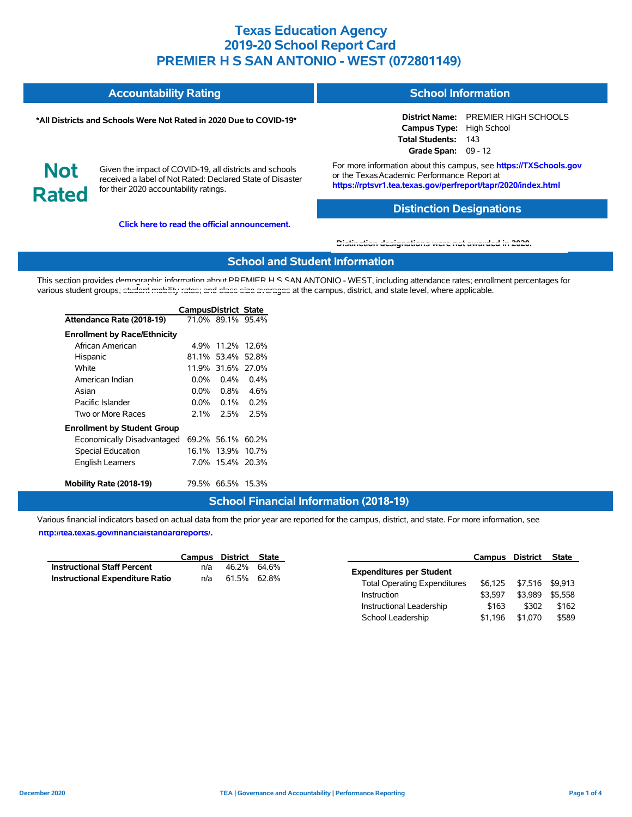| <b>Accountability Rating</b> | <b>School Information</b>   |
|------------------------------|-----------------------------|
|                              | BLULLING BRENER HOLLOCHOOLO |

#### **\*All Districts and Schools Were Not Rated in 2020 Due to COVID-19\***

**District Name:** PREMIER HIGH SCHOOLS **Campus Type:** High School **Total Students:** 143 **Grade Span:** 09 - 12

**Not Rated**

Given the impact of COVID-19, all districts and schools received a label of Not Rated: Declared State of Disaster for their 2020 accountability ratings.

For more information about this campus, see **https://TXSchools.gov** or the Texas Academic Performance Report at **https://rptsvr1.tea.texas.gov/perfreport/tapr/2020/index.html**

### **Distinction Designations**

#### **Click here to read the official announcement.**

#### **[Distinction designations were not awarded in 2020.](https://rptsvr1.tea.texas.gov/perfreport/tapr/2020/index.html)**

#### **School and Student Information**

This section provides demographic information about PREMIER H S SAN ANTONIO - WEST, including attendance rates; enrollment percentages for various student group[s; student mobility rates; and class size averages](https://tea.texas.gov/about-tea/news-and-multimedia/correspondence/taa-letters/every-student-succeeds-act-essa-waiver-approval-2020-state-academic-accountability) at the campus, district, and state level, where applicable.

|                                     | <b>CampusDistrict State</b> |                   |         |
|-------------------------------------|-----------------------------|-------------------|---------|
| Attendance Rate (2018-19)           |                             | 71.0% 89.1% 95.4% |         |
| <b>Enrollment by Race/Ethnicity</b> |                             |                   |         |
| African American                    | 4.9%                        | 11 2% 12 6%       |         |
| Hispanic                            | 81.1%                       | 53.4%             | 52.8%   |
| White                               |                             | 11.9% 31.6%       | 27.0%   |
| American Indian                     | $0.0\%$                     | $0.4\%$           | $0.4\%$ |
| Asian                               | $0.0\%$                     | በ ጸ%              | 4.6%    |
| Pacific Islander                    | 0.0%                        | $0.1\%$           | 0.2%    |
| Two or More Races                   | 21%                         | 2.5%              | 2.5%    |
| <b>Enrollment by Student Group</b>  |                             |                   |         |
| Economically Disadvantaged          |                             | 69.2% 56.1%       | 60.2%   |
| Special Education                   | 16.1%                       | 13.9%             | 10.7%   |
| <b>English Learners</b>             | 7.0%                        | 15.4% 20.3%       |         |
| Mobility Rate (2018-19)             | 79.5%                       | 66.5% 15.3%       |         |

### **School Financial Information (2018-19)**

|                                        | Campus District State |             |  |
|----------------------------------------|-----------------------|-------------|--|
| <b>Instructional Staff Percent</b>     | n/a                   | 46.2% 64.6% |  |
| <b>Instructional Expenditure Ratio</b> | n/a                   | 61.5% 62.8% |  |

|                                     | Campus District |         | State   |
|-------------------------------------|-----------------|---------|---------|
| <b>Expenditures per Student</b>     |                 |         |         |
| <b>Total Operating Expenditures</b> | \$6.125         | \$7.516 | \$9.913 |
| Instruction                         | \$3.597         | \$3.989 | \$5.558 |
| Instructional Leadership            | \$163           | \$302   | \$162   |
| School Leadership                   | \$1.196         | \$1,070 | \$589   |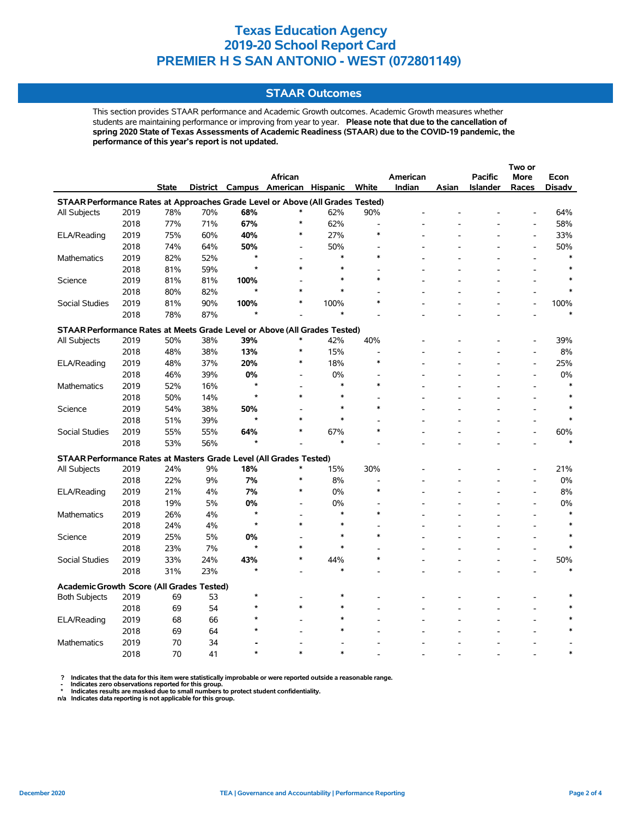#### **STAAR Outcomes**

This section provides STAAR performance and Academic Growth outcomes. Academic Growth measures whether students are maintaining performance or improving from year to year. **Please note that due to the cancellation of spring 2020 State of Texas Assessments of Academic Readiness (STAAR) due to the COVID-19 pandemic, the performance of this year's report is not updated.**

|                                                                                |      |       |     |         |                                         |        |        |          |       |                | Two or         |               |
|--------------------------------------------------------------------------------|------|-------|-----|---------|-----------------------------------------|--------|--------|----------|-------|----------------|----------------|---------------|
|                                                                                |      |       |     |         | African                                 |        |        | American |       | <b>Pacific</b> | <b>More</b>    | Econ          |
|                                                                                |      | State |     |         | District Campus American Hispanic White |        |        | Indian   | Asian | Islander       | Races          | <b>Disadv</b> |
| STAAR Performance Rates at Approaches Grade Level or Above (All Grades Tested) |      |       |     |         |                                         |        |        |          |       |                |                |               |
| All Subjects                                                                   | 2019 | 78%   | 70% | 68%     | ∗                                       | 62%    | 90%    |          |       |                |                | 64%           |
|                                                                                | 2018 | 77%   | 71% | 67%     | *                                       | 62%    | L,     |          |       |                |                | 58%           |
| ELA/Reading                                                                    | 2019 | 75%   | 60% | 40%     | $\ast$                                  | 27%    | *      |          |       |                |                | 33%           |
|                                                                                | 2018 | 74%   | 64% | 50%     |                                         | 50%    |        |          |       |                | L,             | 50%           |
| <b>Mathematics</b>                                                             | 2019 | 82%   | 52% |         |                                         | $\ast$ | *      |          |       |                |                | $\ast$        |
|                                                                                | 2018 | 81%   | 59% |         |                                         | ×.     |        |          |       |                |                | ×             |
| Science                                                                        | 2019 | 81%   | 81% | 100%    |                                         | $\ast$ | $\ast$ |          |       |                |                | $\ast$        |
|                                                                                | 2018 | 80%   | 82% | $\star$ | ×                                       | $\ast$ |        |          |       |                |                | $\ast$        |
| Social Studies                                                                 | 2019 | 81%   | 90% | 100%    |                                         | 100%   |        |          |       |                | $\overline{a}$ | 100%          |
|                                                                                | 2018 | 78%   | 87% |         |                                         |        |        |          |       |                |                |               |
| STAAR Performance Rates at Meets Grade Level or Above (All Grades Tested)      |      |       |     |         |                                         |        |        |          |       |                |                |               |
| All Subjects                                                                   | 2019 | 50%   | 38% | 39%     | *                                       | 42%    | 40%    |          |       |                |                | 39%           |
|                                                                                | 2018 | 48%   | 38% | 13%     | $\ast$                                  | 15%    |        |          |       |                |                | 8%            |
| ELA/Reading                                                                    | 2019 | 48%   | 37% | 20%     | $\ast$                                  | 18%    | $\ast$ |          |       |                | $\overline{a}$ | 25%           |
|                                                                                | 2018 | 46%   | 39% | 0%      |                                         | $0\%$  |        |          |       |                |                | 0%            |
| Mathematics                                                                    | 2019 | 52%   | 16% |         |                                         | $\ast$ | $\ast$ |          |       |                |                | $\ast$        |
|                                                                                | 2018 | 50%   | 14% | $\star$ | $\ast$                                  | $\ast$ |        |          |       |                |                |               |
| Science                                                                        | 2019 | 54%   | 38% | 50%     |                                         | $\ast$ | $\ast$ |          |       |                |                |               |
|                                                                                | 2018 | 51%   | 39% |         |                                         | $\ast$ |        |          |       |                |                | $\ast$        |
| <b>Social Studies</b>                                                          | 2019 | 55%   | 55% | 64%     |                                         | 67%    | $\ast$ |          |       |                |                | 60%           |
|                                                                                | 2018 | 53%   | 56% |         |                                         | $\ast$ |        |          |       |                |                |               |
|                                                                                |      |       |     |         |                                         |        |        |          |       |                |                |               |
| STAAR Performance Rates at Masters Grade Level (All Grades Tested)             |      |       |     |         | ∗                                       |        |        |          |       |                |                |               |
| All Subjects                                                                   | 2019 | 24%   | 9%  | 18%     |                                         | 15%    | 30%    |          |       |                |                | 21%           |
|                                                                                | 2018 | 22%   | 9%  | 7%      | ∗                                       | 8%     |        |          |       |                |                | 0%            |
| ELA/Reading                                                                    | 2019 | 21%   | 4%  | 7%      | $\ast$                                  | 0%     | $\ast$ |          |       |                |                | 8%            |
|                                                                                | 2018 | 19%   | 5%  | 0%      |                                         | 0%     |        |          |       |                |                | 0%            |
| Mathematics                                                                    | 2019 | 26%   | 4%  | $\star$ |                                         | $\ast$ | $\ast$ |          |       |                |                | $\ast$        |
|                                                                                | 2018 | 24%   | 4%  | $\star$ |                                         |        |        |          |       |                |                |               |
| Science                                                                        | 2019 | 25%   | 5%  | 0%      |                                         | $\ast$ | $\ast$ |          |       |                |                |               |
|                                                                                | 2018 | 23%   | 7%  | ÷       | $\ast$                                  | $\ast$ |        |          |       |                |                | $\ast$        |
| Social Studies                                                                 | 2019 | 33%   | 24% | 43%     | $\ast$                                  | 44%    | $\ast$ |          |       |                |                | 50%           |
|                                                                                | 2018 | 31%   | 23% | ÷       |                                         | $\ast$ |        |          |       |                |                | $\ast$        |
| <b>Academic Growth Score (All Grades Tested)</b>                               |      |       |     |         |                                         |        |        |          |       |                |                |               |
| <b>Both Subjects</b>                                                           | 2019 | 69    | 53  |         |                                         |        |        |          |       |                |                |               |
|                                                                                | 2018 | 69    | 54  |         |                                         |        |        |          |       |                |                |               |
| ELA/Reading                                                                    | 2019 | 68    | 66  |         |                                         | $\ast$ |        |          |       |                |                |               |
|                                                                                | 2018 | 69    | 64  |         |                                         | $\ast$ |        |          |       |                |                |               |
| <b>Mathematics</b>                                                             | 2019 | 70    | 34  |         |                                         |        |        |          |       |                |                |               |
|                                                                                | 2018 | 70    | 41  |         |                                         |        |        |          |       |                |                |               |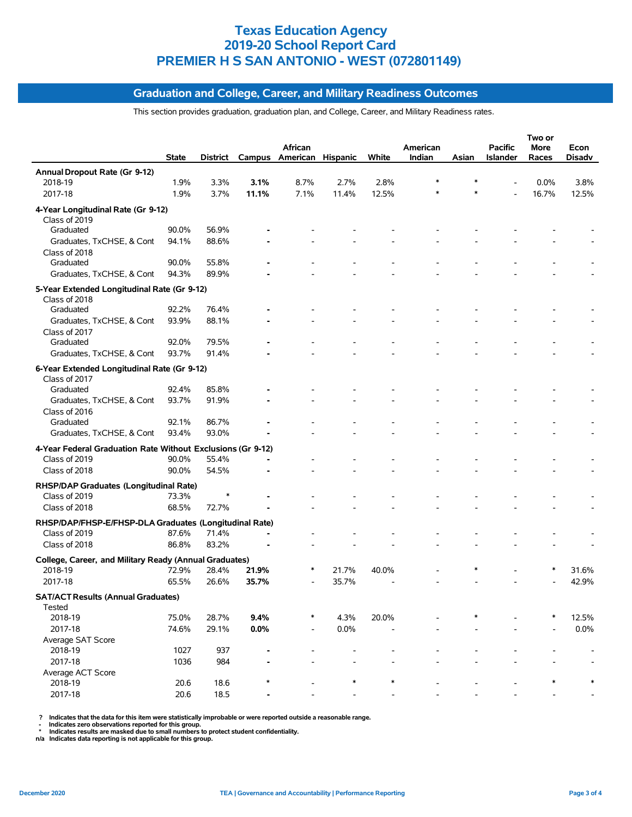### **Graduation and College, Career, and Military Readiness Outcomes**

This section provides graduation, graduation plan, and College, Career, and Military Readiness rates.

|                                                              | <b>State</b> |       |       | African<br>District Campus American Hispanic |        | White  | American<br>Indian | Asian  | Pacific<br>Islander | Two or<br>More<br>Races | Econ<br>Disadv |
|--------------------------------------------------------------|--------------|-------|-------|----------------------------------------------|--------|--------|--------------------|--------|---------------------|-------------------------|----------------|
| Annual Dropout Rate (Gr 9-12)                                |              |       |       |                                              |        |        |                    |        |                     |                         |                |
| 2018-19                                                      | 1.9%         | 3.3%  | 3.1%  | 8.7%                                         | 2.7%   | 2.8%   | $\ast$             |        |                     | 0.0%                    | 3.8%           |
| 2017-18                                                      | 1.9%         | 3.7%  | 11.1% | 7.1%                                         | 11.4%  | 12.5%  |                    | $\ast$ |                     | 16.7%                   | 12.5%          |
| 4-Year Longitudinal Rate (Gr 9-12)<br>Class of 2019          |              |       |       |                                              |        |        |                    |        |                     |                         |                |
| Graduated                                                    | 90.0%        | 56.9% |       |                                              |        |        |                    |        |                     |                         |                |
| Graduates, TxCHSE, & Cont                                    | 94.1%        | 88.6% |       |                                              |        |        |                    |        |                     |                         |                |
| Class of 2018<br>Graduated                                   | 90.0%        | 55.8% |       |                                              |        |        |                    |        |                     |                         |                |
| Graduates, TxCHSE, & Cont                                    | 94.3%        | 89.9% |       |                                              |        |        |                    |        |                     |                         |                |
| 5-Year Extended Longitudinal Rate (Gr 9-12)<br>Class of 2018 |              |       |       |                                              |        |        |                    |        |                     |                         |                |
| Graduated                                                    | 92.2%        | 76.4% |       |                                              |        |        |                    |        |                     |                         |                |
| Graduates, TxCHSE, & Cont                                    | 93.9%        | 88.1% |       |                                              |        |        |                    |        |                     |                         |                |
| Class of 2017<br>Graduated                                   | 92.0%        | 79.5% |       |                                              |        |        |                    |        |                     |                         |                |
| Graduates, TxCHSE, & Cont                                    | 93.7%        | 91.4% |       |                                              |        |        |                    |        |                     |                         |                |
|                                                              |              |       |       |                                              |        |        |                    |        |                     |                         |                |
| 6-Year Extended Longitudinal Rate (Gr 9-12)<br>Class of 2017 |              |       |       |                                              |        |        |                    |        |                     |                         |                |
| Graduated                                                    | 92.4%        | 85.8% |       |                                              |        |        |                    |        |                     |                         |                |
| Graduates, TxCHSE, & Cont<br>Class of 2016                   | 93.7%        | 91.9% |       |                                              |        |        |                    |        |                     |                         |                |
| Graduated                                                    | 92.1%        | 86.7% |       |                                              |        |        |                    |        |                     |                         |                |
| Graduates, TxCHSE, & Cont                                    | 93.4%        | 93.0% |       |                                              |        |        |                    |        |                     |                         |                |
| 4-Year Federal Graduation Rate Without Exclusions (Gr 9-12)  |              |       |       |                                              |        |        |                    |        |                     |                         |                |
| Class of 2019                                                | 90.0%        | 55.4% |       |                                              |        |        |                    |        |                     |                         |                |
| Class of 2018                                                | 90.0%        | 54.5% |       |                                              |        |        |                    |        |                     |                         |                |
| RHSP/DAP Graduates (Longitudinal Rate)                       |              |       |       |                                              |        |        |                    |        |                     |                         |                |
| Class of 2019                                                | 73.3%        |       |       |                                              |        |        |                    |        |                     |                         |                |
| Class of 2018                                                | 68.5%        | 72.7% |       |                                              |        |        |                    |        |                     |                         |                |
| RHSP/DAP/FHSP-E/FHSP-DLA Graduates (Longitudinal Rate)       |              |       |       |                                              |        |        |                    |        |                     |                         |                |
| Class of 2019                                                | 87.6%        | 71.4% |       |                                              |        |        |                    |        |                     |                         |                |
| Class of 2018                                                | 86.8%        | 83.2% |       |                                              |        |        |                    |        |                     |                         |                |
| College, Career, and Military Ready (Annual Graduates)       |              |       |       |                                              |        |        |                    |        |                     |                         |                |
| 2018-19                                                      | 72.9%        | 28.4% | 21.9% | ∗                                            | 21.7%  | 40.0%  |                    |        |                     | ∗                       | 31.6%          |
| 2017-18                                                      | 65.5%        | 26.6% | 35.7% |                                              | 35.7%  |        |                    |        |                     |                         | 42.9%          |
| <b>SAT/ACT Results (Annual Graduates)</b><br>Tested          |              |       |       |                                              |        |        |                    |        |                     |                         |                |
| 2018-19                                                      | 75.0%        | 28.7% | 9.4%  |                                              | 4.3%   | 20.0%  |                    |        |                     |                         | 12.5%          |
| 2017-18                                                      | 74.6%        | 29.1% | 0.0%  |                                              | 0.0%   |        |                    |        |                     |                         | $0.0\%$        |
| Average SAT Score<br>2018-19                                 | 1027         | 937   |       |                                              |        |        |                    |        |                     |                         |                |
| 2017-18                                                      | 1036         | 984   |       |                                              |        |        |                    |        |                     |                         |                |
| Average ACT Score                                            |              |       |       |                                              | $\ast$ | $\ast$ |                    |        |                     |                         |                |
| 2018-19<br>2017-18                                           | 20.6         | 18.6  |       |                                              |        |        |                    |        |                     |                         |                |
|                                                              | 20.6         | 18.5  |       |                                              |        |        |                    |        |                     |                         |                |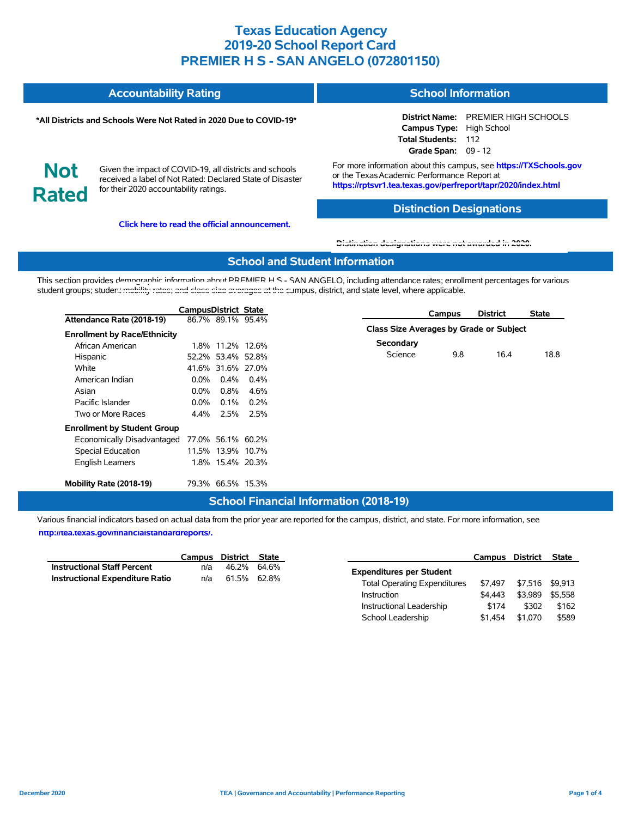| <b>Accountability Rating</b> | <b>School Information</b> |
|------------------------------|---------------------------|
|                              |                           |

#### **\*All Districts and Schools Were Not Rated in 2020 Due to COVID-19\***

**District Name:** PREMIER HIGH SCHOOLS **Campus Type:** High School **Total Students:** 112 **Grade Span:** 09 - 12

**Not Rated**

Given the impact of COVID-19, all districts and schools received a label of Not Rated: Declared State of Disaster for their 2020 accountability ratings.

For more information about this campus, see **https://TXSchools.gov** or the Texas Academic Performance Report at **https://rptsvr1.tea.texas.gov/perfreport/tapr/2020/index.html**

### **Distinction Designations**

## **Click here to read the official announcement.**

#### **[Distinction designations were not awarded in 2020.](https://rptsvr1.tea.texas.gov/perfreport/tapr/2020/index.html)**

#### **School and Student Information**

This section provides demographic information about PREMIER H S - SAN ANGELO, including attendance rates; enrollment percentages for various student groups; stude[nt mobility rates; and class size averages at the ca](https://tea.texas.gov/about-tea/news-and-multimedia/correspondence/taa-letters/every-student-succeeds-act-essa-waiver-approval-2020-state-academic-accountability)mpus, district, and state level, where applicable.

|                                     | CampusDistrict State |                   |                   | Campus                                  | <b>District</b> | <b>State</b> |
|-------------------------------------|----------------------|-------------------|-------------------|-----------------------------------------|-----------------|--------------|
| Attendance Rate (2018-19)           |                      | 86.7% 89.1% 95.4% |                   |                                         |                 |              |
| <b>Enrollment by Race/Ethnicity</b> |                      |                   |                   | Class Size Averages by Grade or Subject |                 |              |
| African American                    |                      |                   | 1.8% 11.2% 12.6%  | Secondary                               |                 |              |
| Hispanic                            |                      |                   | 52.2% 53.4% 52.8% | 9.8<br>Science                          | 16.4            | 18.8         |
| White                               |                      |                   | 41.6% 31.6% 27.0% |                                         |                 |              |
| American Indian                     | $0.0\%$              | $0.4\%$           | $0.4\%$           |                                         |                 |              |
| Asian                               | $0.0\%$              | $0.8\%$           | 4.6%              |                                         |                 |              |
| Pacific Islander                    | $0.0\%$              | $0.1\%$           | $0.2\%$           |                                         |                 |              |
| Two or More Races                   |                      |                   | 4.4% 2.5% 2.5%    |                                         |                 |              |
| <b>Enrollment by Student Group</b>  |                      |                   |                   |                                         |                 |              |
| Economically Disadvantaged          |                      |                   | 77.0% 56.1% 60.2% |                                         |                 |              |
| Special Education                   |                      |                   | 11.5% 13.9% 10.7% |                                         |                 |              |
| English Learners                    |                      | 1.8% 15.4% 20.3%  |                   |                                         |                 |              |
| Mobility Rate (2018-19)             |                      |                   | 79.3% 66.5% 15.3% |                                         |                 |              |

### **School Financial Information (2018-19)**

|                                        | Campus District State |             |  |
|----------------------------------------|-----------------------|-------------|--|
| <b>Instructional Staff Percent</b>     | n/a                   | 46.2% 64.6% |  |
| <b>Instructional Expenditure Ratio</b> | n/a                   | 61.5% 62.8% |  |

|                                     | Campus District |         | <b>State</b> |
|-------------------------------------|-----------------|---------|--------------|
| <b>Expenditures per Student</b>     |                 |         |              |
| <b>Total Operating Expenditures</b> | \$7.497         | \$7.516 | \$9.913      |
| Instruction                         | \$4.443         | \$3.989 | \$5.558      |
| Instructional Leadership            | \$174           | \$302   | \$162        |
| School Leadership                   | \$1.454         | \$1.070 | \$589        |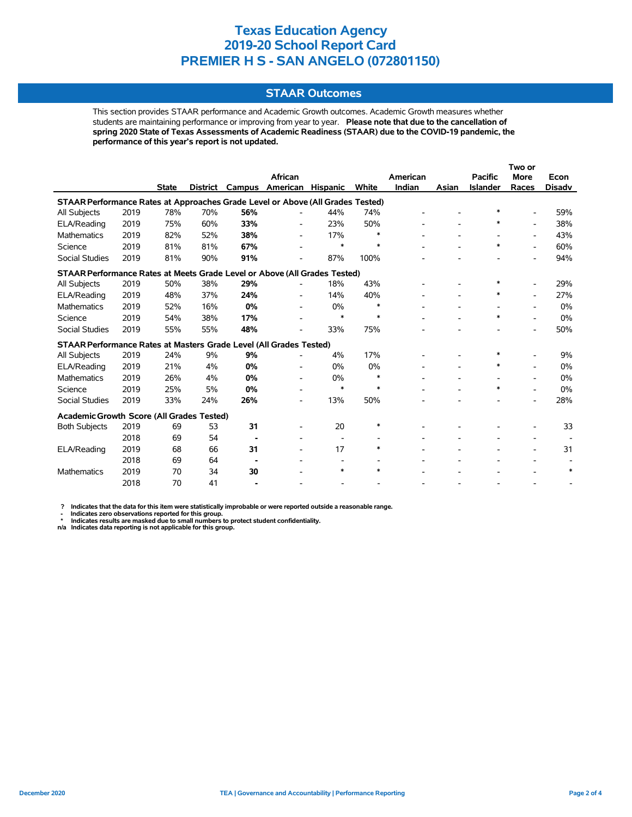### **STAAR Outcomes**

This section provides STAAR performance and Academic Growth outcomes. Academic Growth measures whether students are maintaining performance or improving from year to year. **Please note that due to the cancellation of spring 2020 State of Texas Assessments of Academic Readiness (STAAR) due to the COVID-19 pandemic, the performance of this year's report is not updated.**

|                                                                                |      |              |     |                 |                          |                          |        |          |       |                 | Two or                   |               |
|--------------------------------------------------------------------------------|------|--------------|-----|-----------------|--------------------------|--------------------------|--------|----------|-------|-----------------|--------------------------|---------------|
|                                                                                |      |              |     |                 | <b>African</b>           |                          |        | American |       | <b>Pacific</b>  | <b>More</b>              | Econ          |
|                                                                                |      | <b>State</b> |     | District Campus | American                 | <b>Hispanic</b>          | White  | Indian   | Asian | <b>Islander</b> | Races                    | <b>Disadv</b> |
| STAAR Performance Rates at Approaches Grade Level or Above (All Grades Tested) |      |              |     |                 |                          |                          |        |          |       |                 |                          |               |
| All Subjects                                                                   | 2019 | 78%          | 70% | 56%             |                          | 44%                      | 74%    |          |       | $\ast$          |                          | 59%           |
| ELA/Reading                                                                    | 2019 | 75%          | 60% | 33%             |                          | 23%                      | 50%    |          |       | $\ast$          |                          | 38%           |
| <b>Mathematics</b>                                                             | 2019 | 82%          | 52% | 38%             | $\overline{\phantom{a}}$ | 17%                      | *      |          |       |                 | $\overline{\phantom{a}}$ | 43%           |
| Science                                                                        | 2019 | 81%          | 81% | 67%             |                          | $\ast$                   | *      |          |       | $\ast$          |                          | 60%           |
| <b>Social Studies</b>                                                          | 2019 | 81%          | 90% | 91%             |                          | 87%                      | 100%   |          |       |                 |                          | 94%           |
| STAAR Performance Rates at Meets Grade Level or Above (All Grades Tested)      |      |              |     |                 |                          |                          |        |          |       |                 |                          |               |
| All Subjects                                                                   | 2019 | 50%          | 38% | 29%             |                          | 18%                      | 43%    |          |       | $\ast$          |                          | 29%           |
| ELA/Reading                                                                    | 2019 | 48%          | 37% | 24%             | $\overline{\phantom{a}}$ | 14%                      | 40%    |          |       | $\ast$          | $\blacksquare$           | 27%           |
| Mathematics                                                                    | 2019 | 52%          | 16% | 0%              |                          | 0%                       | $\ast$ |          |       |                 |                          | 0%            |
| Science                                                                        | 2019 | 54%          | 38% | 17%             |                          | $\ast$                   | $\ast$ |          |       | $\ast$          |                          | 0%            |
| <b>Social Studies</b>                                                          | 2019 | 55%          | 55% | 48%             |                          | 33%                      | 75%    |          |       |                 |                          | 50%           |
| STAAR Performance Rates at Masters Grade Level (All Grades Tested)             |      |              |     |                 |                          |                          |        |          |       |                 |                          |               |
| All Subjects                                                                   | 2019 | 24%          | 9%  | 9%              |                          | 4%                       | 17%    |          |       | $\ast$          |                          | 9%            |
| ELA/Reading                                                                    | 2019 | 21%          | 4%  | 0%              |                          | 0%                       | $0\%$  |          |       | $\ast$          |                          | 0%            |
| <b>Mathematics</b>                                                             | 2019 | 26%          | 4%  | 0%              | $\overline{\phantom{a}}$ | 0%                       | $\ast$ |          |       |                 |                          | 0%            |
| Science                                                                        | 2019 | 25%          | 5%  | 0%              |                          | $\ast$                   | $\ast$ |          |       | $\ast$          |                          | 0%            |
| <b>Social Studies</b>                                                          | 2019 | 33%          | 24% | 26%             |                          | 13%                      | 50%    |          |       |                 |                          | 28%           |
| Academic Growth Score (All Grades Tested)                                      |      |              |     |                 |                          |                          |        |          |       |                 |                          |               |
| <b>Both Subjects</b>                                                           | 2019 | 69           | 53  | 31              |                          | 20                       | ∗      |          |       |                 |                          | 33            |
|                                                                                | 2018 | 69           | 54  |                 |                          | $\overline{\phantom{a}}$ |        |          |       |                 |                          |               |
| ELA/Reading                                                                    | 2019 | 68           | 66  | 31              |                          | 17                       | $\ast$ |          |       |                 |                          | 31            |
|                                                                                | 2018 | 69           | 64  |                 |                          |                          |        |          |       |                 |                          |               |
| <b>Mathematics</b>                                                             | 2019 | 70           | 34  | 30              |                          | $\ast$                   | $\ast$ |          |       |                 |                          | *             |
|                                                                                | 2018 | 70           | 41  |                 |                          |                          |        |          |       |                 |                          |               |

 **? Indicates that the data for this item were statistically improbable or were reported outside a reasonable range.**

 **- Indicates zero observations reported for this group. \* Indicates results are masked due to small numbers to protect student confidentiality.**

**n/a Indicates data reporting is not applicable for this group.**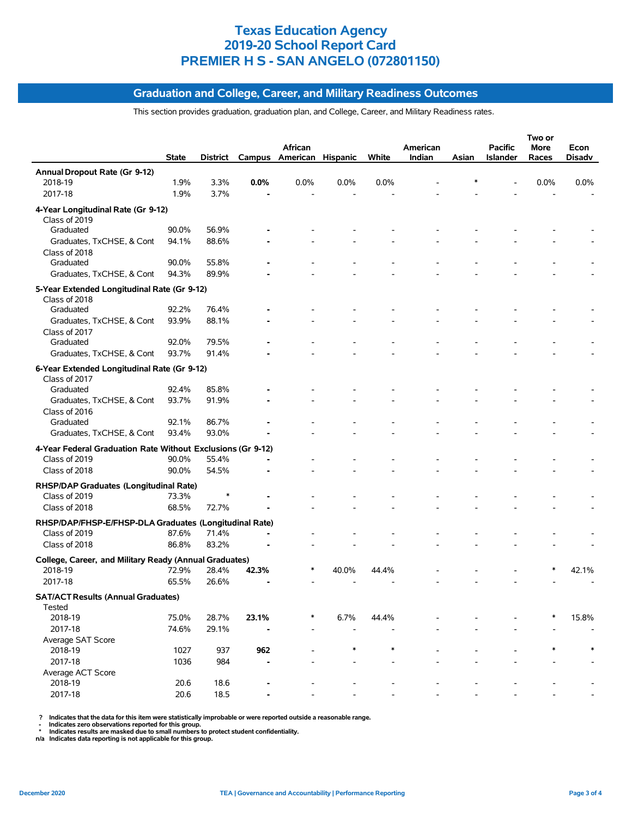### **Graduation and College, Career, and Military Readiness Outcomes**

This section provides graduation, graduation plan, and College, Career, and Military Readiness rates.

|                                                              | State |       |       | African<br>District Campus American Hispanic |                | White | American<br>Indian | Asian | <b>Pacific</b><br><b>Islander</b> | Two or<br>More<br>Races | Econ<br>Disadv |
|--------------------------------------------------------------|-------|-------|-------|----------------------------------------------|----------------|-------|--------------------|-------|-----------------------------------|-------------------------|----------------|
| Annual Dropout Rate (Gr 9-12)                                |       |       |       |                                              |                |       |                    |       |                                   |                         |                |
| 2018-19                                                      | 1.9%  | 3.3%  | 0.0%  | 0.0%                                         | 0.0%           | 0.0%  |                    |       |                                   | 0.0%                    | 0.0%           |
| 2017-18                                                      | 1.9%  | 3.7%  |       |                                              |                |       |                    |       |                                   |                         |                |
| 4-Year Longitudinal Rate (Gr 9-12)<br>Class of 2019          |       |       |       |                                              |                |       |                    |       |                                   |                         |                |
| Graduated                                                    | 90.0% | 56.9% |       |                                              |                |       |                    |       |                                   |                         |                |
| Graduates, TxCHSE, & Cont                                    | 94.1% | 88.6% |       |                                              |                |       |                    |       |                                   |                         |                |
| Class of 2018<br>Graduated                                   | 90.0% | 55.8% |       |                                              |                |       |                    |       |                                   |                         |                |
| Graduates, TxCHSE, & Cont                                    | 94.3% | 89.9% |       |                                              |                |       |                    |       |                                   |                         |                |
| 5-Year Extended Longitudinal Rate (Gr 9-12)<br>Class of 2018 |       |       |       |                                              |                |       |                    |       |                                   |                         |                |
| Graduated                                                    | 92.2% | 76.4% |       |                                              |                |       |                    |       |                                   |                         |                |
| Graduates, TxCHSE, & Cont                                    | 93.9% | 88.1% |       |                                              |                |       |                    |       |                                   |                         |                |
| Class of 2017                                                |       |       |       |                                              |                |       |                    |       |                                   |                         |                |
| Graduated                                                    | 92.0% | 79.5% |       |                                              |                |       |                    |       |                                   |                         |                |
| Graduates, TxCHSE, & Cont                                    | 93.7% | 91.4% |       |                                              |                |       |                    |       |                                   |                         |                |
| 6-Year Extended Longitudinal Rate (Gr 9-12)<br>Class of 2017 |       |       |       |                                              |                |       |                    |       |                                   |                         |                |
| Graduated                                                    | 92.4% | 85.8% |       |                                              |                |       |                    |       |                                   |                         |                |
| Graduates, TxCHSE, & Cont<br>Class of 2016                   | 93.7% | 91.9% |       |                                              |                |       |                    |       |                                   |                         |                |
| Graduated                                                    | 92.1% | 86.7% |       |                                              |                |       |                    |       |                                   |                         |                |
| Graduates, TxCHSE, & Cont                                    | 93.4% | 93.0% |       |                                              |                |       |                    |       |                                   |                         |                |
| 4-Year Federal Graduation Rate Without Exclusions (Gr 9-12)  |       |       |       |                                              |                |       |                    |       |                                   |                         |                |
| Class of 2019                                                | 90.0% | 55.4% |       |                                              |                |       |                    |       |                                   |                         |                |
| Class of 2018                                                | 90.0% | 54.5% |       |                                              |                |       |                    |       |                                   |                         |                |
| RHSP/DAP Graduates (Longitudinal Rate)                       |       |       |       |                                              |                |       |                    |       |                                   |                         |                |
| Class of 2019                                                | 73.3% |       |       |                                              |                |       |                    |       |                                   |                         |                |
| Class of 2018                                                | 68.5% | 72.7% |       |                                              |                |       |                    |       |                                   |                         |                |
| RHSP/DAP/FHSP-E/FHSP-DLA Graduates (Longitudinal Rate)       |       |       |       |                                              |                |       |                    |       |                                   |                         |                |
| Class of 2019                                                | 87.6% | 71.4% |       |                                              |                |       |                    |       |                                   |                         |                |
| Class of 2018                                                | 86.8% | 83.2% |       |                                              |                |       |                    |       |                                   |                         |                |
| College, Career, and Military Ready (Annual Graduates)       |       |       |       |                                              |                |       |                    |       |                                   |                         |                |
| 2018-19                                                      | 72.9% | 28.4% | 42.3% |                                              | 40.0%          | 44.4% |                    |       |                                   |                         | 42.1%          |
| 2017-18                                                      | 65.5% | 26.6% |       |                                              |                |       |                    |       |                                   |                         |                |
| <b>SAT/ACT Results (Annual Graduates)</b><br>Tested          |       |       |       |                                              |                |       |                    |       |                                   |                         |                |
| 2018-19                                                      | 75.0% | 28.7% | 23.1% |                                              | 6.7%           | 44.4% |                    |       |                                   |                         | 15.8%          |
| 2017-18                                                      | 74.6% | 29.1% |       |                                              | $\blacksquare$ |       |                    |       |                                   |                         |                |
| Average SAT Score<br>2018-19                                 | 1027  | 937   | 962   |                                              | $\ast$         |       |                    |       |                                   |                         |                |
| 2017-18                                                      | 1036  | 984   |       |                                              |                |       |                    |       |                                   |                         |                |
| Average ACT Score                                            |       |       |       |                                              |                |       |                    |       |                                   |                         |                |
| 2018-19                                                      | 20.6  | 18.6  |       |                                              |                |       |                    |       |                                   |                         |                |
| 2017-18                                                      | 20.6  | 18.5  |       |                                              |                |       |                    |       |                                   |                         |                |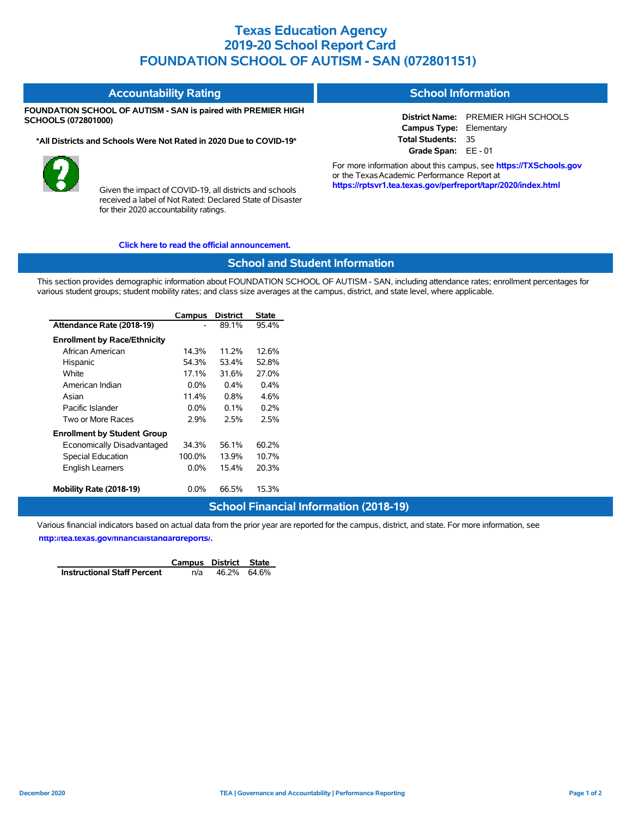### **Texas Education Agency 2019-20 School Report Card FOUNDATION SCHOOL OF AUTISM - SAN (072801151)**

**Accountability Rating FOUNDATION SCHOOL OF AUTISM - SAN is paired with PREMIER HIGH SCHOOLS (072801000) \*All Districts and Schools Were Not Rated in 2020 Due to COVID-19\*** Given the impact of COVID-19, all districts and schools received a label of Not Rated: Declared State of Disaster **School Information District Name:** PREMIER HIGH SCHOOLS **Campus Type:** Elementary **Total Students:** 35 **Grade Span:** EE - 01 For more information about this campus, see **https://TXSchools.gov** or the Texas Academic Performance Report at **https://rptsvr1.tea.texas.gov/perfreport/tapr/2020/index.html**

#### **Click here to read the official announcement.**

#### **School and Student Information**

This section provides demographic information about FOUNDATION SCHOOL OF AUTISM - SAN, including attendance rates; enrollment percentages for various student groups; student mobility rates; and class size averages at the campus, district, and state level, where applicable.

|                                     | Campus  | <b>District</b> | <b>State</b> |
|-------------------------------------|---------|-----------------|--------------|
| Attendance Rate (2018-19)           |         | 89.1%           | 95.4%        |
| <b>Enrollment by Race/Ethnicity</b> |         |                 |              |
| African American                    | 14.3%   | 11.2%           | 12.6%        |
| Hispanic                            | 54.3%   | 53.4%           | 52.8%        |
| White                               | 17.1%   | 31.6%           | 27.0%        |
| American Indian                     | $0.0\%$ | $0.4\%$         | 0.4%         |
| Asian                               | 11.4%   | $0.8\%$         | 4.6%         |
| Pacific Islander                    | $0.0\%$ | $0.1\%$         | 0.2%         |
| Two or More Races                   | 2.9%    | 2.5%            | 2.5%         |
| <b>Enrollment by Student Group</b>  |         |                 |              |
| Economically Disadvantaged          | 34.3%   | 56.1%           | 60.2%        |
| Special Education                   | 100.0%  | 13.9%           | 10.7%        |
| <b>English Learners</b>             | $0.0\%$ | 15.4%           | 20.3%        |
| Mobility Rate (2018-19)             | $0.0\%$ | 66.5%           | 15.3%        |

for their 2020 accountability ratings.

#### **School Financial Information (2018-19)**

Various financial indicators based on actual data from the prior year are reported for the campus, district, and state. For more information, see

**[http://tea.texas.gov/financialstandardreports/.](http://tea.texas.gov/financialstandardreports/)**

|                                    | Campus District State |             |  |
|------------------------------------|-----------------------|-------------|--|
| <b>Instructional Staff Percent</b> | n/a                   | 46.2% 64.6% |  |